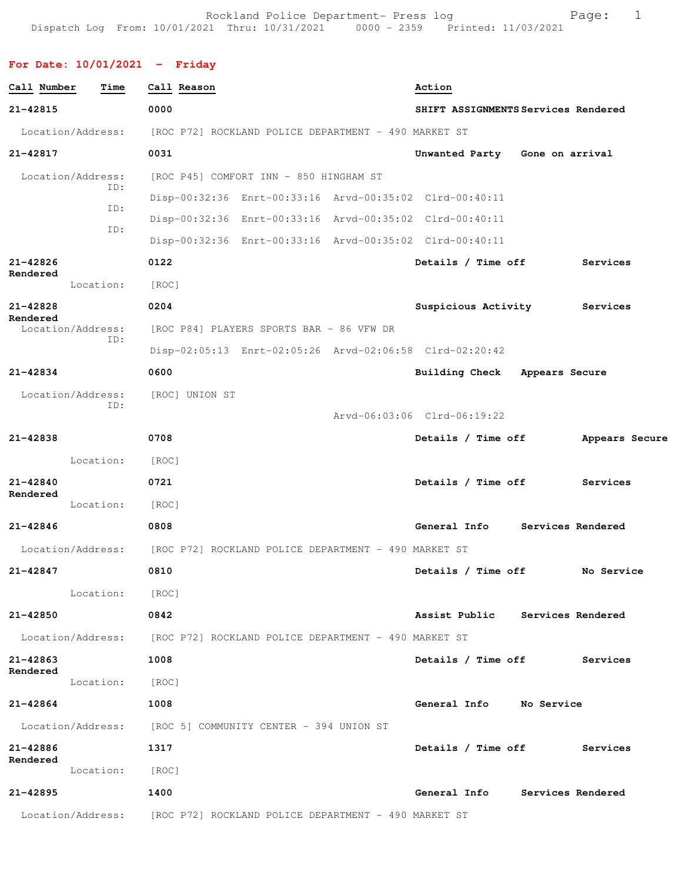Rockland Police Department- Press log entitled and Page: 1 Dispatch Log From: 10/01/2021 Thru: 10/31/2021 0000 - 2359 Printed: 11/03/2021

## **For Date: 10/01/2021 - Friday**

| Call Number                   | Time       | Call Reason                                                            |                                                         |                             | Action             |                                     |                |  |
|-------------------------------|------------|------------------------------------------------------------------------|---------------------------------------------------------|-----------------------------|--------------------|-------------------------------------|----------------|--|
| 21-42815                      |            | 0000                                                                   |                                                         |                             |                    | SHIFT ASSIGNMENTS Services Rendered |                |  |
| Location/Address:             |            |                                                                        | [ROC P72] ROCKLAND POLICE DEPARTMENT - 490 MARKET ST    |                             |                    |                                     |                |  |
| 21-42817                      |            | 0031                                                                   |                                                         |                             |                    | Unwanted Party Gone on arrival      |                |  |
| Location/Address:             |            |                                                                        | [ROC P45] COMFORT INN - 850 HINGHAM ST                  |                             |                    |                                     |                |  |
|                               | ID:<br>ID: |                                                                        | Disp-00:32:36 Enrt-00:33:16 Arvd-00:35:02 Clrd-00:40:11 |                             |                    |                                     |                |  |
|                               | ID:        |                                                                        | Disp-00:32:36 Enrt-00:33:16 Arvd-00:35:02 Clrd-00:40:11 |                             |                    |                                     |                |  |
|                               |            |                                                                        | Disp-00:32:36 Enrt-00:33:16 Arvd-00:35:02 Clrd-00:40:11 |                             |                    |                                     |                |  |
| 21-42826                      |            | 0122                                                                   |                                                         |                             | Details / Time off |                                     | Services       |  |
| Rendered                      | Location:  | [ROC]                                                                  |                                                         |                             |                    |                                     |                |  |
| 21-42828                      |            | 0204                                                                   |                                                         |                             |                    | Suspicious Activity                 | Services       |  |
| Rendered<br>Location/Address: |            |                                                                        | [ROC P84] PLAYERS SPORTS BAR - 86 VFW DR                |                             |                    |                                     |                |  |
|                               | ID:        |                                                                        | Disp-02:05:13 Enrt-02:05:26 Arvd-02:06:58 Clrd-02:20:42 |                             |                    |                                     |                |  |
| 21-42834                      |            | 0600                                                                   |                                                         |                             |                    | Building Check Appears Secure       |                |  |
| Location/Address:             |            | [ROC] UNION ST                                                         |                                                         |                             |                    |                                     |                |  |
|                               | ID:        |                                                                        |                                                         | Arvd-06:03:06 Clrd-06:19:22 |                    |                                     |                |  |
| 21-42838                      |            | 0708                                                                   |                                                         |                             | Details / Time off |                                     | Appears Secure |  |
|                               | Location:  | [ROC]                                                                  |                                                         |                             |                    |                                     |                |  |
| 21-42840                      |            | 0721                                                                   |                                                         |                             | Details / Time off |                                     | Services       |  |
| Rendered                      | Location:  | [ROC]                                                                  |                                                         |                             |                    |                                     |                |  |
| 21-42846                      |            | 0808                                                                   |                                                         |                             |                    | General Info Services Rendered      |                |  |
| Location/Address:             |            |                                                                        | [ROC P72] ROCKLAND POLICE DEPARTMENT - 490 MARKET ST    |                             |                    |                                     |                |  |
| 21-42847                      |            | 0810                                                                   |                                                         |                             | Details / Time off |                                     | No Service     |  |
|                               | Location:  | [ROC]                                                                  |                                                         |                             |                    |                                     |                |  |
| 21-42850                      |            | 0842                                                                   |                                                         |                             |                    | Assist Public Services Rendered     |                |  |
|                               |            | Location/Address: [ROC P72] ROCKLAND POLICE DEPARTMENT - 490 MARKET ST |                                                         |                             |                    |                                     |                |  |
| 21-42863                      |            | 1008                                                                   |                                                         |                             |                    | Details / Time off                  | Services       |  |
| Rendered                      | Location:  | [ROC]                                                                  |                                                         |                             |                    |                                     |                |  |
| 21-42864                      |            | 1008                                                                   |                                                         |                             |                    | General Info No Service             |                |  |
|                               |            | Location/Address: [ROC 5] COMMUNITY CENTER - 394 UNION ST              |                                                         |                             |                    |                                     |                |  |
| 21-42886                      |            | 1317                                                                   |                                                         |                             | Details / Time off |                                     | Services       |  |
| Rendered                      | Location:  | [ROC]                                                                  |                                                         |                             |                    |                                     |                |  |
| 21-42895                      |            | 1400                                                                   |                                                         |                             |                    | General Info Services Rendered      |                |  |
|                               |            | Location/Address: [ROC P72] ROCKLAND POLICE DEPARTMENT - 490 MARKET ST |                                                         |                             |                    |                                     |                |  |
|                               |            |                                                                        |                                                         |                             |                    |                                     |                |  |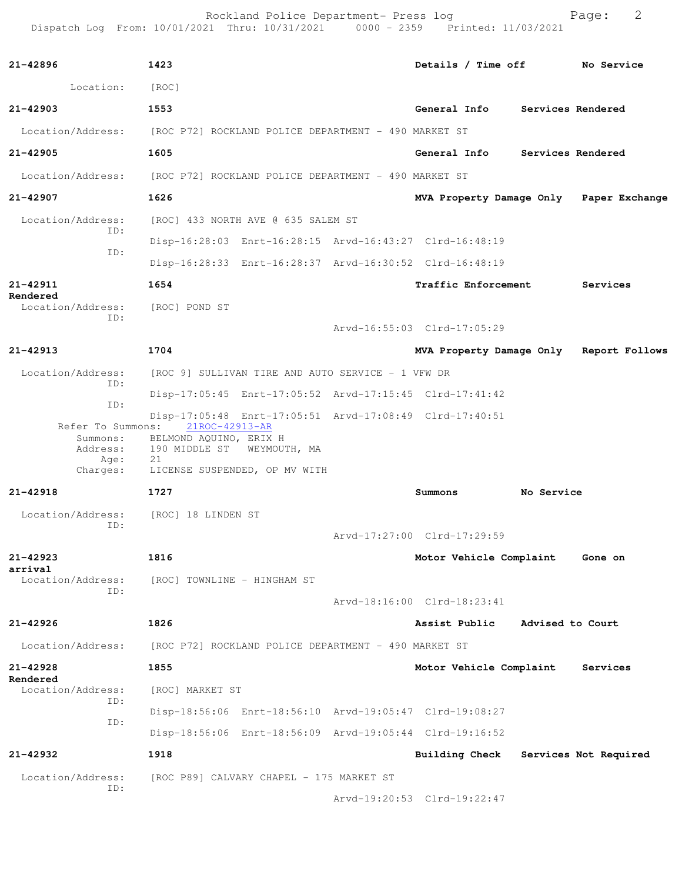Rockland Police Department- Press log entitled and Page: 2 Dispatch Log From: 10/01/2021 Thru: 10/31/2021 0000 - 2359 Printed: 11/03/2021

| 21-42896                                                               | 1423                                              |                                                         | Details / Time off No Service        |            |                                         |
|------------------------------------------------------------------------|---------------------------------------------------|---------------------------------------------------------|--------------------------------------|------------|-----------------------------------------|
| Location: [ROC]                                                        |                                                   |                                                         |                                      |            |                                         |
| 21-42903                                                               | 1553                                              |                                                         | General Info Services Rendered       |            |                                         |
| Location/Address: [ROC P72] ROCKLAND POLICE DEPARTMENT - 490 MARKET ST |                                                   |                                                         |                                      |            |                                         |
| 21-42905                                                               | 1605                                              |                                                         | General Info Services Rendered       |            |                                         |
| Location/Address: [ROC P72] ROCKLAND POLICE DEPARTMENT - 490 MARKET ST |                                                   |                                                         |                                      |            |                                         |
| 21-42907                                                               | 1626                                              |                                                         |                                      |            | MVA Property Damage Only Paper Exchange |
| Location/Address:                                                      |                                                   | [ROC] 433 NORTH AVE @ 635 SALEM ST                      |                                      |            |                                         |
| ID:                                                                    |                                                   | Disp-16:28:03 Enrt-16:28:15 Arvd-16:43:27 Clrd-16:48:19 |                                      |            |                                         |
| ID:                                                                    |                                                   | Disp-16:28:33 Enrt-16:28:37 Arvd-16:30:52 Clrd-16:48:19 |                                      |            |                                         |
| 21-42911<br>Rendered                                                   | 1654                                              |                                                         | <b>Traffic Enforcement</b>           |            | Services                                |
| Location/Address:<br>ID:                                               | [ROC] POND ST                                     |                                                         |                                      |            |                                         |
|                                                                        |                                                   |                                                         | Arvd-16:55:03 Clrd-17:05:29          |            |                                         |
| 21-42913                                                               | 1704                                              |                                                         |                                      |            | MVA Property Damage Only Report Follows |
| Location/Address:<br>ID:                                               | [ROC 9] SULLIVAN TIRE AND AUTO SERVICE - 1 VFW DR |                                                         |                                      |            |                                         |
| ID:                                                                    |                                                   | Disp-17:05:45 Enrt-17:05:52 Arvd-17:15:45 Clrd-17:41:42 |                                      |            |                                         |
| Refer To Summons:                                                      | 21ROC-42913-AR<br>Summons: BELMOND AQUINO, ERIX H | Disp-17:05:48 Enrt-17:05:51 Arvd-17:08:49 Clrd-17:40:51 |                                      |            |                                         |
| Address:<br>Age:                                                       | 190 MIDDLE ST WEYMOUTH, MA<br>21                  |                                                         |                                      |            |                                         |
| Charges:                                                               | LICENSE SUSPENDED, OP MV WITH                     |                                                         |                                      |            |                                         |
| 21-42918                                                               | 1727                                              |                                                         | Summons                              | No Service |                                         |
| Location/Address: [ROC] 18 LINDEN ST<br>ID:                            |                                                   |                                                         |                                      |            |                                         |
|                                                                        |                                                   |                                                         | Arvd-17:27:00 Clrd-17:29:59          |            |                                         |
| 21-42923<br>arrival                                                    | 1816                                              |                                                         | Motor Vehicle Complaint              |            | Gone on                                 |
| Location/Address:<br>ID:                                               | [ROC] TOWNLINE - HINGHAM ST                       |                                                         |                                      |            |                                         |
|                                                                        |                                                   |                                                         | Arvd-18:16:00 Clrd-18:23:41          |            |                                         |
| 21-42926                                                               | 1826                                              |                                                         | Assist Public Advised to Court       |            |                                         |
| Location/Address:                                                      |                                                   | [ROC P72] ROCKLAND POLICE DEPARTMENT - 490 MARKET ST    |                                      |            |                                         |
| 21-42928<br>Rendered                                                   | 1855                                              |                                                         | Motor Vehicle Complaint              |            | Services                                |
| Location/Address:<br>ID:                                               | [ROC] MARKET ST                                   |                                                         |                                      |            |                                         |
| ID:                                                                    |                                                   | Disp-18:56:06 Enrt-18:56:10 Arvd-19:05:47 Clrd-19:08:27 |                                      |            |                                         |
|                                                                        |                                                   | Disp-18:56:06 Enrt-18:56:09 Arvd-19:05:44 Clrd-19:16:52 |                                      |            |                                         |
| 21-42932                                                               | 1918                                              |                                                         | Building Check Services Not Required |            |                                         |
| Location/Address:<br>ID:                                               |                                                   | [ROC P89] CALVARY CHAPEL - 175 MARKET ST                |                                      |            |                                         |
|                                                                        |                                                   |                                                         | Arvd-19:20:53 Clrd-19:22:47          |            |                                         |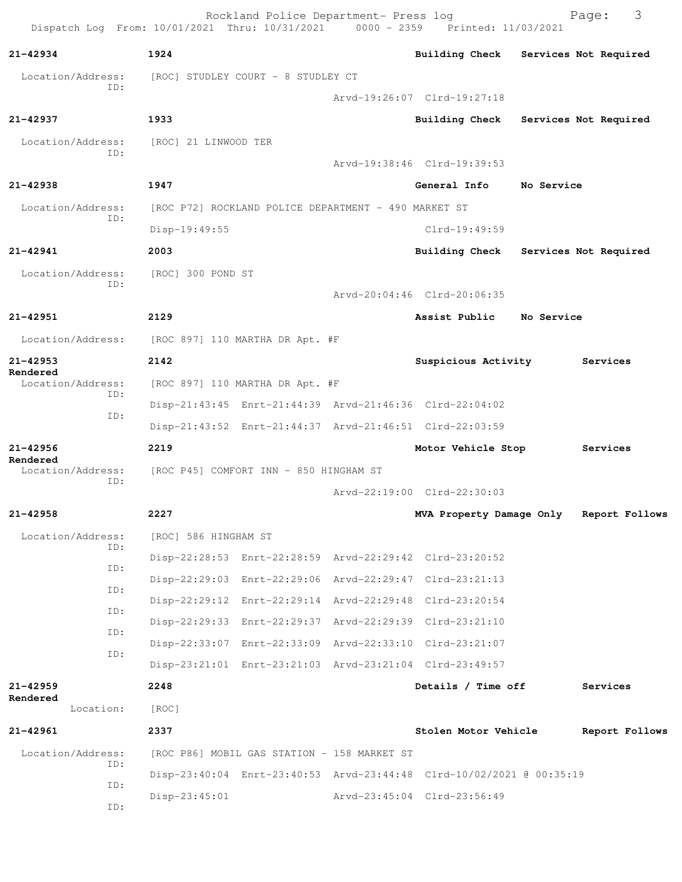| Dispatch Log From: 10/01/2021 Thru: 10/31/2021 0000 - 2359 Printed: 11/03/2021 |                      | Rockland Police Department- Press log                   |                                                                      |            | 3<br>Page:            |
|--------------------------------------------------------------------------------|----------------------|---------------------------------------------------------|----------------------------------------------------------------------|------------|-----------------------|
| 21-42934                                                                       | 1924                 |                                                         | Building Check Services Not Required                                 |            |                       |
| Location/Address:                                                              |                      | [ROC] STUDLEY COURT - 8 STUDLEY CT                      |                                                                      |            |                       |
| TD:                                                                            |                      |                                                         | Arvd-19:26:07 Clrd-19:27:18                                          |            |                       |
| 21-42937                                                                       | 1933                 |                                                         | <b>Building Check</b>                                                |            | Services Not Required |
| Location/Address:                                                              | [ROC] 21 LINWOOD TER |                                                         |                                                                      |            |                       |
| ID:                                                                            |                      |                                                         | Arvd-19:38:46 Clrd-19:39:53                                          |            |                       |
| 21-42938                                                                       | 1947                 |                                                         | General Info                                                         | No Service |                       |
| Location/Address:                                                              |                      | [ROC P72] ROCKLAND POLICE DEPARTMENT - 490 MARKET ST    |                                                                      |            |                       |
| ID:                                                                            | Disp-19:49:55        |                                                         | $Clrd-19:49:59$                                                      |            |                       |
| 21-42941                                                                       | 2003                 |                                                         | Building Check Services Not Required                                 |            |                       |
| Location/Address:                                                              | [ROC] 300 POND ST    |                                                         |                                                                      |            |                       |
| ID:                                                                            |                      |                                                         | Arvd-20:04:46 Clrd-20:06:35                                          |            |                       |
| $21 - 42951$                                                                   | 2129                 |                                                         | Assist Public                                                        | No Service |                       |
| Location/Address:                                                              |                      | [ROC 897] 110 MARTHA DR Apt. #F                         |                                                                      |            |                       |
| 21-42953                                                                       | 2142                 |                                                         | Suspicious Activity                                                  |            | Services              |
| Rendered<br>Location/Address:<br>ID:<br>ID:                                    |                      | [ROC 897] 110 MARTHA DR Apt. #F                         |                                                                      |            |                       |
|                                                                                |                      | Disp-21:43:45 Enrt-21:44:39 Arvd-21:46:36 Clrd-22:04:02 |                                                                      |            |                       |
|                                                                                |                      | Disp-21:43:52 Enrt-21:44:37 Arvd-21:46:51 Clrd-22:03:59 |                                                                      |            |                       |
| $21 - 42956$                                                                   | 2219                 |                                                         | Motor Vehicle Stop                                                   |            | Services              |
| Rendered<br>Location/Address:                                                  |                      | [ROC P45] COMFORT INN - 850 HINGHAM ST                  |                                                                      |            |                       |
| ID:                                                                            |                      |                                                         | Arvd-22:19:00 Clrd-22:30:03                                          |            |                       |
| 21-42958                                                                       | 2227                 |                                                         | MVA Property Damage Only                                             |            | Report Follows        |
| Location/Address:                                                              | [ROC] 586 HINGHAM ST |                                                         |                                                                      |            |                       |
| ID:                                                                            |                      |                                                         | Disp-22:28:53 Enrt-22:28:59 Arvd-22:29:42 Clrd-23:20:52              |            |                       |
| ID:                                                                            |                      |                                                         | Disp-22:29:03 Enrt-22:29:06 Arvd-22:29:47 Clrd-23:21:13              |            |                       |
| ID:                                                                            |                      |                                                         | Disp-22:29:12 Enrt-22:29:14 Arvd-22:29:48 Clrd-23:20:54              |            |                       |
| ID:<br>ID:                                                                     |                      |                                                         | Disp-22:29:33 Enrt-22:29:37 Arvd-22:29:39 Clrd-23:21:10              |            |                       |
| ID:                                                                            |                      |                                                         | Disp-22:33:07 Enrt-22:33:09 Arvd-22:33:10 Clrd-23:21:07              |            |                       |
|                                                                                |                      |                                                         | Disp-23:21:01 Enrt-23:21:03 Arvd-23:21:04 Clrd-23:49:57              |            |                       |
| 21-42959<br>Rendered                                                           | 2248                 |                                                         | Details / Time off                                                   |            | Services              |
| Location:                                                                      | [ROC]                |                                                         |                                                                      |            |                       |
| 21-42961                                                                       | 2337                 |                                                         | Stolen Motor Vehicle                                                 |            | Report Follows        |
| Location/Address:                                                              |                      | [ROC P86] MOBIL GAS STATION - 158 MARKET ST             |                                                                      |            |                       |
| ID:<br>ID:                                                                     |                      |                                                         | Disp-23:40:04 Enrt-23:40:53 Arvd-23:44:48 Clrd-10/02/2021 @ 00:35:19 |            |                       |
| ID:                                                                            | $Disp-23:45:01$      |                                                         | Arvd-23:45:04 Clrd-23:56:49                                          |            |                       |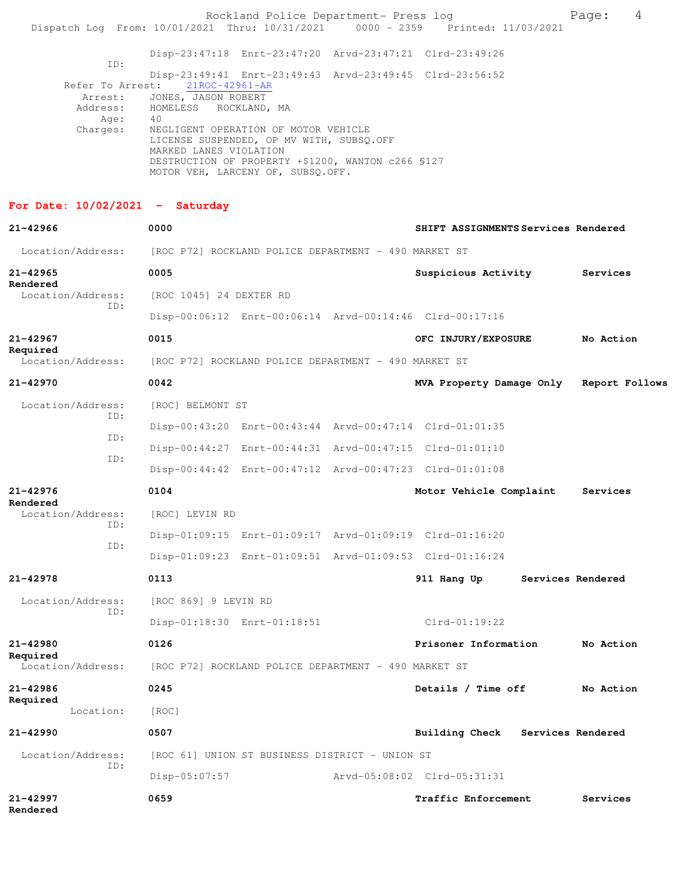|                                                                                |                                                                      | Rockland Police Department- Press log                                                                                                                                       |                                                         | Page:             | 4 |
|--------------------------------------------------------------------------------|----------------------------------------------------------------------|-----------------------------------------------------------------------------------------------------------------------------------------------------------------------------|---------------------------------------------------------|-------------------|---|
| Dispatch Log From: 10/01/2021 Thru: 10/31/2021 0000 - 2359 Printed: 11/03/2021 |                                                                      |                                                                                                                                                                             |                                                         |                   |   |
| ID:                                                                            |                                                                      |                                                                                                                                                                             | Disp-23:47:18 Enrt-23:47:20 Arvd-23:47:21 Clrd-23:49:26 |                   |   |
| Refer To Arrest:<br>Arrest:<br>Address:<br>Age:                                | 21ROC-42961-AR<br>JONES, JASON ROBERT<br>HOMELESS ROCKLAND, MA<br>40 |                                                                                                                                                                             | Disp-23:49:41 Enrt-23:49:43 Arvd-23:49:45 Clrd-23:56:52 |                   |   |
| Charges:                                                                       | MARKED LANES VIOLATION                                               | NEGLIGENT OPERATION OF MOTOR VEHICLE<br>LICENSE SUSPENDED, OP MV WITH, SUBSQ.OFF<br>DESTRUCTION OF PROPERTY +\$1200, WANTON c266 \$127<br>MOTOR VEH, LARCENY OF, SUBSQ.OFF. |                                                         |                   |   |
| For Date: $10/02/2021$ - Saturday                                              |                                                                      |                                                                                                                                                                             |                                                         |                   |   |
| $21 - 42966$                                                                   | 0000                                                                 |                                                                                                                                                                             | SHIFT ASSIGNMENTS Services Rendered                     |                   |   |
| Location/Address:                                                              |                                                                      | [ROC P72] ROCKLAND POLICE DEPARTMENT - 490 MARKET ST                                                                                                                        |                                                         |                   |   |
| $21 - 42965$<br>Rendered                                                       | 0005                                                                 |                                                                                                                                                                             | Suspicious Activity                                     | Services          |   |
| Location/Address:<br>ID:                                                       | [ROC 1045] 24 DEXTER RD                                              |                                                                                                                                                                             |                                                         |                   |   |
|                                                                                |                                                                      |                                                                                                                                                                             | Disp-00:06:12 Enrt-00:06:14 Arvd-00:14:46 Clrd-00:17:16 |                   |   |
| $21 - 42967$<br>Required                                                       | 0015                                                                 |                                                                                                                                                                             | OFC INJURY/EXPOSURE                                     | No Action         |   |
| Location/Address:                                                              |                                                                      | [ROC P72] ROCKLAND POLICE DEPARTMENT - 490 MARKET ST                                                                                                                        |                                                         |                   |   |
| 21-42970                                                                       | 0042                                                                 |                                                                                                                                                                             | MVA Property Damage Only Report Follows                 |                   |   |
| Location/Address:<br>ID:                                                       | [ROC] BELMONT ST                                                     |                                                                                                                                                                             |                                                         |                   |   |
| ID:                                                                            |                                                                      |                                                                                                                                                                             | Disp-00:43:20 Enrt-00:43:44 Arvd-00:47:14 Clrd-01:01:35 |                   |   |
| ID:                                                                            |                                                                      |                                                                                                                                                                             | Disp-00:44:27 Enrt-00:44:31 Arvd-00:47:15 Clrd-01:01:10 |                   |   |
|                                                                                |                                                                      |                                                                                                                                                                             | Disp-00:44:42 Enrt-00:47:12 Arvd-00:47:23 Clrd-01:01:08 |                   |   |
| 21-42976<br>Rendered                                                           | 0104                                                                 |                                                                                                                                                                             | Motor Vehicle Complaint                                 | Services          |   |
| Location/Address:<br>TD:                                                       | [ROC] LEVIN RD                                                       |                                                                                                                                                                             |                                                         |                   |   |
| ID:                                                                            |                                                                      |                                                                                                                                                                             | Disp-01:09:15 Enrt-01:09:17 Arvd-01:09:19 Clrd-01:16:20 |                   |   |
|                                                                                |                                                                      |                                                                                                                                                                             | Disp-01:09:23 Enrt-01:09:51 Arvd-01:09:53 Clrd-01:16:24 |                   |   |
| $21 - 42978$                                                                   | 0113                                                                 |                                                                                                                                                                             | 911 Hang Up                                             | Services Rendered |   |
| Location/Address:                                                              | [ROC 869] 9 LEVIN RD                                                 |                                                                                                                                                                             |                                                         |                   |   |
| ID:                                                                            |                                                                      | Disp-01:18:30 Enrt-01:18:51                                                                                                                                                 | $Clrd-01:19:22$                                         |                   |   |
| $21 - 42980$                                                                   | 0126                                                                 |                                                                                                                                                                             | Prisoner Information                                    | No Action         |   |
| Required<br>Location/Address:                                                  |                                                                      | [ROC P72] ROCKLAND POLICE DEPARTMENT - 490 MARKET ST                                                                                                                        |                                                         |                   |   |
| 21-42986                                                                       | 0245                                                                 |                                                                                                                                                                             | Details / Time off                                      | No Action         |   |
| Required<br>Location:                                                          | [ROC]                                                                |                                                                                                                                                                             |                                                         |                   |   |
| $21 - 42990$                                                                   | 0507                                                                 |                                                                                                                                                                             | Building Check                                          | Services Rendered |   |
| Location/Address:                                                              |                                                                      | [ROC 61] UNION ST BUSINESS DISTRICT - UNION ST                                                                                                                              |                                                         |                   |   |
| ID:                                                                            | $Disp-05:07:57$                                                      |                                                                                                                                                                             | Arvd-05:08:02 Clrd-05:31:31                             |                   |   |
| $21 - 42997$<br>Rendered                                                       | 0659                                                                 |                                                                                                                                                                             | <b>Traffic Enforcement</b>                              | Services          |   |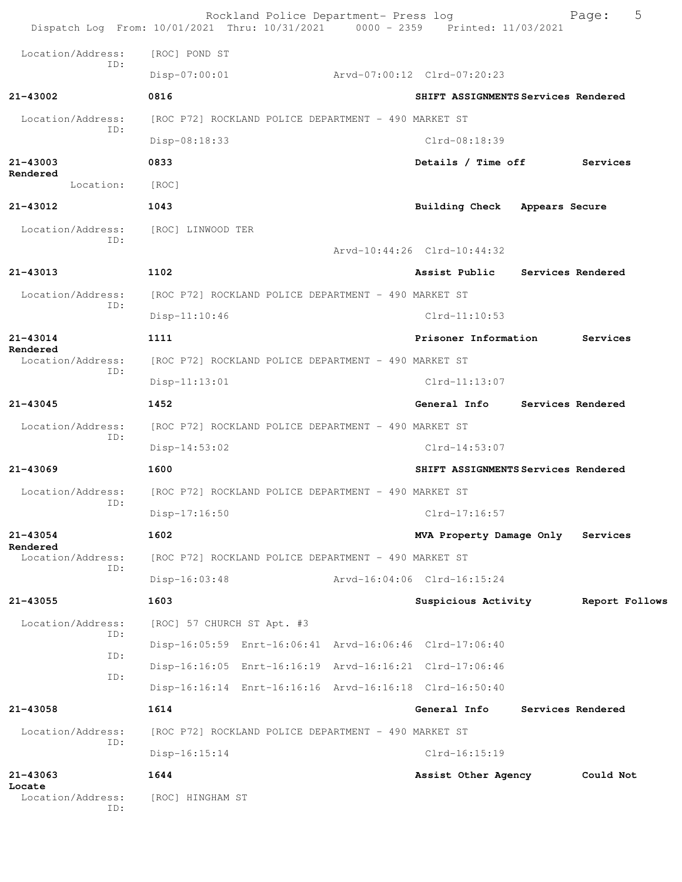Rockland Police Department- Press log Fage: 5 Dispatch Log From: 10/01/2021 Thru: 10/31/2021 0000 - 2359 Printed: 11/03/2021 Location/Address: [ROC] POND ST ID: Disp-07:00:01 Arvd-07:00:12 Clrd-07:20:23 **21-43002 0816 SHIFT ASSIGNMENTS Services Rendered** Location/Address: [ROC P72] ROCKLAND POLICE DEPARTMENT - 490 MARKET ST ID: Disp-08:18:33 Clrd-08:18:39 **21-43003 0833 Details / Time off Services Rendered**  Location: [ROC] **21-43012 1043 Building Check Appears Secure** Location/Address: [ROC] LINWOOD TER ID: Arvd-10:44:26 Clrd-10:44:32 **21-43013 1102 Assist Public Services Rendered** Location/Address: [ROC P72] ROCKLAND POLICE DEPARTMENT - 490 MARKET ST ID: Disp-11:10:46 Clrd-11:10:53 **21-43014 1111 Prisoner Information Services Rendered**  Location/Address: [ROC P72] ROCKLAND POLICE DEPARTMENT - 490 MARKET ST ID: Disp-11:13:01 Clrd-11:13:07 **21-43045 1452 General Info Services Rendered** Location/Address: [ROC P72] ROCKLAND POLICE DEPARTMENT - 490 MARKET ST ID: Disp-14:53:02 Clrd-14:53:07 **21-43069 1600 SHIFT ASSIGNMENTS Services Rendered** Location/Address: [ROC P72] ROCKLAND POLICE DEPARTMENT - 490 MARKET ST ID: Disp-17:16:50 Clrd-17:16:57 **21-43054 1602 MVA Property Damage Only Services Rendered**<br>Location/Address: [ROC P72] ROCKLAND POLICE DEPARTMENT - 490 MARKET ST ID: Disp-16:03:48 Arvd-16:04:06 Clrd-16:15:24 **21-43055 1603 Suspicious Activity Report Follows** Location/Address: [ROC] 57 CHURCH ST Apt. #3 ID: Disp-16:05:59 Enrt-16:06:41 Arvd-16:06:46 Clrd-17:06:40 ID: Disp-16:16:05 Enrt-16:16:19 Arvd-16:16:21 Clrd-17:06:46 ID: Disp-16:16:14 Enrt-16:16:16 Arvd-16:16:18 Clrd-16:50:40 **21-43058 1614 General Info Services Rendered** Location/Address: [ROC P72] ROCKLAND POLICE DEPARTMENT - 490 MARKET ST ID: Disp-16:15:14 Clrd-16:15:19 **21-43063 1644 Assist Other Agency Could Not Locate**  Location/Address: [ROC] HINGHAM ST ID: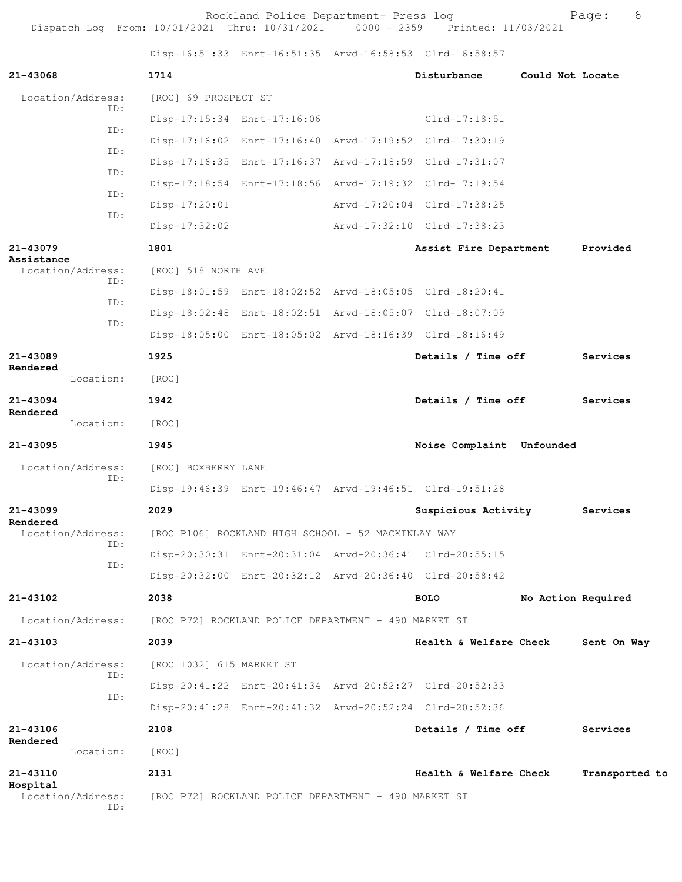Rockland Police Department- Press log entitled and Page: 6 Dispatch Log From: 10/01/2021 Thru: 10/31/2021 0000 - 2359 Printed: 11/03/2021

Disp-16:51:33 Enrt-16:51:35 Arvd-16:58:53 Clrd-16:58:57

| 21-43068                             | 1714                                               |                                                      |  | Disturbance                                             | Could Not Locate   |                |
|--------------------------------------|----------------------------------------------------|------------------------------------------------------|--|---------------------------------------------------------|--------------------|----------------|
| Location/Address:                    | [ROC] 69 PROSPECT ST                               |                                                      |  |                                                         |                    |                |
| ID:                                  |                                                    | Disp-17:15:34 Enrt-17:16:06                          |  | $C1rd-17:18:51$                                         |                    |                |
| ID:                                  |                                                    |                                                      |  | Disp-17:16:02 Enrt-17:16:40 Arvd-17:19:52 Clrd-17:30:19 |                    |                |
| ID:                                  |                                                    |                                                      |  | Disp-17:16:35 Enrt-17:16:37 Arvd-17:18:59 Clrd-17:31:07 |                    |                |
| ID:                                  |                                                    |                                                      |  | Disp-17:18:54 Enrt-17:18:56 Arvd-17:19:32 Clrd-17:19:54 |                    |                |
| ID:                                  | $Disp-17:20:01$                                    |                                                      |  | Arvd-17:20:04 Clrd-17:38:25                             |                    |                |
| ID:                                  | $Disp-17:32:02$                                    |                                                      |  | Arvd-17:32:10 Clrd-17:38:23                             |                    |                |
| 21-43079                             | 1801                                               |                                                      |  | Assist Fire Department                                  |                    | Provided       |
| Assistance<br>Location/Address:      | [ROC] 518 NORTH AVE                                |                                                      |  |                                                         |                    |                |
| ID:                                  |                                                    |                                                      |  | Disp-18:01:59 Enrt-18:02:52 Arvd-18:05:05 Clrd-18:20:41 |                    |                |
| ID:                                  |                                                    |                                                      |  | Disp-18:02:48 Enrt-18:02:51 Arvd-18:05:07 Clrd-18:07:09 |                    |                |
| ID:                                  |                                                    |                                                      |  | Disp-18:05:00 Enrt-18:05:02 Arvd-18:16:39 Clrd-18:16:49 |                    |                |
| $21 - 43089$                         | 1925                                               |                                                      |  | Details / Time off                                      |                    | Services       |
| Rendered<br>Location:                | [ROC]                                              |                                                      |  |                                                         |                    |                |
| 21-43094                             | 1942                                               |                                                      |  | Details / Time off                                      |                    | Services       |
| Rendered<br>Location:                | [ROC]                                              |                                                      |  |                                                         |                    |                |
| 21-43095                             | 1945                                               |                                                      |  | Noise Complaint Unfounded                               |                    |                |
| Location/Address:                    | [ROC] BOXBERRY LANE                                |                                                      |  |                                                         |                    |                |
| ID:                                  |                                                    |                                                      |  | Disp-19:46:39 Enrt-19:46:47 Arvd-19:46:51 Clrd-19:51:28 |                    |                |
| $21 - 43099$                         | 2029                                               |                                                      |  | Suspicious Activity                                     |                    | Services       |
| Rendered<br>Location/Address:        | [ROC P106] ROCKLAND HIGH SCHOOL - 52 MACKINLAY WAY |                                                      |  |                                                         |                    |                |
| TD:                                  |                                                    |                                                      |  | Disp-20:30:31 Enrt-20:31:04 Arvd-20:36:41 Clrd-20:55:15 |                    |                |
| ID:                                  |                                                    |                                                      |  | Disp-20:32:00 Enrt-20:32:12 Arvd-20:36:40 Clrd-20:58:42 |                    |                |
| 21-43102                             | 2038                                               |                                                      |  | <b>BOLO</b>                                             | No Action Required |                |
| Location/Address:                    |                                                    | [ROC P72] ROCKLAND POLICE DEPARTMENT - 490 MARKET ST |  |                                                         |                    |                |
| 21-43103                             | 2039                                               |                                                      |  | Health & Welfare Check                                  |                    | Sent On Way    |
| Location/Address:                    | [ROC 1032] 615 MARKET ST                           |                                                      |  |                                                         |                    |                |
| ID:                                  |                                                    |                                                      |  | Disp-20:41:22 Enrt-20:41:34 Arvd-20:52:27 Clrd-20:52:33 |                    |                |
| ID:                                  |                                                    |                                                      |  | Disp-20:41:28 Enrt-20:41:32 Arvd-20:52:24 Clrd-20:52:36 |                    |                |
| 21-43106                             | 2108                                               |                                                      |  | Details / Time off                                      |                    | Services       |
| Rendered<br>Location:                | [ROC]                                              |                                                      |  |                                                         |                    |                |
| 21-43110                             | 2131                                               |                                                      |  | Health & Welfare Check                                  |                    | Transported to |
| Hospital<br>Location/Address:<br>ID: |                                                    | [ROC P72] ROCKLAND POLICE DEPARTMENT - 490 MARKET ST |  |                                                         |                    |                |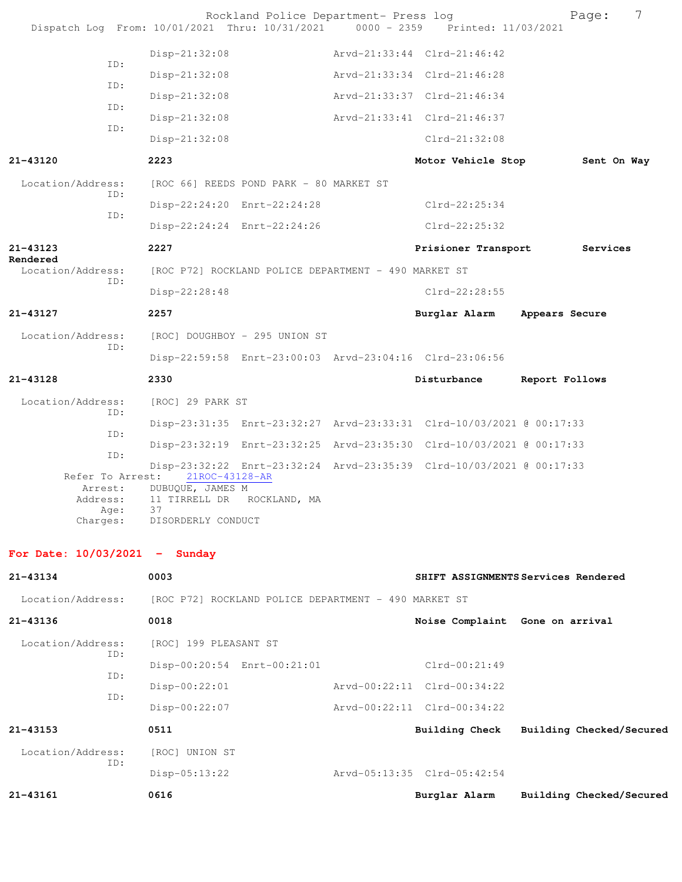| Dispatch Log From: 10/01/2021 Thru: 10/31/2021 0000 - 2359 Printed: 11/03/2021 |                                    | Rockland Police Department- Press log                |                                                                      |                | Page:       | 7 |
|--------------------------------------------------------------------------------|------------------------------------|------------------------------------------------------|----------------------------------------------------------------------|----------------|-------------|---|
|                                                                                | $Disp-21:32:08$                    |                                                      | Arvd-21:33:44 Clrd-21:46:42                                          |                |             |   |
| ID:                                                                            | $Disp-21:32:08$                    |                                                      | Arvd-21:33:34 Clrd-21:46:28                                          |                |             |   |
| ID:                                                                            | $Disp-21:32:08$                    |                                                      | Arvd-21:33:37 Clrd-21:46:34                                          |                |             |   |
| ID:                                                                            | Disp-21:32:08                      |                                                      | Arvd-21:33:41 Clrd-21:46:37                                          |                |             |   |
| ID:                                                                            | $Disp-21:32:08$                    |                                                      | $Clrd-21:32:08$                                                      |                |             |   |
| $21 - 43120$                                                                   | 2223                               |                                                      | Motor Vehicle Stop                                                   |                | Sent On Way |   |
| Location/Address:                                                              |                                    | [ROC 66] REEDS POND PARK - 80 MARKET ST              |                                                                      |                |             |   |
| ID:                                                                            |                                    | Disp-22:24:20 Enrt-22:24:28                          | $Clrd-22:25:34$                                                      |                |             |   |
| ID:                                                                            |                                    | Disp-22:24:24 Enrt-22:24:26                          | $Clrd-22:25:32$                                                      |                |             |   |
| 21-43123                                                                       | 2227                               |                                                      | Prisioner Transport                                                  |                | Services    |   |
| Rendered<br>Location/Address:                                                  |                                    | [ROC P72] ROCKLAND POLICE DEPARTMENT - 490 MARKET ST |                                                                      |                |             |   |
| ID:                                                                            | Disp-22:28:48                      |                                                      | $Clrd-22:28:55$                                                      |                |             |   |
| 21-43127                                                                       | 2257                               |                                                      | Burglar Alarm                                                        | Appears Secure |             |   |
| Location/Address:                                                              |                                    | [ROC] DOUGHBOY - 295 UNION ST                        |                                                                      |                |             |   |
| ID:                                                                            |                                    |                                                      | Disp-22:59:58 Enrt-23:00:03 Arvd-23:04:16 Clrd-23:06:56              |                |             |   |
| 21-43128                                                                       | 2330                               |                                                      | Disturbance                                                          | Report Follows |             |   |
| Location/Address:                                                              | [ROC] 29 PARK ST                   |                                                      |                                                                      |                |             |   |
| TD:                                                                            |                                    |                                                      | Disp-23:31:35 Enrt-23:32:27 Arvd-23:33:31 Clrd-10/03/2021 @ 00:17:33 |                |             |   |
| ID:                                                                            |                                    |                                                      | Disp-23:32:19 Enrt-23:32:25 Arvd-23:35:30 Clrd-10/03/2021 @ 00:17:33 |                |             |   |
| ID:                                                                            |                                    |                                                      | Disp-23:32:22 Enrt-23:32:24 Arvd-23:35:39 Clrd-10/03/2021 @ 00:17:33 |                |             |   |
| Refer To Arrest:<br>Arrest:                                                    | 21ROC-43128-AR<br>DUBUQUE, JAMES M |                                                      |                                                                      |                |             |   |
| Address:                                                                       |                                    | 11 TIRRELL DR ROCKLAND, MA                           |                                                                      |                |             |   |
| Age:                                                                           | 37                                 |                                                      |                                                                      |                |             |   |
| Charges:                                                                       | DISORDERLY CONDUCT                 |                                                      |                                                                      |                |             |   |
| For Date: $10/03/2021 -$                                                       | Sunday                             |                                                      |                                                                      |                |             |   |

| $21 - 43134$      | 0003                                                 |                                 | SHIFT ASSIGNMENTS Services Rendered |
|-------------------|------------------------------------------------------|---------------------------------|-------------------------------------|
| Location/Address: | [ROC P72] ROCKLAND POLICE DEPARTMENT - 490 MARKET ST |                                 |                                     |
| 21-43136          | 0018                                                 | Noise Complaint Gone on arrival |                                     |
| Location/Address: | [ROC] 199 PLEASANT ST                                |                                 |                                     |
| ID:<br>ID:        | Disp-00:20:54 Enrt-00:21:01                          | $Clrd-00:21:49$                 |                                     |
| ID:               | $Disp-00:22:01$                                      | Arvd-00:22:11 Clrd-00:34:22     |                                     |
|                   | Disp-00:22:07                                        | Arvd-00:22:11 Clrd-00:34:22     |                                     |
| 21-43153          | 0511                                                 | Building Check                  | Building Checked/Secured            |
| Location/Address: | [ROC] UNION ST                                       |                                 |                                     |
| ID:               | $Disp-05:13:22$                                      | Arvd-05:13:35 Clrd-05:42:54     |                                     |
| $21 - 43161$      | 0616                                                 | Burglar Alarm                   | Building Checked/Secured            |
|                   |                                                      |                                 |                                     |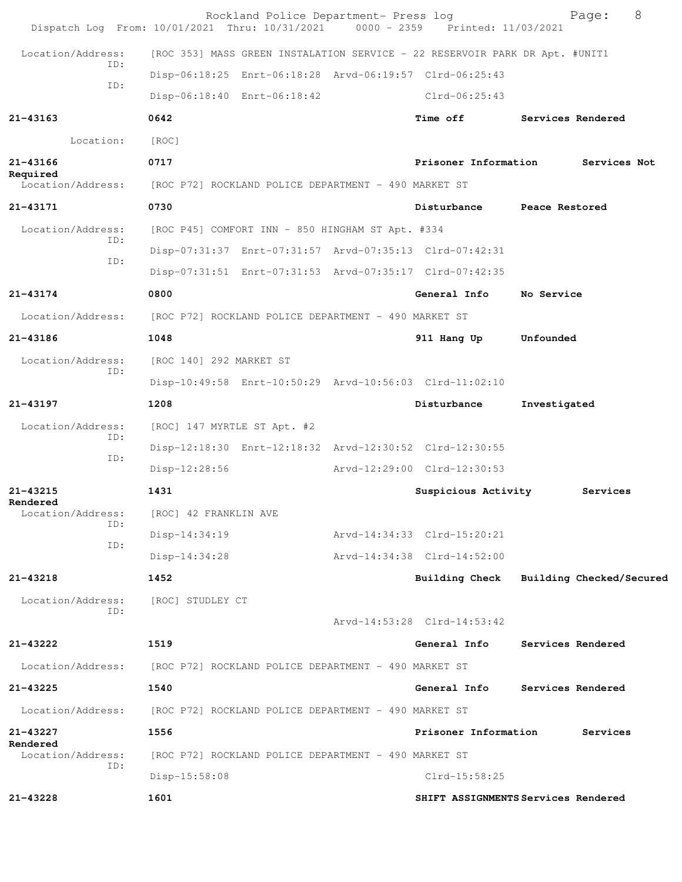| Dispatch Log From: 10/01/2021 Thru: 10/31/2021 0000 - 2359 Printed: 11/03/2021 |                             | Rockland Police Department- Press log                |                                                                             | 8<br>Page:                              |
|--------------------------------------------------------------------------------|-----------------------------|------------------------------------------------------|-----------------------------------------------------------------------------|-----------------------------------------|
| Location/Address:                                                              |                             |                                                      | [ROC 353] MASS GREEN INSTALATION SERVICE - 22 RESERVOIR PARK DR Apt. #UNIT1 |                                         |
| TD:                                                                            |                             |                                                      | Disp-06:18:25 Enrt-06:18:28 Arvd-06:19:57 Clrd-06:25:43                     |                                         |
| ID:                                                                            |                             | Disp-06:18:40 Enrt-06:18:42                          | $Clrd-06:25:43$                                                             |                                         |
| 21-43163                                                                       | 0642                        |                                                      | Time off                                                                    | Services Rendered                       |
| Location:                                                                      | [ROC]                       |                                                      |                                                                             |                                         |
| 21-43166                                                                       | 0717                        |                                                      | Prisoner Information                                                        | Services Not                            |
| Required<br>Location/Address:                                                  |                             | [ROC P72] ROCKLAND POLICE DEPARTMENT - 490 MARKET ST |                                                                             |                                         |
| 21-43171                                                                       | 0730                        |                                                      | Disturbance                                                                 | Peace Restored                          |
| Location/Address:                                                              |                             | [ROC P45] COMFORT INN - 850 HINGHAM ST Apt. #334     |                                                                             |                                         |
| ID:                                                                            |                             |                                                      | Disp-07:31:37 Enrt-07:31:57 Arvd-07:35:13 Clrd-07:42:31                     |                                         |
| ID:                                                                            |                             |                                                      | Disp-07:31:51 Enrt-07:31:53 Arvd-07:35:17 Clrd-07:42:35                     |                                         |
| 21-43174                                                                       | 0800                        |                                                      | General Info                                                                | No Service                              |
| Location/Address:                                                              |                             | [ROC P72] ROCKLAND POLICE DEPARTMENT - 490 MARKET ST |                                                                             |                                         |
| 21-43186                                                                       | 1048                        |                                                      | 911 Hang Up                                                                 | Unfounded                               |
| Location/Address:                                                              | [ROC 140] 292 MARKET ST     |                                                      |                                                                             |                                         |
| ID:                                                                            |                             |                                                      | Disp-10:49:58 Enrt-10:50:29 Arvd-10:56:03 Clrd-11:02:10                     |                                         |
| 21-43197                                                                       | 1208                        |                                                      | Disturbance                                                                 | Investigated                            |
| Location/Address:<br>ID:                                                       | [ROC] 147 MYRTLE ST Apt. #2 |                                                      |                                                                             |                                         |
| ID:                                                                            |                             |                                                      | Disp-12:18:30 Enrt-12:18:32 Arvd-12:30:52 Clrd-12:30:55                     |                                         |
|                                                                                | Disp-12:28:56               |                                                      | Arvd-12:29:00 Clrd-12:30:53                                                 |                                         |
| 21-43215<br>Rendered                                                           | 1431                        |                                                      | Suspicious Activity                                                         | Services                                |
| Location/Address:<br>ID:                                                       | [ROC] 42 FRANKLIN AVE       |                                                      |                                                                             |                                         |
| ID:                                                                            | Disp-14:34:19               |                                                      | Arvd-14:34:33 Clrd-15:20:21                                                 |                                         |
|                                                                                | $Disp-14:34:28$             |                                                      | Arvd-14:34:38 Clrd-14:52:00                                                 |                                         |
| 21-43218                                                                       | 1452                        |                                                      |                                                                             | Building Check Building Checked/Secured |
| Location/Address:<br>ID:                                                       | [ROC] STUDLEY CT            |                                                      |                                                                             |                                         |
|                                                                                |                             |                                                      | Arvd-14:53:28 Clrd-14:53:42                                                 |                                         |
| 21-43222                                                                       | 1519                        |                                                      | General Info                                                                | Services Rendered                       |
| Location/Address:                                                              |                             | [ROC P72] ROCKLAND POLICE DEPARTMENT - 490 MARKET ST |                                                                             |                                         |
| 21-43225                                                                       | 1540                        |                                                      | General Info                                                                | Services Rendered                       |
| Location/Address:                                                              |                             | [ROC P72] ROCKLAND POLICE DEPARTMENT - 490 MARKET ST |                                                                             |                                         |
| 21-43227<br>Rendered                                                           | 1556                        |                                                      | Prisoner Information                                                        | Services                                |
| Location/Address:<br>ID:                                                       |                             | [ROC P72] ROCKLAND POLICE DEPARTMENT - 490 MARKET ST |                                                                             |                                         |
|                                                                                | Disp-15:58:08               |                                                      | $Clrd-15:58:25$                                                             |                                         |
| 21-43228                                                                       | 1601                        |                                                      |                                                                             | SHIFT ASSIGNMENTS Services Rendered     |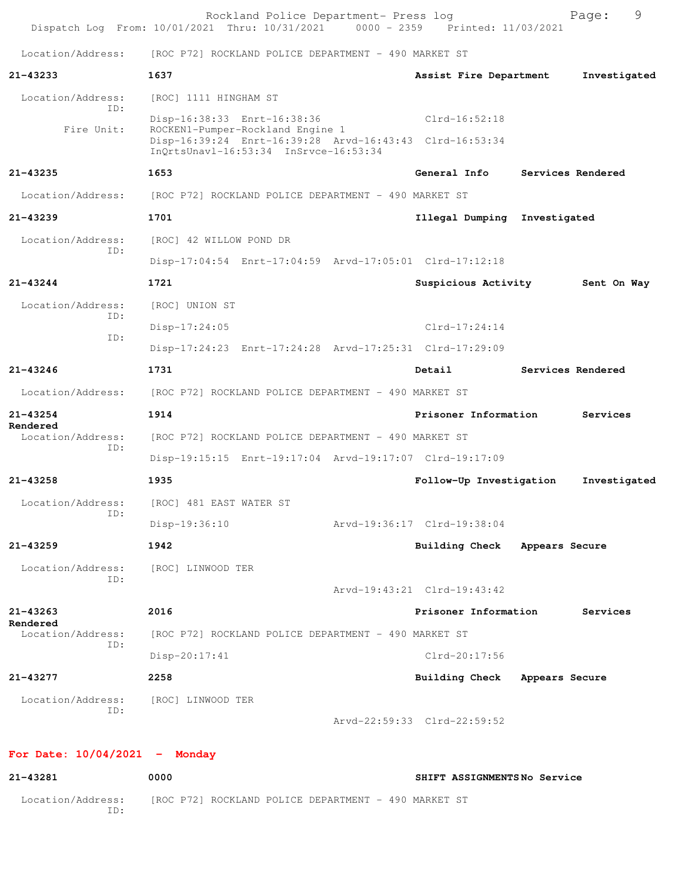|                                      | Rockland Police Department- Press log<br>Dispatch Log From: 10/01/2021 Thru: 10/31/2021                                              | 0000 - 2359 Printed: 11/03/2021 |                | 9<br>Page:        |
|--------------------------------------|--------------------------------------------------------------------------------------------------------------------------------------|---------------------------------|----------------|-------------------|
| Location/Address:                    | [ROC P72] ROCKLAND POLICE DEPARTMENT - 490 MARKET ST                                                                                 |                                 |                |                   |
| 21-43233                             | 1637                                                                                                                                 | Assist Fire Department          |                | Investigated      |
| Location/Address:                    | [ROC] 1111 HINGHAM ST                                                                                                                |                                 |                |                   |
| TD:                                  | Disp-16:38:33 Enrt-16:38:36                                                                                                          | $Clrd-16:52:18$                 |                |                   |
| Fire Unit:                           | ROCKEN1-Pumper-Rockland Engine 1<br>Disp-16:39:24 Enrt-16:39:28 Arvd-16:43:43 Clrd-16:53:34<br>InOrtsUnavl-16:53:34 InSrvce-16:53:34 |                                 |                |                   |
| 21-43235                             | 1653                                                                                                                                 | General Info                    |                | Services Rendered |
| Location/Address:                    | [ROC P72] ROCKLAND POLICE DEPARTMENT - 490 MARKET ST                                                                                 |                                 |                |                   |
| $21 - 43239$                         | 1701                                                                                                                                 | Illegal Dumping Investigated    |                |                   |
| Location/Address:                    | [ROC] 42 WILLOW POND DR                                                                                                              |                                 |                |                   |
| TD:                                  | Disp-17:04:54 Enrt-17:04:59 Arvd-17:05:01 Clrd-17:12:18                                                                              |                                 |                |                   |
| $21 - 43244$                         | 1721                                                                                                                                 | Suspicious Activity             |                | Sent On Way       |
| Location/Address:                    | [ROC] UNION ST                                                                                                                       |                                 |                |                   |
| ID:<br>ID:                           | Disp-17:24:05                                                                                                                        | $Clrd-17:24:14$                 |                |                   |
|                                      | Disp-17:24:23 Enrt-17:24:28 Arvd-17:25:31 Clrd-17:29:09                                                                              |                                 |                |                   |
| 21-43246                             | 1731                                                                                                                                 | Detail                          |                | Services Rendered |
| Location/Address:                    | [ROC P72] ROCKLAND POLICE DEPARTMENT - 490 MARKET ST                                                                                 |                                 |                |                   |
| $21 - 43254$                         | 1914                                                                                                                                 | Prisoner Information            |                | Services          |
| Rendered<br>Location/Address:<br>ID: | [ROC P72] ROCKLAND POLICE DEPARTMENT - 490 MARKET ST                                                                                 |                                 |                |                   |
|                                      | Disp-19:15:15 Enrt-19:17:04 Arvd-19:17:07 Clrd-19:17:09                                                                              |                                 |                |                   |
| 21-43258                             | 1935                                                                                                                                 | Follow-Up Investigation         |                | Investigated      |
| Location/Address:<br>ID:             | [ROC] 481 EAST WATER ST                                                                                                              |                                 |                |                   |
|                                      | Disp-19:36:10                                                                                                                        | Arvd-19:36:17 Clrd-19:38:04     |                |                   |
| $21 - 43259$                         | 1942                                                                                                                                 | Building Check Appears Secure   |                |                   |
| Location/Address:<br>ID:             | [ROC] LINWOOD TER                                                                                                                    |                                 |                |                   |
|                                      |                                                                                                                                      | Arvd-19:43:21 Clrd-19:43:42     |                |                   |
| 21-43263<br>Rendered                 | 2016                                                                                                                                 | Prisoner Information            |                | Services          |
| Location/Address:<br>ID:             | [ROC P72] ROCKLAND POLICE DEPARTMENT - 490 MARKET ST                                                                                 |                                 |                |                   |
|                                      | $Disp-20:17:41$                                                                                                                      | Clrd-20:17:56                   |                |                   |
| 21-43277                             | 2258                                                                                                                                 | <b>Building Check</b>           | Appears Secure |                   |
| Location/Address:<br>ID:             | [ROC] LINWOOD TER                                                                                                                    |                                 |                |                   |
|                                      |                                                                                                                                      | Arvd-22:59:33 Clrd-22:59:52     |                |                   |
| For Date: $10/04/2021$ - Monday      |                                                                                                                                      |                                 |                |                   |
|                                      |                                                                                                                                      |                                 |                |                   |

| 21-43281                | 0000                                                 | SHIFT ASSIGNMENTSNo Service |
|-------------------------|------------------------------------------------------|-----------------------------|
| Location/Address:<br>D: | [ROC P72] ROCKLAND POLICE DEPARTMENT - 490 MARKET ST |                             |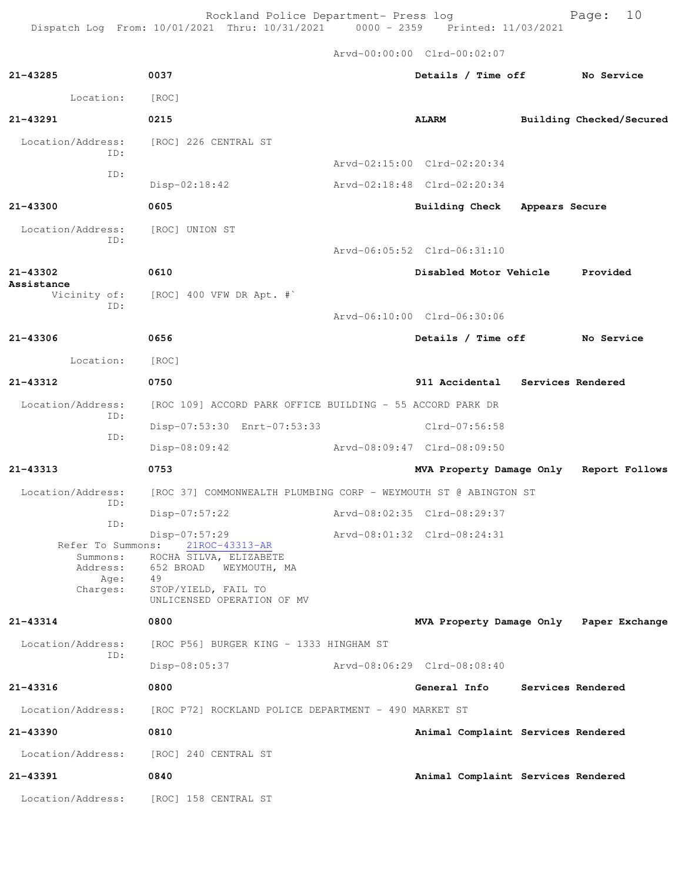Rockland Police Department- Press log entitled and Page: 10 Dispatch Log From: 10/01/2021 Thru: 10/31/2021 0000 - 2359 Printed: 11/03/2021

Arvd-00:00:00 Clrd-00:02:07

| 21-43285                      | 0037                                                            | Details / Time off                      |                   | No Service               |
|-------------------------------|-----------------------------------------------------------------|-----------------------------------------|-------------------|--------------------------|
| Location:                     | [ROC]                                                           |                                         |                   |                          |
| 21-43291                      | 0215                                                            | <b>ALARM</b>                            |                   | Building Checked/Secured |
| Location/Address:<br>ID:      | [ROC] 226 CENTRAL ST                                            |                                         |                   |                          |
| ID:                           |                                                                 | Arvd-02:15:00 Clrd-02:20:34             |                   |                          |
|                               | Disp-02:18:42                                                   | Arvd-02:18:48 Clrd-02:20:34             |                   |                          |
| $21 - 43300$                  | 0605                                                            | <b>Building Check</b>                   | Appears Secure    |                          |
| Location/Address:<br>ID:      | [ROC] UNION ST                                                  |                                         |                   |                          |
|                               |                                                                 | Arvd-06:05:52 Clrd-06:31:10             |                   |                          |
| 21-43302<br>Assistance        | 0610                                                            | Disabled Motor Vehicle Provided         |                   |                          |
| Vicinity of:<br>ID:           | $[ROC]$ 400 VFW DR Apt. #`                                      |                                         |                   |                          |
|                               |                                                                 | Arvd-06:10:00 Clrd-06:30:06             |                   |                          |
| 21-43306                      | 0656                                                            | Details / Time off No Service           |                   |                          |
| Location:                     | [ROC]                                                           |                                         |                   |                          |
| 21-43312                      | 0750                                                            | 911 Accidental Services Rendered        |                   |                          |
| Location/Address:<br>ID:      | [ROC 109] ACCORD PARK OFFICE BUILDING - 55 ACCORD PARK DR       |                                         |                   |                          |
| ID:                           | Disp-07:53:30 Enrt-07:53:33                                     | Clrd-07:56:58                           |                   |                          |
|                               | Disp-08:09:42                                                   | Arvd-08:09:47 Clrd-08:09:50             |                   |                          |
| 21-43313                      | 0753                                                            | MVA Property Damage Only Report Follows |                   |                          |
| Location/Address:<br>ID:      | [ROC 37] COMMONWEALTH PLUMBING CORP - WEYMOUTH ST @ ABINGTON ST |                                         |                   |                          |
| ID:                           | Disp-07:57:22                                                   | Arvd-08:02:35 Clrd-08:29:37             |                   |                          |
| Refer To Summons:<br>Summons: | Disp-07:57:29<br>21ROC-43313-AR<br>ROCHA SILVA, ELIZABETE       | Arvd-08:01:32 Clrd-08:24:31             |                   |                          |
| Address:<br>Age:              | 652 BROAD<br>WEYMOUTH, MA<br>49                                 |                                         |                   |                          |
| Charges:                      | STOP/YIELD, FAIL TO<br>UNLICENSED OPERATION OF MV               |                                         |                   |                          |
| 21-43314                      | 0800                                                            | MVA Property Damage Only Paper Exchange |                   |                          |
| Location/Address:<br>ID:      | [ROC P56] BURGER KING - 1333 HINGHAM ST                         |                                         |                   |                          |
|                               | Disp-08:05:37                                                   | Arvd-08:06:29 Clrd-08:08:40             |                   |                          |
| $21 - 43316$                  | 0800                                                            | General Info                            | Services Rendered |                          |
| Location/Address:             | [ROC P72] ROCKLAND POLICE DEPARTMENT - 490 MARKET ST            |                                         |                   |                          |
| 21-43390                      | 0810                                                            | Animal Complaint Services Rendered      |                   |                          |
| Location/Address:             | [ROC] 240 CENTRAL ST                                            |                                         |                   |                          |
| 21-43391                      | 0840                                                            | Animal Complaint Services Rendered      |                   |                          |
| Location/Address:             | [ROC] 158 CENTRAL ST                                            |                                         |                   |                          |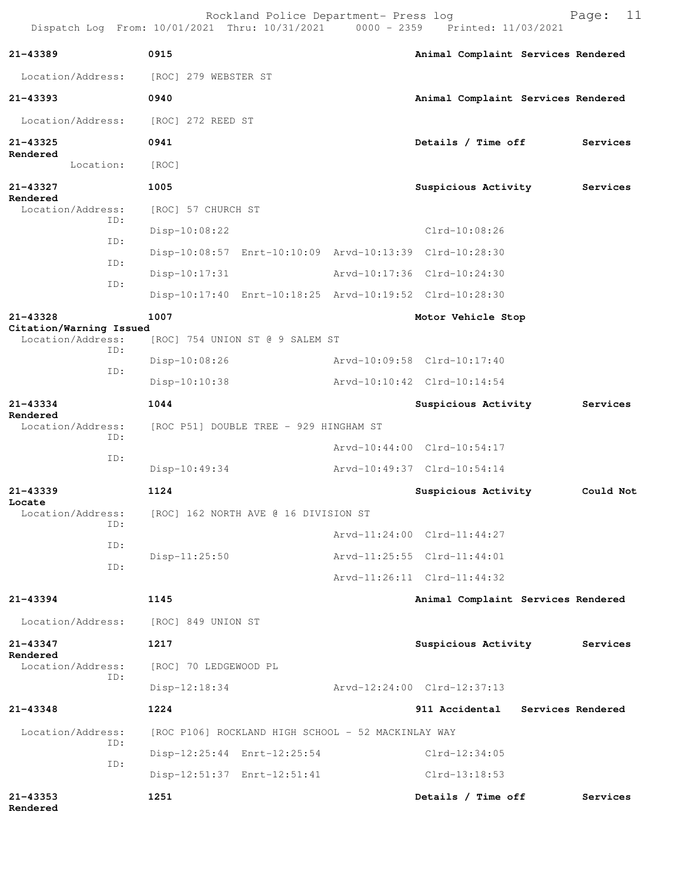Rockland Police Department- Press log entitled Page: 11 Dispatch Log From: 10/01/2021 Thru: 10/31/2021 0000 - 2359 Printed: 11/03/2021

| 21-43389                                     | 0915                                                    |  | Animal Complaint Services Rendered |           |  |  |
|----------------------------------------------|---------------------------------------------------------|--|------------------------------------|-----------|--|--|
| Location/Address:                            | [ROC] 279 WEBSTER ST                                    |  |                                    |           |  |  |
| 21-43393                                     | 0940                                                    |  | Animal Complaint Services Rendered |           |  |  |
| Location/Address:                            | [ROC] 272 REED ST                                       |  |                                    |           |  |  |
| 21-43325<br>Rendered                         | 0941                                                    |  | Details / Time off                 | Services  |  |  |
| Location:                                    | [ROC]                                                   |  |                                    |           |  |  |
| 21-43327                                     | 1005                                                    |  | Suspicious Activity                | Services  |  |  |
| Rendered<br>Location/Address:                | [ROC] 57 CHURCH ST                                      |  |                                    |           |  |  |
| ID:                                          | $Disp-10:08:22$                                         |  | $Clrd-10:08:26$                    |           |  |  |
| ID:                                          | Disp-10:08:57 Enrt-10:10:09 Arvd-10:13:39 Clrd-10:28:30 |  |                                    |           |  |  |
| ID:                                          | $Disp-10:17:31$                                         |  | Arvd-10:17:36 Clrd-10:24:30        |           |  |  |
| ID:                                          | Disp-10:17:40 Enrt-10:18:25 Arvd-10:19:52 Clrd-10:28:30 |  |                                    |           |  |  |
| 21-43328                                     | 1007                                                    |  | Motor Vehicle Stop                 |           |  |  |
| Citation/Warning Issued<br>Location/Address: | [ROC] 754 UNION ST @ 9 SALEM ST                         |  |                                    |           |  |  |
| ID:                                          | $Disp-10:08:26$                                         |  | Arvd-10:09:58 Clrd-10:17:40        |           |  |  |
| ID:                                          | $Disp-10:10:38$                                         |  | Arvd-10:10:42 Clrd-10:14:54        |           |  |  |
| 21-43334                                     | 1044                                                    |  | Suspicious Activity                | Services  |  |  |
| Rendered<br>Location/Address:                | [ROC P51] DOUBLE TREE - 929 HINGHAM ST                  |  |                                    |           |  |  |
| ID:                                          |                                                         |  | Arvd-10:44:00 Clrd-10:54:17        |           |  |  |
| ID:                                          | Disp-10:49:34                                           |  | Arvd-10:49:37 Clrd-10:54:14        |           |  |  |
| 21-43339                                     | 1124                                                    |  | Suspicious Activity                | Could Not |  |  |
| Locate<br>Location/Address:                  | [ROC] 162 NORTH AVE @ 16 DIVISION ST                    |  |                                    |           |  |  |
| ID:                                          |                                                         |  | Arvd-11:24:00 Clrd-11:44:27        |           |  |  |
| ID:                                          | $Disp-11:25:50$                                         |  | Arvd-11:25:55 Clrd-11:44:01        |           |  |  |
| ID:                                          |                                                         |  | Arvd-11:26:11 Clrd-11:44:32        |           |  |  |
| 21-43394                                     | 1145                                                    |  | Animal Complaint Services Rendered |           |  |  |
| Location/Address:                            | [ROC] 849 UNION ST                                      |  |                                    |           |  |  |
| 21-43347                                     | 1217                                                    |  | Suspicious Activity                | Services  |  |  |
| Rendered<br>Location/Address:                | [ROC] 70 LEDGEWOOD PL                                   |  |                                    |           |  |  |
| TD:                                          | $Disp-12:18:34$                                         |  | Arvd-12:24:00 Clrd-12:37:13        |           |  |  |
| 21-43348                                     | 1224                                                    |  | 911 Accidental Services Rendered   |           |  |  |
| Location/Address:                            | [ROC P106] ROCKLAND HIGH SCHOOL - 52 MACKINLAY WAY      |  |                                    |           |  |  |
| ID:                                          | Disp-12:25:44 Enrt-12:25:54                             |  | $Clrd-12:34:05$                    |           |  |  |
| ID:                                          | Disp-12:51:37 Enrt-12:51:41                             |  | $Clrd-13:18:53$                    |           |  |  |
| $21 - 43353$<br>Rendered                     | 1251                                                    |  | Details / Time off                 | Services  |  |  |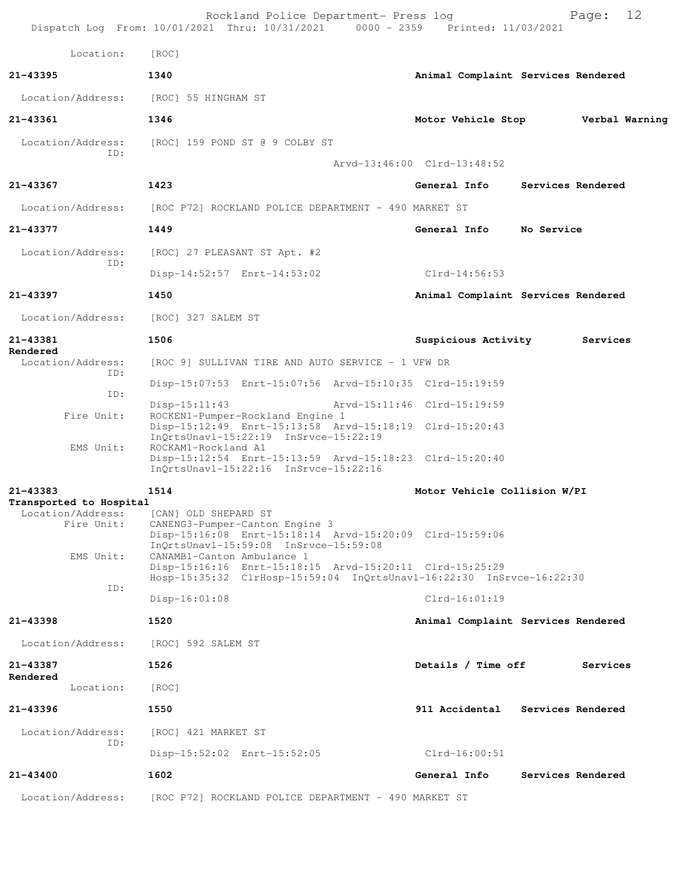| Location:                                    | [ROC]                                                                                                                                                         |                                                      |                                    |
|----------------------------------------------|---------------------------------------------------------------------------------------------------------------------------------------------------------------|------------------------------------------------------|------------------------------------|
| 21-43395                                     | 1340                                                                                                                                                          |                                                      | Animal Complaint Services Rendered |
| Location/Address:                            | [ROC] 55 HINGHAM ST                                                                                                                                           |                                                      |                                    |
| 21-43361                                     | 1346                                                                                                                                                          |                                                      | Motor Vehicle Stop Verbal Warning  |
| Location/Address:                            | [ROC] 159 POND ST @ 9 COLBY ST                                                                                                                                |                                                      |                                    |
| ID:                                          |                                                                                                                                                               | Arvd-13:46:00 Clrd-13:48:52                          |                                    |
| 21-43367                                     | 1423                                                                                                                                                          | General Info                                         | Services Rendered                  |
| Location/Address:                            | [ROC P72] ROCKLAND POLICE DEPARTMENT - 490 MARKET ST                                                                                                          |                                                      |                                    |
| 21-43377                                     | 1449                                                                                                                                                          | General Info                                         | No Service                         |
| Location/Address:                            | [ROC] 27 PLEASANT ST Apt. #2                                                                                                                                  |                                                      |                                    |
| ID:                                          | Disp-14:52:57 Enrt-14:53:02                                                                                                                                   | Clrd-14:56:53                                        |                                    |
| 21-43397                                     | 1450                                                                                                                                                          |                                                      | Animal Complaint Services Rendered |
| Location/Address:                            | [ROC] 327 SALEM ST                                                                                                                                            |                                                      |                                    |
| 21-43381                                     | 1506                                                                                                                                                          | Suspicious Activity                                  | Services                           |
| Rendered<br>Location/Address:                | [ROC 9] SULLIVAN TIRE AND AUTO SERVICE - 1 VFW DR                                                                                                             |                                                      |                                    |
| ID:                                          | Disp-15:07:53 Enrt-15:07:56 Arvd-15:10:35 Clrd-15:19:59                                                                                                       |                                                      |                                    |
| ID:                                          | $Disp-15:11:43$                                                                                                                                               | Arvd-15:11:46 Clrd-15:19:59                          |                                    |
| Fire Unit:                                   | ROCKEN1-Pumper-Rockland Engine 1<br>Disp-15:12:49 Enrt-15:13:58 Arvd-15:18:19 Clrd-15:20:43<br>InQrtsUnavl-15:22:19 InSrvce-15:22:19                          |                                                      |                                    |
| EMS Unit:                                    | ROCKAM1-Rockland A1<br>Disp-15:12:54 Enrt-15:13:59 Arvd-15:18:23 Clrd-15:20:40<br>InQrtsUnavl-15:22:16 InSrvce-15:22:16                                       |                                                      |                                    |
| 21-43383                                     | 1514                                                                                                                                                          | Motor Vehicle Collision W/PI                         |                                    |
| Transported to Hospital<br>Location/Address: | [CAN] OLD SHEPARD ST                                                                                                                                          |                                                      |                                    |
| Fire Unit:                                   | CANENG3-Pumper-Canton Engine 3<br>Disp-15:16:08 Enrt-15:18:14 Arvd-15:20:09 Clrd-15:59:06<br>InOrtsUnavl-15:59:08 InSrvce-15:59:08                            |                                                      |                                    |
| EMS Unit:                                    | CANAMB1-Canton Ambulance 1<br>Disp-15:16:16 Enrt-15:18:15 Arvd-15:20:11 Clrd-15:25:29<br>Hosp-15:35:32 ClrHosp-15:59:04 InQrtsUnavl-16:22:30 InSrvce-16:22:30 |                                                      |                                    |
| ID:                                          | $Disp-16:01:08$                                                                                                                                               | $Clrd-16:01:19$                                      |                                    |
| 21-43398                                     | 1520                                                                                                                                                          |                                                      | Animal Complaint Services Rendered |
| Location/Address:                            | [ROC] 592 SALEM ST                                                                                                                                            |                                                      |                                    |
| 21-43387                                     | 1526                                                                                                                                                          | Details / Time off                                   | Services                           |
| Rendered<br>Location:                        | [ROC]                                                                                                                                                         |                                                      |                                    |
| 21-43396                                     | 1550                                                                                                                                                          |                                                      | 911 Accidental Services Rendered   |
| Location/Address:                            | [ROC] 421 MARKET ST                                                                                                                                           |                                                      |                                    |
| ID:                                          | Disp-15:52:02 Enrt-15:52:05                                                                                                                                   | $Clrd-16:00:51$                                      |                                    |
| 21-43400                                     | 1602                                                                                                                                                          | General Info                                         | Services Rendered                  |
|                                              |                                                                                                                                                               | [ROC P72] ROCKLAND POLICE DEPARTMENT - 490 MARKET ST |                                    |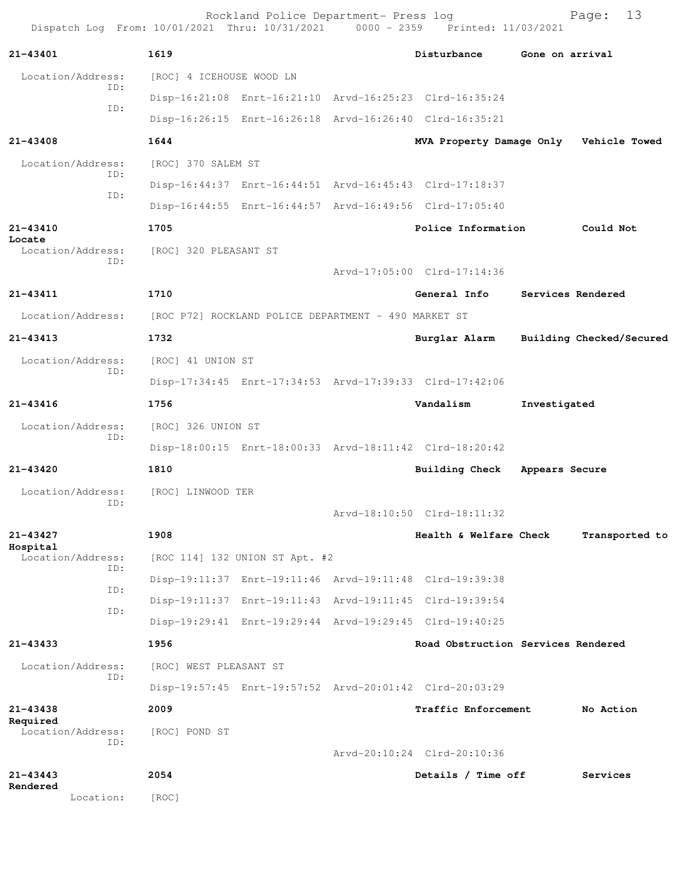| Dispatch Log From: 10/01/2021 Thru: 10/31/2021 0000 - 2359 Printed: 11/03/2021 |                          | Rockland Police Department- Press log                |                                                         |                 | 13<br>Page:              |  |
|--------------------------------------------------------------------------------|--------------------------|------------------------------------------------------|---------------------------------------------------------|-----------------|--------------------------|--|
| 21-43401                                                                       | 1619                     |                                                      | Disturbance                                             | Gone on arrival |                          |  |
| Location/Address:                                                              | [ROC] 4 ICEHOUSE WOOD LN |                                                      |                                                         |                 |                          |  |
| ID:                                                                            |                          |                                                      | Disp-16:21:08 Enrt-16:21:10 Arvd-16:25:23 Clrd-16:35:24 |                 |                          |  |
| ID:                                                                            |                          |                                                      | Disp-16:26:15 Enrt-16:26:18 Arvd-16:26:40 Clrd-16:35:21 |                 |                          |  |
| 21-43408                                                                       | 1644                     |                                                      | MVA Property Damage Only Vehicle Towed                  |                 |                          |  |
| Location/Address:<br>ID:                                                       | [ROC] 370 SALEM ST       |                                                      |                                                         |                 |                          |  |
| ID:                                                                            |                          |                                                      | Disp-16:44:37 Enrt-16:44:51 Arvd-16:45:43 Clrd-17:18:37 |                 |                          |  |
|                                                                                |                          |                                                      | Disp-16:44:55 Enrt-16:44:57 Arvd-16:49:56 Clrd-17:05:40 |                 |                          |  |
| 21-43410                                                                       | 1705                     |                                                      | Police Information                                      |                 | Could Not                |  |
| Locate<br>Location/Address:                                                    | [ROC] 320 PLEASANT ST    |                                                      |                                                         |                 |                          |  |
| ID:                                                                            |                          |                                                      | Arvd-17:05:00 Clrd-17:14:36                             |                 |                          |  |
| 21-43411                                                                       | 1710                     |                                                      | General Info                                            |                 | Services Rendered        |  |
| Location/Address:                                                              |                          | [ROC P72] ROCKLAND POLICE DEPARTMENT - 490 MARKET ST |                                                         |                 |                          |  |
| $21 - 43413$                                                                   | 1732                     |                                                      | Burglar Alarm                                           |                 | Building Checked/Secured |  |
| Location/Address:                                                              | [ROC] 41 UNION ST        |                                                      |                                                         |                 |                          |  |
| ID:                                                                            |                          |                                                      | Disp-17:34:45 Enrt-17:34:53 Arvd-17:39:33 Clrd-17:42:06 |                 |                          |  |
| $21 - 43416$                                                                   | 1756                     |                                                      | Vandalism                                               | Investigated    |                          |  |
| Location/Address:                                                              | [ROC] 326 UNION ST       |                                                      |                                                         |                 |                          |  |
| ID:                                                                            |                          |                                                      | Disp-18:00:15 Enrt-18:00:33 Arvd-18:11:42 Clrd-18:20:42 |                 |                          |  |
| 21-43420                                                                       | 1810                     |                                                      | <b>Building Check</b>                                   | Appears Secure  |                          |  |
| Location/Address:                                                              | [ROC] LINWOOD TER        |                                                      |                                                         |                 |                          |  |
| ID:                                                                            |                          |                                                      | Arvd-18:10:50 Clrd-18:11:32                             |                 |                          |  |
| 21-43427                                                                       | 1908                     |                                                      | Health & Welfare Check                                  |                 | Transported to           |  |
| Hospital<br>Location/Address:                                                  |                          | [ROC 114] 132 UNION ST Apt. #2                       |                                                         |                 |                          |  |
| ID:                                                                            |                          |                                                      | Disp-19:11:37 Enrt-19:11:46 Arvd-19:11:48 Clrd-19:39:38 |                 |                          |  |
| ID:                                                                            |                          |                                                      | Disp-19:11:37 Enrt-19:11:43 Arvd-19:11:45 Clrd-19:39:54 |                 |                          |  |
| ID:                                                                            |                          |                                                      | Disp-19:29:41 Enrt-19:29:44 Arvd-19:29:45 Clrd-19:40:25 |                 |                          |  |
| $21 - 43433$                                                                   | 1956                     |                                                      | Road Obstruction Services Rendered                      |                 |                          |  |
| Location/Address:<br>ID:                                                       | [ROC] WEST PLEASANT ST   |                                                      |                                                         |                 |                          |  |
|                                                                                |                          |                                                      | Disp-19:57:45 Enrt-19:57:52 Arvd-20:01:42 Clrd-20:03:29 |                 |                          |  |
| 21-43438                                                                       | 2009                     |                                                      | Traffic Enforcement                                     |                 | No Action                |  |
| Required<br>Location/Address:                                                  | [ROC] POND ST            |                                                      |                                                         |                 |                          |  |
| TD:                                                                            |                          |                                                      | Arvd-20:10:24 Clrd-20:10:36                             |                 |                          |  |
| $21 - 43443$                                                                   | 2054                     |                                                      | Details / Time off                                      |                 | Services                 |  |
| Rendered<br>Location:                                                          | [ROC]                    |                                                      |                                                         |                 |                          |  |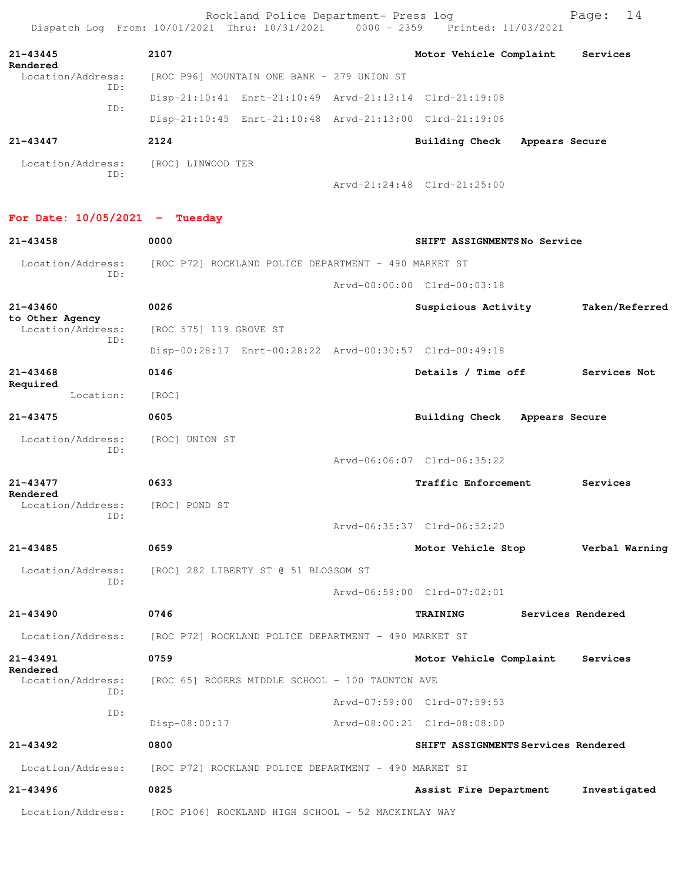|                                  | Rockland Police Department- Press log<br>Dispatch Log From: 10/01/2021 Thru: 10/31/2021 0000 - 2359 Printed: 11/03/2021 |                                          | 14<br>Page:       |
|----------------------------------|-------------------------------------------------------------------------------------------------------------------------|------------------------------------------|-------------------|
| 21-43445                         | 2107                                                                                                                    | Motor Vehicle Complaint                  | Services          |
| Rendered<br>Location/Address:    | [ROC P96] MOUNTAIN ONE BANK - 279 UNION ST                                                                              |                                          |                   |
| ID:                              | Disp-21:10:41 Enrt-21:10:49 Arvd-21:13:14 Clrd-21:19:08                                                                 |                                          |                   |
| ID:                              | Disp-21:10:45 Enrt-21:10:48 Arvd-21:13:00 Clrd-21:19:06                                                                 |                                          |                   |
| 21-43447                         | 2124                                                                                                                    | Building Check<br>Appears Secure         |                   |
| Location/Address:<br>TD:         | [ROC] LINWOOD TER                                                                                                       |                                          |                   |
|                                  |                                                                                                                         | Arvd-21:24:48 Clrd-21:25:00              |                   |
| For Date: $10/05/2021$ - Tuesday |                                                                                                                         |                                          |                   |
| 21-43458                         | 0000                                                                                                                    | SHIFT ASSIGNMENTSNo Service              |                   |
| Location/Address:<br>ID:         | [ROC P72] ROCKLAND POLICE DEPARTMENT - 490 MARKET ST                                                                    |                                          |                   |
|                                  |                                                                                                                         | Arvd-00:00:00 Clrd-00:03:18              |                   |
| $21 - 43460$<br>to Other Agency  | 0026                                                                                                                    | Suspicious Activity                      | Taken/Referred    |
| Location/Address:<br>ID:         | [ROC 575] 119 GROVE ST                                                                                                  |                                          |                   |
|                                  | Disp-00:28:17 Enrt-00:28:22 Arvd-00:30:57 Clrd-00:49:18                                                                 |                                          |                   |
| $21 - 43468$<br>Required         | 0146                                                                                                                    | Details / Time off                       | Services Not      |
| Location:                        | [ROC]                                                                                                                   |                                          |                   |
| 21-43475                         | 0605                                                                                                                    | Building Check<br>Appears Secure         |                   |
| Location/Address:<br>ID:         | [ROC] UNION ST                                                                                                          |                                          |                   |
|                                  |                                                                                                                         | Arvd-06:06:07 Clrd-06:35:22              |                   |
| 21-43477<br>Rendered             | 0633                                                                                                                    | Traffic Enforcement                      | Services          |
| Location/Address:<br>ID:         | [ROC] POND ST                                                                                                           |                                          |                   |
|                                  |                                                                                                                         | Arvd-06:35:37 Clrd-06:52:20              |                   |
| 21-43485                         | 0659                                                                                                                    | Motor Vehicle Stop <b>Werbal Warning</b> |                   |
| Location/Address:<br>ID:         | [ROC] 282 LIBERTY ST @ 51 BLOSSOM ST                                                                                    |                                          |                   |
|                                  |                                                                                                                         | Arvd-06:59:00 Clrd-07:02:01              |                   |
| 21-43490                         | 0746                                                                                                                    | <b>TRAINING</b>                          | Services Rendered |
| Location/Address:                | [ROC P72] ROCKLAND POLICE DEPARTMENT - 490 MARKET ST                                                                    |                                          |                   |
| 21-43491<br>Rendered             | 0759                                                                                                                    | Motor Vehicle Complaint Services         |                   |
| Location/Address:<br>ID:         | [ROC 65] ROGERS MIDDLE SCHOOL - 100 TAUNTON AVE                                                                         |                                          |                   |
| ID:                              |                                                                                                                         | Arvd-07:59:00 Clrd-07:59:53              |                   |
|                                  | Disp-08:00:17                                                                                                           | Arvd-08:00:21 Clrd-08:08:00              |                   |
| 21-43492                         | 0800                                                                                                                    | SHIFT ASSIGNMENTS Services Rendered      |                   |
|                                  | Location/Address: [ROC P72] ROCKLAND POLICE DEPARTMENT - 490 MARKET ST                                                  |                                          |                   |
| 21-43496                         | 0825                                                                                                                    | Assist Fire Department                   | Investigated      |
|                                  | Location/Address: [ROC P106] ROCKLAND HIGH SCHOOL - 52 MACKINLAY WAY                                                    |                                          |                   |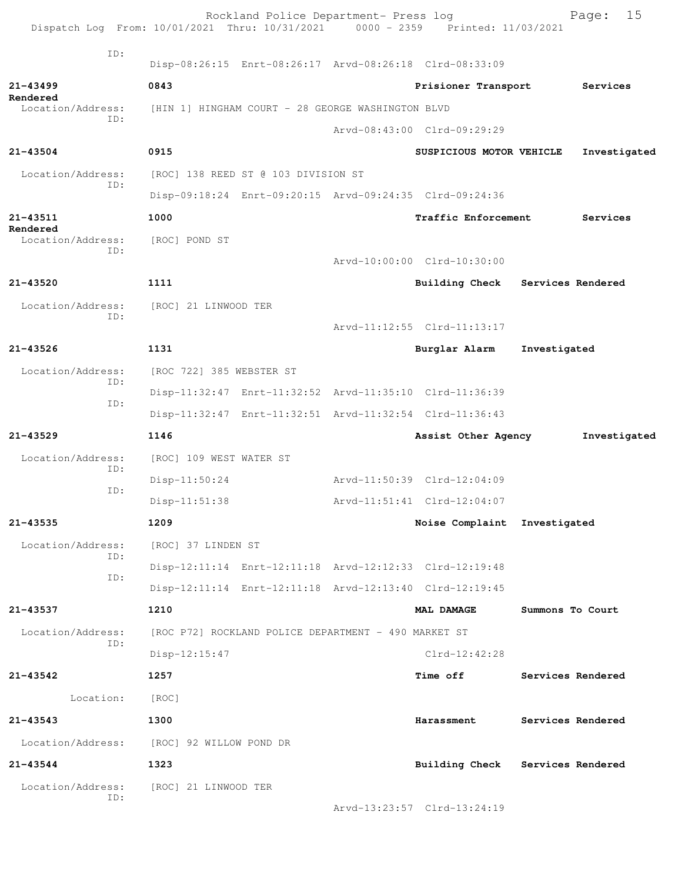| Dispatch Log From: 10/01/2021 Thru: 10/31/2021 0000 - 2359 Printed: 11/03/2021 |                                                   | Rockland Police Department- Press log                |                                                         |                  | 15<br>Page:       |
|--------------------------------------------------------------------------------|---------------------------------------------------|------------------------------------------------------|---------------------------------------------------------|------------------|-------------------|
| ID:                                                                            |                                                   |                                                      |                                                         |                  |                   |
|                                                                                |                                                   |                                                      | Disp-08:26:15 Enrt-08:26:17 Arvd-08:26:18 Clrd-08:33:09 |                  |                   |
| $21 - 43499$<br>Rendered                                                       | 0843                                              |                                                      | Prisioner Transport                                     |                  | Services          |
| Location/Address:<br>ID:                                                       | [HIN 1] HINGHAM COURT - 28 GEORGE WASHINGTON BLVD |                                                      |                                                         |                  |                   |
|                                                                                |                                                   |                                                      | Arvd-08:43:00 Clrd-09:29:29                             |                  |                   |
| $21 - 43504$                                                                   | 0915                                              |                                                      | SUSPICIOUS MOTOR VEHICLE                                |                  | Investigated      |
| Location/Address:<br>ID:                                                       | [ROC] 138 REED ST @ 103 DIVISION ST               |                                                      |                                                         |                  |                   |
|                                                                                |                                                   |                                                      | Disp-09:18:24 Enrt-09:20:15 Arvd-09:24:35 Clrd-09:24:36 |                  |                   |
| 21-43511                                                                       | 1000                                              |                                                      | Traffic Enforcement                                     |                  | Services          |
| Rendered<br>Location/Address:                                                  | [ROC] POND ST                                     |                                                      |                                                         |                  |                   |
| ID:                                                                            |                                                   |                                                      | Arvd-10:00:00 Clrd-10:30:00                             |                  |                   |
| 21-43520                                                                       | 1111                                              |                                                      | Building Check Services Rendered                        |                  |                   |
| Location/Address:                                                              | [ROC] 21 LINWOOD TER                              |                                                      |                                                         |                  |                   |
| ID:                                                                            |                                                   |                                                      | Arvd-11:12:55 Clrd-11:13:17                             |                  |                   |
| $21 - 43526$                                                                   | 1131                                              |                                                      | Burglar Alarm                                           | Investigated     |                   |
| Location/Address:                                                              | [ROC 722] 385 WEBSTER ST                          |                                                      |                                                         |                  |                   |
| ID:                                                                            |                                                   |                                                      | Disp-11:32:47 Enrt-11:32:52 Arvd-11:35:10 Clrd-11:36:39 |                  |                   |
| ID:                                                                            |                                                   |                                                      | Disp-11:32:47 Enrt-11:32:51 Arvd-11:32:54 Clrd-11:36:43 |                  |                   |
| $21 - 43529$                                                                   | 1146                                              |                                                      | Assist Other Agency                                     |                  | Investigated      |
| Location/Address:                                                              | [ROC] 109 WEST WATER ST                           |                                                      |                                                         |                  |                   |
| ID:                                                                            | Disp-11:50:24                                     |                                                      | Arvd-11:50:39 Clrd-12:04:09                             |                  |                   |
| ID:                                                                            | $Disp-11:51:38$                                   |                                                      | Arvd-11:51:41 Clrd-12:04:07                             |                  |                   |
| $21 - 43535$                                                                   | 1209                                              |                                                      | Noise Complaint Investigated                            |                  |                   |
| Location/Address:                                                              | [ROC] 37 LINDEN ST                                |                                                      |                                                         |                  |                   |
| ID:                                                                            |                                                   |                                                      | Disp-12:11:14 Enrt-12:11:18 Arvd-12:12:33 Clrd-12:19:48 |                  |                   |
| ID:                                                                            |                                                   |                                                      | Disp-12:11:14 Enrt-12:11:18 Arvd-12:13:40 Clrd-12:19:45 |                  |                   |
| 21-43537                                                                       | 1210                                              |                                                      | <b>MAL DAMAGE</b>                                       | Summons To Court |                   |
| Location/Address:                                                              |                                                   | [ROC P72] ROCKLAND POLICE DEPARTMENT - 490 MARKET ST |                                                         |                  |                   |
| ID:                                                                            | $Disp-12:15:47$                                   |                                                      | $Clrd-12:42:28$                                         |                  |                   |
| 21-43542                                                                       | 1257                                              |                                                      | <b>Time off</b>                                         |                  | Services Rendered |
| Location:                                                                      | [ROC]                                             |                                                      |                                                         |                  |                   |
| $21 - 43543$                                                                   | 1300                                              |                                                      | Harassment                                              |                  | Services Rendered |
| Location/Address:                                                              | [ROC] 92 WILLOW POND DR                           |                                                      |                                                         |                  |                   |
| 21-43544                                                                       | 1323                                              |                                                      | Building Check Services Rendered                        |                  |                   |
| Location/Address:                                                              | [ROC] 21 LINWOOD TER                              |                                                      |                                                         |                  |                   |
| ID:                                                                            |                                                   |                                                      | Arvd-13:23:57 Clrd-13:24:19                             |                  |                   |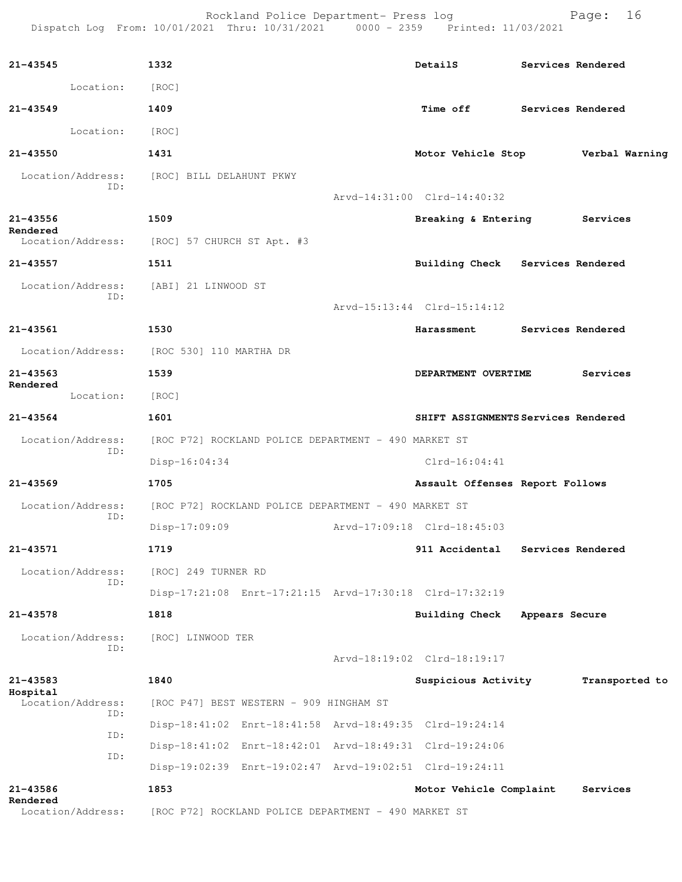Rockland Police Department- Press log entitled and Page: 16 Dispatch Log From: 10/01/2021 Thru: 10/31/2021 0000 - 2359 Printed: 11/03/2021

| 21-43545                 | 1332                                                    | DetailS                             |                | Services Rendered |
|--------------------------|---------------------------------------------------------|-------------------------------------|----------------|-------------------|
| Location:                | [ROC]                                                   |                                     |                |                   |
| $21 - 43549$             | 1409                                                    | <b>Time off</b>                     |                | Services Rendered |
| Location:                | [ROC]                                                   |                                     |                |                   |
| 21-43550                 | 1431                                                    | Motor Vehicle Stop                  |                | Verbal Warning    |
| Location/Address:        | [ROC] BILL DELAHUNT PKWY                                |                                     |                |                   |
| ID:                      |                                                         | Arvd-14:31:00 Clrd-14:40:32         |                |                   |
| 21-43556<br>Rendered     | 1509                                                    | Breaking & Entering                 |                | Services          |
| Location/Address:        | [ROC] 57 CHURCH ST Apt. #3                              |                                     |                |                   |
| $21 - 43557$             | 1511                                                    | Building Check Services Rendered    |                |                   |
| Location/Address:<br>TD: | [ABI] 21 LINWOOD ST                                     |                                     |                |                   |
|                          |                                                         | Arvd-15:13:44 Clrd-15:14:12         |                |                   |
| 21-43561                 | 1530                                                    | Harassment                          |                | Services Rendered |
| Location/Address:        | [ROC 530] 110 MARTHA DR                                 |                                     |                |                   |
| $21 - 43563$<br>Rendered | 1539                                                    | DEPARTMENT OVERTIME                 |                | Services          |
| Location:                | [ROC]                                                   |                                     |                |                   |
| $21 - 43564$             | 1601                                                    | SHIFT ASSIGNMENTS Services Rendered |                |                   |
| Location/Address:<br>ID: | [ROC P72] ROCKLAND POLICE DEPARTMENT - 490 MARKET ST    |                                     |                |                   |
|                          | $Disp-16:04:34$                                         | $Clrd-16:04:41$                     |                |                   |
| $21 - 43569$             | 1705                                                    | Assault Offenses Report Follows     |                |                   |
| Location/Address:<br>ID: | [ROC P72] ROCKLAND POLICE DEPARTMENT - 490 MARKET ST    |                                     |                |                   |
|                          | $Disp-17:09:09$                                         | Arvd-17:09:18 Clrd-18:45:03         |                |                   |
| 21-43571                 | 1719                                                    | 911 Accidental Services Rendered    |                |                   |
| Location/Address:<br>ID: | [ROC] 249 TURNER RD                                     |                                     |                |                   |
|                          | Disp-17:21:08 Enrt-17:21:15 Arvd-17:30:18 Clrd-17:32:19 |                                     |                |                   |
| 21-43578                 | 1818                                                    | Building Check                      | Appears Secure |                   |
| Location/Address:<br>ID: | [ROC] LINWOOD TER                                       |                                     |                |                   |
|                          |                                                         | Arvd-18:19:02 Clrd-18:19:17         |                |                   |
| $21 - 43583$<br>Hospital | 1840                                                    | Suspicious Activity                 |                | Transported to    |
| Location/Address:<br>ID: | [ROC P47] BEST WESTERN - 909 HINGHAM ST                 |                                     |                |                   |
| ID:                      | Disp-18:41:02 Enrt-18:41:58 Arvd-18:49:35 Clrd-19:24:14 |                                     |                |                   |
| ID:                      | Disp-18:41:02 Enrt-18:42:01 Arvd-18:49:31 Clrd-19:24:06 |                                     |                |                   |
|                          | Disp-19:02:39 Enrt-19:02:47 Arvd-19:02:51 Clrd-19:24:11 |                                     |                |                   |
| 21-43586<br>Rendered     | 1853                                                    | Motor Vehicle Complaint             |                | Services          |
| Location/Address:        | [ROC P72] ROCKLAND POLICE DEPARTMENT - 490 MARKET ST    |                                     |                |                   |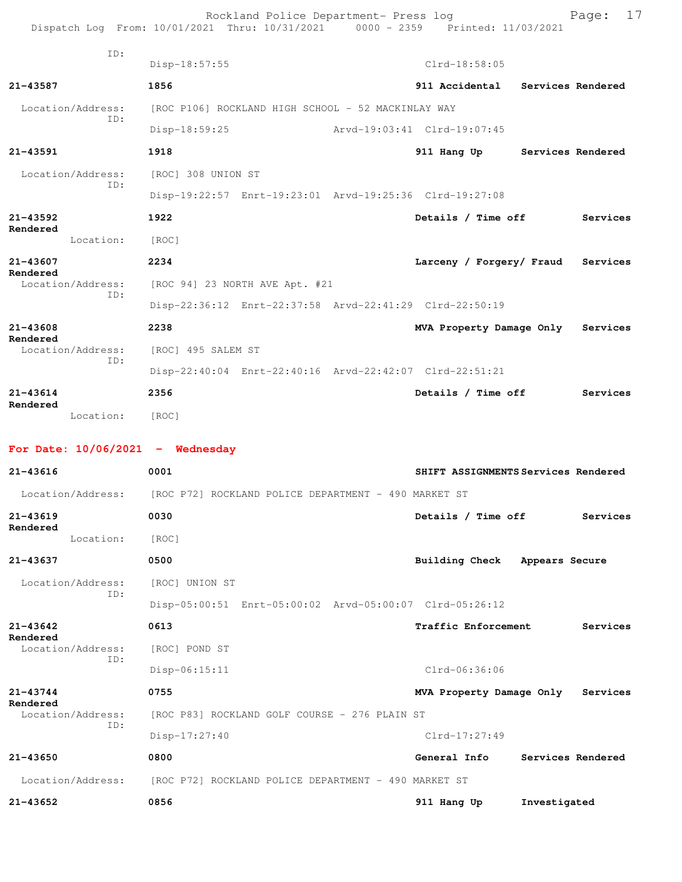|                                    | Rockland Police Department- Press log<br>Dispatch Log From: 10/01/2021 Thru: 10/31/2021 0000 - 2359 Printed: 11/03/2021 | 17<br>Page:                             |
|------------------------------------|-------------------------------------------------------------------------------------------------------------------------|-----------------------------------------|
| ID:                                | Disp-18:57:55                                                                                                           | $Clrd-18:58:05$                         |
| 21-43587                           | 1856                                                                                                                    | 911 Accidental Services Rendered        |
| Location/Address:                  | [ROC P106] ROCKLAND HIGH SCHOOL - 52 MACKINLAY WAY                                                                      |                                         |
| TD:                                | $Disp-18:59:25$                                                                                                         | Arvd-19:03:41 Clrd-19:07:45             |
| 21-43591                           | 1918                                                                                                                    | 911 Hang Up Services Rendered           |
| Location/Address:<br>ID:           | [ROC] 308 UNION ST                                                                                                      |                                         |
|                                    | Disp-19:22:57 Enrt-19:23:01 Arvd-19:25:36 Clrd-19:27:08                                                                 |                                         |
| $21 - 43592$<br>Rendered           | 1922                                                                                                                    | Details / Time off<br>Services          |
| Location:                          | [ROC]                                                                                                                   |                                         |
| 21-43607<br>Rendered               | 2234                                                                                                                    | Larceny / Forgery/ Fraud<br>Services    |
| Location/Address:<br>ID:           | [ROC 94] 23 NORTH AVE Apt. #21                                                                                          |                                         |
|                                    | Disp-22:36:12 Enrt-22:37:58 Arvd-22:41:29 Clrd-22:50:19                                                                 |                                         |
| $21 - 43608$<br>Rendered           | 2238                                                                                                                    | MVA Property Damage Only<br>Services    |
| Location/Address:<br>ID:           | [ROC] 495 SALEM ST                                                                                                      |                                         |
|                                    | Disp-22:40:04 Enrt-22:40:16 Arvd-22:42:07 Clrd-22:51:21                                                                 |                                         |
| $21 - 43614$<br>Rendered           | 2356                                                                                                                    | Details / Time off<br>Services          |
| Location:                          | [ROC]                                                                                                                   |                                         |
| For Date: $10/06/2021$ - Wednesday |                                                                                                                         |                                         |
| 21-43616                           | 0001                                                                                                                    | SHIFT ASSIGNMENTS Services Rendered     |
|                                    | Location/Address: [ROC P72] ROCKLAND POLICE DEPARTMENT - 490 MARKET ST                                                  |                                         |
| 21-43619<br>Rendered               | 0030                                                                                                                    | Details / Time off<br>Services          |
| Location:                          | [ROC]                                                                                                                   |                                         |
| 21-43637                           | 0500                                                                                                                    | <b>Building Check</b><br>Appears Secure |
| Location/Address:<br>ID:           | [ROC] UNION ST                                                                                                          |                                         |
|                                    | Disp-05:00:51 Enrt-05:00:02 Arvd-05:00:07 Clrd-05:26:12                                                                 |                                         |
| 21-43642<br>Rendered               | 0613                                                                                                                    | Traffic Enforcement<br>Services         |
| Location/Address:<br>ID:           | [ROC] POND ST                                                                                                           |                                         |
|                                    | $Disp-06:15:11$                                                                                                         | $Clrd-06:36:06$                         |
| 21-43744<br>Rendered               | 0755                                                                                                                    | MVA Property Damage Only<br>Services    |
| Location/Address:<br>ID:           | [ROC P83] ROCKLAND GOLF COURSE - 276 PLAIN ST                                                                           |                                         |
|                                    | $Disp-17:27:40$                                                                                                         | Clrd-17:27:49                           |
| 21-43650                           | 0800                                                                                                                    | General Info<br>Services Rendered       |
| Location/Address:                  | [ROC P72] ROCKLAND POLICE DEPARTMENT - 490 MARKET ST                                                                    |                                         |
| $21 - 43652$                       | 0856                                                                                                                    | 911 Hang Up<br>Investigated             |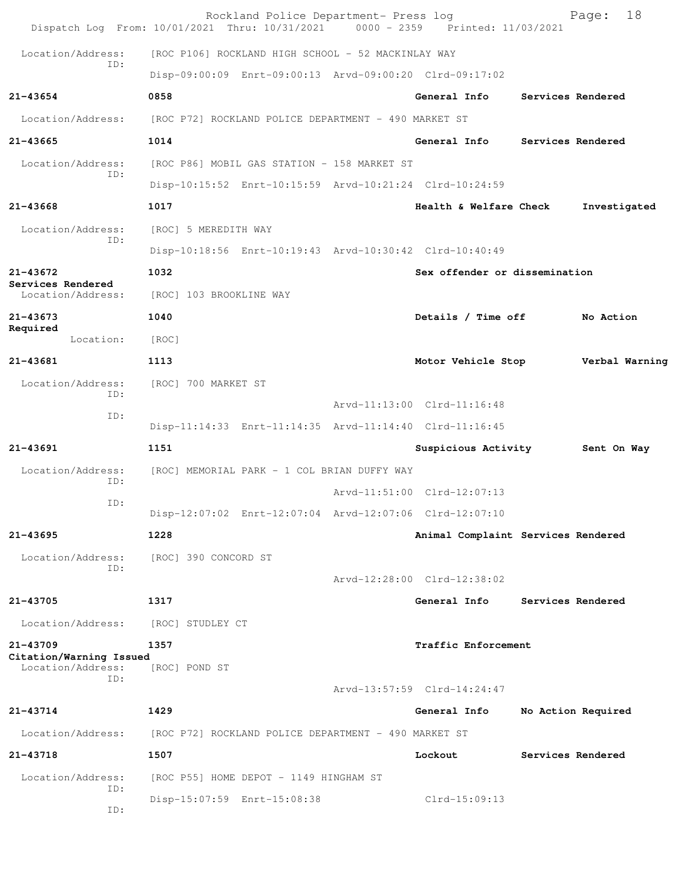| Dispatch Log From: 10/01/2021 Thru: 10/31/2021 0000 - 2359 Printed: 11/03/2021 |                                                         | Rockland Police Department- Press log |                                    | 18<br>Page:        |
|--------------------------------------------------------------------------------|---------------------------------------------------------|---------------------------------------|------------------------------------|--------------------|
| Location/Address:                                                              | [ROC P106] ROCKLAND HIGH SCHOOL - 52 MACKINLAY WAY      |                                       |                                    |                    |
| ID:                                                                            | Disp-09:00:09 Enrt-09:00:13 Arvd-09:00:20 Clrd-09:17:02 |                                       |                                    |                    |
| 21-43654                                                                       | 0858                                                    |                                       | General Info                       | Services Rendered  |
| Location/Address:                                                              | [ROC P72] ROCKLAND POLICE DEPARTMENT - 490 MARKET ST    |                                       |                                    |                    |
| $21 - 43665$                                                                   | 1014                                                    |                                       | General Info                       | Services Rendered  |
| Location/Address:                                                              | [ROC P86] MOBIL GAS STATION - 158 MARKET ST             |                                       |                                    |                    |
| ID:                                                                            | Disp-10:15:52 Enrt-10:15:59 Arvd-10:21:24 Clrd-10:24:59 |                                       |                                    |                    |
| 21-43668                                                                       | 1017                                                    |                                       | Health & Welfare Check             | Investigated       |
| Location/Address:<br>ID:                                                       | [ROC] 5 MEREDITH WAY                                    |                                       |                                    |                    |
|                                                                                | Disp-10:18:56 Enrt-10:19:43 Arvd-10:30:42 Clrd-10:40:49 |                                       |                                    |                    |
| $21 - 43672$<br>Services Rendered                                              | 1032                                                    |                                       | Sex offender or dissemination      |                    |
| Location/Address:                                                              | [ROC] 103 BROOKLINE WAY                                 |                                       |                                    |                    |
| 21-43673<br>Required                                                           | 1040                                                    |                                       | Details / Time off                 | No Action          |
| Location:                                                                      | [ROC]                                                   |                                       |                                    |                    |
| 21-43681                                                                       | 1113                                                    |                                       | Motor Vehicle Stop                 | Verbal Warning     |
| Location/Address:<br>ID:                                                       | [ROC] 700 MARKET ST                                     |                                       |                                    |                    |
| ID:                                                                            |                                                         |                                       | Arvd-11:13:00 Clrd-11:16:48        |                    |
|                                                                                | Disp-11:14:33 Enrt-11:14:35 Arvd-11:14:40 Clrd-11:16:45 |                                       |                                    |                    |
| $21 - 43691$                                                                   | 1151                                                    |                                       | Suspicious Activity 5ent On Way    |                    |
| Location/Address:<br>ID:                                                       | [ROC] MEMORIAL PARK - 1 COL BRIAN DUFFY WAY             |                                       |                                    |                    |
| ID:                                                                            |                                                         |                                       | Arvd-11:51:00 Clrd-12:07:13        |                    |
|                                                                                | Disp-12:07:02 Enrt-12:07:04 Arvd-12:07:06 Clrd-12:07:10 |                                       |                                    |                    |
| 21-43695                                                                       | 1228                                                    |                                       | Animal Complaint Services Rendered |                    |
| Location/Address:<br>TD:                                                       | [ROC] 390 CONCORD ST                                    |                                       |                                    |                    |
|                                                                                |                                                         |                                       | Arvd-12:28:00 Clrd-12:38:02        |                    |
| 21-43705                                                                       | 1317                                                    |                                       | General Info                       | Services Rendered  |
| Location/Address:                                                              | [ROC] STUDLEY CT                                        |                                       |                                    |                    |
| 21-43709<br>Citation/Warning Issued                                            | 1357                                                    |                                       | Traffic Enforcement                |                    |
| Location/Address:<br>ID:                                                       | [ROC] POND ST                                           |                                       |                                    |                    |
|                                                                                |                                                         |                                       | Arvd-13:57:59 Clrd-14:24:47        |                    |
| 21-43714                                                                       | 1429                                                    |                                       | General Info                       | No Action Required |
| Location/Address:                                                              | [ROC P72] ROCKLAND POLICE DEPARTMENT - 490 MARKET ST    |                                       |                                    |                    |
| 21-43718                                                                       | 1507                                                    |                                       | Lockout                            | Services Rendered  |
| Location/Address:<br>ID:                                                       | [ROC P55] HOME DEPOT - 1149 HINGHAM ST                  |                                       |                                    |                    |
| ID:                                                                            | Disp-15:07:59 Enrt-15:08:38                             |                                       | $Clrd-15:09:13$                    |                    |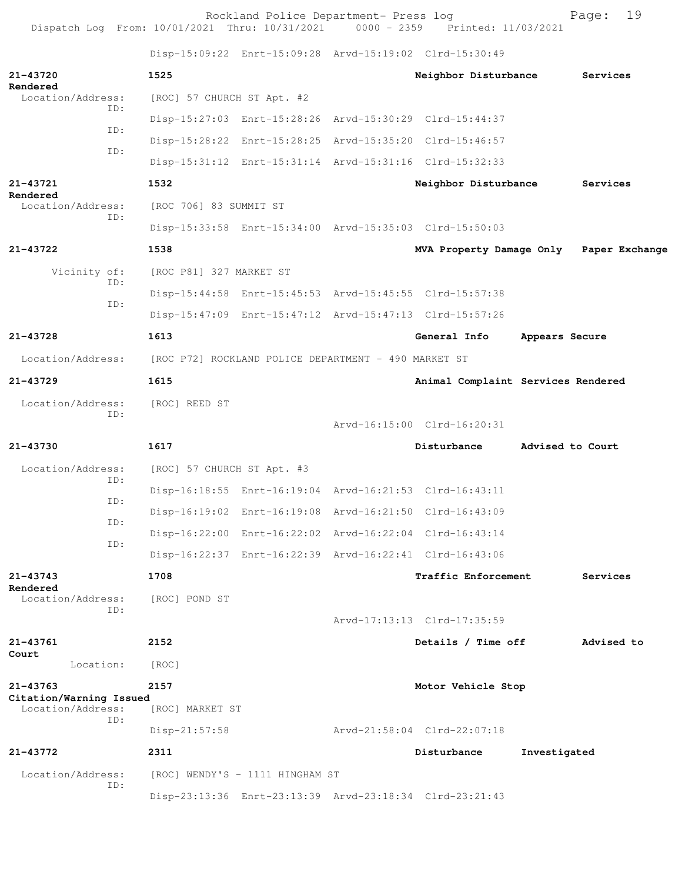Rockland Police Department- Press log Fage: 19<br>21 Thru: 10/31/2021 0000 - 2359 Printed: 11/03/2021 Dispatch Log From: 10/01/2021 Thru: 10/31/2021 0000 - 2359 Printed: 11/03/2021 Disp-15:09:22 Enrt-15:09:28 Arvd-15:19:02 Clrd-15:30:49 **21-43720 1525 Neighbor Disturbance Services Rendered**<br>Location/Address: [ROC] 57 CHURCH ST Apt. #2 ID: Disp-15:27:03 Enrt-15:28:26 Arvd-15:30:29 Clrd-15:44:37 ID: Disp-15:28:22 Enrt-15:28:25 Arvd-15:35:20 Clrd-15:46:57 ID: Disp-15:31:12 Enrt-15:31:14 Arvd-15:31:16 Clrd-15:32:33 **21-43721 1532 Neighbor Disturbance Services Rendered**  [ROC 706] 83 SUMMIT ST ID: Disp-15:33:58 Enrt-15:34:00 Arvd-15:35:03 Clrd-15:50:03 **21-43722 1538 MVA Property Damage Only Paper Exchange** Vicinity of: [ROC P81] 327 MARKET ST ID: Disp-15:44:58 Enrt-15:45:53 Arvd-15:45:55 Clrd-15:57:38 ID: Disp-15:47:09 Enrt-15:47:12 Arvd-15:47:13 Clrd-15:57:26 **21-43728 1613 General Info Appears Secure** Location/Address: [ROC P72] ROCKLAND POLICE DEPARTMENT - 490 MARKET ST **21-43729 1615 Animal Complaint Services Rendered** Location/Address: [ROC] REED ST ID: Arvd-16:15:00 Clrd-16:20:31 **21-43730 1617 Disturbance Advised to Court** Location/Address: [ROC] 57 CHURCH ST Apt. #3 ID: Disp-16:18:55 Enrt-16:19:04 Arvd-16:21:53 Clrd-16:43:11 ID: Disp-16:19:02 Enrt-16:19:08 Arvd-16:21:50 Clrd-16:43:09 ID: Disp-16:22:00 Enrt-16:22:02 Arvd-16:22:04 Clrd-16:43:14 ID: Disp-16:22:37 Enrt-16:22:39 Arvd-16:22:41 Clrd-16:43:06 **21-43743 1708 Traffic Enforcement Services Rendered**  Location/Address: [ROC] POND ST ID: Arvd-17:13:13 Clrd-17:35:59 **21-43761 2152 Details / Time off Advised to Court**  Location: [ROC] **21-43763 2157 Motor Vehicle Stop Citation/Warning Issued**  Location/Address: ID: Disp-21:57:58 Arvd-21:58:04 Clrd-22:07:18 **21-43772 2311 Disturbance Investigated** Location/Address: [ROC] WENDY'S - 1111 HINGHAM ST ID: Disp-23:13:36 Enrt-23:13:39 Arvd-23:18:34 Clrd-23:21:43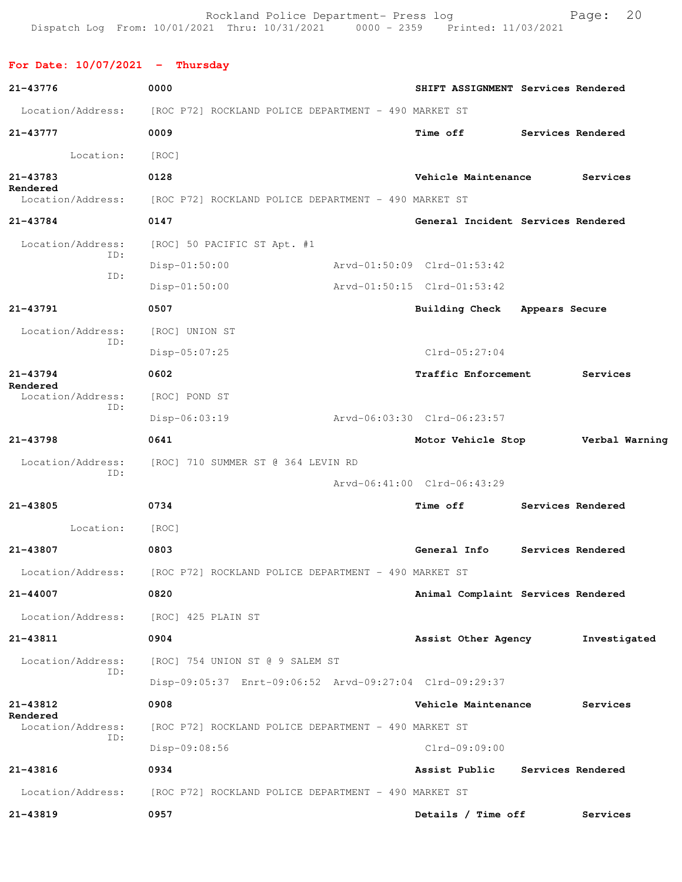Rockland Police Department- Press log Fage: 20<br>21 Thru: 10/31/2021 0000 - 2359 Printed: 11/03/2021 Dispatch Log From:  $10/01/2021$  Thru:  $10/31/2021$  0000 - 2359

**For Date: 10/07/2021 - Thursday 21-43776 0000 SHIFT ASSIGNMENT Services Rendered** Location/Address: [ROC P72] ROCKLAND POLICE DEPARTMENT - 490 MARKET ST **21-43777 0009 Time off Services Rendered** Location: [ROC] **21-43783 0128 Vehicle Maintenance Services Rendered**  Location/Address: [ROC P72] ROCKLAND POLICE DEPARTMENT - 490 MARKET ST **21-43784 0147 General Incident Services Rendered** Location/Address: [ROC] 50 PACIFIC ST Apt. #1 ID: Disp-01:50:00 Arvd-01:50:09 Clrd-01:53:42 ID: Disp-01:50:00 Arvd-01:50:15 Clrd-01:53:42 **21-43791 0507 Building Check Appears Secure** Location/Address: [ROC] UNION ST ID: Disp-05:07:25 Clrd-05:27:04 **21-43794 0602 Traffic Enforcement Services Rendered**  Location/Address: [ROC] POND ST ID: Disp-06:03:19 Arvd-06:03:30 Clrd-06:23:57 **21-43798 0641 Motor Vehicle Stop Verbal Warning** Location/Address: [ROC] 710 SUMMER ST @ 364 LEVIN RD ID: Arvd-06:41:00 Clrd-06:43:29 **21-43805 0734 Time off Services Rendered** Location: [ROC] **21-43807 0803 General Info Services Rendered** Location/Address: [ROC P72] ROCKLAND POLICE DEPARTMENT - 490 MARKET ST **21-44007 0820 Animal Complaint Services Rendered** Location/Address: [ROC] 425 PLAIN ST **21-43811 0904 Assist Other Agency Investigated** Location/Address: [ROC] 754 UNION ST @ 9 SALEM ST ID: Disp-09:05:37 Enrt-09:06:52 Arvd-09:27:04 Clrd-09:29:37 **21-43812 0908 Vehicle Maintenance Services Rendered**  Location/Address: [ROC P72] ROCKLAND POLICE DEPARTMENT - 490 MARKET ST ID: Disp-09:08:56 Clrd-09:09:00 **21-43816 0934 Assist Public Services Rendered** Location/Address: [ROC P72] ROCKLAND POLICE DEPARTMENT - 490 MARKET ST **21-43819 0957 Details / Time off Services**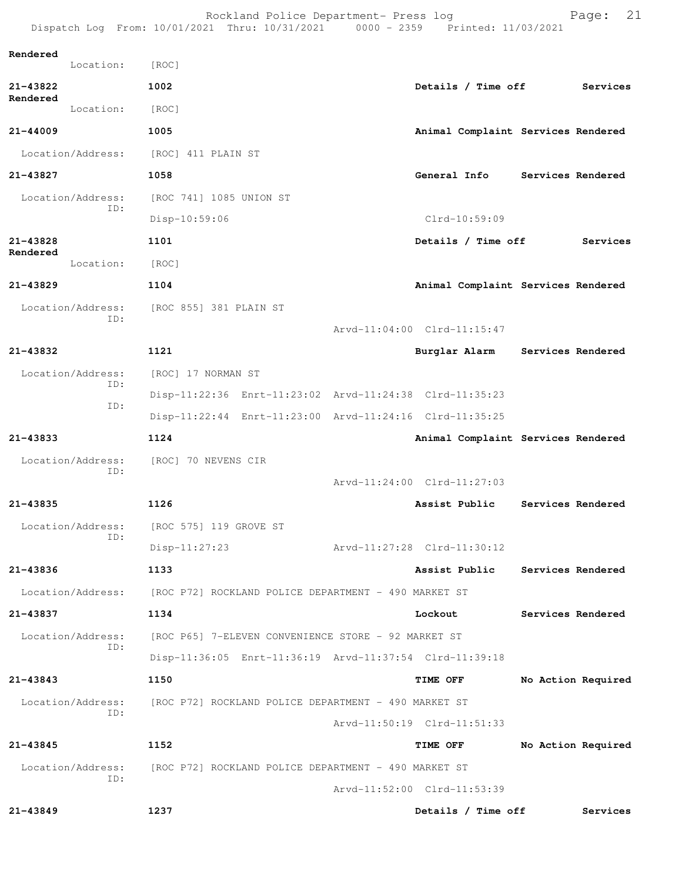|                      |                          | Rockland Police Department- Press log<br>Dispatch Log From: 10/01/2021 Thru: 10/31/2021 0000 - 2359 Printed: 11/03/2021 |                                    | 21<br>Page:        |
|----------------------|--------------------------|-------------------------------------------------------------------------------------------------------------------------|------------------------------------|--------------------|
| Rendered             |                          |                                                                                                                         |                                    |                    |
|                      | Location:                | [ROC]                                                                                                                   |                                    |                    |
| 21-43822<br>Rendered |                          | 1002                                                                                                                    | Details / Time off                 | Services           |
|                      | Location:                | [ROC]                                                                                                                   |                                    |                    |
| $21 - 44009$         |                          | 1005                                                                                                                    | Animal Complaint Services Rendered |                    |
|                      | Location/Address:        | [ROC] 411 PLAIN ST                                                                                                      |                                    |                    |
| 21-43827             |                          | 1058                                                                                                                    | General Info                       | Services Rendered  |
|                      | Location/Address:<br>ID: | [ROC 741] 1085 UNION ST                                                                                                 |                                    |                    |
|                      |                          | Disp-10:59:06                                                                                                           | Clrd-10:59:09                      |                    |
| 21-43828<br>Rendered |                          | 1101                                                                                                                    | Details / Time off                 | Services           |
|                      | Location:                | [ROC]                                                                                                                   |                                    |                    |
| $21 - 43829$         |                          | 1104                                                                                                                    | Animal Complaint Services Rendered |                    |
|                      | Location/Address:<br>TD: | [ROC 855] 381 PLAIN ST                                                                                                  |                                    |                    |
|                      |                          |                                                                                                                         | Arvd-11:04:00 Clrd-11:15:47        |                    |
| 21-43832             |                          | 1121                                                                                                                    | Burglar Alarm Services Rendered    |                    |
|                      | Location/Address:        | [ROC] 17 NORMAN ST                                                                                                      |                                    |                    |
|                      | ID:<br>ID:               | Disp-11:22:36 Enrt-11:23:02 Arvd-11:24:38 Clrd-11:35:23                                                                 |                                    |                    |
|                      |                          | Disp-11:22:44 Enrt-11:23:00 Arvd-11:24:16 Clrd-11:35:25                                                                 |                                    |                    |
| 21-43833             |                          | 1124                                                                                                                    | Animal Complaint Services Rendered |                    |
|                      | Location/Address:<br>ID: | [ROC] 70 NEVENS CIR                                                                                                     |                                    |                    |
|                      |                          |                                                                                                                         | Arvd-11:24:00 Clrd-11:27:03        |                    |
| 21-43835             |                          | 1126                                                                                                                    | Assist Public                      | Services Rendered  |
|                      | Location/Address:<br>ID: | [ROC 575] 119 GROVE ST                                                                                                  |                                    |                    |
|                      |                          | $Disp-11:27:23$                                                                                                         | Arvd-11:27:28 Clrd-11:30:12        |                    |
| 21-43836             |                          | 1133                                                                                                                    | Assist Public Services Rendered    |                    |
|                      |                          | Location/Address: [ROC P72] ROCKLAND POLICE DEPARTMENT - 490 MARKET ST                                                  |                                    |                    |
| 21-43837             |                          | 1134                                                                                                                    | Lockout                            | Services Rendered  |
|                      | Location/Address:<br>TD: | [ROC P65] 7-ELEVEN CONVENIENCE STORE - 92 MARKET ST                                                                     |                                    |                    |
|                      |                          | Disp-11:36:05 Enrt-11:36:19 Arvd-11:37:54 Clrd-11:39:18                                                                 |                                    |                    |
| 21-43843             |                          | 1150                                                                                                                    | <b>TIME OFF</b>                    | No Action Required |
|                      | Location/Address:        | [ROC P72] ROCKLAND POLICE DEPARTMENT - 490 MARKET ST                                                                    |                                    |                    |
|                      | TD:                      |                                                                                                                         | Arvd-11:50:19 Clrd-11:51:33        |                    |
| $21 - 43845$         |                          | 1152                                                                                                                    | <b>TIME OFF</b>                    | No Action Required |
|                      | Location/Address:        | [ROC P72] ROCKLAND POLICE DEPARTMENT - 490 MARKET ST                                                                    |                                    |                    |
|                      | ID:                      |                                                                                                                         | Arvd-11:52:00 Clrd-11:53:39        |                    |
| 21-43849             |                          | 1237                                                                                                                    | Details / Time off                 | Services           |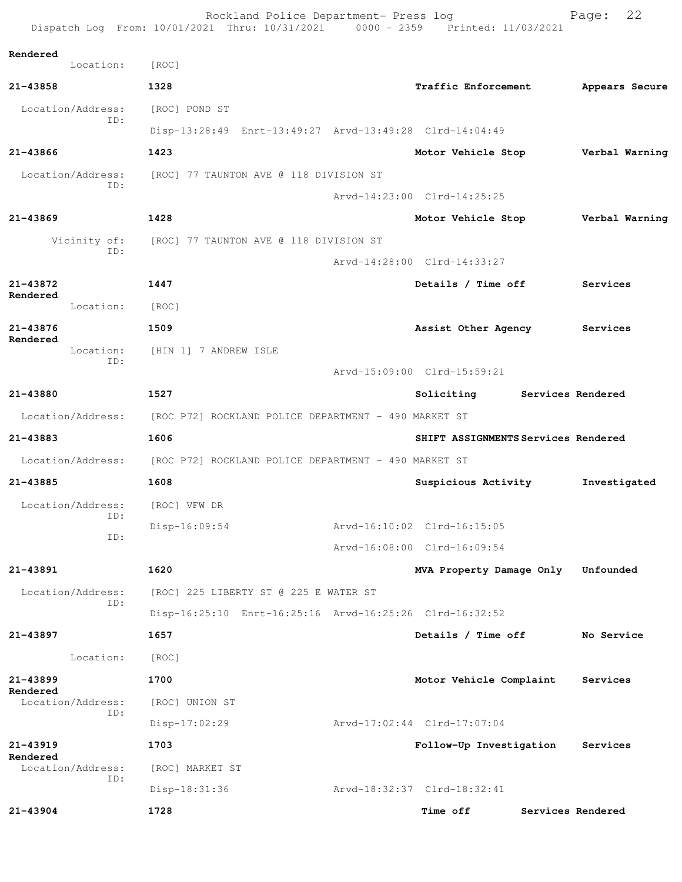|                                | Rockland Police Department- Press log<br>Dispatch Log From: 10/01/2021 Thru: 10/31/2021 0000 - 2359 Printed: 11/03/2021 |                                     | Page:             | 22 |
|--------------------------------|-------------------------------------------------------------------------------------------------------------------------|-------------------------------------|-------------------|----|
| Rendered<br>Location:          | [ROC]                                                                                                                   |                                     |                   |    |
| 21-43858                       | 1328                                                                                                                    | <b>Traffic Enforcement</b>          | Appears Secure    |    |
| Location/Address:              | [ROC] POND ST                                                                                                           |                                     |                   |    |
| TD:                            | Disp-13:28:49 Enrt-13:49:27 Arvd-13:49:28 Clrd-14:04:49                                                                 |                                     |                   |    |
| $21 - 43866$                   | 1423                                                                                                                    | Motor Vehicle Stop                  | Verbal Warning    |    |
| Location/Address:              | [ROC] 77 TAUNTON AVE @ 118 DIVISION ST                                                                                  |                                     |                   |    |
| ID:                            |                                                                                                                         | Arvd-14:23:00 Clrd-14:25:25         |                   |    |
| $21 - 43869$                   | 1428                                                                                                                    | Motor Vehicle Stop                  | Verbal Warning    |    |
| Vicinity of:                   | [ROC] 77 TAUNTON AVE @ 118 DIVISION ST                                                                                  |                                     |                   |    |
| ID:                            |                                                                                                                         | Arvd-14:28:00 Clrd-14:33:27         |                   |    |
| 21-43872                       | 1447                                                                                                                    | Details / Time off                  | Services          |    |
| Rendered<br>Location:          | [ROC]                                                                                                                   |                                     |                   |    |
| 21-43876                       | 1509                                                                                                                    | Assist Other Agency Services        |                   |    |
| Rendered<br>Location:          | [HIN 1] 7 ANDREW ISLE                                                                                                   |                                     |                   |    |
| ID:                            |                                                                                                                         | Arvd-15:09:00 Clrd-15:59:21         |                   |    |
| 21-43880                       | 1527                                                                                                                    | Soliciting Services Rendered        |                   |    |
| Location/Address:              | [ROC P72] ROCKLAND POLICE DEPARTMENT - 490 MARKET ST                                                                    |                                     |                   |    |
| 21-43883                       | 1606                                                                                                                    | SHIFT ASSIGNMENTS Services Rendered |                   |    |
|                                | Location/Address: [ROC P72] ROCKLAND POLICE DEPARTMENT - 490 MARKET ST                                                  |                                     |                   |    |
| 21-43885                       | 1608                                                                                                                    | Suspicious Activity                 | Investigated      |    |
| Location/Address: [ROC] VFW DR |                                                                                                                         |                                     |                   |    |
| ID:<br>ID:                     | $Disp-16:09:54$                                                                                                         | Arvd-16:10:02 Clrd-16:15:05         |                   |    |
|                                |                                                                                                                         | Arvd-16:08:00 Clrd-16:09:54         |                   |    |
| 21-43891                       | 1620                                                                                                                    | MVA Property Damage Only            | Unfounded         |    |
| Location/Address:<br>ID:       | [ROC] 225 LIBERTY ST @ 225 E WATER ST                                                                                   |                                     |                   |    |
|                                | Disp-16:25:10 Enrt-16:25:16 Arvd-16:25:26 Clrd-16:32:52                                                                 |                                     |                   |    |
| 21-43897                       | 1657                                                                                                                    | Details / Time off                  | No Service        |    |
| Location:                      | [ROC]                                                                                                                   |                                     |                   |    |
| 21-43899<br>Rendered           | 1700                                                                                                                    | Motor Vehicle Complaint             | Services          |    |
| Location/Address:<br>ID:       | [ROC] UNION ST                                                                                                          |                                     |                   |    |
|                                | Disp-17:02:29                                                                                                           | Arvd-17:02:44 Clrd-17:07:04         |                   |    |
| $21 - 43919$<br>Rendered       | 1703                                                                                                                    | Follow-Up Investigation             | Services          |    |
| Location/Address:<br>ID:       | [ROC] MARKET ST                                                                                                         |                                     |                   |    |
|                                | Disp-18:31:36                                                                                                           | Arvd-18:32:37 Clrd-18:32:41         |                   |    |
| 21-43904                       | 1728                                                                                                                    | Time off                            | Services Rendered |    |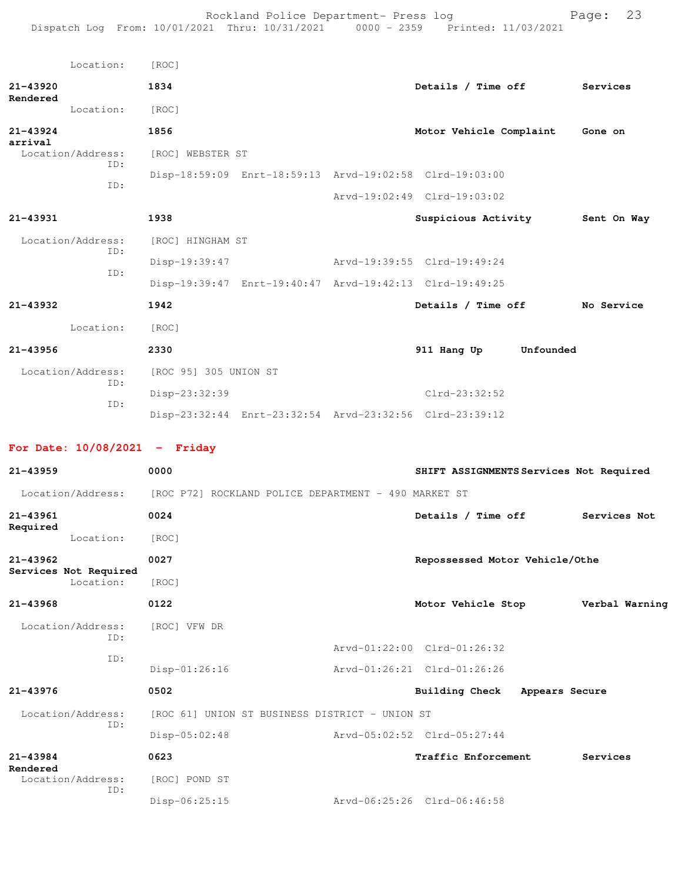Rockland Police Department- Press log entitled and Page: 23 Dispatch Log From: 10/01/2021 Thru: 10/31/2021 0000 - 2359 Printed: 11/03/2021

|                          | Location:                | [ROC]                 |                                                         |                             |           |             |
|--------------------------|--------------------------|-----------------------|---------------------------------------------------------|-----------------------------|-----------|-------------|
| $21 - 43920$             |                          | 1834                  |                                                         | Details / Time off          |           | Services    |
| Rendered                 | Location:                | [ROC]                 |                                                         |                             |           |             |
| $21 - 43924$<br>arrival  |                          | 1856                  |                                                         | Motor Vehicle Complaint     |           | Gone on     |
|                          | Location/Address:<br>TD: | [ROC] WEBSTER ST      |                                                         |                             |           |             |
| ID:                      |                          |                       | Disp-18:59:09 Enrt-18:59:13 Arvd-19:02:58 Clrd-19:03:00 |                             |           |             |
|                          |                          |                       |                                                         | Arvd-19:02:49 Clrd-19:03:02 |           |             |
| 21-43931                 |                          | 1938                  |                                                         | Suspicious Activity         |           | Sent On Way |
| Location/Address:<br>ID: |                          | [ROC] HINGHAM ST      |                                                         |                             |           |             |
|                          |                          | Disp-19:39:47         |                                                         | Arvd-19:39:55 Clrd-19:49:24 |           |             |
|                          | ID:                      |                       | Disp-19:39:47 Enrt-19:40:47 Arvd-19:42:13 Clrd-19:49:25 |                             |           |             |
| 21-43932                 |                          | 1942                  |                                                         | Details / Time off          |           | No Service  |
|                          | Location:                | [ROC]                 |                                                         |                             |           |             |
| $21 - 43956$             |                          | 2330                  |                                                         | 911 Hang Up                 | Unfounded |             |
|                          | Location/Address:        | [ROC 95] 305 UNION ST |                                                         |                             |           |             |
|                          | ID:                      | Disp-23:32:39         |                                                         | $Clrd-23:32:52$             |           |             |
|                          | ID:                      |                       | Disp-23:32:44 Enrt-23:32:54 Arvd-23:32:56 Clrd-23:39:12 |                             |           |             |
|                          |                          |                       |                                                         |                             |           |             |

## **For Date: 10/08/2021 - Friday**

| $21 - 43959$                       | 0000                                                 | SHIFT ASSIGNMENTS Services Not Required |                |
|------------------------------------|------------------------------------------------------|-----------------------------------------|----------------|
| Location/Address:                  | [ROC P72] ROCKLAND POLICE DEPARTMENT - 490 MARKET ST |                                         |                |
| $21 - 43961$                       | 0024                                                 | Details / Time off                      | Services Not   |
| Required<br>Location:              | [ROC]                                                |                                         |                |
| $21 - 43962$                       | 0027                                                 | Repossessed Motor Vehicle/Othe          |                |
| Services Not Required<br>Location: | [ROC]                                                |                                         |                |
| $21 - 43968$                       | 0122                                                 | Motor Vehicle Stop                      | Verbal Warning |
| Location/Address:<br>ID:           | [ROC] VFW DR                                         |                                         |                |
|                                    |                                                      | Arvd-01:22:00 Clrd-01:26:32             |                |
| ID:                                | Disp-01:26:16                                        | Arvd-01:26:21 Clrd-01:26:26             |                |
| 21-43976                           | 0502                                                 | Building Check                          | Appears Secure |
| Location/Address:                  | [ROC 61] UNION ST BUSINESS DISTRICT - UNION ST       |                                         |                |
| TD:                                | $Disp-05:02:48$                                      | Arvd-05:02:52 Clrd-05:27:44             |                |
| $21 - 43984$<br>Rendered           | 0623                                                 | Traffic Enforcement                     | Services       |
| Location/Address:<br>ID:           | [ROC] POND ST                                        |                                         |                |
|                                    | $Disp-06:25:15$                                      | Arvd-06:25:26 Clrd-06:46:58             |                |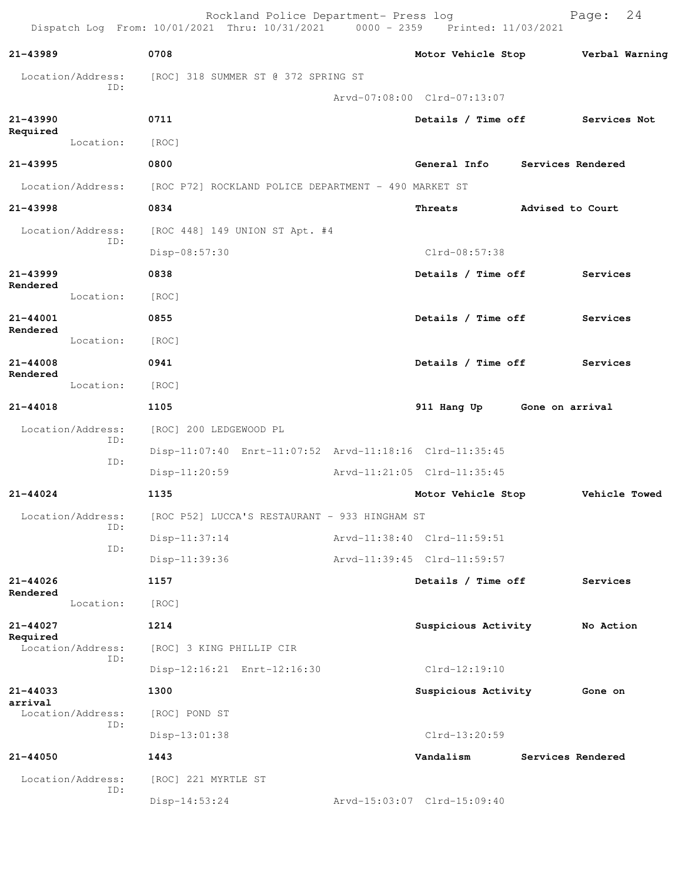|                     |                          | Dispatch Log From: 10/01/2021 Thru: 10/31/2021 0000 - 2359 Printed: 11/03/2021 | Rockland Police Department- Press log                |                                                         |                   | Page:     | 24             |
|---------------------|--------------------------|--------------------------------------------------------------------------------|------------------------------------------------------|---------------------------------------------------------|-------------------|-----------|----------------|
| 21-43989            |                          | 0708                                                                           |                                                      | Motor Vehicle Stop                                      |                   |           | Verbal Warning |
|                     | Location/Address:        |                                                                                | [ROC] 318 SUMMER ST @ 372 SPRING ST                  |                                                         |                   |           |                |
|                     | ID:                      |                                                                                |                                                      | Arvd-07:08:00 Clrd-07:13:07                             |                   |           |                |
| $21 - 43990$        |                          | 0711                                                                           |                                                      | Details / Time off Services Not                         |                   |           |                |
| Required            | Location:                | [ROC]                                                                          |                                                      |                                                         |                   |           |                |
| 21-43995            |                          | 0800                                                                           |                                                      | General Info                                            | Services Rendered |           |                |
|                     | Location/Address:        |                                                                                | [ROC P72] ROCKLAND POLICE DEPARTMENT - 490 MARKET ST |                                                         |                   |           |                |
| 21-43998            |                          | 0834                                                                           |                                                      | Threats                                                 | Advised to Court  |           |                |
|                     | Location/Address:        |                                                                                | [ROC 448] 149 UNION ST Apt. #4                       |                                                         |                   |           |                |
|                     | ID:                      | Disp-08:57:30                                                                  |                                                      | Clrd-08:57:38                                           |                   |           |                |
| $21 - 43999$        |                          | 0838                                                                           |                                                      | Details / Time off                                      |                   | Services  |                |
| Rendered            | Location:                | [ROC]                                                                          |                                                      |                                                         |                   |           |                |
| 21-44001            |                          | 0855                                                                           |                                                      | Details / Time off                                      |                   | Services  |                |
| Rendered            | Location:                | [ROC]                                                                          |                                                      |                                                         |                   |           |                |
| 21-44008            |                          | 0941                                                                           |                                                      | Details / Time off                                      |                   | Services  |                |
| Rendered            | Location:                | [ROC]                                                                          |                                                      |                                                         |                   |           |                |
| 21-44018            |                          | 1105                                                                           |                                                      | 911 Hang Up                                             | Gone on arrival   |           |                |
|                     | Location/Address:        | [ROC] 200 LEDGEWOOD PL                                                         |                                                      |                                                         |                   |           |                |
|                     | ID:                      |                                                                                |                                                      | Disp-11:07:40 Enrt-11:07:52 Arvd-11:18:16 Clrd-11:35:45 |                   |           |                |
|                     | ID:                      | Disp-11:20:59                                                                  |                                                      | Arvd-11:21:05 Clrd-11:35:45                             |                   |           |                |
| $21 - 44024$        |                          | 1135                                                                           |                                                      | Motor Vehicle Stop                                      |                   |           | Vehicle Towed  |
|                     | Location/Address:        |                                                                                | [ROC P52] LUCCA'S RESTAURANT - 933 HINGHAM ST        |                                                         |                   |           |                |
|                     | ID:                      | Disp-11:37:14                                                                  |                                                      | Arvd-11:38:40 Clrd-11:59:51                             |                   |           |                |
|                     | ID:                      | Disp-11:39:36                                                                  |                                                      | Arvd-11:39:45 Clrd-11:59:57                             |                   |           |                |
| 21-44026            |                          | 1157                                                                           |                                                      | Details / Time off                                      |                   | Services  |                |
| Rendered            | Location:                | [ROC]                                                                          |                                                      |                                                         |                   |           |                |
| 21-44027            |                          | 1214                                                                           |                                                      | Suspicious Activity                                     |                   | No Action |                |
| Required            | Location/Address:        | [ROC] 3 KING PHILLIP CIR                                                       |                                                      |                                                         |                   |           |                |
|                     | ID:                      |                                                                                | Disp-12:16:21 Enrt-12:16:30                          | $Clrd-12:19:10$                                         |                   |           |                |
| 21-44033<br>arrival |                          | 1300                                                                           |                                                      | Suspicious Activity                                     |                   | Gone on   |                |
|                     | Location/Address:        | [ROC] POND ST                                                                  |                                                      |                                                         |                   |           |                |
|                     | ID:                      | Disp-13:01:38                                                                  |                                                      | Clrd-13:20:59                                           |                   |           |                |
| 21-44050            |                          | 1443                                                                           |                                                      | Vandalism                                               | Services Rendered |           |                |
|                     | Location/Address:<br>ID: | [ROC] 221 MYRTLE ST                                                            |                                                      |                                                         |                   |           |                |
|                     |                          | $Disp-14:53:24$                                                                |                                                      | Arvd-15:03:07 Clrd-15:09:40                             |                   |           |                |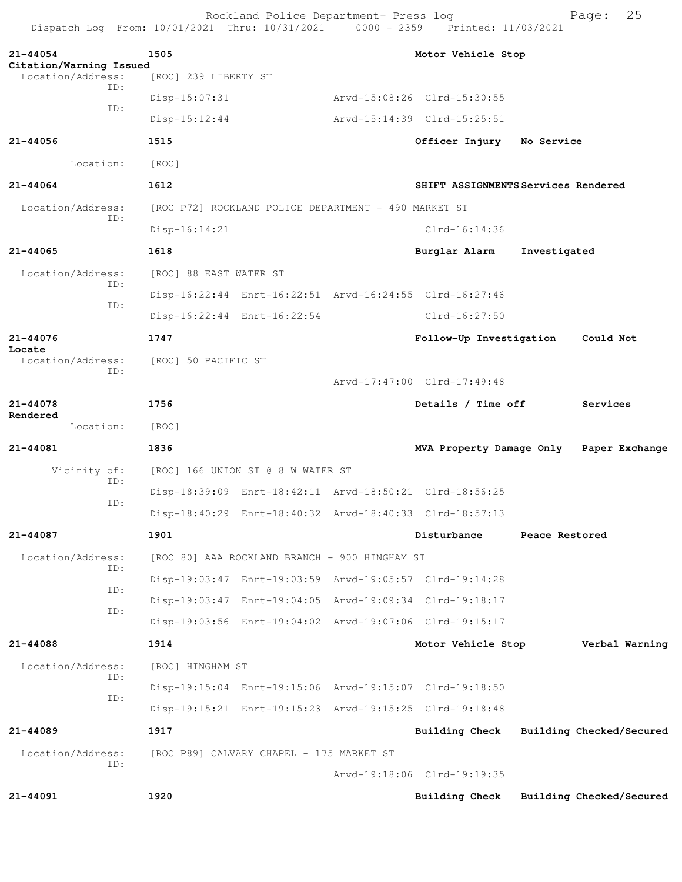Rockland Police Department- Press log entitled and Page: 25 Dispatch Log From: 10/01/2021 Thru: 10/31/2021 0000 - 2359 Printed: 11/03/2021

| $21 - 44054$<br>Citation/Warning Issued<br>Location/Address: | 1505<br>[ROC] 239 LIBERTY ST |                                                      | Motor Vehicle Stop                                      |                |                          |
|--------------------------------------------------------------|------------------------------|------------------------------------------------------|---------------------------------------------------------|----------------|--------------------------|
| TD:                                                          | $Disp-15:07:31$              |                                                      | Arvd-15:08:26 Clrd-15:30:55                             |                |                          |
| ID:                                                          | $Disp-15:12:44$              |                                                      | Arvd-15:14:39 Clrd-15:25:51                             |                |                          |
|                                                              |                              |                                                      |                                                         |                |                          |
| 21-44056                                                     | 1515                         |                                                      | Officer Injury                                          | No Service     |                          |
| Location:                                                    | [ROC]                        |                                                      |                                                         |                |                          |
| $21 - 44064$                                                 | 1612                         |                                                      | SHIFT ASSIGNMENTS Services Rendered                     |                |                          |
| Location/Address:<br>TD:                                     |                              | [ROC P72] ROCKLAND POLICE DEPARTMENT - 490 MARKET ST |                                                         |                |                          |
|                                                              | $Disp-16:14:21$              |                                                      | $Clrd-16:14:36$                                         |                |                          |
| 21-44065                                                     | 1618                         |                                                      | Burglar Alarm                                           | Investigated   |                          |
| Location/Address:<br>ID:                                     | [ROC] 88 EAST WATER ST       |                                                      |                                                         |                |                          |
| ID:                                                          |                              |                                                      | Disp-16:22:44 Enrt-16:22:51 Arvd-16:24:55 Clrd-16:27:46 |                |                          |
|                                                              |                              | Disp-16:22:44 Enrt-16:22:54                          | Clrd-16:27:50                                           |                |                          |
| 21-44076                                                     | 1747                         |                                                      | Follow-Up Investigation                                 |                | Could Not                |
| Locate<br>Location/Address:                                  | [ROC] 50 PACIFIC ST          |                                                      |                                                         |                |                          |
| ID:                                                          |                              |                                                      | Arvd-17:47:00 Clrd-17:49:48                             |                |                          |
| 21-44078                                                     | 1756                         |                                                      | Details / Time off                                      |                | Services                 |
| Rendered<br>Location:                                        | [ROC]                        |                                                      |                                                         |                |                          |
| 21-44081                                                     | 1836                         |                                                      | MVA Property Damage Only                                |                | Paper Exchange           |
| Vicinity of:                                                 |                              | [ROC] 166 UNION ST @ 8 W WATER ST                    |                                                         |                |                          |
| ID:                                                          |                              |                                                      | Disp-18:39:09 Enrt-18:42:11 Arvd-18:50:21 Clrd-18:56:25 |                |                          |
| ID:                                                          |                              |                                                      | Disp-18:40:29 Enrt-18:40:32 Arvd-18:40:33 Clrd-18:57:13 |                |                          |
| 21-44087                                                     | 1901                         |                                                      | Disturbance                                             | Peace Restored |                          |
| Location/Address:                                            |                              | [ROC 80] AAA ROCKLAND BRANCH - 900 HINGHAM ST        |                                                         |                |                          |
| ID:                                                          |                              |                                                      | Disp-19:03:47 Enrt-19:03:59 Arvd-19:05:57 Clrd-19:14:28 |                |                          |
| ID:                                                          |                              |                                                      | Disp-19:03:47 Enrt-19:04:05 Arvd-19:09:34 Clrd-19:18:17 |                |                          |
| ID:                                                          |                              |                                                      | Disp-19:03:56 Enrt-19:04:02 Arvd-19:07:06 Clrd-19:15:17 |                |                          |
| 21-44088                                                     | 1914                         |                                                      | Motor Vehicle Stop                                      |                | Verbal Warning           |
| Location/Address:                                            | [ROC] HINGHAM ST             |                                                      |                                                         |                |                          |
| ID:                                                          |                              |                                                      | Disp-19:15:04 Enrt-19:15:06 Arvd-19:15:07 Clrd-19:18:50 |                |                          |
| ID:                                                          |                              |                                                      | Disp-19:15:21 Enrt-19:15:23 Arvd-19:15:25 Clrd-19:18:48 |                |                          |
| 21-44089                                                     | 1917                         |                                                      | Building Check Building Checked/Secured                 |                |                          |
| Location/Address:                                            |                              | [ROC P89] CALVARY CHAPEL - 175 MARKET ST             |                                                         |                |                          |
| ID:                                                          |                              |                                                      | Arvd-19:18:06 Clrd-19:19:35                             |                |                          |
| $21 - 44091$                                                 | 1920                         |                                                      | <b>Building Check</b>                                   |                | Building Checked/Secured |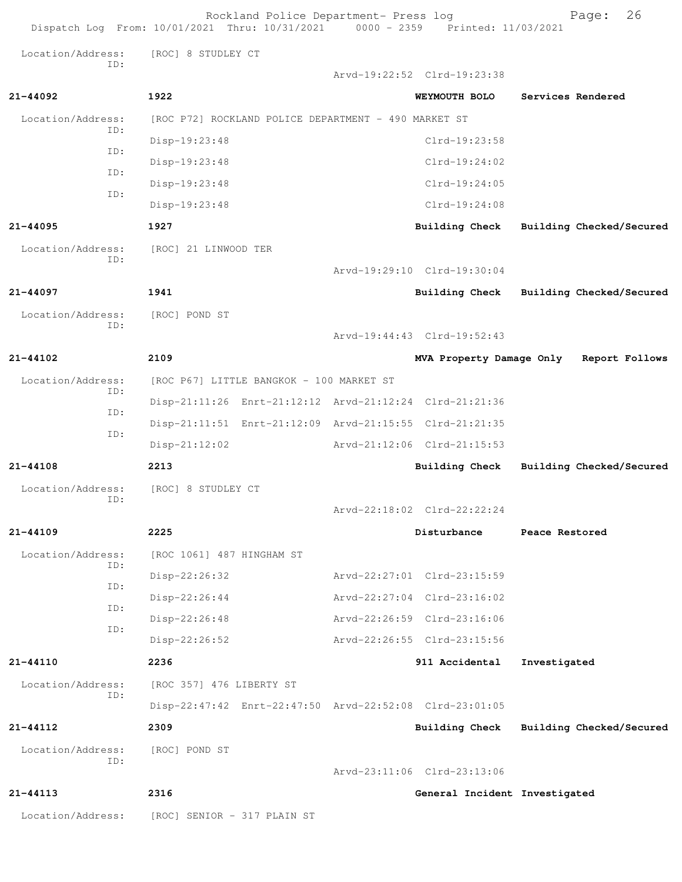| Dispatch Log From: 10/01/2021 Thru: 10/31/2021 0000 - 2359 Printed: 11/03/2021 |                             | Rockland Police Department- Press log                |                                                         | 26<br>Page:                             |
|--------------------------------------------------------------------------------|-----------------------------|------------------------------------------------------|---------------------------------------------------------|-----------------------------------------|
| Location/Address:                                                              | [ROC] 8 STUDLEY CT          |                                                      |                                                         |                                         |
| ID:                                                                            |                             |                                                      | Arvd-19:22:52 Clrd-19:23:38                             |                                         |
| $21 - 44092$                                                                   | 1922                        |                                                      | WEYMOUTH BOLO                                           | Services Rendered                       |
| Location/Address:                                                              |                             | [ROC P72] ROCKLAND POLICE DEPARTMENT - 490 MARKET ST |                                                         |                                         |
| ID:                                                                            | Disp-19:23:48               |                                                      | Clrd-19:23:58                                           |                                         |
| ID:                                                                            | Disp-19:23:48               |                                                      | $Clrd-19:24:02$                                         |                                         |
| ID:                                                                            | Disp-19:23:48               |                                                      | $Clrd-19:24:05$                                         |                                         |
| ID:                                                                            | Disp-19:23:48               |                                                      | $Clrd-19:24:08$                                         |                                         |
| $21 - 44095$                                                                   | 1927                        |                                                      | Building Check                                          | Building Checked/Secured                |
| Location/Address:<br>ID:                                                       | [ROC] 21 LINWOOD TER        |                                                      |                                                         |                                         |
|                                                                                |                             |                                                      | Arvd-19:29:10 Clrd-19:30:04                             |                                         |
| 21-44097                                                                       | 1941                        |                                                      | <b>Building Check</b>                                   | Building Checked/Secured                |
| Location/Address:                                                              | [ROC] POND ST               |                                                      |                                                         |                                         |
| ID:                                                                            |                             |                                                      | Arvd-19:44:43 Clrd-19:52:43                             |                                         |
| $21 - 44102$                                                                   | 2109                        |                                                      |                                                         | MVA Property Damage Only Report Follows |
| Location/Address:                                                              |                             | [ROC P67] LITTLE BANGKOK - 100 MARKET ST             |                                                         |                                         |
| ID:                                                                            |                             |                                                      | Disp-21:11:26 Enrt-21:12:12 Arvd-21:12:24 Clrd-21:21:36 |                                         |
| ID:                                                                            |                             |                                                      | Disp-21:11:51 Enrt-21:12:09 Arvd-21:15:55 Clrd-21:21:35 |                                         |
| ID:                                                                            | $Disp-21:12:02$             |                                                      | Arvd-21:12:06 Clrd-21:15:53                             |                                         |
| $21 - 44108$                                                                   | 2213                        |                                                      | Building Check                                          | Building Checked/Secured                |
| Location/Address:<br>ID:                                                       | [ROC] 8 STUDLEY CT          |                                                      |                                                         |                                         |
|                                                                                |                             |                                                      | Arvd-22:18:02 Clrd-22:22:24                             |                                         |
| 21-44109                                                                       | 2225                        |                                                      | Disturbance                                             | Peace Restored                          |
| Location/Address:                                                              | [ROC 1061] 487 HINGHAM ST   |                                                      |                                                         |                                         |
| ID:                                                                            | Disp-22:26:32               |                                                      | Arvd-22:27:01 Clrd-23:15:59                             |                                         |
| ID:<br>ID:                                                                     | Disp-22:26:44               |                                                      | Arvd-22:27:04 Clrd-23:16:02                             |                                         |
| ID:                                                                            | $Disp-22:26:48$             |                                                      | Arvd-22:26:59 Clrd-23:16:06                             |                                         |
|                                                                                | Disp-22:26:52               |                                                      | Arvd-22:26:55 Clrd-23:15:56                             |                                         |
| $21 - 44110$                                                                   | 2236                        |                                                      | 911 Accidental                                          | Investigated                            |
| Location/Address:<br>ID:                                                       | [ROC 357] 476 LIBERTY ST    |                                                      |                                                         |                                         |
|                                                                                |                             |                                                      | Disp-22:47:42 Enrt-22:47:50 Arvd-22:52:08 Clrd-23:01:05 |                                         |
| $21 - 44112$                                                                   | 2309                        |                                                      | Building Check                                          | Building Checked/Secured                |
| Location/Address:                                                              | [ROC] POND ST               |                                                      |                                                         |                                         |
| ID:                                                                            |                             |                                                      | Arvd-23:11:06 Clrd-23:13:06                             |                                         |
| 21-44113                                                                       | 2316                        |                                                      | General Incident Investigated                           |                                         |
| Location/Address:                                                              | [ROC] SENIOR - 317 PLAIN ST |                                                      |                                                         |                                         |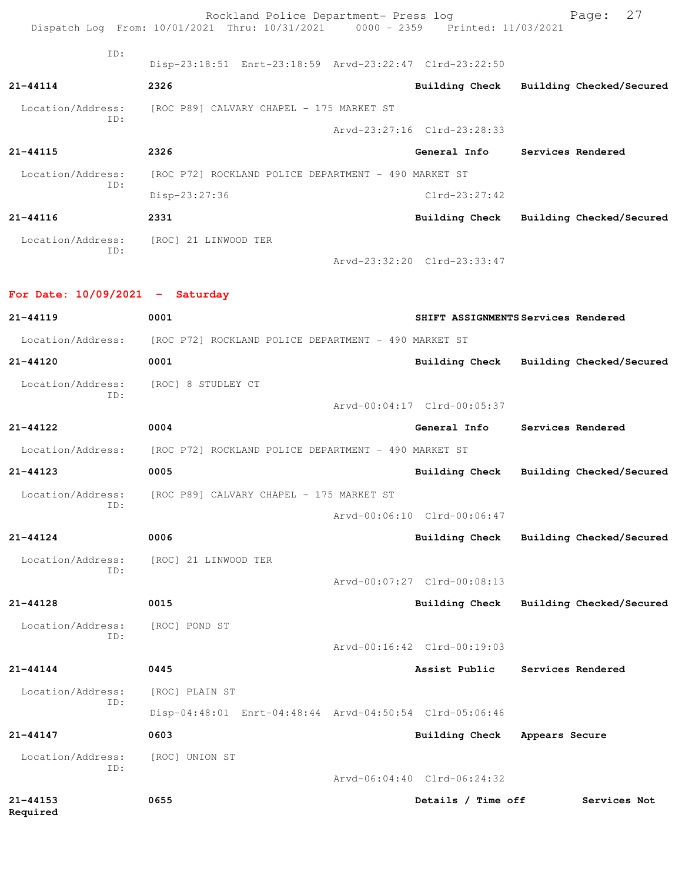|                                   | Rockland Police Department- Press log<br>Dispatch Log From: 10/01/2021 Thru: 10/31/2021 0000 - 2359 Printed: 11/03/2021 |                                         |                | 27<br>Page:              |
|-----------------------------------|-------------------------------------------------------------------------------------------------------------------------|-----------------------------------------|----------------|--------------------------|
| ID:                               |                                                                                                                         |                                         |                |                          |
|                                   | Disp-23:18:51 Enrt-23:18:59 Arvd-23:22:47 Clrd-23:22:50                                                                 |                                         |                |                          |
| 21-44114                          | 2326                                                                                                                    | Building Check Building Checked/Secured |                |                          |
| ID:                               | Location/Address: [ROC P89] CALVARY CHAPEL - 175 MARKET ST                                                              |                                         |                |                          |
|                                   |                                                                                                                         | Arvd-23:27:16 Clrd-23:28:33             |                |                          |
| $21 - 44115$                      | 2326                                                                                                                    | General Info                            |                | Services Rendered        |
| Location/Address:<br>ID:          | [ROC P72] ROCKLAND POLICE DEPARTMENT - 490 MARKET ST                                                                    |                                         |                |                          |
|                                   | Disp-23:27:36                                                                                                           | $Clrd-23:27:42$                         |                |                          |
| 21-44116                          | 2331                                                                                                                    | Building Check Building Checked/Secured |                |                          |
| ID:                               | Location/Address: [ROC] 21 LINWOOD TER                                                                                  |                                         |                |                          |
|                                   |                                                                                                                         | Arvd-23:32:20 Clrd-23:33:47             |                |                          |
| For Date: $10/09/2021$ - Saturday |                                                                                                                         |                                         |                |                          |
| $21 - 44119$                      | 0001                                                                                                                    | SHIFT ASSIGNMENTS Services Rendered     |                |                          |
| Location/Address:                 | [ROC P72] ROCKLAND POLICE DEPARTMENT - 490 MARKET ST                                                                    |                                         |                |                          |
| 21-44120                          | 0001                                                                                                                    | Building Check Building Checked/Secured |                |                          |
| Location/Address:                 | [ROC] 8 STUDLEY CT                                                                                                      |                                         |                |                          |
| ID:                               |                                                                                                                         | Arvd-00:04:17 Clrd-00:05:37             |                |                          |
| 21-44122                          | 0004                                                                                                                    | General Info                            |                | Services Rendered        |
| Location/Address:                 | [ROC P72] ROCKLAND POLICE DEPARTMENT - 490 MARKET ST                                                                    |                                         |                |                          |
| $21 - 44123$                      | 0005                                                                                                                    | <b>Building Check</b>                   |                | Building Checked/Secured |
| Location/Address:                 | [ROC P89] CALVARY CHAPEL - 175 MARKET ST                                                                                |                                         |                |                          |
| ID:                               |                                                                                                                         | Arvd-00:06:10 Clrd-00:06:47             |                |                          |
| $21 - 44124$                      | 0006                                                                                                                    | <b>Building Check</b>                   |                | Building Checked/Secured |
| Location/Address:                 | [ROC] 21 LINWOOD TER                                                                                                    |                                         |                |                          |
| ID:                               |                                                                                                                         | Arvd-00:07:27 Clrd-00:08:13             |                |                          |
| 21-44128                          | 0015                                                                                                                    | <b>Building Check</b>                   |                | Building Checked/Secured |
| Location/Address:                 | [ROC] POND ST                                                                                                           |                                         |                |                          |
| ID:                               |                                                                                                                         | Arvd-00:16:42 Clrd-00:19:03             |                |                          |
| 21-44144                          | 0445                                                                                                                    | Assist Public                           |                | Services Rendered        |
| Location/Address:                 | [ROC] PLAIN ST                                                                                                          |                                         |                |                          |
| ID:                               | Disp-04:48:01 Enrt-04:48:44 Arvd-04:50:54 Clrd-05:06:46                                                                 |                                         |                |                          |
| 21-44147                          | 0603                                                                                                                    | Building Check                          | Appears Secure |                          |
| Location/Address:                 | [ROC] UNION ST                                                                                                          |                                         |                |                          |
| ID:                               |                                                                                                                         | Arvd-06:04:40 Clrd-06:24:32             |                |                          |
| $21 - 44153$<br>Required          | 0655                                                                                                                    | Details / Time off                      |                | Services Not             |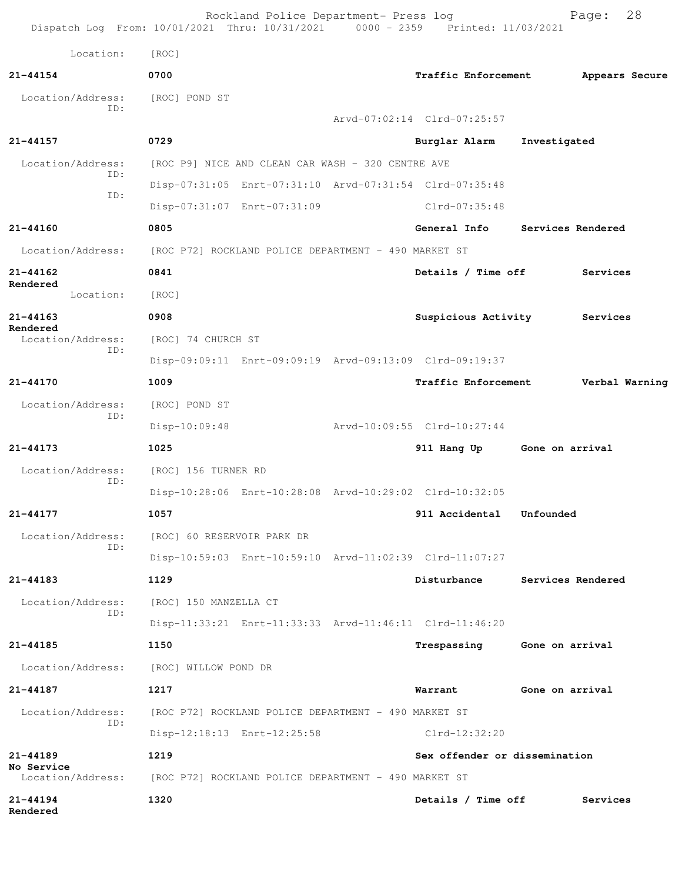|                                 | Rockland Police Department- Press log<br>Dispatch Log From: 10/01/2021 Thru: 10/31/2021 0000 - 2359 Printed: 11/03/2021 |                               | 28<br>Page:                  |
|---------------------------------|-------------------------------------------------------------------------------------------------------------------------|-------------------------------|------------------------------|
| Location:                       | [ROC]                                                                                                                   |                               |                              |
| $21 - 44154$                    | 0700                                                                                                                    | Traffic Enforcement           | Appears Secure               |
| Location/Address:               | [ROC] POND ST                                                                                                           |                               |                              |
| ID:                             |                                                                                                                         | Arvd-07:02:14 Clrd-07:25:57   |                              |
| $21 - 44157$                    | 0729                                                                                                                    | Burglar Alarm                 | Investigated                 |
| Location/Address:               | [ROC P9] NICE AND CLEAN CAR WASH - 320 CENTRE AVE                                                                       |                               |                              |
| ID:                             | Disp-07:31:05 Enrt-07:31:10 Arvd-07:31:54 Clrd-07:35:48                                                                 |                               |                              |
| ID:                             | Disp-07:31:07 Enrt-07:31:09                                                                                             | Clrd-07:35:48                 |                              |
| $21 - 44160$                    | 0805                                                                                                                    | General Info                  | Services Rendered            |
| Location/Address:               | [ROC P72] ROCKLAND POLICE DEPARTMENT - 490 MARKET ST                                                                    |                               |                              |
| 21-44162                        | 0841                                                                                                                    | Details / Time off            | Services                     |
| Rendered<br>Location:           | [ROC]                                                                                                                   |                               |                              |
| 21-44163                        | 0908                                                                                                                    |                               | Suspicious Activity Services |
| Rendered<br>Location/Address:   | [ROC] 74 CHURCH ST                                                                                                      |                               |                              |
| ID:                             | Disp-09:09:11 Enrt-09:09:19 Arvd-09:13:09 Clrd-09:19:37                                                                 |                               |                              |
| $21 - 44170$                    | 1009                                                                                                                    | <b>Traffic Enforcement</b>    | Verbal Warning               |
| Location/Address:               | [ROC] POND ST                                                                                                           |                               |                              |
| ID:                             | $Disp-10:09:48$                                                                                                         | Arvd-10:09:55 Clrd-10:27:44   |                              |
| $21 - 44173$                    | 1025                                                                                                                    | 911 Hang Up                   | Gone on arrival              |
| Location/Address:               | [ROC] 156 TURNER RD                                                                                                     |                               |                              |
| ID:                             | Disp-10:28:06 Enrt-10:28:08 Arvd-10:29:02 Clrd-10:32:05                                                                 |                               |                              |
| $21 - 44177$                    | 1057                                                                                                                    | 911 Accidental                | Unfounded                    |
| Location/Address:               | [ROC] 60 RESERVOIR PARK DR                                                                                              |                               |                              |
| ID:                             | Disp-10:59:03 Enrt-10:59:10 Arvd-11:02:39 Clrd-11:07:27                                                                 |                               |                              |
| 21-44183                        | 1129                                                                                                                    | Disturbance                   | Services Rendered            |
| Location/Address:               | [ROC] 150 MANZELLA CT                                                                                                   |                               |                              |
| ID:                             | Disp-11:33:21 Enrt-11:33:33 Arvd-11:46:11 Clrd-11:46:20                                                                 |                               |                              |
| 21-44185                        | 1150                                                                                                                    |                               | Trespassing Gone on arrival  |
| Location/Address:               | [ROC] WILLOW POND DR                                                                                                    |                               |                              |
| 21-44187                        | 1217                                                                                                                    | Warrant                       | Gone on arrival              |
| Location/Address:               | [ROC P72] ROCKLAND POLICE DEPARTMENT - 490 MARKET ST                                                                    |                               |                              |
| ID:                             | Disp-12:18:13 Enrt-12:25:58                                                                                             | Clrd-12:32:20                 |                              |
| 21-44189                        | 1219                                                                                                                    | Sex offender or dissemination |                              |
| No Service<br>Location/Address: | [ROC P72] ROCKLAND POLICE DEPARTMENT - 490 MARKET ST                                                                    |                               |                              |
| $21 - 44194$<br>Rendered        | 1320                                                                                                                    | Details / Time off            | Services                     |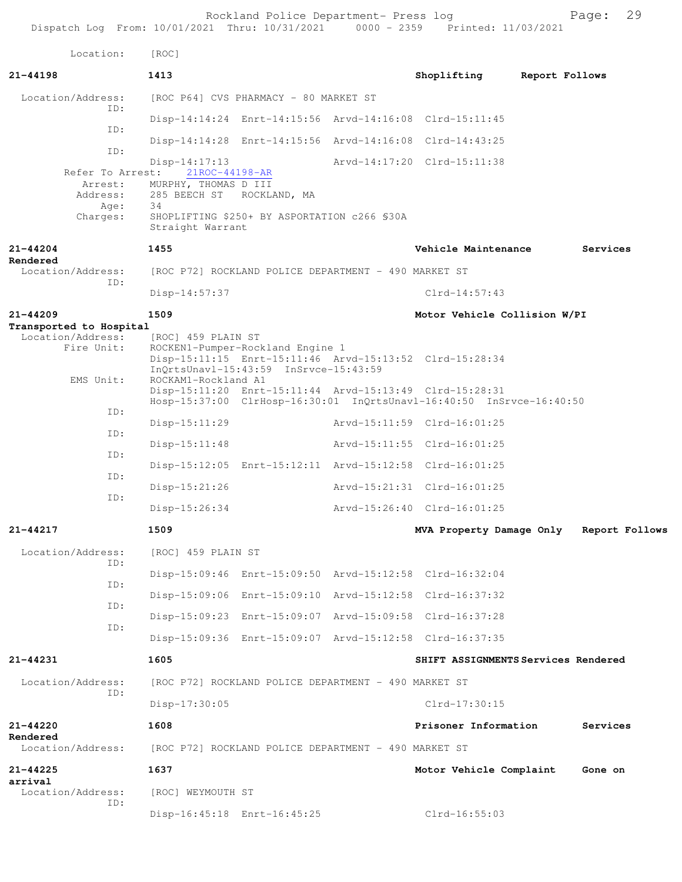Rockland Police Department- Press log Page: 29<br>21 Thru: 10/31/2021 0000 - 2359 Printed: 11/03/2021 Dispatch Log From: 10/01/2021 Thru: 10/31/2021 Location: [ROC] **21-44198 1413 Shoplifting Report Follows** Location/Address: [ROC P64] CVS PHARMACY - 80 MARKET ST ID: Disp-14:14:24 Enrt-14:15:56 Arvd-14:16:08 Clrd-15:11:45 ID: Disp-14:14:28 Enrt-14:15:56 Arvd-14:16:08 Clrd-14:43:25 ID: Disp-14:17:13 Arvd-14:17:20 Clrd-15:11:38 Refer To Arrest: Arrest: MURPHY, THOMAS D III Address: 285 BEECH ST ROCKLAND, MA Age: 34 Charges: SHOPLIFTING \$250+ BY ASPORTATION c266 §30A Straight Warrant **21-44204 1455 Vehicle Maintenance Services Rendered**  Location/Address: [ROC P72] ROCKLAND POLICE DEPARTMENT - 490 MARKET ST ID: Disp-14:57:37 Clrd-14:57:43 **21-44209 1509 Motor Vehicle Collision W/PI Transported to Hospital**  Location/Address: [ROC] 459 PLAIN ST<br>Fire Unit: ROCKEN1-Pumper-Roc ROCKEN1-Pumper-Rockland Engine 1 Disp-15:11:15 Enrt-15:11:46 Arvd-15:13:52 Clrd-15:28:34 InQrtsUnavl-15:43:59 InSrvce-15:43:59<br>EMS Unit: ROCKAM1-Rockland A1 ROCKAM1-Rockland A1 Disp-15:11:20 Enrt-15:11:44 Arvd-15:13:49 Clrd-15:28:31 Hosp-15:37:00 ClrHosp-16:30:01 InQrtsUnavl-16:40:50 InSrvce-16:40:50 ID: Disp-15:11:29 Arvd-15:11:59 Clrd-16:01:25 ID: Disp-15:11:48 Arvd-15:11:55 Clrd-16:01:25 ID: Disp-15:12:05 Enrt-15:12:11 Arvd-15:12:58 Clrd-16:01:25 ID: Disp-15:21:26 Arvd-15:21:31 Clrd-16:01:25 ID: Disp-15:26:34 Arvd-15:26:40 Clrd-16:01:25 **21-44217 1509 MVA Property Damage Only Report Follows** Location/Address: [ROC] 459 PLAIN ST ID: Disp-15:09:46 Enrt-15:09:50 Arvd-15:12:58 Clrd-16:32:04 ID: Disp-15:09:06 Enrt-15:09:10 Arvd-15:12:58 Clrd-16:37:32 ID: Disp-15:09:23 Enrt-15:09:07 Arvd-15:09:58 Clrd-16:37:28 ID: Disp-15:09:36 Enrt-15:09:07 Arvd-15:12:58 Clrd-16:37:35 **21-44231 1605 SHIFT ASSIGNMENTS Services Rendered** Location/Address: [ROC P72] ROCKLAND POLICE DEPARTMENT - 490 MARKET ST ID: Disp-17:30:05 Clrd-17:30:15 **21-44220 1608 Prisoner Information Services Rendered**<br>Location/Address: [ROC P72] ROCKLAND POLICE DEPARTMENT - 490 MARKET ST **21-44225 1637 Motor Vehicle Complaint Gone on arrival**  Location/Address: [ROC] WEYMOUTH ST ID: Disp-16:45:18 Enrt-16:45:25 Clrd-16:55:03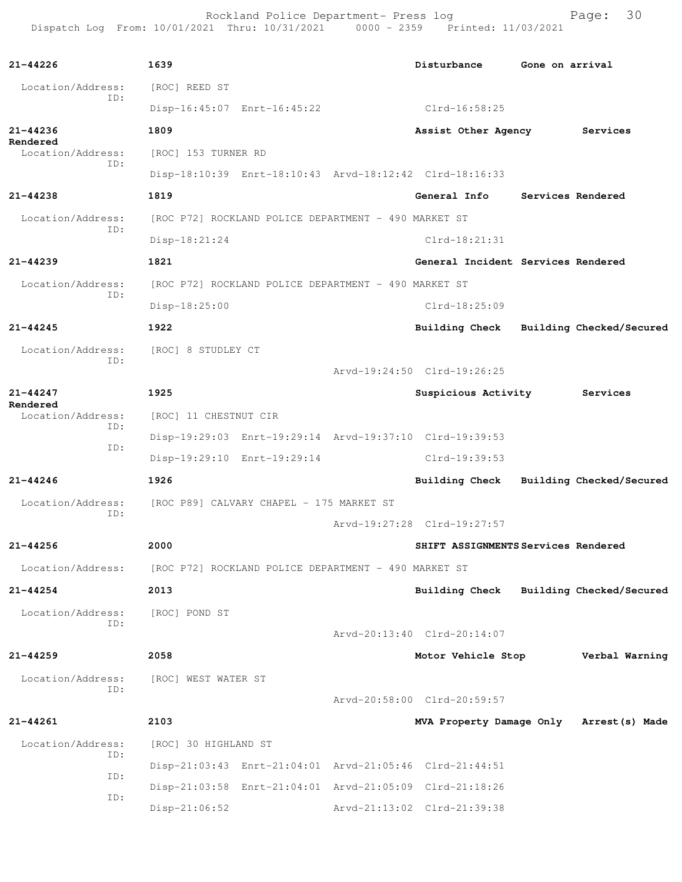Rockland Police Department- Press log entitled and Page: 30 Dispatch Log From: 10/01/2021 Thru: 10/31/2021 0000 - 2359 Printed: 11/03/2021

| $21 - 44226$                         | 1639                                                    | Disturbance                              | Gone on arrival   |                          |
|--------------------------------------|---------------------------------------------------------|------------------------------------------|-------------------|--------------------------|
| Location/Address:                    | [ROC] REED ST                                           |                                          |                   |                          |
| ID:                                  | Disp-16:45:07 Enrt-16:45:22                             | Clrd-16:58:25                            |                   |                          |
| 21-44236                             | 1809                                                    | Assist Other Agency Services             |                   |                          |
| Rendered<br>Location/Address:        | [ROC] 153 TURNER RD                                     |                                          |                   |                          |
| ID:                                  | Disp-18:10:39 Enrt-18:10:43 Arvd-18:12:42 Clrd-18:16:33 |                                          |                   |                          |
| $21 - 44238$                         | 1819                                                    | General Info                             | Services Rendered |                          |
| Location/Address:                    | [ROC P72] ROCKLAND POLICE DEPARTMENT - 490 MARKET ST    |                                          |                   |                          |
| ID:                                  | Disp-18:21:24                                           | $Clrd-18:21:31$                          |                   |                          |
| $21 - 44239$                         | 1821                                                    | General Incident Services Rendered       |                   |                          |
| Location/Address:                    | [ROC P72] ROCKLAND POLICE DEPARTMENT - 490 MARKET ST    |                                          |                   |                          |
| ID:                                  | Disp-18:25:00                                           | $Clrd-18:25:09$                          |                   |                          |
| $21 - 44245$                         | 1922                                                    | Building Check Building Checked/Secured  |                   |                          |
| Location/Address:                    | [ROC] 8 STUDLEY CT                                      |                                          |                   |                          |
| ID:                                  |                                                         | Arvd-19:24:50 Clrd-19:26:25              |                   |                          |
| $21 - 44247$                         | 1925                                                    | Suspicious Activity Services             |                   |                          |
| Rendered<br>Location/Address:<br>ID: | [ROC] 11 CHESTNUT CIR                                   |                                          |                   |                          |
|                                      | Disp-19:29:03 Enrt-19:29:14 Arvd-19:37:10 Clrd-19:39:53 |                                          |                   |                          |
| ID:                                  | Disp-19:29:10 Enrt-19:29:14                             | Clrd-19:39:53                            |                   |                          |
| $21 - 44246$                         | 1926                                                    | Building Check Building Checked/Secured  |                   |                          |
| Location/Address:                    | [ROC P89] CALVARY CHAPEL - 175 MARKET ST                |                                          |                   |                          |
| ID:                                  |                                                         | Arvd-19:27:28 Clrd-19:27:57              |                   |                          |
| 21-44256                             | 2000                                                    | SHIFT ASSIGNMENTS Services Rendered      |                   |                          |
| Location/Address:                    | [ROC P72] ROCKLAND POLICE DEPARTMENT - 490 MARKET ST    |                                          |                   |                          |
| 21-44254                             | 2013                                                    | Building Check                           |                   | Building Checked/Secured |
| Location/Address:                    | [ROC] POND ST                                           |                                          |                   |                          |
| ID:                                  |                                                         | Arvd-20:13:40 Clrd-20:14:07              |                   |                          |
| $21 - 44259$                         | 2058                                                    | Motor Vehicle Stop Verbal Warning        |                   |                          |
| Location/Address:                    | [ROC] WEST WATER ST                                     |                                          |                   |                          |
| ID:                                  |                                                         | Arvd-20:58:00 Clrd-20:59:57              |                   |                          |
| $21 - 44261$                         | 2103                                                    | MVA Property Damage Only Arrest (s) Made |                   |                          |
| Location/Address:                    | [ROC] 30 HIGHLAND ST                                    |                                          |                   |                          |
| ID:                                  | Disp-21:03:43 Enrt-21:04:01 Arvd-21:05:46 Clrd-21:44:51 |                                          |                   |                          |
| ID:                                  | Disp-21:03:58 Enrt-21:04:01 Arvd-21:05:09 Clrd-21:18:26 |                                          |                   |                          |
| ID:                                  | $Disp-21:06:52$                                         | Arvd-21:13:02 Clrd-21:39:38              |                   |                          |
|                                      |                                                         |                                          |                   |                          |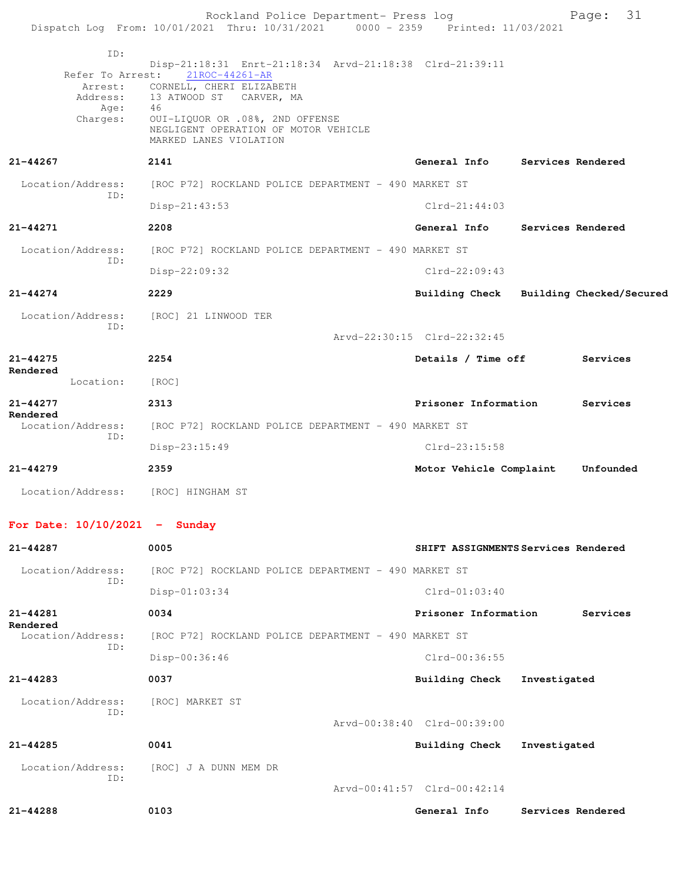|                                    | Rockland Police Department- Press log<br>Dispatch Log From: 10/01/2021 Thru: 10/31/2021 0000 - 2359 Printed: 11/03/2021                                                                                                                                                 |                                     |              | Page: 31                                |
|------------------------------------|-------------------------------------------------------------------------------------------------------------------------------------------------------------------------------------------------------------------------------------------------------------------------|-------------------------------------|--------------|-----------------------------------------|
| ID:                                |                                                                                                                                                                                                                                                                         |                                     |              |                                         |
| Age: 46<br>Charges:                | Disp-21:18:31 Enrt-21:18:34 Arvd-21:18:38 Clrd-21:39:11<br>Refer To Arrest: 21ROC-44261-AR<br>Arrest: CORNELL, CHERI ELIZABETH<br>Address: 13 ATWOOD ST CARVER, MA<br>OUI-LIQUOR OR .08%, 2ND OFFENSE<br>NEGLIGENT OPERATION OF MOTOR VEHICLE<br>MARKED LANES VIOLATION |                                     |              |                                         |
| 21-44267                           | 2141                                                                                                                                                                                                                                                                    | General Info Services Rendered      |              |                                         |
| Location/Address:<br>TD:           | [ROC P72] ROCKLAND POLICE DEPARTMENT - 490 MARKET ST<br>$Disp-21:43:53$                                                                                                                                                                                                 | $Clrd-21:44:03$                     |              |                                         |
| 21-44271                           | 2208                                                                                                                                                                                                                                                                    | General Info                        |              | Services Rendered                       |
| Location/Address:                  | [ROC P72] ROCKLAND POLICE DEPARTMENT - 490 MARKET ST                                                                                                                                                                                                                    |                                     |              |                                         |
| ID:                                | Disp-22:09:32                                                                                                                                                                                                                                                           | $C1rd-22:09:43$                     |              |                                         |
| $21 - 44274$                       | 2229                                                                                                                                                                                                                                                                    |                                     |              | Building Check Building Checked/Secured |
|                                    |                                                                                                                                                                                                                                                                         |                                     |              |                                         |
| ID:                                | Location/Address: [ROC] 21 LINWOOD TER                                                                                                                                                                                                                                  | Arvd-22:30:15 Clrd-22:32:45         |              |                                         |
| 21-44275                           | 2254                                                                                                                                                                                                                                                                    | Details / Time off Services         |              |                                         |
| Rendered<br>Location:              | [ROC]                                                                                                                                                                                                                                                                   |                                     |              |                                         |
| 21-44277                           | 2313                                                                                                                                                                                                                                                                    | Prisoner Information                |              | Services                                |
| Rendered<br>Location/Address:      | [ROC P72] ROCKLAND POLICE DEPARTMENT - 490 MARKET ST                                                                                                                                                                                                                    |                                     |              |                                         |
| ID:                                | Disp-23:15:49                                                                                                                                                                                                                                                           | $Clrd-23:15:58$                     |              |                                         |
| $21 - 44279$                       | 2359                                                                                                                                                                                                                                                                    | Motor Vehicle Complaint             |              | Unfounded                               |
| Location/Address: [ROC] HINGHAM ST |                                                                                                                                                                                                                                                                         |                                     |              |                                         |
| For Date: $10/10/2021$ - Sunday    |                                                                                                                                                                                                                                                                         |                                     |              |                                         |
| $21 - 44287$                       | 0005                                                                                                                                                                                                                                                                    | SHIFT ASSIGNMENTS Services Rendered |              |                                         |
| Location/Address:                  | [ROC P72] ROCKLAND POLICE DEPARTMENT - 490 MARKET ST                                                                                                                                                                                                                    |                                     |              |                                         |
| ID:                                | $Disp-01:03:34$                                                                                                                                                                                                                                                         | $Clrd-01:03:40$                     |              |                                         |
| 21-44281                           | 0034                                                                                                                                                                                                                                                                    | Prisoner Information                |              | Services                                |
| Rendered<br>Location/Address:      | [ROC P72] ROCKLAND POLICE DEPARTMENT - 490 MARKET ST                                                                                                                                                                                                                    |                                     |              |                                         |
| ID:                                | Disp-00:36:46                                                                                                                                                                                                                                                           | $Clrd-00:36:55$                     |              |                                         |
| $21 - 44283$                       | 0037                                                                                                                                                                                                                                                                    | <b>Building Check</b>               | Investigated |                                         |
| Location/Address:                  | [ROC] MARKET ST                                                                                                                                                                                                                                                         |                                     |              |                                         |
| ID:                                |                                                                                                                                                                                                                                                                         | Arvd-00:38:40 Clrd-00:39:00         |              |                                         |
| $21 - 44285$                       | 0041                                                                                                                                                                                                                                                                    | <b>Building Check</b>               | Investigated |                                         |
| Location/Address:                  | [ROC] J A DUNN MEM DR                                                                                                                                                                                                                                                   |                                     |              |                                         |
| ID:                                |                                                                                                                                                                                                                                                                         | Arvd-00:41:57 Clrd-00:42:14         |              |                                         |

**21-44288 0103 General Info Services Rendered**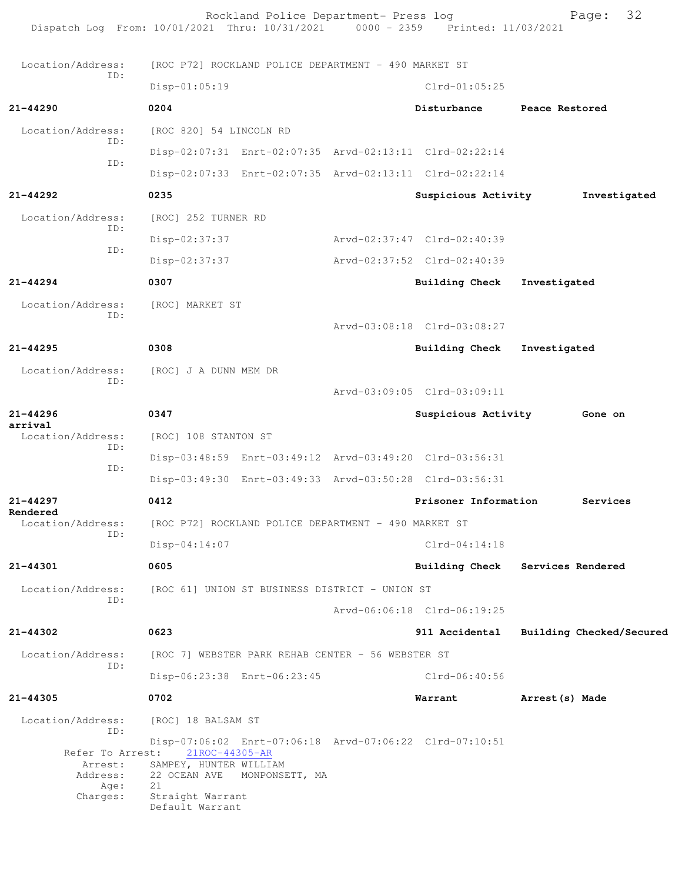Rockland Police Department- Press log Fage: 32 Dispatch Log From: 10/01/2021 Thru: 10/31/2021 0000 - 2359 Printed: 11/03/2021 Location/Address: [ROC P72] ROCKLAND POLICE DEPARTMENT - 490 MARKET ST ID: Disp-01:05:19 Clrd-01:05:25 **21-44290 0204 Disturbance Peace Restored** Location/Address: [ROC 820] 54 LINCOLN RD ID: Disp-02:07:31 Enrt-02:07:35 Arvd-02:13:11 Clrd-02:22:14 ID: Disp-02:07:33 Enrt-02:07:35 Arvd-02:13:11 Clrd-02:22:14 **21-44292 0235 Suspicious Activity Investigated** Location/Address: [ROC] 252 TURNER RD ID: Disp-02:37:37 Arvd-02:37:47 Clrd-02:40:39 ID: Disp-02:37:37 Arvd-02:37:52 Clrd-02:40:39 **21-44294 0307 Building Check Investigated** Location/Address: [ROC] MARKET ST ID: Arvd-03:08:18 Clrd-03:08:27 **21-44295 0308 Building Check Investigated** Location/Address: [ROC] J A DUNN MEM DR ID: Arvd-03:09:05 Clrd-03:09:11 **21-44296 0347 Suspicious Activity Gone on arrival**  Location/Address: [ROC] 108 STANTON ST ID: Disp-03:48:59 Enrt-03:49:12 Arvd-03:49:20 Clrd-03:56:31 ID: Disp-03:49:30 Enrt-03:49:33 Arvd-03:50:28 Clrd-03:56:31 **21-44297 0412 Prisoner Information Services Rendered**  Location/Address: [ROC P72] ROCKLAND POLICE DEPARTMENT - 490 MARKET ST ID: Disp-04:14:07 Clrd-04:14:18 **21-44301 0605 Building Check Services Rendered** Location/Address: [ROC 61] UNION ST BUSINESS DISTRICT - UNION ST ID: Arvd-06:06:18 Clrd-06:19:25 **21-44302 0623 911 Accidental Building Checked/Secured** Location/Address: [ROC 7] WEBSTER PARK REHAB CENTER - 56 WEBSTER ST ID: Disp-06:23:38 Enrt-06:23:45 Clrd-06:40:56 **21-44305 0702 Warrant Arrest(s) Made** Location/Address: [ROC] 18 BALSAM ST ID: Disp-07:06:02 Enrt-07:06:18 Arvd-07:06:22 Clrd-07:10:51<br>it: <u>21ROC-44305-AR</u> Refer To Arrest: Arrest: SAMPEY, HUNTER WILLIAM Address: 22 OCEAN AVE MONPONSETT, MA<br>Age: 21 Age: Charges: Straight Warrant Default Warrant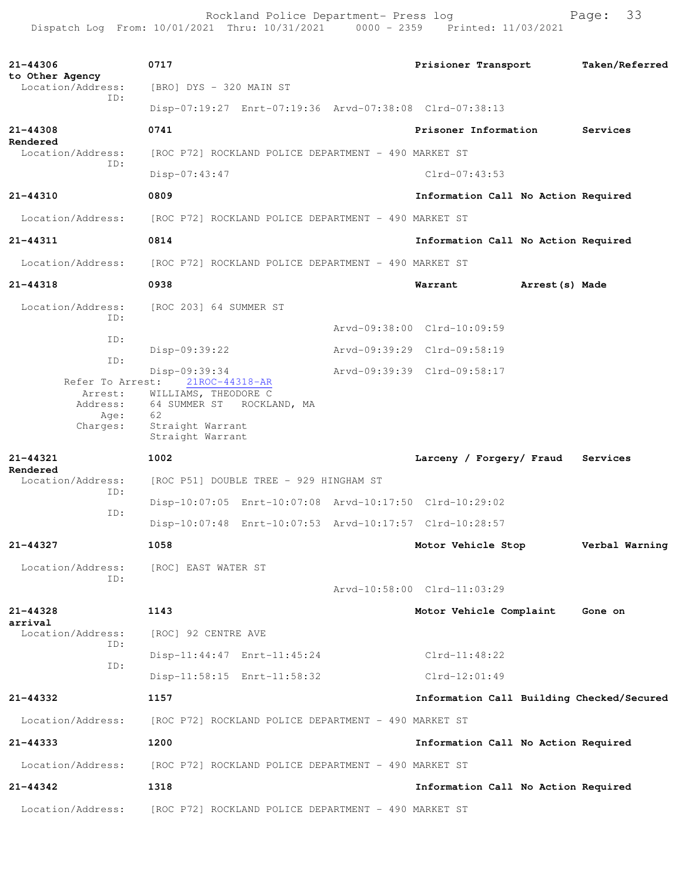Rockland Police Department- Press log Fage: 33 Dispatch Log From: 10/01/2021 Thru: 10/31/2021 0000 - 2359 Printed: 11/03/2021

**21-44306 0717 Prisioner Transport Taken/Referred to Other Agency**  Location/Address: [BRO] DYS - 320 MAIN ST ID: Disp-07:19:27 Enrt-07:19:36 Arvd-07:38:08 Clrd-07:38:13 **21-44308 0741 Prisoner Information Services Rendered**  Location/Address: [ROC P72] ROCKLAND POLICE DEPARTMENT - 490 MARKET ST ID: Disp-07:43:47 Clrd-07:43:53 **21-44310 0809 Information Call No Action Required** Location/Address: [ROC P72] ROCKLAND POLICE DEPARTMENT - 490 MARKET ST **21-44311 0814 Information Call No Action Required** Location/Address: [ROC P72] ROCKLAND POLICE DEPARTMENT - 490 MARKET ST **21-44318 0938 Warrant Arrest(s) Made** Location/Address: [ROC 203] 64 SUMMER ST ID: Arvd-09:38:00 Clrd-10:09:59 ID: Disp-09:39:22 Arvd-09:39:29 Clrd-09:58:19 ID: Disp-09:39:34 Arvd-09:39:39 Clrd-09:58:17 Refer To Arrest: 21ROC-44318-AR Arrest: WILLIAMS, THEODORE C Address: 64 SUMMER ST ROCKLAND, MA Age: 62 Charges: Straight Warrant Straight Warrant **21-44321 1002 Larceny / Forgery/ Fraud Services Rendered**  Location/Address: [ROC P51] DOUBLE TREE - 929 HINGHAM ST ID: Disp-10:07:05 Enrt-10:07:08 Arvd-10:17:50 Clrd-10:29:02 ID: Disp-10:07:48 Enrt-10:07:53 Arvd-10:17:57 Clrd-10:28:57 **21-44327 1058 Motor Vehicle Stop Verbal Warning** Location/Address: [ROC] EAST WATER ST ID: Arvd-10:58:00 Clrd-11:03:29 **21-44328 1143 Motor Vehicle Complaint Gone on arrival**  Location/Address: [ROC] 92 CENTRE AVE ID: Disp-11:44:47 Enrt-11:45:24 Clrd-11:48:22 ID: Disp-11:58:15 Enrt-11:58:32 Clrd-12:01:49 **21-44332 1157 Information Call Building Checked/Secured** Location/Address: [ROC P72] ROCKLAND POLICE DEPARTMENT - 490 MARKET ST **21-44333 1200 Information Call No Action Required** Location/Address: [ROC P72] ROCKLAND POLICE DEPARTMENT - 490 MARKET ST **21-44342 1318 Information Call No Action Required** Location/Address: [ROC P72] ROCKLAND POLICE DEPARTMENT - 490 MARKET ST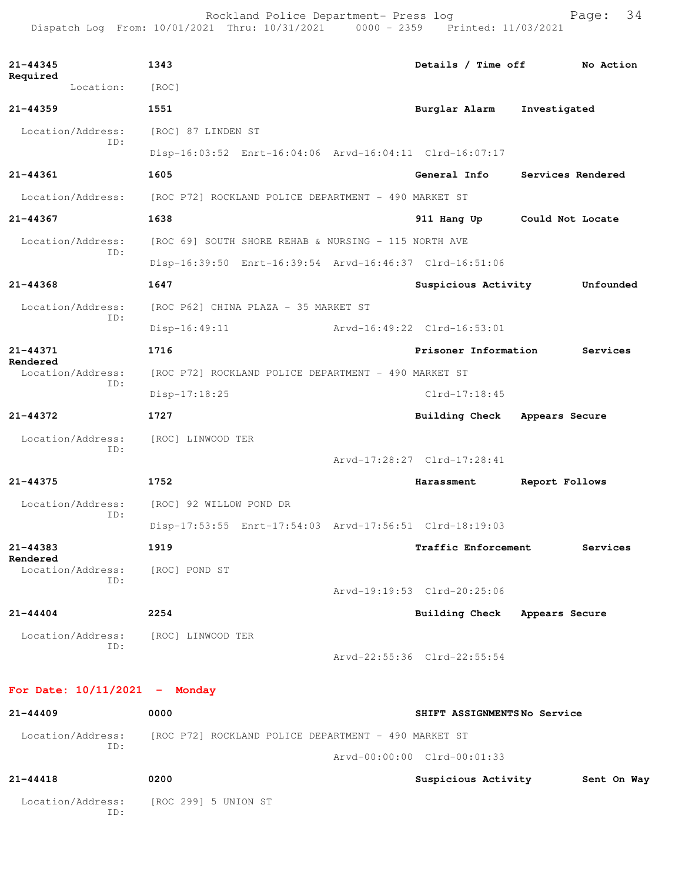Rockland Police Department- Press log entitled and Page: 34 Dispatch Log From: 10/01/2021 Thru: 10/31/2021 0000 - 2359 Printed: 11/03/2021

| 21-44345<br>Required                 | 1343                                                                   | Details / Time off               | No Action         |  |  |  |
|--------------------------------------|------------------------------------------------------------------------|----------------------------------|-------------------|--|--|--|
| Location:                            | [ROC]                                                                  |                                  |                   |  |  |  |
| $21 - 44359$                         | 1551                                                                   | Burglar Alarm<br>Investigated    |                   |  |  |  |
| Location/Address:<br>ID:             | [ROC] 87 LINDEN ST                                                     |                                  |                   |  |  |  |
|                                      | Disp-16:03:52 Enrt-16:04:06 Arvd-16:04:11 Clrd-16:07:17                |                                  |                   |  |  |  |
| $21 - 44361$                         | 1605                                                                   | General Info                     | Services Rendered |  |  |  |
|                                      | Location/Address: [ROC P72] ROCKLAND POLICE DEPARTMENT - 490 MARKET ST |                                  |                   |  |  |  |
| 21-44367                             | 1638                                                                   | 911 Hang Up Could Not Locate     |                   |  |  |  |
| Location/Address:                    | [ROC 69] SOUTH SHORE REHAB & NURSING - 115 NORTH AVE                   |                                  |                   |  |  |  |
| ID:                                  | Disp-16:39:50 Enrt-16:39:54 Arvd-16:46:37 Clrd-16:51:06                |                                  |                   |  |  |  |
| $21 - 44368$                         | 1647                                                                   | Suspicious Activity              | Unfounded         |  |  |  |
| Location/Address:                    | [ROC P62] CHINA PLAZA - 35 MARKET ST                                   |                                  |                   |  |  |  |
| ID:                                  | Arvd-16:49:22 Clrd-16:53:01<br>$Disp-16:49:11$                         |                                  |                   |  |  |  |
| 21-44371                             | 1716                                                                   | Prisoner Information             | Services          |  |  |  |
| Rendered<br>Location/Address:<br>TD: | [ROC P72] ROCKLAND POLICE DEPARTMENT - 490 MARKET ST                   |                                  |                   |  |  |  |
|                                      | $Disp-17:18:25$                                                        | $Clrd-17:18:45$                  |                   |  |  |  |
| $21 - 44372$                         | 1727                                                                   | Building Check Appears Secure    |                   |  |  |  |
| Location/Address:                    | [ROC] LINWOOD TER                                                      |                                  |                   |  |  |  |
| TD:                                  |                                                                        | Arvd-17:28:27 Clrd-17:28:41      |                   |  |  |  |
| $21 - 44375$                         | 1752                                                                   | Harassment<br>Report Follows     |                   |  |  |  |
| Location/Address:                    | [ROC] 92 WILLOW POND DR                                                |                                  |                   |  |  |  |
| ID:                                  | Disp-17:53:55 Enrt-17:54:03 Arvd-17:56:51 Clrd-18:19:03                |                                  |                   |  |  |  |
| 21-44383                             | 1919                                                                   | Traffic Enforcement              | Services          |  |  |  |
| Rendered<br>Location/Address:        | [ROC] POND ST                                                          |                                  |                   |  |  |  |
| ID:                                  |                                                                        | Arvd-19:19:53 Clrd-20:25:06      |                   |  |  |  |
| $21 - 44404$                         | 2254                                                                   | Building Check<br>Appears Secure |                   |  |  |  |
| Location/Address:                    | [ROC] LINWOOD TER                                                      |                                  |                   |  |  |  |
| ID:                                  |                                                                        | Arvd-22:55:36 Clrd-22:55:54      |                   |  |  |  |
|                                      |                                                                        |                                  |                   |  |  |  |
| For Date: $10/11/2021$ - Monday      |                                                                        |                                  |                   |  |  |  |
| $21 - 44409$                         | 0000                                                                   | SHIFT ASSIGNMENTSNo Service      |                   |  |  |  |
| Location/Address:<br>ID:             | [ROC P72] ROCKLAND POLICE DEPARTMENT - 490 MARKET ST                   |                                  |                   |  |  |  |

Arvd-00:00:00 Clrd-00:01:33

| 21-44418                 | 0200                 | Suspicious Activity | Sent On Way |
|--------------------------|----------------------|---------------------|-------------|
| Location/Address:<br>ID: | [ROC 299] 5 UNION ST |                     |             |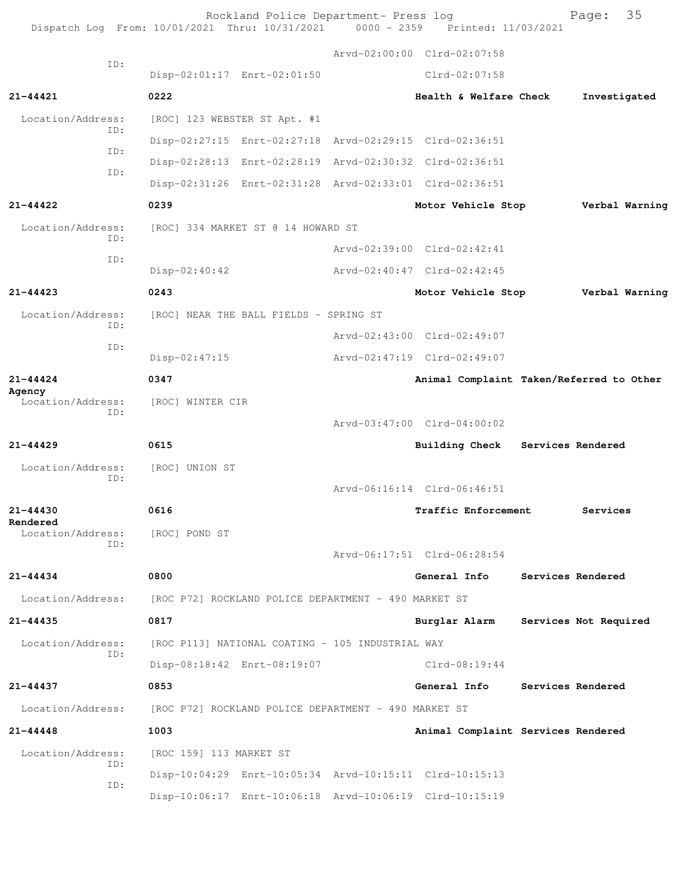|                          | Dispatch Log From: 10/01/2021 Thru: 10/31/2021 | Rockland Police Department- Press log                | $0000 - 2359$ | Printed: 11/03/2021                                     | Page:                 | 35             |
|--------------------------|------------------------------------------------|------------------------------------------------------|---------------|---------------------------------------------------------|-----------------------|----------------|
|                          |                                                |                                                      |               | Arvd-02:00:00 Clrd-02:07:58                             |                       |                |
| ID:                      |                                                | Disp-02:01:17 Enrt-02:01:50                          |               | Clrd-02:07:58                                           |                       |                |
| $21 - 44421$             | 0222                                           |                                                      |               | Health & Welfare Check                                  | Investigated          |                |
| Location/Address:        |                                                | [ROC] 123 WEBSTER ST Apt. #1                         |               |                                                         |                       |                |
| ID:                      |                                                |                                                      |               | Disp-02:27:15 Enrt-02:27:18 Arvd-02:29:15 Clrd-02:36:51 |                       |                |
| ID:                      |                                                |                                                      |               | Disp-02:28:13 Enrt-02:28:19 Arvd-02:30:32 Clrd-02:36:51 |                       |                |
| ID:                      |                                                |                                                      |               | Disp-02:31:26 Enrt-02:31:28 Arvd-02:33:01 Clrd-02:36:51 |                       |                |
| $21 - 44422$             | 0239                                           |                                                      |               | Motor Vehicle Stop                                      |                       | Verbal Warning |
| Location/Address:        |                                                | [ROC] 334 MARKET ST @ 14 HOWARD ST                   |               |                                                         |                       |                |
| ID:<br>ID:               |                                                |                                                      |               | Arvd-02:39:00 Clrd-02:42:41                             |                       |                |
|                          | Disp-02:40:42                                  |                                                      |               | Arvd-02:40:47 Clrd-02:42:45                             |                       |                |
| $21 - 44423$             | 0243                                           |                                                      |               | Motor Vehicle Stop                                      |                       | Verbal Warning |
| Location/Address:<br>ID: |                                                | [ROC] NEAR THE BALL FIELDS - SPRING ST               |               |                                                         |                       |                |
| ID:                      |                                                |                                                      |               | Arvd-02:43:00 Clrd-02:49:07                             |                       |                |
|                          | Disp-02:47:15                                  |                                                      |               | Arvd-02:47:19 Clrd-02:49:07                             |                       |                |
| $21 - 44424$<br>Agency   | 0347                                           |                                                      |               | Animal Complaint Taken/Referred to Other                |                       |                |
| Location/Address:<br>TD: | [ROC] WINTER CIR                               |                                                      |               |                                                         |                       |                |
|                          |                                                |                                                      |               | Arvd-03:47:00 Clrd-04:00:02                             |                       |                |
| $21 - 44429$             | 0615                                           |                                                      |               | <b>Building Check</b>                                   | Services Rendered     |                |
| Location/Address:<br>ID: | [ROC] UNION ST                                 |                                                      |               |                                                         |                       |                |
|                          |                                                |                                                      |               | Arvd-06:16:14 Clrd-06:46:51                             |                       |                |
| 21-44430<br>Rendered     | 0616                                           |                                                      |               | Traffic Enforcement                                     | Services              |                |
| Location/Address:<br>ID: | [ROC] POND ST                                  |                                                      |               |                                                         |                       |                |
|                          |                                                |                                                      |               | Arvd-06:17:51 Clrd-06:28:54                             |                       |                |
| $21 - 44434$             | 0800                                           |                                                      |               | General Info                                            | Services Rendered     |                |
| Location/Address:        |                                                | [ROC P72] ROCKLAND POLICE DEPARTMENT - 490 MARKET ST |               |                                                         |                       |                |
| $21 - 44435$             | 0817                                           |                                                      |               | Burglar Alarm                                           | Services Not Required |                |
| Location/Address:<br>ID: |                                                | [ROC P113] NATIONAL COATING - 105 INDUSTRIAL WAY     |               |                                                         |                       |                |
|                          |                                                | Disp-08:18:42 Enrt-08:19:07                          |               | $Clrd-08:19:44$                                         |                       |                |
| 21-44437                 | 0853                                           |                                                      |               | General Info                                            | Services Rendered     |                |
| Location/Address:        |                                                | [ROC P72] ROCKLAND POLICE DEPARTMENT - 490 MARKET ST |               |                                                         |                       |                |
| $21 - 44448$             | 1003                                           |                                                      |               | Animal Complaint Services Rendered                      |                       |                |
| Location/Address:<br>ID: | [ROC 159] 113 MARKET ST                        |                                                      |               |                                                         |                       |                |
| ID:                      |                                                |                                                      |               | Disp-10:04:29 Enrt-10:05:34 Arvd-10:15:11 Clrd-10:15:13 |                       |                |
|                          |                                                |                                                      |               | Disp-10:06:17 Enrt-10:06:18 Arvd-10:06:19 Clrd-10:15:19 |                       |                |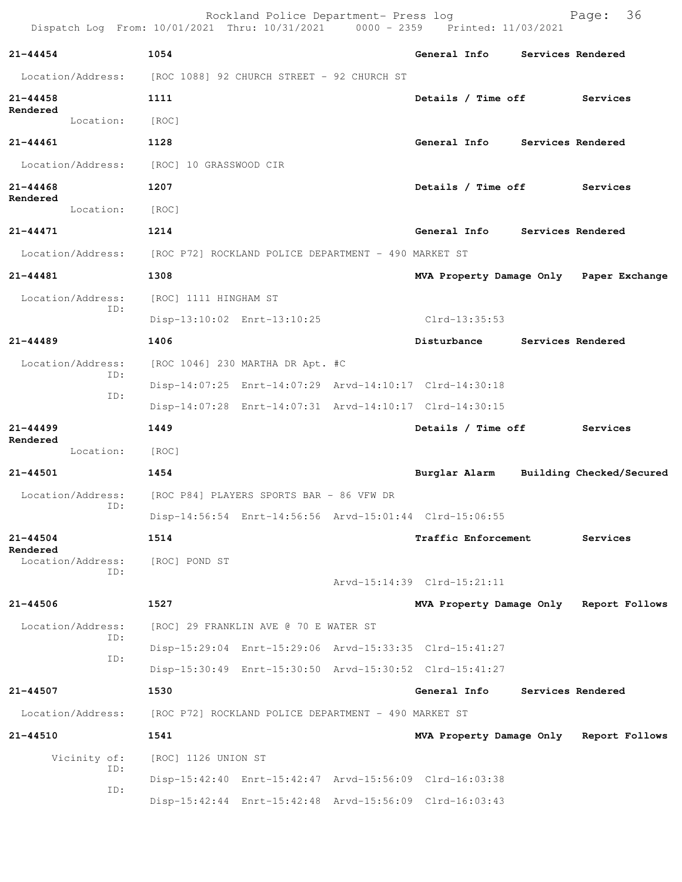|                          |     |                        | Rockland Police Department- Press log<br>Dispatch Log From: 10/01/2021 Thru: 10/31/2021 0000 - 2359 Printed: 11/03/2021 |                             | 36<br>Page:                             |
|--------------------------|-----|------------------------|-------------------------------------------------------------------------------------------------------------------------|-----------------------------|-----------------------------------------|
| $21 - 44454$             |     | 1054                   |                                                                                                                         | <b>General Info</b>         | Services Rendered                       |
| Location/Address:        |     |                        | [ROC 1088] 92 CHURCH STREET - 92 CHURCH ST                                                                              |                             |                                         |
| $21 - 44458$             |     | 1111                   |                                                                                                                         | Details / Time off          | Services                                |
| Rendered<br>Location:    |     | [ROC]                  |                                                                                                                         |                             |                                         |
| $21 - 44461$             |     | 1128                   |                                                                                                                         | General Info                | Services Rendered                       |
| Location/Address:        |     | [ROC] 10 GRASSWOOD CIR |                                                                                                                         |                             |                                         |
| 21-44468                 |     | 1207                   |                                                                                                                         | Details / Time off          | Services                                |
| Rendered<br>Location:    |     | [ROC]                  |                                                                                                                         |                             |                                         |
| 21-44471                 |     | 1214                   |                                                                                                                         | General Info                | Services Rendered                       |
| Location/Address:        |     |                        | [ROC P72] ROCKLAND POLICE DEPARTMENT - 490 MARKET ST                                                                    |                             |                                         |
| $21 - 44481$             |     | 1308                   |                                                                                                                         |                             | MVA Property Damage Only Paper Exchange |
| Location/Address:        |     | [ROC] 1111 HINGHAM ST  |                                                                                                                         |                             |                                         |
|                          | ID: |                        | Disp-13:10:02 Enrt-13:10:25                                                                                             | Clrd-13:35:53               |                                         |
| $21 - 44489$             |     | 1406                   |                                                                                                                         | Disturbance                 | Services Rendered                       |
| Location/Address:        |     |                        | [ROC 1046] 230 MARTHA DR Apt. #C                                                                                        |                             |                                         |
|                          | ID: |                        | Disp-14:07:25 Enrt-14:07:29 Arvd-14:10:17 Clrd-14:30:18                                                                 |                             |                                         |
|                          | ID: |                        | Disp-14:07:28 Enrt-14:07:31 Arvd-14:10:17 Clrd-14:30:15                                                                 |                             |                                         |
| $21 - 44499$             |     | 1449                   |                                                                                                                         | Details / Time off          | Services                                |
| Rendered<br>Location:    |     | [ROC]                  |                                                                                                                         |                             |                                         |
| 21-44501                 |     | 1454                   |                                                                                                                         | Burglar Alarm               | Building Checked/Secured                |
|                          |     |                        | Location/Address: [ROC P84] PLAYERS SPORTS BAR - 86 VFW DR                                                              |                             |                                         |
| ID:                      |     |                        | Disp-14:56:54 Enrt-14:56:56 Arvd-15:01:44 Clrd-15:06:55                                                                 |                             |                                         |
| $21 - 44504$<br>Rendered |     | 1514                   |                                                                                                                         | Traffic Enforcement         | Services                                |
| Location/Address:        | ID: | [ROC] POND ST          |                                                                                                                         |                             |                                         |
|                          |     |                        |                                                                                                                         | Arvd-15:14:39 Clrd-15:21:11 |                                         |
| $21 - 44506$             |     | 1527                   |                                                                                                                         |                             | MVA Property Damage Only Report Follows |
| Location/Address:        | ID: |                        | [ROC] 29 FRANKLIN AVE @ 70 E WATER ST                                                                                   |                             |                                         |
|                          | ID: |                        | Disp-15:29:04 Enrt-15:29:06 Arvd-15:33:35 Clrd-15:41:27                                                                 |                             |                                         |
|                          |     |                        | Disp-15:30:49 Enrt-15:30:50 Arvd-15:30:52 Clrd-15:41:27                                                                 |                             |                                         |
| 21-44507                 |     | 1530                   |                                                                                                                         | General Info                | Services Rendered                       |
| Location/Address:        |     |                        | [ROC P72] ROCKLAND POLICE DEPARTMENT - 490 MARKET ST                                                                    |                             |                                         |
| 21-44510                 |     | 1541                   |                                                                                                                         |                             | MVA Property Damage Only Report Follows |
| Vicinity of:             | ID: | [ROC] 1126 UNION ST    |                                                                                                                         |                             |                                         |
|                          | ID: |                        | Disp-15:42:40 Enrt-15:42:47 Arvd-15:56:09 Clrd-16:03:38                                                                 |                             |                                         |
|                          |     |                        | Disp-15:42:44 Enrt-15:42:48 Arvd-15:56:09 Clrd-16:03:43                                                                 |                             |                                         |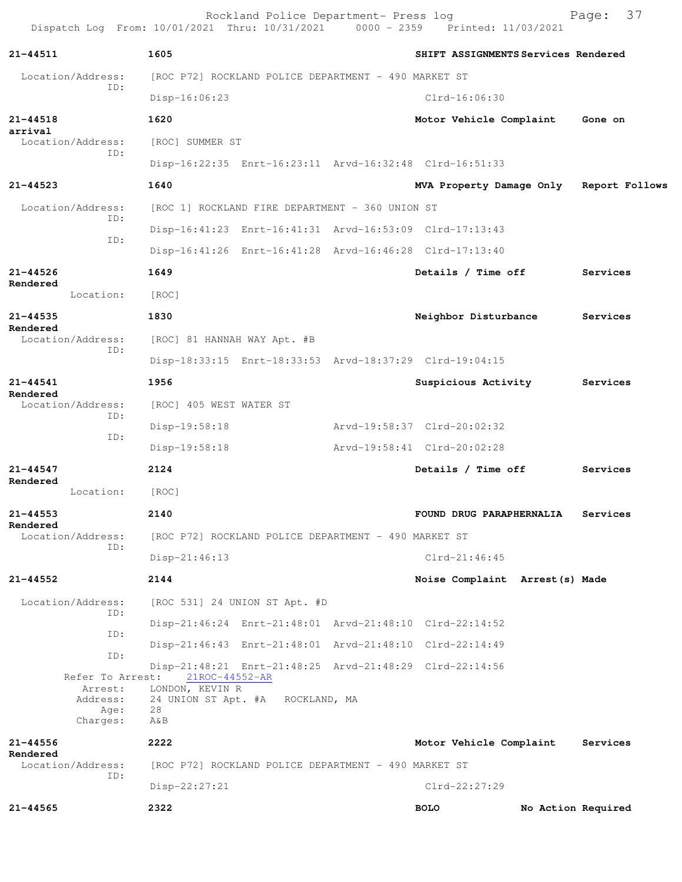Rockland Police Department- Press log Fage: 37 Dispatch Log From: 10/01/2021 Thru: 10/31/2021 0000 - 2359 Printed: 11/03/2021 **21-44511 1605 SHIFT ASSIGNMENTS Services Rendered** Location/Address: [ROC P72] ROCKLAND POLICE DEPARTMENT - 490 MARKET ST ID: Disp-16:06:23 Clrd-16:06:30 **21-44518 1620 Motor Vehicle Complaint Gone on arrival**  Location/Address: [ROC] SUMMER ST ID: Disp-16:22:35 Enrt-16:23:11 Arvd-16:32:48 Clrd-16:51:33 **21-44523 1640 MVA Property Damage Only Report Follows** Location/Address: [ROC 1] ROCKLAND FIRE DEPARTMENT - 360 UNION ST ID: Disp-16:41:23 Enrt-16:41:31 Arvd-16:53:09 Clrd-17:13:43 ID: Disp-16:41:26 Enrt-16:41:28 Arvd-16:46:28 Clrd-17:13:40 **21-44526 1649 Details / Time off Services Rendered**  Location: [ROC] **21-44535 1830 Neighbor Disturbance Services Rendered**  Location/Address: [ROC] 81 HANNAH WAY Apt. #B ID: Disp-18:33:15 Enrt-18:33:53 Arvd-18:37:29 Clrd-19:04:15 **21-44541 1956 Suspicious Activity Services Rendered**  [ROC] 405 WEST WATER ST ID: Disp-19:58:18 Arvd-19:58:37 Clrd-20:02:32 ID: Disp-19:58:18 Arvd-19:58:41 Clrd-20:02:28 **21-44547 2124 Details / Time off Services Rendered**  Location: [ROC] **21-44553 2140 FOUND DRUG PARAPHERNALIA Services Rendered**  Location/Address: [ROC P72] ROCKLAND POLICE DEPARTMENT - 490 MARKET ST ID: Disp-21:46:13 Clrd-21:46:45 **21-44552 2144 Noise Complaint Arrest(s) Made** Location/Address: [ROC 531] 24 UNION ST Apt. #D ID: Disp-21:46:24 Enrt-21:48:01 Arvd-21:48:10 Clrd-22:14:52 ID: Disp-21:46:43 Enrt-21:48:01 Arvd-21:48:10 Clrd-22:14:49 ID: Disp-21:48:21 Enrt-21:48:25 Arvd-21:48:29 Clrd-22:14:56 Refer To Arrest: 21ROC-44552-AR Arrest: LONDON, KEVIN R Address: 24 UNION ST Apt. #A ROCKLAND, MA Age: 28 Charges: A&B **21-44556 2222 Motor Vehicle Complaint Services Rendered**  Location/Address: [ROC P72] ROCKLAND POLICE DEPARTMENT - 490 MARKET ST ID: Disp-22:27:21 Clrd-22:27:29 **21-44565 2322 BOLO No Action Required**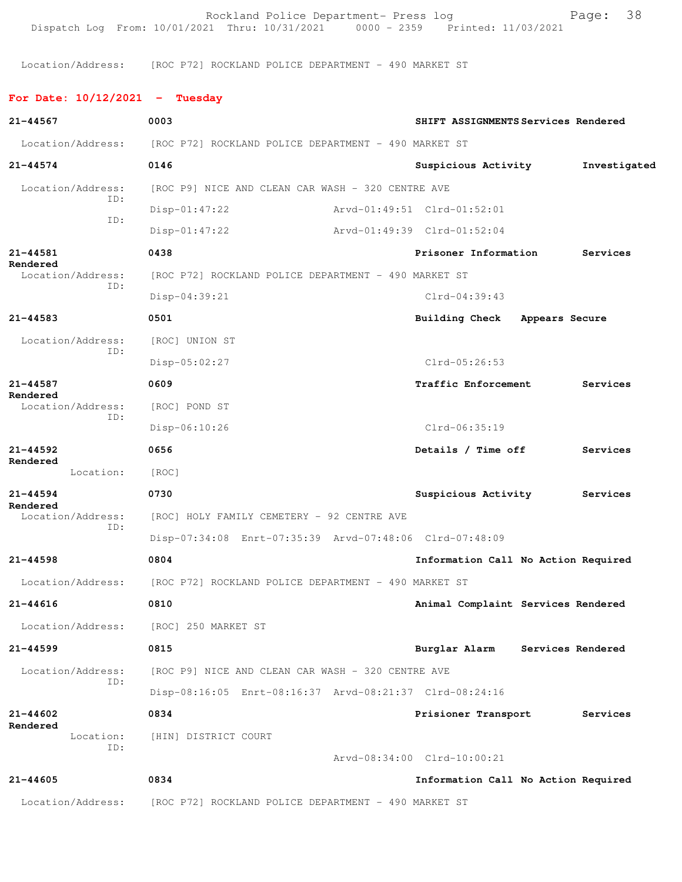Rockland Police Department- Press log entitled and Page: 38 Dispatch Log From: 10/01/2021 Thru: 10/31/2021 0000 - 2359 Printed: 11/03/2021

Location/Address: [ROC P72] ROCKLAND POLICE DEPARTMENT - 490 MARKET ST

**For Date: 10/12/2021 - Tuesday**

| 21-44567                      | 0003                                                    | SHIFT ASSIGNMENTS Services Rendered |              |
|-------------------------------|---------------------------------------------------------|-------------------------------------|--------------|
| Location/Address:             | [ROC P72] ROCKLAND POLICE DEPARTMENT - 490 MARKET ST    |                                     |              |
| $21 - 44574$                  | 0146                                                    | Suspicious Activity                 | Investigated |
| Location/Address:             | [ROC P9] NICE AND CLEAN CAR WASH - 320 CENTRE AVE       |                                     |              |
| ID:                           | $Disp-01:47:22$                                         | Arvd-01:49:51 Clrd-01:52:01         |              |
| ID:                           | $Disp-01:47:22$                                         | Arvd-01:49:39 Clrd-01:52:04         |              |
| 21-44581                      | 0438                                                    | Prisoner Information                | Services     |
| Rendered<br>Location/Address: | [ROC P72] ROCKLAND POLICE DEPARTMENT - 490 MARKET ST    |                                     |              |
| ID:                           | $Disp-04:39:21$                                         | $Clrd-04:39:43$                     |              |
| 21-44583                      | 0501                                                    | Building Check Appears Secure       |              |
| Location/Address:             | [ROC] UNION ST                                          |                                     |              |
| ID:                           | Disp-05:02:27                                           | $Clrd-05:26:53$                     |              |
| 21-44587                      | 0609                                                    | <b>Traffic Enforcement</b>          | Services     |
| Rendered<br>Location/Address: | [ROC] POND ST                                           |                                     |              |
| ID:                           | $Disp-06:10:26$                                         | Clrd-06:35:19                       |              |
| $21 - 44592$                  | 0656                                                    | Details / Time off                  | Services     |
| Rendered<br>Location:         | [ROC]                                                   |                                     |              |
| $21 - 44594$                  | 0730                                                    | Suspicious Activity                 | Services     |
| Rendered<br>Location/Address: | [ROC] HOLY FAMILY CEMETERY - 92 CENTRE AVE              |                                     |              |
| ID:                           | Disp-07:34:08 Enrt-07:35:39 Arvd-07:48:06 Clrd-07:48:09 |                                     |              |
| $21 - 44598$                  | 0804                                                    | Information Call No Action Required |              |
| Location/Address:             | [ROC P72] ROCKLAND POLICE DEPARTMENT - 490 MARKET ST    |                                     |              |
| 21-44616                      | 0810                                                    | Animal Complaint Services Rendered  |              |
|                               | Location/Address: [ROC] 250 MARKET ST                   |                                     |              |
| $21 - 44599$                  | 0815                                                    | Burglar Alarm Services Rendered     |              |
| Location/Address:             | [ROC P9] NICE AND CLEAN CAR WASH - 320 CENTRE AVE       |                                     |              |
| ID:                           | Disp-08:16:05 Enrt-08:16:37 Arvd-08:21:37 Clrd-08:24:16 |                                     |              |
| $21 - 44602$                  | 0834                                                    | Prisioner Transport                 | Services     |
| Rendered<br>Location:         | [HIN] DISTRICT COURT                                    |                                     |              |
| ID:                           |                                                         | Arvd-08:34:00 Clrd-10:00:21         |              |
| $21 - 44605$                  | 0834                                                    | Information Call No Action Required |              |
| Location/Address:             | [ROC P72] ROCKLAND POLICE DEPARTMENT - 490 MARKET ST    |                                     |              |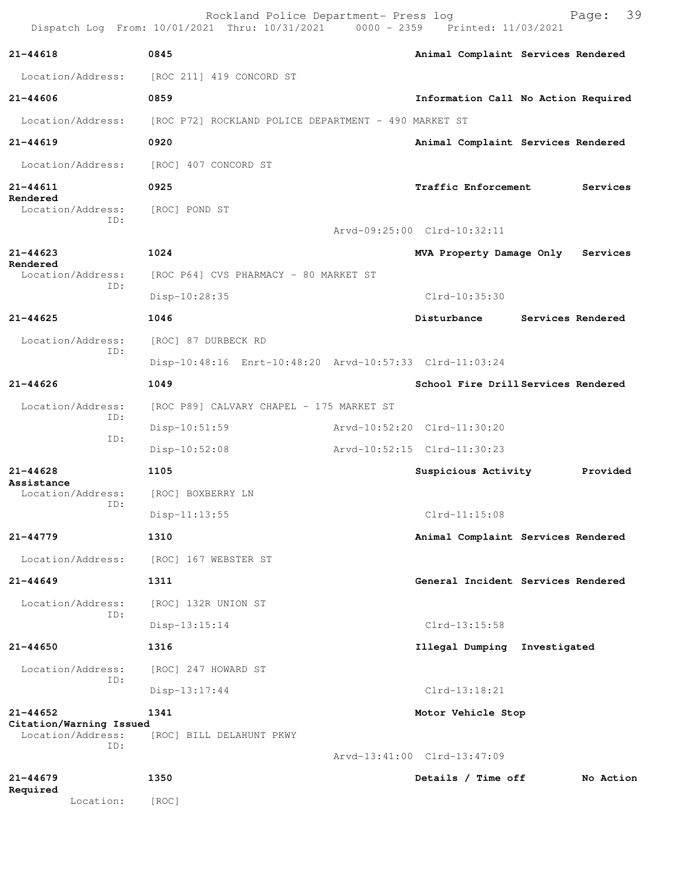|                                         | Rockland Police Department- Press log<br>Dispatch Log From: 10/01/2021 Thru: 10/31/2021 0000 - 2359 Printed: 11/03/2021 |                                                         |                                     | Page:             | 39 |
|-----------------------------------------|-------------------------------------------------------------------------------------------------------------------------|---------------------------------------------------------|-------------------------------------|-------------------|----|
| 21-44618                                | 0845                                                                                                                    |                                                         | Animal Complaint Services Rendered  |                   |    |
| Location/Address:                       | [ROC 211] 419 CONCORD ST                                                                                                |                                                         |                                     |                   |    |
| $21 - 44606$                            | 0859                                                                                                                    |                                                         | Information Call No Action Required |                   |    |
| Location/Address:                       | [ROC P72] ROCKLAND POLICE DEPARTMENT - 490 MARKET ST                                                                    |                                                         |                                     |                   |    |
| $21 - 44619$                            | 0920                                                                                                                    |                                                         | Animal Complaint Services Rendered  |                   |    |
| Location/Address:                       | [ROC] 407 CONCORD ST                                                                                                    |                                                         |                                     |                   |    |
| 21-44611                                | 0925                                                                                                                    |                                                         | <b>Traffic Enforcement</b>          | Services          |    |
| Rendered<br>Location/Address:           | [ROC] POND ST                                                                                                           |                                                         |                                     |                   |    |
| ID:                                     |                                                                                                                         | Arvd-09:25:00 Clrd-10:32:11                             |                                     |                   |    |
| $21 - 44623$                            | 1024                                                                                                                    |                                                         | MVA Property Damage Only            | Services          |    |
| Rendered<br>Location/Address:           | [ROC P64] CVS PHARMACY - 80 MARKET ST                                                                                   |                                                         |                                     |                   |    |
| ID:                                     | Disp-10:28:35                                                                                                           |                                                         | Clrd-10:35:30                       |                   |    |
| $21 - 44625$                            | 1046                                                                                                                    |                                                         | Disturbance                         | Services Rendered |    |
| Location/Address:<br>ID:                | [ROC] 87 DURBECK RD                                                                                                     | Disp-10:48:16 Enrt-10:48:20 Arvd-10:57:33 Clrd-11:03:24 |                                     |                   |    |
|                                         |                                                                                                                         |                                                         |                                     |                   |    |
| $21 - 44626$                            | 1049                                                                                                                    |                                                         | School Fire Drill Services Rendered |                   |    |
| Location/Address:<br>ID:                | [ROC P89] CALVARY CHAPEL - 175 MARKET ST                                                                                |                                                         |                                     |                   |    |
| ID:                                     | $Disp-10:51:59$                                                                                                         | Arvd-10:52:20 Clrd-11:30:20                             |                                     |                   |    |
|                                         | Disp-10:52:08                                                                                                           | Arvd-10:52:15 Clrd-11:30:23                             |                                     |                   |    |
| $21 - 44628$<br>Assistance              | 1105                                                                                                                    |                                                         | Suspicious Activity                 | Provided          |    |
| Location/Address:<br>ID:                | [ROC] BOXBERRY LN                                                                                                       |                                                         |                                     |                   |    |
|                                         | $Disp-11:13:55$                                                                                                         |                                                         | $Clrd-11:15:08$                     |                   |    |
| 21-44779                                | 1310                                                                                                                    |                                                         | Animal Complaint Services Rendered  |                   |    |
| Location/Address:                       | [ROC] 167 WEBSTER ST                                                                                                    |                                                         |                                     |                   |    |
| $21 - 44649$                            | 1311                                                                                                                    |                                                         | General Incident Services Rendered  |                   |    |
| Location/Address:<br>ID:                | [ROC] 132R UNION ST                                                                                                     |                                                         |                                     |                   |    |
|                                         | $Disp-13:15:14$                                                                                                         |                                                         | $Clrd-13:15:58$                     |                   |    |
| $21 - 44650$                            | 1316                                                                                                                    |                                                         | Illegal Dumping Investigated        |                   |    |
| Location/Address:<br>ID:                | [ROC] 247 HOWARD ST                                                                                                     |                                                         |                                     |                   |    |
|                                         | $Disp-13:17:44$                                                                                                         |                                                         | Clrd-13:18:21                       |                   |    |
| $21 - 44652$<br>Citation/Warning Issued | 1341                                                                                                                    |                                                         | Motor Vehicle Stop                  |                   |    |
| Location/Address:<br>ID:                | [ROC] BILL DELAHUNT PKWY                                                                                                |                                                         |                                     |                   |    |
|                                         |                                                                                                                         | Arvd-13:41:00 Clrd-13:47:09                             |                                     |                   |    |
| $21 - 44679$<br>Required                | 1350                                                                                                                    |                                                         | Details / Time off                  | No Action         |    |

Location: [ROC]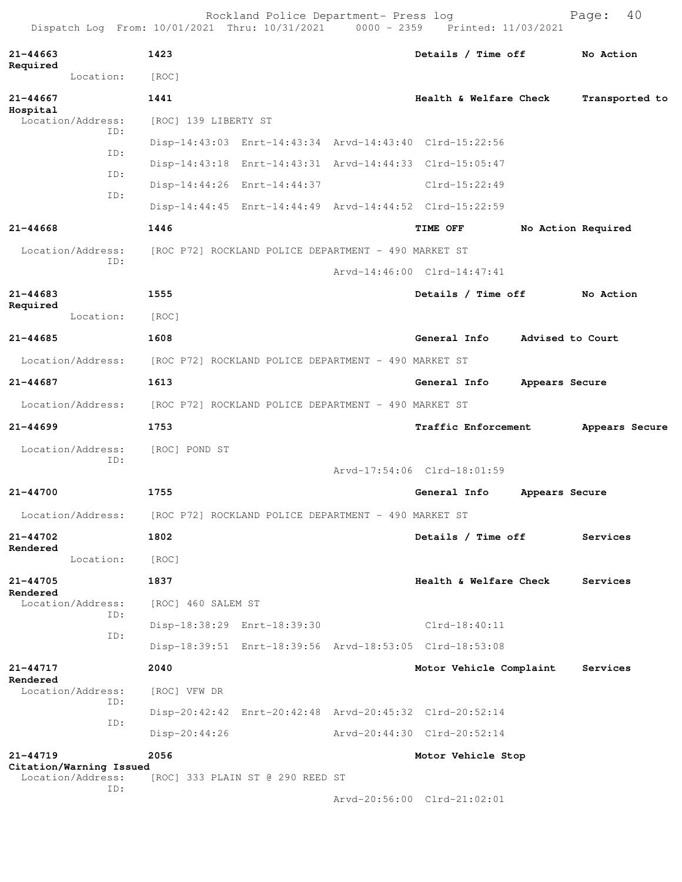Rockland Police Department- Press log entitled and Page: 40 Dispatch Log From: 10/01/2021 Thru: 10/31/2021 0000 - 2359 Printed: 11/03/2021

| $21 - 44663$<br>Required                     | 1423                                                    | Details / Time off          |                | No Action          |
|----------------------------------------------|---------------------------------------------------------|-----------------------------|----------------|--------------------|
| Location:                                    | [ROC]                                                   |                             |                |                    |
| $21 - 44667$                                 | 1441                                                    | Health & Welfare Check      |                | Transported to     |
| Hospital<br>Location/Address:                | [ROC] 139 LIBERTY ST                                    |                             |                |                    |
| ID:                                          | Disp-14:43:03 Enrt-14:43:34 Arvd-14:43:40 Clrd-15:22:56 |                             |                |                    |
| ID:                                          | Disp-14:43:18 Enrt-14:43:31 Arvd-14:44:33 Clrd-15:05:47 |                             |                |                    |
| ID:                                          | Disp-14:44:26 Enrt-14:44:37                             | $Clrd-15:22:49$             |                |                    |
| ID:                                          | Disp-14:44:45 Enrt-14:44:49 Arvd-14:44:52 Clrd-15:22:59 |                             |                |                    |
| 21-44668                                     | 1446                                                    | TIME OFF                    |                | No Action Required |
| Location/Address:                            | [ROC P72] ROCKLAND POLICE DEPARTMENT - 490 MARKET ST    |                             |                |                    |
| ID:                                          |                                                         | Arvd-14:46:00 Clrd-14:47:41 |                |                    |
| $21 - 44683$                                 | 1555                                                    | Details / Time off          |                | No Action          |
| Required<br>Location:                        | [ROC]                                                   |                             |                |                    |
| $21 - 44685$                                 | 1608                                                    | General Info                |                | Advised to Court   |
| Location/Address:                            | [ROC P72] ROCKLAND POLICE DEPARTMENT - 490 MARKET ST    |                             |                |                    |
| 21-44687                                     | 1613                                                    | General Info                | Appears Secure |                    |
| Location/Address:                            | [ROC P72] ROCKLAND POLICE DEPARTMENT - 490 MARKET ST    |                             |                |                    |
| $21 - 44699$                                 | 1753                                                    | Traffic Enforcement         |                | Appears Secure     |
| Location/Address:                            | [ROC] POND ST                                           |                             |                |                    |
| ID:                                          |                                                         | Arvd-17:54:06 Clrd-18:01:59 |                |                    |
| 21-44700                                     | 1755                                                    | General Info                | Appears Secure |                    |
| Location/Address:                            |                                                         |                             |                |                    |
|                                              | [ROC P72] ROCKLAND POLICE DEPARTMENT - 490 MARKET ST    |                             |                |                    |
| 21-44702<br>Rendered                         | 1802                                                    | Details / Time off          |                | Services           |
| Location:                                    | [ROC]                                                   |                             |                |                    |
| 21-44705<br>Rendered                         | 1837                                                    | Health & Welfare Check      |                | Services           |
| Location/Address:<br>ID:                     | [ROC] 460 SALEM ST                                      |                             |                |                    |
| ID:                                          | Disp-18:38:29 Enrt-18:39:30                             | Clrd-18:40:11               |                |                    |
|                                              | Disp-18:39:51 Enrt-18:39:56 Arvd-18:53:05 Clrd-18:53:08 |                             |                |                    |
| 21-44717<br>Rendered                         | 2040                                                    | Motor Vehicle Complaint     |                | Services           |
| Location/Address:<br>ID:                     | [ROC] VFW DR                                            |                             |                |                    |
| ID:                                          | Disp-20:42:42 Enrt-20:42:48 Arvd-20:45:32 Clrd-20:52:14 |                             |                |                    |
|                                              | Disp-20:44:26                                           | Arvd-20:44:30 Clrd-20:52:14 |                |                    |
| 21-44719                                     | 2056                                                    | Motor Vehicle Stop          |                |                    |
| Citation/Warning Issued<br>Location/Address: | [ROC] 333 PLAIN ST @ 290 REED ST                        |                             |                |                    |
| ID:                                          |                                                         | Arvd-20:56:00 Clrd-21:02:01 |                |                    |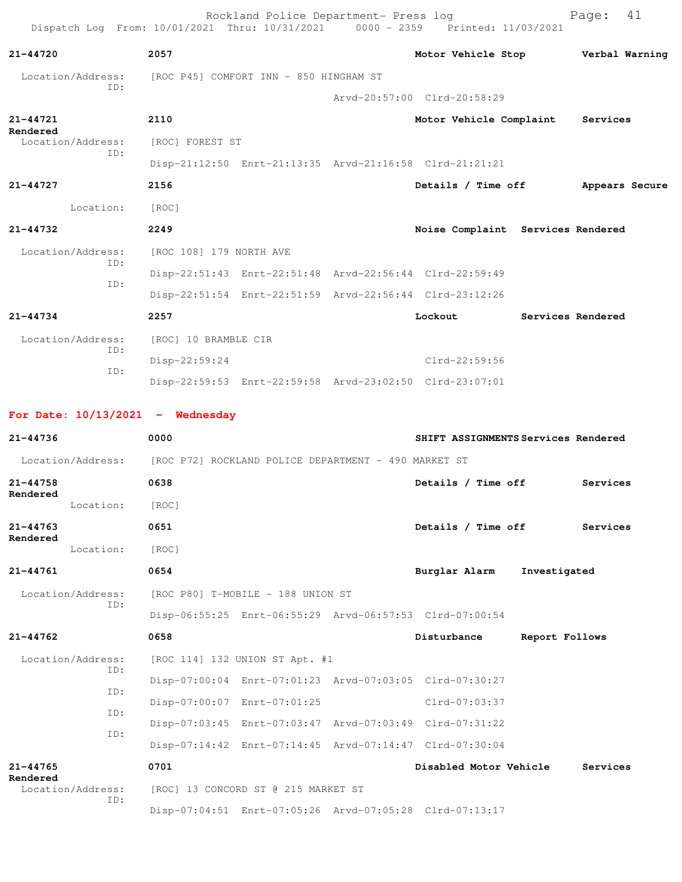Rockland Police Department- Press log Fage: 41 Dispatch Log From: 10/01/2021 Thru: 10/31/2021 0000 - 2359 Printed: 11/03/2021 **21-44720 2057 Motor Vehicle Stop Verbal Warning** Location/Address: [ROC P45] COMFORT INN - 850 HINGHAM ST ID: Arvd-20:57:00 Clrd-20:58:29 **21-44721 2110 Motor Vehicle Complaint Services Rendered**  Location/Address: [ROC] FOREST ST ID: Disp-21:12:50 Enrt-21:13:35 Arvd-21:16:58 Clrd-21:21:21 **21-44727 2156 Details / Time off Appears Secure** Location: [ROC] **21-44732 2249 Noise Complaint Services Rendered** Location/Address: [ROC 108] 179 NORTH AVE ID: Disp-22:51:43 Enrt-22:51:48 Arvd-22:56:44 Clrd-22:59:49 ID: Disp-22:51:54 Enrt-22:51:59 Arvd-22:56:44 Clrd-23:12:26 **21-44734 2257 Lockout Services Rendered** Location/Address: [ROC] 10 BRAMBLE CIR ID: Disp-22:59:24 Clrd-22:59:56 ID: Disp-22:59:53 Enrt-22:59:58 Arvd-23:02:50 Clrd-23:07:01

**For Date: 10/13/2021 - Wednesday**

| $21 - 44736$             |                          | 0000                                                                   |                                     |                                                         | SHIFT ASSIGNMENTS Services Rendered |
|--------------------------|--------------------------|------------------------------------------------------------------------|-------------------------------------|---------------------------------------------------------|-------------------------------------|
|                          |                          | Location/Address: [ROC P72] ROCKLAND POLICE DEPARTMENT - 490 MARKET ST |                                     |                                                         |                                     |
| $21 - 44758$<br>Rendered |                          | 0638                                                                   |                                     | Details / Time off                                      | Services                            |
|                          | Location:                | [ROC]                                                                  |                                     |                                                         |                                     |
| $21 - 44763$             |                          | 0651                                                                   |                                     | Details / Time off                                      | Services                            |
| Rendered                 | Location:                | [ROC]                                                                  |                                     |                                                         |                                     |
| $21 - 44761$             |                          | 0654                                                                   |                                     | Burglar Alarm                                           | Investigated                        |
| Location/Address:<br>ID: |                          |                                                                        | [ROC P80] T-MOBILE - 188 UNION ST   |                                                         |                                     |
|                          |                          |                                                                        |                                     | Disp-06:55:25 Enrt-06:55:29 Arvd-06:57:53 Clrd-07:00:54 |                                     |
| $21 - 44762$             |                          | 0658                                                                   |                                     | Disturbance                                             | Report Follows                      |
|                          | Location/Address:<br>ID: |                                                                        | [ROC 114] 132 UNION ST Apt. #1      |                                                         |                                     |
|                          | TD:                      |                                                                        |                                     | Disp-07:00:04 Enrt-07:01:23 Arvd-07:03:05 Clrd-07:30:27 |                                     |
|                          | ID:                      |                                                                        | Disp-07:00:07 Enrt-07:01:25         | Clrd-07:03:37                                           |                                     |
|                          | ID:                      |                                                                        |                                     | Disp-07:03:45 Enrt-07:03:47 Arvd-07:03:49 Clrd-07:31:22 |                                     |
|                          |                          |                                                                        |                                     | Disp-07:14:42 Enrt-07:14:45 Arvd-07:14:47 Clrd-07:30:04 |                                     |
| $21 - 44765$<br>Rendered |                          | 0701                                                                   |                                     | Disabled Motor Vehicle                                  | Services                            |
|                          | Location/Address:<br>TD: |                                                                        | [ROC] 13 CONCORD ST @ 215 MARKET ST |                                                         |                                     |
|                          |                          |                                                                        |                                     | Disp-07:04:51 Enrt-07:05:26 Arvd-07:05:28 Clrd-07:13:17 |                                     |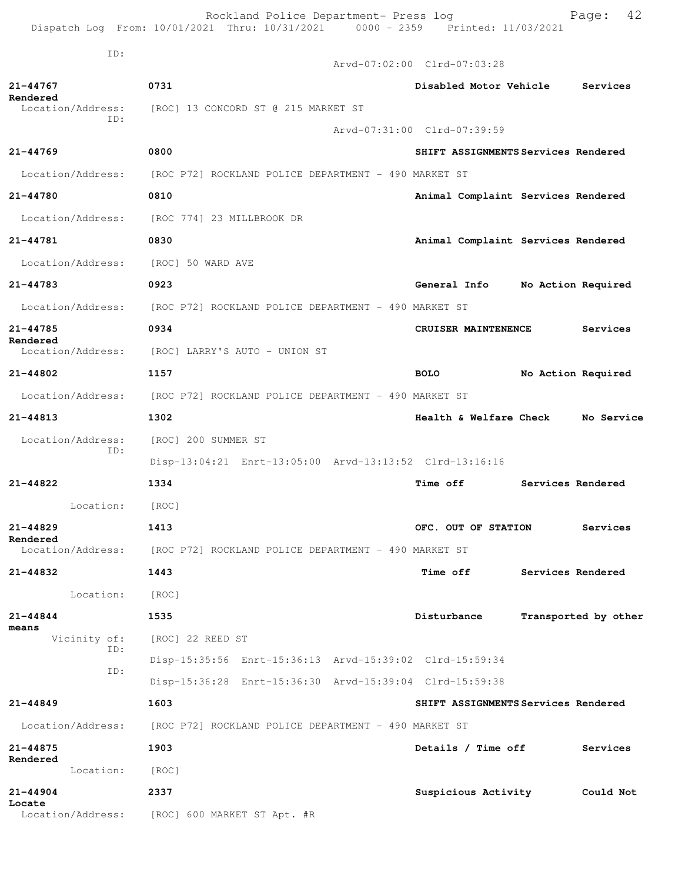|                                                |  |  | Rockland Police Department- Press log |                                 | Page: 42 |  |
|------------------------------------------------|--|--|---------------------------------------|---------------------------------|----------|--|
| Dispatch Log From: 10/01/2021 Thru: 10/31/2021 |  |  |                                       | 0000 - 2359 Printed: 11/03/2021 |          |  |

ID:

|                               |                                                                        | Arvd-07:02:00 Clrd-07:03:28          |
|-------------------------------|------------------------------------------------------------------------|--------------------------------------|
| 21-44767<br>Rendered          | 0731                                                                   | Disabled Motor Vehicle<br>Services   |
| Location/Address:             | [ROC] 13 CONCORD ST @ 215 MARKET ST                                    |                                      |
| ID:                           |                                                                        | Arvd-07:31:00 Clrd-07:39:59          |
| $21 - 44769$                  | 0800                                                                   | SHIFT ASSIGNMENTS Services Rendered  |
| Location/Address:             | [ROC P72] ROCKLAND POLICE DEPARTMENT - 490 MARKET ST                   |                                      |
| 21-44780                      | 0810                                                                   | Animal Complaint Services Rendered   |
| Location/Address:             | [ROC 774] 23 MILLBROOK DR                                              |                                      |
| 21-44781                      | 0830                                                                   | Animal Complaint Services Rendered   |
| Location/Address:             | [ROC] 50 WARD AVE                                                      |                                      |
| 21-44783                      | 0923                                                                   | General Info<br>No Action Required   |
|                               | Location/Address: [ROC P72] ROCKLAND POLICE DEPARTMENT - 490 MARKET ST |                                      |
| 21-44785                      | 0934                                                                   | CRUISER MAINTENENCE<br>Services      |
| Rendered<br>Location/Address: | [ROC] LARRY'S AUTO - UNION ST                                          |                                      |
| 21-44802                      | 1157                                                                   | <b>BOLO</b><br>No Action Required    |
| Location/Address:             | [ROC P72] ROCKLAND POLICE DEPARTMENT - 490 MARKET ST                   |                                      |
| $21 - 44813$                  | 1302                                                                   | Health & Welfare Check No Service    |
| Location/Address:<br>ID:      | [ROC] 200 SUMMER ST                                                    |                                      |
|                               | Disp-13:04:21 Enrt-13:05:00 Arvd-13:13:52 Clrd-13:16:16                |                                      |
| 21-44822                      | 1334                                                                   | <b>Time off</b><br>Services Rendered |
| Location:                     | [ROC]                                                                  |                                      |
| $21 - 44829$<br>Rendered      | 1413                                                                   | OFC. OUT OF STATION<br>Services      |
| Location/Address:             | [ROC P72] ROCKLAND POLICE DEPARTMENT - 490 MARKET ST                   |                                      |
| 21-44832                      | 1443                                                                   | <b>Time off</b><br>Services Rendered |
| Location:                     | [ROC]                                                                  |                                      |
| $21 - 44844$<br>means         | 1535                                                                   | Disturbance<br>Transported by other  |
| Vicinity of:<br>ID:           | [ROC] 22 REED ST                                                       |                                      |
| ID:                           | Disp-15:35:56 Enrt-15:36:13 Arvd-15:39:02 Clrd-15:59:34                |                                      |
|                               | Disp-15:36:28 Enrt-15:36:30 Arvd-15:39:04 Clrd-15:59:38                |                                      |
| $21 - 44849$                  | 1603                                                                   | SHIFT ASSIGNMENTS Services Rendered  |
| Location/Address:             | [ROC P72] ROCKLAND POLICE DEPARTMENT - 490 MARKET ST                   |                                      |
| 21-44875<br>Rendered          | 1903                                                                   | Details / Time off<br>Services       |
| Location:                     | [ROC]                                                                  |                                      |
| $21 - 44904$<br>Locate        | 2337                                                                   | Suspicious Activity<br>Could Not     |
| Location/Address:             | [ROC] 600 MARKET ST Apt. #R                                            |                                      |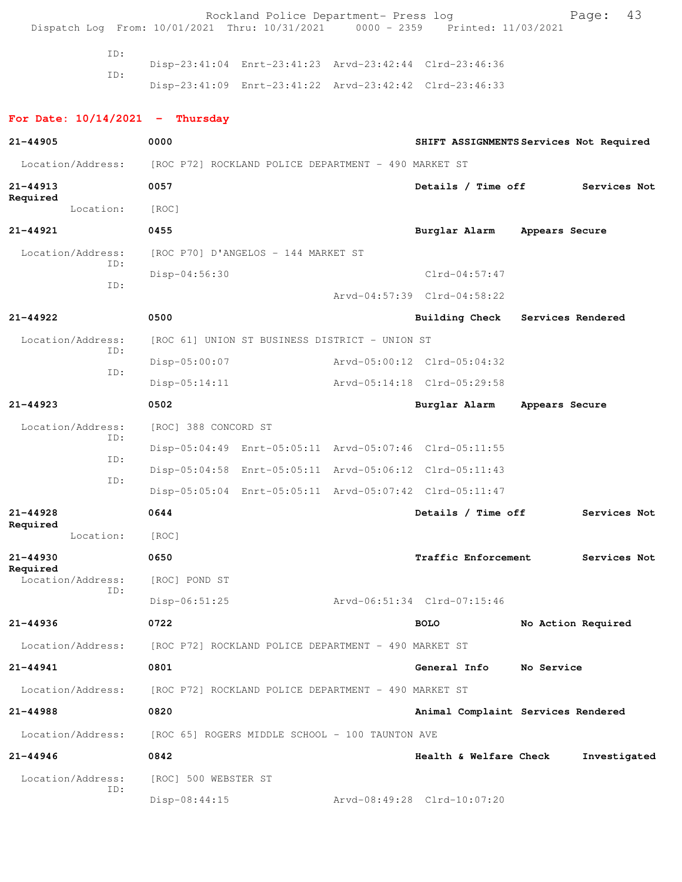Rockland Police Department- Press log Page: 43<br>21 Thru: 10/31/2021 0000 - 2359 Printed: 11/03/2021 Dispatch Log From: 10/01/2021 Thru: 10/31/2021

> ID: Disp-23:41:04 Enrt-23:41:23 Arvd-23:42:44 Clrd-23:46:36 ID: Disp-23:41:09 Enrt-23:41:22 Arvd-23:42:42 Clrd-23:46:33

## **For Date: 10/14/2021 - Thursday 21-44905 0000 SHIFT ASSIGNMENTS Services Not Required** Location/Address: [ROC P72] ROCKLAND POLICE DEPARTMENT - 490 MARKET ST **21-44913 0057 Details / Time off Services Not Required**  Location: [ROC] **21-44921 0455 Burglar Alarm Appears Secure** Location/Address: [ROC P70] D'ANGELOS - 144 MARKET ST ID: Disp-04:56:30 Clrd-04:57:47 ID: Arvd-04:57:39 Clrd-04:58:22 **21-44922 0500 Building Check Services Rendered** Location/Address: [ROC 61] UNION ST BUSINESS DISTRICT - UNION ST ID: Disp-05:00:07 Arvd-05:00:12 Clrd-05:04:32 ID: Disp-05:14:11 Arvd-05:14:18 Clrd-05:29:58 **21-44923 0502 Burglar Alarm Appears Secure** Location/Address: [ROC] 388 CONCORD ST ID: Disp-05:04:49 Enrt-05:05:11 Arvd-05:07:46 Clrd-05:11:55 ID: Disp-05:04:58 Enrt-05:05:11 Arvd-05:06:12 Clrd-05:11:43 ID: Disp-05:05:04 Enrt-05:05:11 Arvd-05:07:42 Clrd-05:11:47 **21-44928 0644 Details / Time off Services Not Required**  Location: [ROC] **21-44930 0650 Traffic Enforcement Services Not Required**  Location/Address: [ROC] POND ST ID: Disp-06:51:25 Arvd-06:51:34 Clrd-07:15:46 **21-44936 0722 BOLO No Action Required** Location/Address: [ROC P72] ROCKLAND POLICE DEPARTMENT - 490 MARKET ST **21-44941 0801 General Info No Service** Location/Address: [ROC P72] ROCKLAND POLICE DEPARTMENT - 490 MARKET ST **21-44988 0820 Animal Complaint Services Rendered** Location/Address: [ROC 65] ROGERS MIDDLE SCHOOL - 100 TAUNTON AVE **21-44946 0842 Health & Welfare Check Investigated** Location/Address: [ROC] 500 WEBSTER ST ID:

Disp-08:44:15 Arvd-08:49:28 Clrd-10:07:20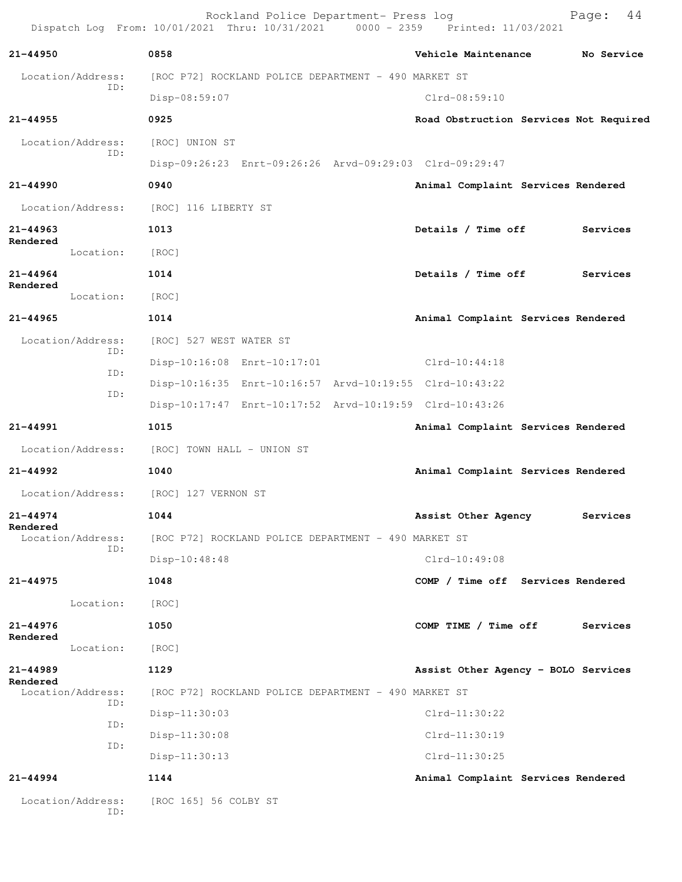Rockland Police Department- Press log Fage: 44<br>21 Thru: 10/31/2021 0000 - 2359 Printed: 11/03/2021 Dispatch Log From: 10/01/2021 Thru: 10/31/2021 0000 - 2359 Printed: 11/03/2021 **21-44950 0858 Vehicle Maintenance No Service** Location/Address: [ROC P72] ROCKLAND POLICE DEPARTMENT - 490 MARKET ST ID: Disp-08:59:07 Clrd-08:59:10 **21-44955 0925 Road Obstruction Services Not Required** Location/Address: [ROC] UNION ST ID: Disp-09:26:23 Enrt-09:26:26 Arvd-09:29:03 Clrd-09:29:47 **21-44990 0940 Animal Complaint Services Rendered** Location/Address: [ROC] 116 LIBERTY ST **21-44963 1013 Details / Time off Services Rendered**  Location: [ROC] **21-44964 1014 Details / Time off Services Rendered**  Location: [ROC] **21-44965 1014 Animal Complaint Services Rendered** Location/Address: [ROC] 527 WEST WATER ST ID: Disp-10:16:08 Enrt-10:17:01 Clrd-10:44:18 ID: Disp-10:16:35 Enrt-10:16:57 Arvd-10:19:55 Clrd-10:43:22 ID: Disp-10:17:47 Enrt-10:17:52 Arvd-10:19:59 Clrd-10:43:26 **21-44991 1015 Animal Complaint Services Rendered** Location/Address: [ROC] TOWN HALL - UNION ST **21-44992 1040 Animal Complaint Services Rendered** Location/Address: [ROC] 127 VERNON ST **21-44974 1044 Assist Other Agency Services Rendered**  Location/Address: [ROC P72] ROCKLAND POLICE DEPARTMENT - 490 MARKET ST ID: Disp-10:48:48 Clrd-10:49:08 **21-44975 1048 COMP / Time off Services Rendered** Location: [ROC] **21-44976 1050 COMP TIME / Time off Services Rendered**  Location: [ROC] **21-44989 1129 Assist Other Agency - BOLO Services Rendered**<br>Location/Address: [ROC P72] ROCKLAND POLICE DEPARTMENT - 490 MARKET ST ID: Disp-11:30:03 Clrd-11:30:22 ID: Disp-11:30:08 Clrd-11:30:19 ID: Disp-11:30:13 Clrd-11:30:25 **21-44994 1144 Animal Complaint Services Rendered** Location/Address: [ROC 165] 56 COLBY ST ID: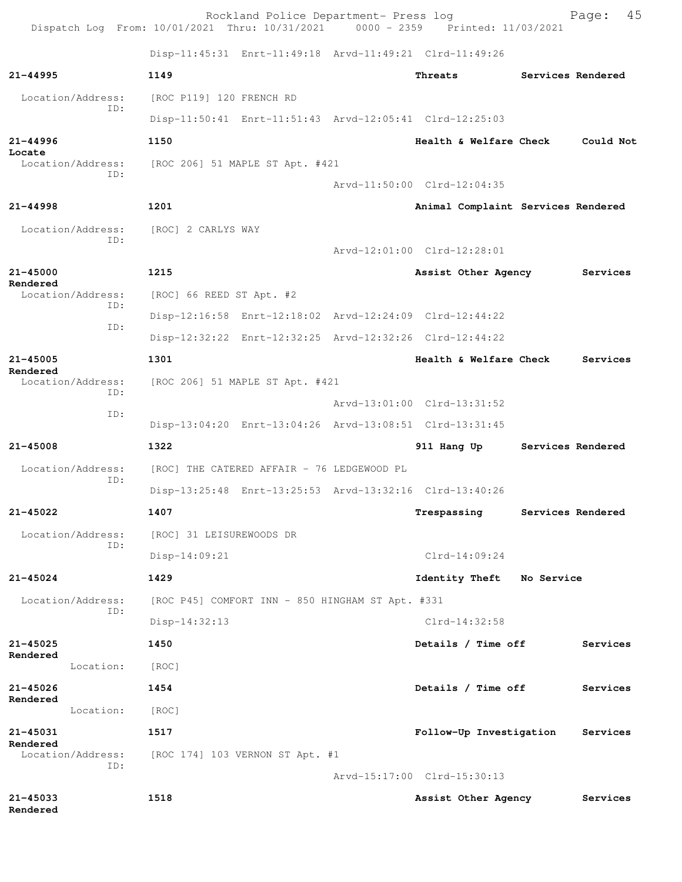Rockland Police Department- Press log Fage: 45 Dispatch Log From: 10/01/2021 Thru: 10/31/2021 0000 - 2359 Printed: 11/03/2021 Disp-11:45:31 Enrt-11:49:18 Arvd-11:49:21 Clrd-11:49:26 **21-44995 1149 Threats Services Rendered** Location/Address: [ROC P119] 120 FRENCH RD ID: Disp-11:50:41 Enrt-11:51:43 Arvd-12:05:41 Clrd-12:25:03 **21-44996 1150 Health & Welfare Check Could Not Locate**  Location/Address: [ROC 206] 51 MAPLE ST Apt. #421 ID: Arvd-11:50:00 Clrd-12:04:35 **21-44998 1201 Animal Complaint Services Rendered** Location/Address: [ROC] 2 CARLYS WAY ID: Arvd-12:01:00 Clrd-12:28:01 **21-45000 1215 Assist Other Agency Services Rendered**  Location/Address: [ROC] 66 REED ST Apt. #2 ID: Disp-12:16:58 Enrt-12:18:02 Arvd-12:24:09 Clrd-12:44:22 ID: Disp-12:32:22 Enrt-12:32:25 Arvd-12:32:26 Clrd-12:44:22 **21-45005 1301 Health & Welfare Check Services Rendered**  Location/Address: [ROC 206] 51 MAPLE ST Apt. #421 ID: Arvd-13:01:00 Clrd-13:31:52 ID: Disp-13:04:20 Enrt-13:04:26 Arvd-13:08:51 Clrd-13:31:45 **21-45008 1322 911 Hang Up Services Rendered** Location/Address: [ROC] THE CATERED AFFAIR - 76 LEDGEWOOD PL ID: Disp-13:25:48 Enrt-13:25:53 Arvd-13:32:16 Clrd-13:40:26 **21-45022 1407 Trespassing Services Rendered** Location/Address: [ROC] 31 LEISUREWOODS DR ID: Disp-14:09:21 Clrd-14:09:24 **21-45024 1429 Identity Theft No Service** Location/Address: [ROC P45] COMFORT INN - 850 HINGHAM ST Apt. #331 ID: Disp-14:32:13 Clrd-14:32:58 **21-45025 1450 Details / Time off Services Rendered**  Location: [ROC] **21-45026 1454 Details / Time off Services Rendered**  Location: [ROC] **21-45031 1517 Follow-Up Investigation Services Rendered**  Location/Address: [ROC 174] 103 VERNON ST Apt. #1 ID: Arvd-15:17:00 Clrd-15:30:13 **21-45033 1518 Assist Other Agency Services**

**Rendered**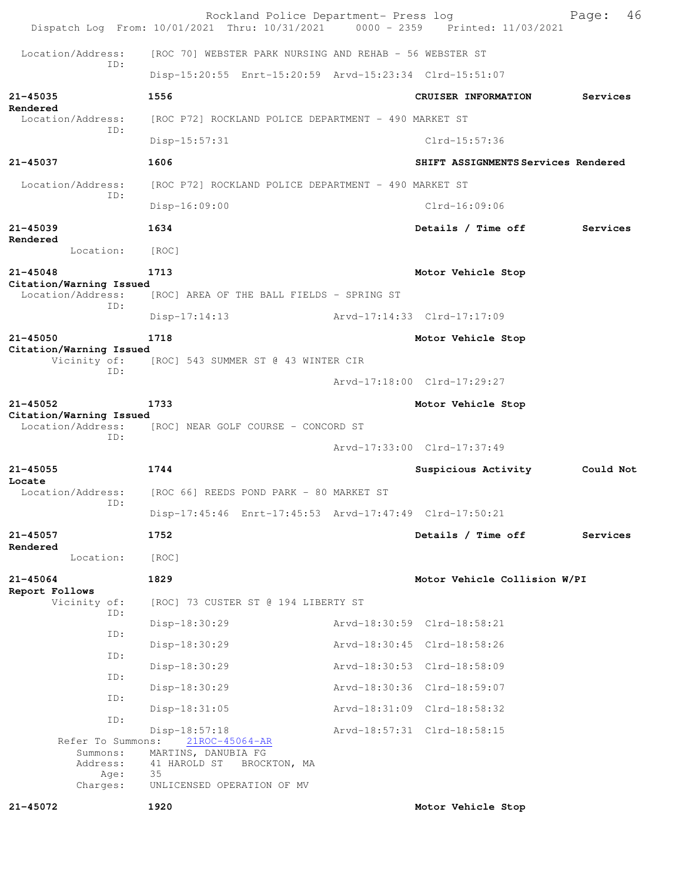|                                                   | Rockland Police Department- Press log<br>Dispatch Log From: 10/01/2021 Thru: 10/31/2021 0000 - 2359 Printed: 11/03/2021 |                                     | 46<br>Page: |
|---------------------------------------------------|-------------------------------------------------------------------------------------------------------------------------|-------------------------------------|-------------|
| Location/Address:                                 | [ROC 70] WEBSTER PARK NURSING AND REHAB - 56 WEBSTER ST                                                                 |                                     |             |
| ID:                                               | Disp-15:20:55 Enrt-15:20:59 Arvd-15:23:34 Clrd-15:51:07                                                                 |                                     |             |
| $21 - 45035$                                      | 1556                                                                                                                    | CRUISER INFORMATION                 | Services    |
| Rendered<br>Location/Address:                     | [ROC P72] ROCKLAND POLICE DEPARTMENT - 490 MARKET ST                                                                    |                                     |             |
| ID:                                               | Disp-15:57:31                                                                                                           | $Clrd-15:57:36$                     |             |
| 21-45037                                          | 1606                                                                                                                    | SHIFT ASSIGNMENTS Services Rendered |             |
| Location/Address:                                 | [ROC P72] ROCKLAND POLICE DEPARTMENT - 490 MARKET ST                                                                    |                                     |             |
| ID:                                               | $Disp-16:09:00$                                                                                                         | Clrd-16:09:06                       |             |
| 21-45039                                          | 1634                                                                                                                    | Details / Time off                  | Services    |
| Rendered<br>Location:                             | [ROC]                                                                                                                   |                                     |             |
| $21 - 45048$                                      | 1713                                                                                                                    | Motor Vehicle Stop                  |             |
| Citation/Warning Issued<br>Location/Address:      | [ROC] AREA OF THE BALL FIELDS - SPRING ST                                                                               |                                     |             |
| ID:                                               | $Disp-17:14:13$                                                                                                         | Arvd-17:14:33 Clrd-17:17:09         |             |
| 21-45050                                          | 1718                                                                                                                    | Motor Vehicle Stop                  |             |
| Citation/Warning Issued<br>Vicinity of:           | [ROC] 543 SUMMER ST @ 43 WINTER CIR                                                                                     |                                     |             |
| ID:                                               |                                                                                                                         | Arvd-17:18:00 Clrd-17:29:27         |             |
| $21 - 45052$                                      | 1733                                                                                                                    | Motor Vehicle Stop                  |             |
| Citation/Warning Issued<br>Location/Address:      | [ROC] NEAR GOLF COURSE - CONCORD ST                                                                                     |                                     |             |
| ID:                                               |                                                                                                                         | Arvd-17:33:00 Clrd-17:37:49         |             |
| $21 - 45055$                                      | 1744                                                                                                                    | Suspicious Activity                 | Could Not   |
| Locate<br>Location/Address:                       | [ROC 66] REEDS POND PARK - 80 MARKET ST                                                                                 |                                     |             |
| ID:                                               | Disp-17:45:46 Enrt-17:45:53 Arvd-17:47:49 Clrd-17:50:21                                                                 |                                     |             |
| 21-45057                                          | 1752                                                                                                                    | Details / Time off                  | Services    |
| Rendered<br>Location:                             | [ROC]                                                                                                                   |                                     |             |
| $21 - 45064$                                      | 1829                                                                                                                    | Motor Vehicle Collision W/PI        |             |
| Report Follows<br>Vicinity of:                    | [ROC] 73 CUSTER ST @ 194 LIBERTY ST                                                                                     |                                     |             |
| ID:                                               | Disp-18:30:29                                                                                                           | Arvd-18:30:59 Clrd-18:58:21         |             |
| ID:                                               | Disp-18:30:29                                                                                                           | Arvd-18:30:45 Clrd-18:58:26         |             |
| ID:                                               | Disp-18:30:29                                                                                                           | Arvd-18:30:53 Clrd-18:58:09         |             |
| ID:                                               | $Disp-18:30:29$                                                                                                         | Arvd-18:30:36 Clrd-18:59:07         |             |
| ID:                                               | $Disp-18:31:05$                                                                                                         | Arvd-18:31:09 Clrd-18:58:32         |             |
| ID:                                               | Disp-18:57:18                                                                                                           | Arvd-18:57:31 Clrd-18:58:15         |             |
| Refer To Summons:<br>Summons:<br>Address:<br>Age: | 21ROC-45064-AR<br>MARTINS, DANUBIA FG<br>41 HAROLD ST<br>BROCKTON, MA<br>35                                             |                                     |             |
| Charges:                                          | UNLICENSED OPERATION OF MV                                                                                              |                                     |             |
| 21-45072                                          | 1920                                                                                                                    | Motor Vehicle Stop                  |             |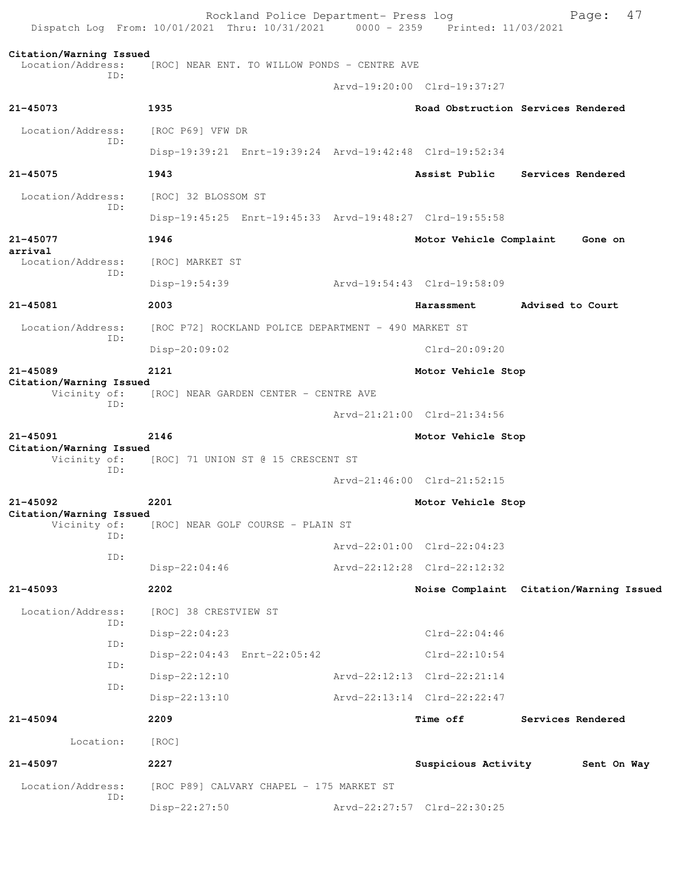Rockland Police Department- Press log Page: 47<br>21 Thru: 10/31/2021 0000 - 2359 Printed: 11/03/2021 Dispatch Log From:  $10/01/2021$  Thru:  $10/31/2021$  0000 - 2359 **Citation/Warning Issued**  [ROC] NEAR ENT. TO WILLOW PONDS - CENTRE AVE ID: Arvd-19:20:00 Clrd-19:37:27 **21-45073 1935 Road Obstruction Services Rendered** Location/Address: [ROC P69] VFW DR ID: Disp-19:39:21 Enrt-19:39:24 Arvd-19:42:48 Clrd-19:52:34 **21-45075 1943 Assist Public Services Rendered** Location/Address: [ROC] 32 BLOSSOM ST ID: Disp-19:45:25 Enrt-19:45:33 Arvd-19:48:27 Clrd-19:55:58 **21-45077 1946 Motor Vehicle Complaint Gone on arrival**  Location/Address: [ROC] MARKET ST ID: Disp-19:54:39 Arvd-19:54:43 Clrd-19:58:09 **21-45081 2003 Harassment Advised to Court** Location/Address: [ROC P72] ROCKLAND POLICE DEPARTMENT - 490 MARKET ST ID: Disp-20:09:02 Clrd-20:09:20 **21-45089 2121 Motor Vehicle Stop Citation/Warning Issued**  Vicinity of: [ROC] NEAR GARDEN CENTER - CENTRE AVE ID: Arvd-21:21:00 Clrd-21:34:56 **21-45091 2146 Motor Vehicle Stop Citation/Warning Issued**  [ROC] 71 UNION ST @ 15 CRESCENT ST ID: Arvd-21:46:00 Clrd-21:52:15 **21-45092 2201 Motor Vehicle Stop Citation/Warning Issued**  Vicinity of: [ROC] NEAR GOLF COURSE - PLAIN ST ID: Arvd-22:01:00 Clrd-22:04:23 ID: Disp-22:04:46 Arvd-22:12:28 Clrd-22:12:32 **21-45093 2202 Noise Complaint Citation/Warning Issued** Location/Address: [ROC] 38 CRESTVIEW ST ID: Disp-22:04:23 Clrd-22:04:46 ID: Disp-22:04:43 Enrt-22:05:42 Clrd-22:10:54 ID: Disp-22:12:10 Arvd-22:12:13 Clrd-22:21:14 ID: Disp-22:13:10 Arvd-22:13:14 Clrd-22:22:47 **21-45094 2209 Time off Services Rendered** Location: [ROC] **21-45097 2227 Suspicious Activity Sent On Way** Location/Address: [ROC P89] CALVARY CHAPEL - 175 MARKET ST ID: Disp-22:27:50 Arvd-22:27:57 Clrd-22:30:25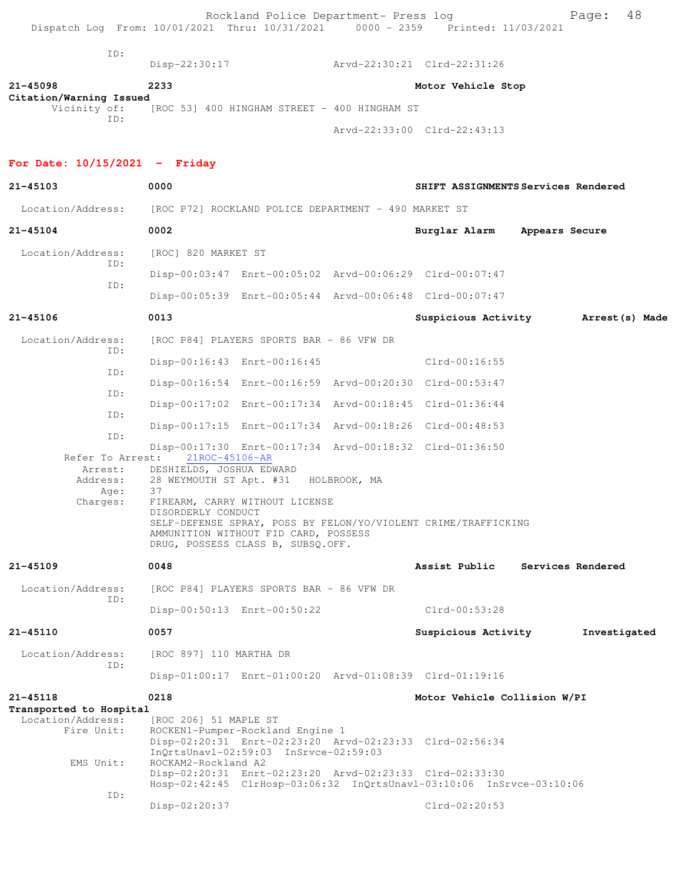| ID:                                                                    | Disp-22:30:17                                             |                             | Arvd-22:30:21 Clrd-22:31:26                             |                                      |  |  |
|------------------------------------------------------------------------|-----------------------------------------------------------|-----------------------------|---------------------------------------------------------|--------------------------------------|--|--|
| 21-45098<br>Citation/Warning Issued                                    | 2233                                                      |                             |                                                         | Motor Vehicle Stop                   |  |  |
| TD:                                                                    | Vicinity of: [ROC 53] 400 HINGHAM STREET - 400 HINGHAM ST |                             |                                                         |                                      |  |  |
|                                                                        |                                                           |                             |                                                         | Arvd-22:33:00 Clrd-22:43:13          |  |  |
| For Date: $10/15/2021$ - Friday                                        |                                                           |                             |                                                         |                                      |  |  |
| 21-45103                                                               | 0000                                                      |                             |                                                         | SHIFT ASSIGNMENTS Services Rendered  |  |  |
| Location/Address: [ROC P72] ROCKLAND POLICE DEPARTMENT - 490 MARKET ST |                                                           |                             |                                                         |                                      |  |  |
| 21-45104                                                               | 0002                                                      |                             |                                                         | Burglar Alarm Appears Secure         |  |  |
| Location/Address:                                                      | [ROC] 820 MARKET ST                                       |                             |                                                         |                                      |  |  |
| ID:                                                                    |                                                           |                             | Disp-00:03:47 Enrt-00:05:02 Arvd-00:06:29 Clrd-00:07:47 |                                      |  |  |
| TD:                                                                    |                                                           |                             | Disp-00:05:39 Enrt-00:05:44 Arvd-00:06:48 Clrd-00:07:47 |                                      |  |  |
| 21-45106                                                               | 0013                                                      |                             |                                                         | Suspicious Activity Marrest (s) Made |  |  |
| Location/Address: [ROC P84] PLAYERS SPORTS BAR - 86 VFW DR<br>TD:      |                                                           |                             |                                                         |                                      |  |  |
|                                                                        |                                                           | Disp-00:16:43 Enrt-00:16:45 |                                                         | Clrd-00:16:55                        |  |  |

| 21-45109 |                  | 0048                                                                                                        |                                                                           | Assist Public                                                  | Services Rendered |
|----------|------------------|-------------------------------------------------------------------------------------------------------------|---------------------------------------------------------------------------|----------------------------------------------------------------|-------------------|
|          | Age:<br>Charges: | Address: 28 WEYMOUTH ST Apt. #31 HOLBROOK, MA<br>37<br>FIREARM, CARRY WITHOUT LICENSE<br>DISORDERLY CONDUCT | AMMUNITION WITHOUT FID CARD, POSSESS<br>DRUG, POSSESS CLASS B, SUBSO.OFF. | SELF-DEFENSE SPRAY, POSS BY FELON/YO/VIOLENT CRIME/TRAFFICKING |                   |
|          |                  | Refer To Arrest: 21ROC-45106-AR<br>Arrest: DESHIELDS, JOSHUA EDWARD                                         |                                                                           |                                                                |                   |
|          | ID:              |                                                                                                             | Disp-00:17:30 Enrt-00:17:34 Arvd-00:18:32 Clrd-01:36:50                   |                                                                |                   |
|          | ID:              |                                                                                                             | Disp-00:17:15 Enrt-00:17:34 Arvd-00:18:26 Clrd-00:48:53                   |                                                                |                   |
|          | ID:              |                                                                                                             | Disp-00:17:02 Enrt-00:17:34 Arvd-00:18:45 Clrd-01:36:44                   |                                                                |                   |
|          | ID:              |                                                                                                             | Disp-00:16:54 Enrt-00:16:59 Arvd-00:20:30 Clrd-00:53:47                   |                                                                |                   |
|          |                  | Disp-00:16:43 Enrt-00:16:45                                                                                 |                                                                           | $Clrd-00:16:55$                                                |                   |

 Location/Address: [ROC P84] PLAYERS SPORTS BAR - 86 VFW DR ID: Disp-00:50:13 Enrt-00:50:22 Clrd-00:53:28

**21-45110 0057 Suspicious Activity Investigated**

 Location/Address: [ROC 897] 110 MARTHA DR ID: Disp-01:00:17 Enrt-01:00:20 Arvd-01:08:39 Clrd-01:19:16

**21-45118 0218 Motor Vehicle Collision W/PI Transported to Hospital** 

 Location/Address: [ROC 206] 51 MAPLE ST Fire Unit: ROCKEN1-Pumper-Rockland Engine 1 Disp-02:20:31 Enrt-02:23:20 Arvd-02:23:33 Clrd-02:56:34 InQrtsUnavl-02:59:03 InSrvce-02:59:03 EMS Unit: ROCKAM2-Rockland A2 Disp-02:20:31 Enrt-02:23:20 Arvd-02:23:33 Clrd-02:33:30 Hosp-02:42:45 ClrHosp-03:06:32 InQrtsUnavl-03:10:06 InSrvce-03:10:06 ID: Disp-02:20:37 Clrd-02:20:53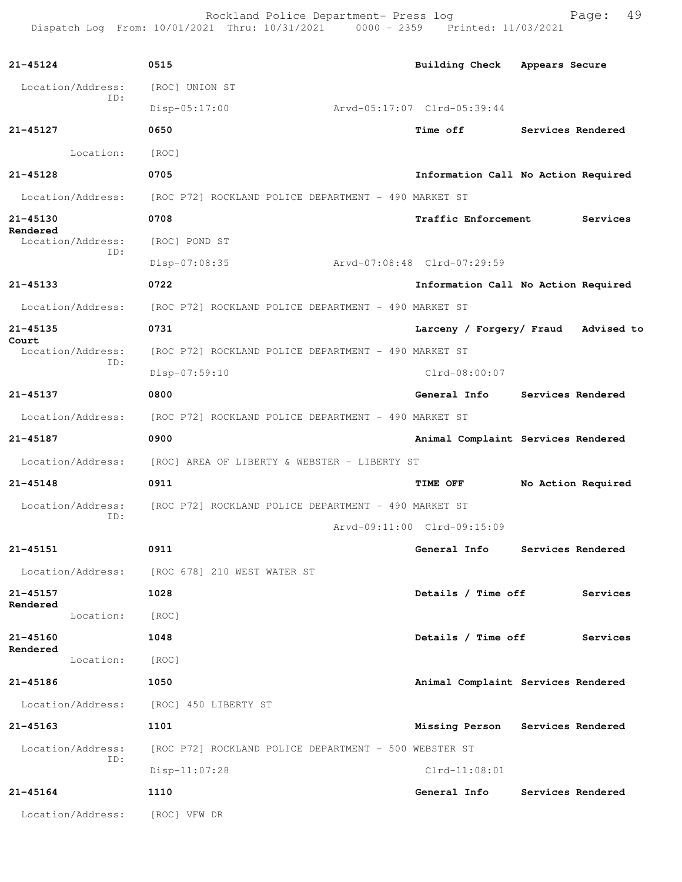Rockland Police Department- Press log entitled and Page: 49 Dispatch Log From: 10/01/2021 Thru: 10/31/2021 0000 - 2359 Printed: 11/03/2021

| 21-45124     |                          | 0515                                                  | Building Check Appears Secure |                                     |
|--------------|--------------------------|-------------------------------------------------------|-------------------------------|-------------------------------------|
|              | Location/Address:<br>ID: | [ROC] UNION ST                                        |                               |                                     |
|              |                          | Disp-05:17:00                                         | Arvd-05:17:07 Clrd-05:39:44   |                                     |
| 21-45127     |                          | 0650                                                  | <b>Time off</b>               | Services Rendered                   |
|              | Location:                | [ROC]                                                 |                               |                                     |
| 21-45128     |                          | 0705                                                  |                               | Information Call No Action Required |
|              | Location/Address:        | [ROC P72] ROCKLAND POLICE DEPARTMENT - 490 MARKET ST  |                               |                                     |
| 21-45130     |                          | 0708                                                  | Traffic Enforcement           | Services                            |
| Rendered     | Location/Address:        | [ROC] POND ST                                         |                               |                                     |
|              | ID:                      | Disp-07:08:35                                         | Arvd-07:08:48 Clrd-07:29:59   |                                     |
| 21-45133     |                          | 0722                                                  |                               | Information Call No Action Required |
|              | Location/Address:        | [ROC P72] ROCKLAND POLICE DEPARTMENT - 490 MARKET ST  |                               |                                     |
| 21-45135     |                          | 0731                                                  | Larceny / Forgery/ Fraud      | Advised to                          |
| Court        | Location/Address:        | [ROC P72] ROCKLAND POLICE DEPARTMENT - 490 MARKET ST  |                               |                                     |
|              | TD:                      | $Disp-07:59:10$                                       | $Clrd-08:00:07$               |                                     |
| 21-45137     |                          | 0800                                                  | General Info                  | Services Rendered                   |
|              | Location/Address:        | [ROC P72] ROCKLAND POLICE DEPARTMENT - 490 MARKET ST  |                               |                                     |
| 21-45187     |                          | 0900                                                  |                               | Animal Complaint Services Rendered  |
|              | Location/Address:        | [ROC] AREA OF LIBERTY & WEBSTER - LIBERTY ST          |                               |                                     |
| $21 - 45148$ |                          | 0911                                                  | TIME OFF                      | No Action Required                  |
|              | Location/Address:        | [ROC P72] ROCKLAND POLICE DEPARTMENT - 490 MARKET ST  |                               |                                     |
|              | ID:                      |                                                       | Arvd-09:11:00 Clrd-09:15:09   |                                     |
| $21 - 45151$ |                          | 0911                                                  |                               | General Info Services Rendered      |
|              | Location/Address:        | [ROC 678] 210 WEST WATER ST                           |                               |                                     |
| 21-45157     |                          | 1028                                                  | Details / Time off            | Services                            |
| Rendered     | Location:                | [ROC]                                                 |                               |                                     |
| 21-45160     |                          | 1048                                                  | Details / Time off            | Services                            |
| Rendered     | Location:                | [ROC]                                                 |                               |                                     |
| 21-45186     |                          | 1050                                                  |                               | Animal Complaint Services Rendered  |
|              | Location/Address:        | [ROC] 450 LIBERTY ST                                  |                               |                                     |
| 21-45163     |                          | 1101                                                  |                               | Missing Person Services Rendered    |
|              | Location/Address:        | [ROC P72] ROCKLAND POLICE DEPARTMENT - 500 WEBSTER ST |                               |                                     |
|              | ID:                      | $Disp-11:07:28$                                       | Clrd-11:08:01                 |                                     |
| $21 - 45164$ |                          | 1110                                                  | General Info                  | Services Rendered                   |
|              | Location/Address:        | [ROC] VFW DR                                          |                               |                                     |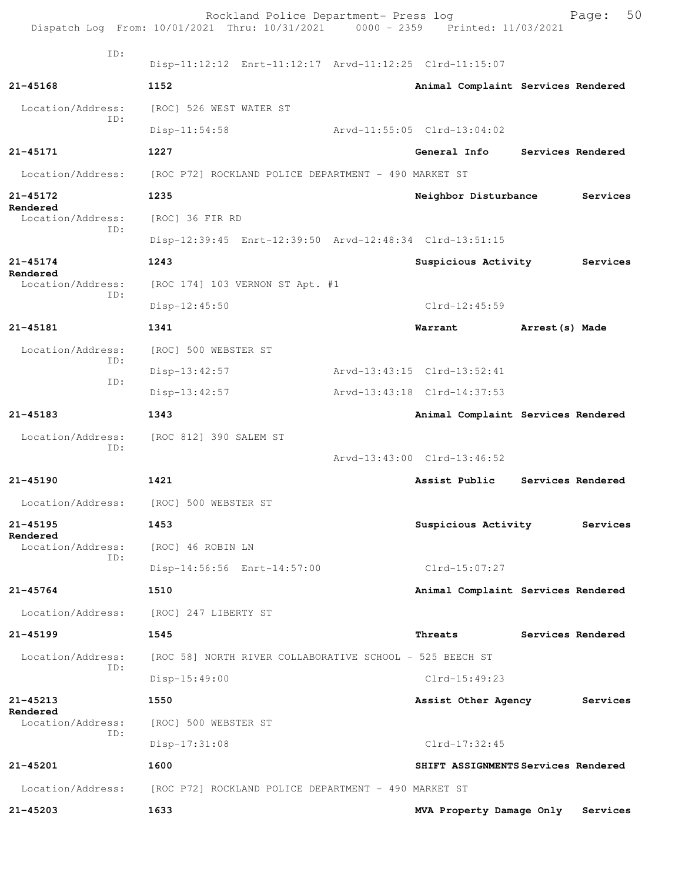|                               | Rockland Police Department- Press log<br>Dispatch Log From: 10/01/2021 Thru: 10/31/2021 0000 - 2359 Printed: 11/03/2021 |                                     |                 | 50<br>Page:       |
|-------------------------------|-------------------------------------------------------------------------------------------------------------------------|-------------------------------------|-----------------|-------------------|
| ID:                           | Disp-11:12:12 Enrt-11:12:17 Arvd-11:12:25 Clrd-11:15:07                                                                 |                                     |                 |                   |
| $21 - 45168$                  | 1152                                                                                                                    | Animal Complaint Services Rendered  |                 |                   |
| Location/Address:             | [ROC] 526 WEST WATER ST                                                                                                 |                                     |                 |                   |
| ID:                           | $Disp-11:54:58$                                                                                                         | Arvd-11:55:05 Clrd-13:04:02         |                 |                   |
| 21-45171                      | 1227                                                                                                                    | General Info                        |                 | Services Rendered |
| Location/Address:             | [ROC P72] ROCKLAND POLICE DEPARTMENT - 490 MARKET ST                                                                    |                                     |                 |                   |
| 21-45172                      | 1235                                                                                                                    | Neighbor Disturbance                |                 | Services          |
| Rendered<br>Location/Address: | [ROC] 36 FIR RD                                                                                                         |                                     |                 |                   |
| ID:                           | Disp-12:39:45 Enrt-12:39:50 Arvd-12:48:34 Clrd-13:51:15                                                                 |                                     |                 |                   |
| 21-45174                      | 1243                                                                                                                    | Suspicious Activity                 |                 | Services          |
| Rendered<br>Location/Address: | [ROC 174] 103 VERNON ST Apt. #1                                                                                         |                                     |                 |                   |
| ID:                           | $Disp-12:45:50$                                                                                                         | $Clrd-12:45:59$                     |                 |                   |
| 21-45181                      | 1341                                                                                                                    | Warrant                             | Arrest (s) Made |                   |
| Location/Address:             | [ROC] 500 WEBSTER ST                                                                                                    |                                     |                 |                   |
| ID:<br>ID:                    | $Disp-13:42:57$                                                                                                         | Arvd-13:43:15 Clrd-13:52:41         |                 |                   |
|                               | Disp-13:42:57                                                                                                           | Arvd-13:43:18 Clrd-14:37:53         |                 |                   |
| 21-45183                      | 1343                                                                                                                    | Animal Complaint Services Rendered  |                 |                   |
| Location/Address:<br>ID:      | [ROC 812] 390 SALEM ST                                                                                                  |                                     |                 |                   |
|                               |                                                                                                                         | Arvd-13:43:00 Clrd-13:46:52         |                 |                   |
| $21 - 45190$                  | 1421                                                                                                                    | Assist Public                       |                 | Services Rendered |
|                               | Location/Address: [ROC] 500 WEBSTER ST                                                                                  |                                     |                 |                   |
| 21-45195<br>Rendered          | 1453                                                                                                                    | Suspicious Activity                 |                 | Services          |
| Location/Address:<br>ID:      | [ROC] 46 ROBIN LN                                                                                                       |                                     |                 |                   |
|                               | Disp-14:56:56 Enrt-14:57:00                                                                                             | $Clrd-15:07:27$                     |                 |                   |
| $21 - 45764$                  | 1510                                                                                                                    | Animal Complaint Services Rendered  |                 |                   |
|                               | Location/Address: [ROC] 247 LIBERTY ST                                                                                  |                                     |                 |                   |
| 21-45199                      | 1545                                                                                                                    | Threats                             |                 | Services Rendered |
| Location/Address:<br>ID:      | [ROC 58] NORTH RIVER COLLABORATIVE SCHOOL - 525 BEECH ST                                                                |                                     |                 |                   |
|                               | $Disp-15:49:00$                                                                                                         | $Clrd-15:49:23$                     |                 |                   |
| 21-45213<br>Rendered          | 1550                                                                                                                    | Assist Other Agency                 |                 | Services          |
| Location/Address:<br>ID:      | [ROC] 500 WEBSTER ST                                                                                                    |                                     |                 |                   |
|                               | $Disp-17:31:08$                                                                                                         | $Clrd-17:32:45$                     |                 |                   |
| 21-45201                      | 1600                                                                                                                    | SHIFT ASSIGNMENTS Services Rendered |                 |                   |
|                               | Location/Address: [ROC P72] ROCKLAND POLICE DEPARTMENT - 490 MARKET ST                                                  |                                     |                 |                   |
| 21-45203                      | 1633                                                                                                                    | MVA Property Damage Only            |                 | Services          |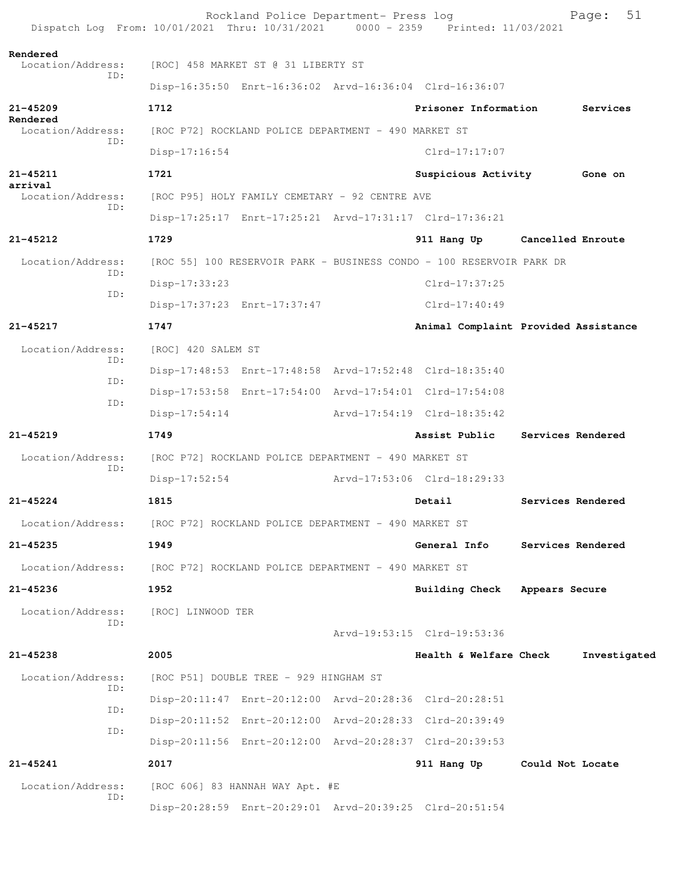| Dispatch Log From: 10/01/2021 Thru: 10/31/2021 0000 - 2359 Printed: 11/03/2021 |                                                      | Rockland Police Department- Press log                |                                                                      | 51<br>Page:                          |
|--------------------------------------------------------------------------------|------------------------------------------------------|------------------------------------------------------|----------------------------------------------------------------------|--------------------------------------|
| Rendered<br>Location/Address:                                                  |                                                      | [ROC] 458 MARKET ST @ 31 LIBERTY ST                  |                                                                      |                                      |
| ID:                                                                            |                                                      |                                                      | Disp-16:35:50 Enrt-16:36:02 Arvd-16:36:04 Clrd-16:36:07              |                                      |
| $21 - 45209$                                                                   | 1712                                                 |                                                      | Prisoner Information                                                 | Services                             |
| Rendered<br>Location/Address:                                                  |                                                      | [ROC P72] ROCKLAND POLICE DEPARTMENT - 490 MARKET ST |                                                                      |                                      |
| ID:                                                                            | Disp-17:16:54                                        |                                                      | $Clrd-17:17:07$                                                      |                                      |
| 21-45211                                                                       | 1721                                                 |                                                      | Suspicious Activity                                                  | Gone on                              |
| arrival<br>Location/Address:                                                   |                                                      | [ROC P95] HOLY FAMILY CEMETARY - 92 CENTRE AVE       |                                                                      |                                      |
| ID:                                                                            |                                                      |                                                      | Disp-17:25:17 Enrt-17:25:21 Arvd-17:31:17 Clrd-17:36:21              |                                      |
| $21 - 45212$                                                                   | 1729                                                 |                                                      | 911 Hang Up                                                          | Cancelled Enroute                    |
| Location/Address:                                                              |                                                      |                                                      | [ROC 55] 100 RESERVOIR PARK - BUSINESS CONDO - 100 RESERVOIR PARK DR |                                      |
| ID:                                                                            | Disp-17:33:23                                        |                                                      | Clrd-17:37:25                                                        |                                      |
| ID:                                                                            |                                                      | Disp-17:37:23 Enrt-17:37:47                          | Clrd-17:40:49                                                        |                                      |
| 21-45217                                                                       | 1747                                                 |                                                      |                                                                      | Animal Complaint Provided Assistance |
| Location/Address:                                                              | [ROC] 420 SALEM ST                                   |                                                      |                                                                      |                                      |
| TD:                                                                            |                                                      |                                                      | Disp-17:48:53 Enrt-17:48:58 Arvd-17:52:48 Clrd-18:35:40              |                                      |
| ID:                                                                            |                                                      |                                                      | Disp-17:53:58 Enrt-17:54:00 Arvd-17:54:01 Clrd-17:54:08              |                                      |
| ID:                                                                            | $Disp-17:54:14$                                      |                                                      | Arvd-17:54:19 Clrd-18:35:42                                          |                                      |
| $21 - 45219$                                                                   | 1749                                                 |                                                      | Assist Public                                                        | Services Rendered                    |
| Location/Address:                                                              |                                                      | [ROC P72] ROCKLAND POLICE DEPARTMENT - 490 MARKET ST |                                                                      |                                      |
| ID:                                                                            | $Disp-17:52:54$                                      |                                                      | Arvd-17:53:06 Clrd-18:29:33                                          |                                      |
| $21 - 45224$                                                                   | 1815                                                 |                                                      |                                                                      | Services Rendered                    |
|                                                                                |                                                      |                                                      | Detail                                                               |                                      |
| Location/Address: [ROC P72] ROCKLAND POLICE DEPARTMENT - 490 MARKET ST         |                                                      |                                                      |                                                                      |                                      |
| 21-45235                                                                       | 1949                                                 |                                                      | General Info                                                         | Services Rendered                    |
| Location/Address:                                                              | [ROC P72] ROCKLAND POLICE DEPARTMENT - 490 MARKET ST |                                                      |                                                                      |                                      |
| $21 - 45236$                                                                   | 1952                                                 |                                                      | Building Check Appears Secure                                        |                                      |
| Location/Address:<br>ID:                                                       | [ROC] LINWOOD TER                                    |                                                      |                                                                      |                                      |
|                                                                                |                                                      |                                                      | Arvd-19:53:15 Clrd-19:53:36                                          |                                      |
| 21-45238                                                                       | 2005                                                 |                                                      | Health & Welfare Check                                               | Investigated                         |
| Location/Address:<br>ID:                                                       |                                                      | [ROC P51] DOUBLE TREE - 929 HINGHAM ST               |                                                                      |                                      |
| ID:                                                                            |                                                      |                                                      | Disp-20:11:47 Enrt-20:12:00 Arvd-20:28:36 Clrd-20:28:51              |                                      |
| ID:                                                                            |                                                      |                                                      | Disp-20:11:52 Enrt-20:12:00 Arvd-20:28:33 Clrd-20:39:49              |                                      |
|                                                                                |                                                      |                                                      | Disp-20:11:56 Enrt-20:12:00 Arvd-20:28:37 Clrd-20:39:53              |                                      |
| 21-45241                                                                       | 2017                                                 |                                                      | 911 Hang Up                                                          | Could Not Locate                     |
| Location/Address:<br>ID:                                                       |                                                      | [ROC 606] 83 HANNAH WAY Apt. #E                      |                                                                      |                                      |
|                                                                                |                                                      |                                                      | Disp-20:28:59 Enrt-20:29:01 Arvd-20:39:25 Clrd-20:51:54              |                                      |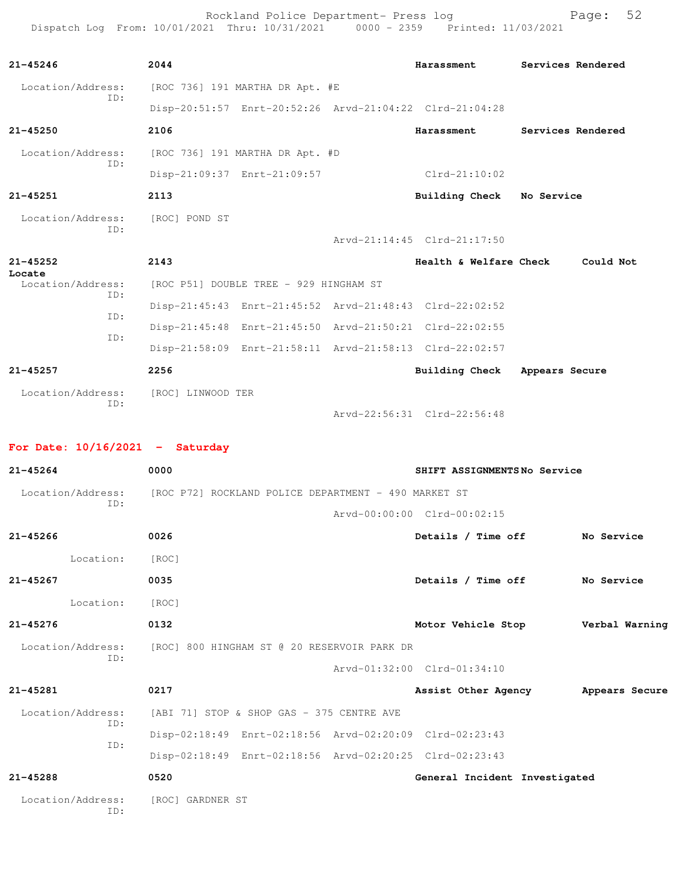Rockland Police Department- Press log entitled and Page: 52 Dispatch Log From: 10/01/2021 Thru: 10/31/2021 0000 - 2359 Printed: 11/03/2021

| $21 - 45246$             | 2044                            |                                        | <b>Harassment</b>                                       | Services Rendered |
|--------------------------|---------------------------------|----------------------------------------|---------------------------------------------------------|-------------------|
| Location/Address:<br>ID: |                                 | [ROC 736] 191 MARTHA DR Apt. #E        |                                                         |                   |
|                          |                                 |                                        | Disp-20:51:57 Enrt-20:52:26 Arvd-21:04:22 Clrd-21:04:28 |                   |
| $21 - 45250$             | 2106                            |                                        | Harassment                                              | Services Rendered |
| Location/Address:<br>TD: | [ROC 736] 191 MARTHA DR Apt. #D |                                        |                                                         |                   |
|                          |                                 | Disp-21:09:37 Enrt-21:09:57            | $Clrd-21:10:02$                                         |                   |
| $21 - 45251$             | 2113                            |                                        | Building Check                                          | No Service        |
| Location/Address:<br>TD: | [ROC] POND ST                   |                                        | Arvd-21:14:45 Clrd-21:17:50                             |                   |
| $21 - 45252$<br>Locate   | 2143                            |                                        | Health & Welfare Check                                  | Could Not         |
| Location/Address:<br>ID: |                                 | [ROC P51] DOUBLE TREE - 929 HINGHAM ST |                                                         |                   |
|                          |                                 |                                        | Disp-21:45:43 Enrt-21:45:52 Arvd-21:48:43 Clrd-22:02:52 |                   |
| ID:                      |                                 |                                        | Disp-21:45:48 Enrt-21:45:50 Arvd-21:50:21 Clrd-22:02:55 |                   |
| TD:                      |                                 |                                        | Disp-21:58:09 Enrt-21:58:11 Arvd-21:58:13 Clrd-22:02:57 |                   |
| $21 - 45257$             | 2256                            |                                        | <b>Building Check</b>                                   | Appears Secure    |
| Location/Address:<br>ID: | [ROC] LINWOOD TER               |                                        |                                                         |                   |
|                          |                                 |                                        | Arvd-22:56:31 Clrd-22:56:48                             |                   |

## **For Date: 10/16/2021 - Saturday**

| $21 - 45264$             | 0000                                                                   | SHIFT ASSIGNMENTSNo Service         |
|--------------------------|------------------------------------------------------------------------|-------------------------------------|
| TD:                      | Location/Address: [ROC P72] ROCKLAND POLICE DEPARTMENT - 490 MARKET ST |                                     |
|                          |                                                                        | Arvd-00:00:00 Clrd-00:02:15         |
| $21 - 45266$             | 0026                                                                   | Details / Time off<br>No Service    |
| Location:                | [ROC]                                                                  |                                     |
| $21 - 45267$             | 0035                                                                   | Details / Time off<br>No Service    |
| Location:                | [ROC]                                                                  |                                     |
| $21 - 45276$             | 0132                                                                   | Motor Vehicle Stop Verbal Warning   |
| Location/Address:        | [ROC] 800 HINGHAM ST @ 20 RESERVOIR PARK DR                            |                                     |
| ID:                      |                                                                        | Arvd-01:32:00 Clrd-01:34:10         |
| $21 - 45281$             | 0217                                                                   | Assist Other Agency Mappears Secure |
| Location/Address:        | [ABI 71] STOP & SHOP GAS - 375 CENTRE AVE                              |                                     |
| ID:<br>ID:               | Disp-02:18:49 Enrt-02:18:56 Arvd-02:20:09 Clrd-02:23:43                |                                     |
|                          | Disp-02:18:49 Enrt-02:18:56 Arvd-02:20:25 Clrd-02:23:43                |                                     |
| $21 - 45288$             | 0520                                                                   | General Incident Investigated       |
| Location/Address:<br>TD: | [ROC] GARDNER ST                                                       |                                     |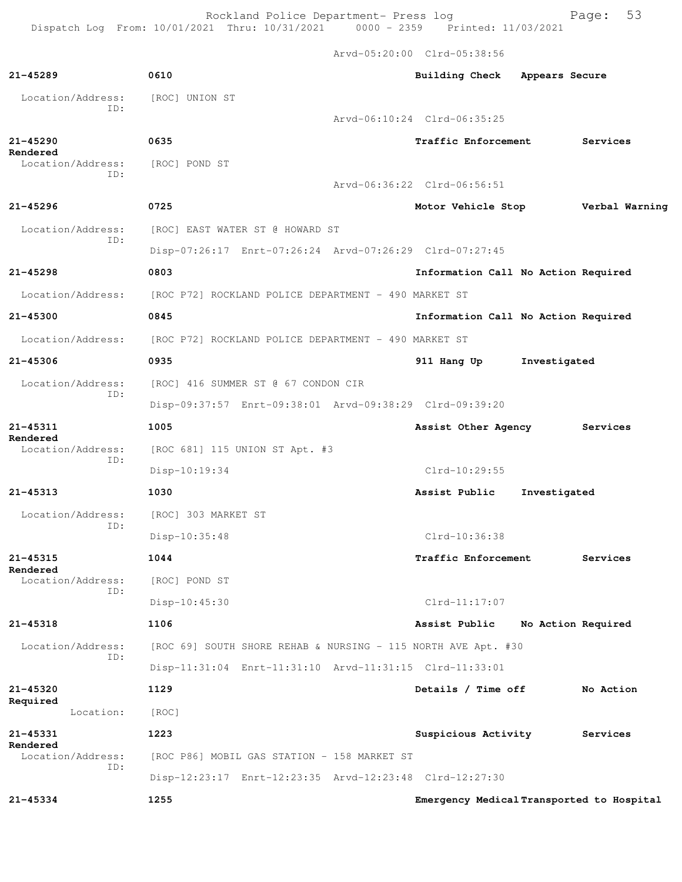Rockland Police Department- Press log Fage: 53 Dispatch Log From: 10/01/2021 Thru: 10/31/2021 0000 - 2359 Printed: 11/03/2021

 Arvd-05:20:00 Clrd-05:38:56 **21-45289 0610 Building Check Appears Secure** Location/Address: [ROC] UNION ST ID: Arvd-06:10:24 Clrd-06:35:25 **21-45290 0635 Traffic Enforcement Services Rendered**  Location/Address: [ROC] POND ST ID: Arvd-06:36:22 Clrd-06:56:51 **21-45296 0725 Motor Vehicle Stop Verbal Warning** Location/Address: [ROC] EAST WATER ST @ HOWARD ST ID: Disp-07:26:17 Enrt-07:26:24 Arvd-07:26:29 Clrd-07:27:45 **21-45298 0803 Information Call No Action Required** Location/Address: [ROC P72] ROCKLAND POLICE DEPARTMENT - 490 MARKET ST **21-45300 0845 Information Call No Action Required** Location/Address: [ROC P72] ROCKLAND POLICE DEPARTMENT - 490 MARKET ST **21-45306 0935 911 Hang Up Investigated** Location/Address: [ROC] 416 SUMMER ST @ 67 CONDON CIR ID: Disp-09:37:57 Enrt-09:38:01 Arvd-09:38:29 Clrd-09:39:20 **21-45311 1005 Assist Other Agency Services Rendered**<br>Location/Address:  $[ROC 681] 115 UNION ST Apt. #3$  ID: Disp-10:19:34 Clrd-10:29:55 **21-45313 1030 Assist Public Investigated** Location/Address: [ROC] 303 MARKET ST ID: Disp-10:35:48 Clrd-10:36:38 **21-45315 1044 Traffic Enforcement Services Rendered**  Location/Address: [ROC] POND ST ID: Disp-10:45:30 Clrd-11:17:07 **21-45318 1106 Assist Public No Action Required** Location/Address: [ROC 69] SOUTH SHORE REHAB & NURSING - 115 NORTH AVE Apt. #30 ID: Disp-11:31:04 Enrt-11:31:10 Arvd-11:31:15 Clrd-11:33:01 **21-45320 1129 Details / Time off No Action Required**  Location: [ROC] **21-45331 1223 Suspicious Activity Services Rendered**  Location/Address: [ROC P86] MOBIL GAS STATION - 158 MARKET ST ID: Disp-12:23:17 Enrt-12:23:35 Arvd-12:23:48 Clrd-12:27:30 **21-45334 1255 Emergency Medical Transported to Hospital**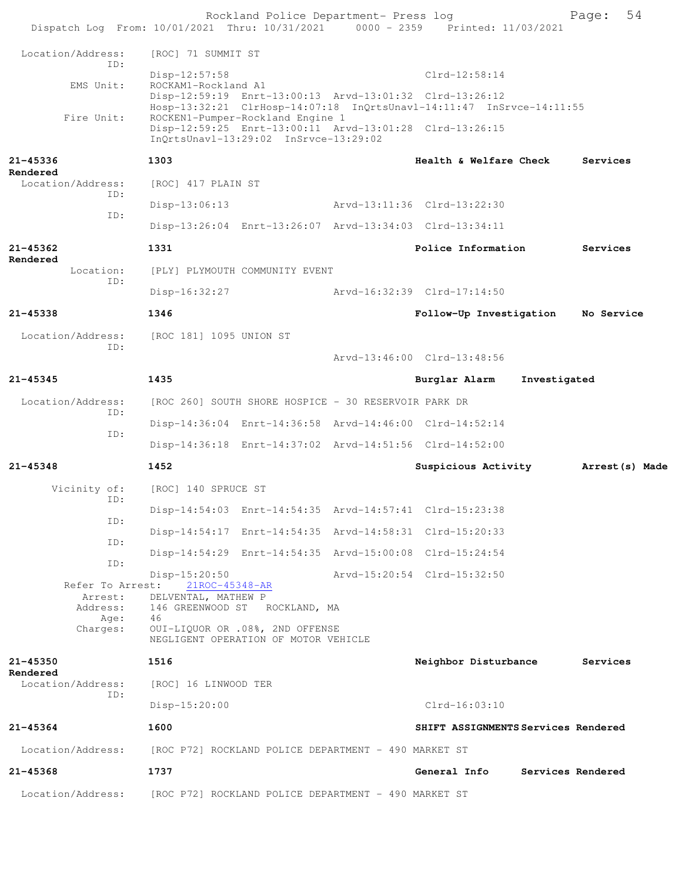|                               |                         |                                   | Rockland Police Department- Press log                                     | Dispatch Log From: 10/01/2021 Thru: 10/31/2021 0000 - 2359 Printed: 11/03/2021                                                  |              | Page:             | 54 |
|-------------------------------|-------------------------|-----------------------------------|---------------------------------------------------------------------------|---------------------------------------------------------------------------------------------------------------------------------|--------------|-------------------|----|
| Location/Address:             |                         | [ROC] 71 SUMMIT ST                |                                                                           |                                                                                                                                 |              |                   |    |
|                               | TD:                     | $Disp-12:57:58$                   |                                                                           | $Clrd-12:58:14$                                                                                                                 |              |                   |    |
| EMS Unit:                     |                         | ROCKAM1-Rockland A1               |                                                                           | Disp-12:59:19 Enrt-13:00:13 Arvd-13:01:32 Clrd-13:26:12<br>Hosp-13:32:21 ClrHosp-14:07:18 InQrtsUnavl-14:11:47 InSrvce-14:11:55 |              |                   |    |
| Fire Unit:                    |                         |                                   | ROCKEN1-Pumper-Rockland Engine 1<br>InQrtsUnavl-13:29:02 InSrvce-13:29:02 | Disp-12:59:25 Enrt-13:00:11 Arvd-13:01:28 Clrd-13:26:15                                                                         |              |                   |    |
| 21-45336<br>Rendered          |                         | 1303                              |                                                                           | Health & Welfare Check                                                                                                          |              | Services          |    |
| Location/Address:             | ID:                     | [ROC] 417 PLAIN ST                |                                                                           |                                                                                                                                 |              |                   |    |
|                               |                         | $Disp-13:06:13$                   |                                                                           | Arvd-13:11:36 Clrd-13:22:30                                                                                                     |              |                   |    |
|                               | ID:                     |                                   |                                                                           | Disp-13:26:04 Enrt-13:26:07 Arvd-13:34:03 Clrd-13:34:11                                                                         |              |                   |    |
| 21-45362                      |                         | 1331                              |                                                                           | Police Information                                                                                                              |              | Services          |    |
| Rendered<br>Location:         |                         |                                   | [PLY] PLYMOUTH COMMUNITY EVENT                                            |                                                                                                                                 |              |                   |    |
|                               | ID:                     | $Disp-16:32:27$                   |                                                                           | Arvd-16:32:39 Clrd-17:14:50                                                                                                     |              |                   |    |
| $21 - 45338$                  |                         | 1346                              |                                                                           | Follow-Up Investigation                                                                                                         |              | No Service        |    |
| Location/Address:             |                         | [ROC 181] 1095 UNION ST           |                                                                           |                                                                                                                                 |              |                   |    |
|                               | ID:                     |                                   |                                                                           | Arvd-13:46:00 Clrd-13:48:56                                                                                                     |              |                   |    |
| $21 - 45345$                  |                         | 1435                              |                                                                           | Burglar Alarm                                                                                                                   | Investigated |                   |    |
| Location/Address:             |                         |                                   | [ROC 260] SOUTH SHORE HOSPICE - 30 RESERVOIR PARK DR                      |                                                                                                                                 |              |                   |    |
|                               | ID:                     |                                   |                                                                           | Disp-14:36:04 Enrt-14:36:58 Arvd-14:46:00 Clrd-14:52:14                                                                         |              |                   |    |
|                               | ID:                     |                                   |                                                                           | Disp-14:36:18 Enrt-14:37:02 Arvd-14:51:56 Clrd-14:52:00                                                                         |              |                   |    |
| 21-45348                      |                         | 1452                              |                                                                           | Suspicious Activity                                                                                                             |              | Arrest (s) Made   |    |
| Vicinity of:                  |                         | [ROC] 140 SPRUCE ST               |                                                                           |                                                                                                                                 |              |                   |    |
|                               | ID:                     |                                   |                                                                           | Disp-14:54:03 Enrt-14:54:35 Arvd-14:57:41 Clrd-15:23:38                                                                         |              |                   |    |
|                               | ID:                     |                                   |                                                                           | Disp-14:54:17 Enrt-14:54:35 Arvd-14:58:31 Clrd-15:20:33                                                                         |              |                   |    |
|                               | ID:                     |                                   |                                                                           | Disp-14:54:29 Enrt-14:54:35 Arvd-15:00:08 Clrd-15:24:54                                                                         |              |                   |    |
|                               | ID:<br>Refer To Arrest: | $Disp-15:20:50$<br>21ROC-45348-AR |                                                                           | Arvd-15:20:54 Clrd-15:32:50                                                                                                     |              |                   |    |
|                               | Arrest:                 | DELVENTAL, MATHEW P               | Address: 146 GREENWOOD ST ROCKLAND, MA                                    |                                                                                                                                 |              |                   |    |
|                               | Age:<br>Charges:        | 46                                | OUI-LIQUOR OR .08%, 2ND OFFENSE<br>NEGLIGENT OPERATION OF MOTOR VEHICLE   |                                                                                                                                 |              |                   |    |
| $21 - 45350$                  |                         | 1516                              |                                                                           | Neighbor Disturbance                                                                                                            |              | Services          |    |
| Rendered<br>Location/Address: |                         | [ROC] 16 LINWOOD TER              |                                                                           |                                                                                                                                 |              |                   |    |
|                               | ID:                     | $Disp-15:20:00$                   |                                                                           | $Clrd-16:03:10$                                                                                                                 |              |                   |    |
| $21 - 45364$                  |                         | 1600                              |                                                                           | SHIFT ASSIGNMENTS Services Rendered                                                                                             |              |                   |    |
| Location/Address:             |                         |                                   | [ROC P72] ROCKLAND POLICE DEPARTMENT - 490 MARKET ST                      |                                                                                                                                 |              |                   |    |
| $21 - 45368$                  |                         | 1737                              |                                                                           | General Info                                                                                                                    |              | Services Rendered |    |
| Location/Address:             |                         |                                   | [ROC P72] ROCKLAND POLICE DEPARTMENT - 490 MARKET ST                      |                                                                                                                                 |              |                   |    |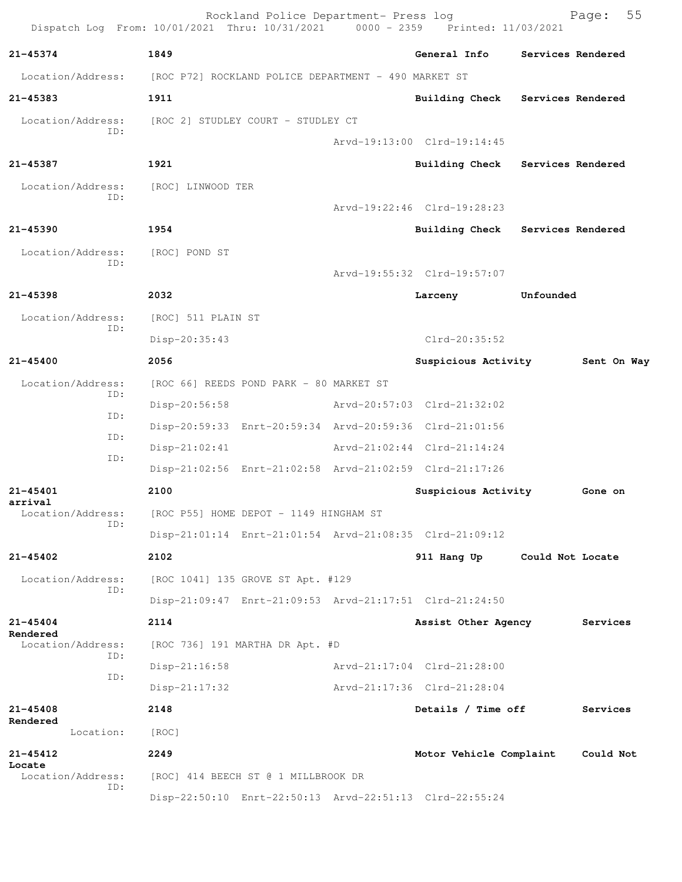| Dispatch Log From: 10/01/2021 Thru: 10/31/2021 0000 - 2359 |                                                      | Rockland Police Department- Press log   | Printed: 11/03/2021                                     |                   | 55<br>Page: |
|------------------------------------------------------------|------------------------------------------------------|-----------------------------------------|---------------------------------------------------------|-------------------|-------------|
| $21 - 45374$                                               | 1849                                                 |                                         | General Info                                            | Services Rendered |             |
| Location/Address:                                          | [ROC P72] ROCKLAND POLICE DEPARTMENT - 490 MARKET ST |                                         |                                                         |                   |             |
| 21-45383                                                   | 1911                                                 |                                         | <b>Building Check</b>                                   | Services Rendered |             |
| Location/Address:                                          | [ROC 2] STUDLEY COURT - STUDLEY CT                   |                                         |                                                         |                   |             |
| TD:                                                        |                                                      |                                         | Arvd-19:13:00 Clrd-19:14:45                             |                   |             |
| 21-45387                                                   | 1921                                                 |                                         | Building Check                                          | Services Rendered |             |
| Location/Address:<br>ID:                                   | [ROC] LINWOOD TER                                    |                                         |                                                         |                   |             |
|                                                            |                                                      |                                         | Arvd-19:22:46 Clrd-19:28:23                             |                   |             |
| $21 - 45390$                                               | 1954                                                 |                                         | <b>Building Check</b>                                   | Services Rendered |             |
| Location/Address:<br>ID:                                   | [ROC] POND ST                                        |                                         | Arvd-19:55:32 Clrd-19:57:07                             |                   |             |
| $21 - 45398$                                               | 2032                                                 |                                         | Larceny                                                 | Unfounded         |             |
| Location/Address:                                          | [ROC] 511 PLAIN ST                                   |                                         |                                                         |                   |             |
| ID:                                                        | Disp-20:35:43                                        |                                         | $Clrd-20:35:52$                                         |                   |             |
| 21-45400                                                   | 2056                                                 |                                         | Suspicious Activity                                     |                   | Sent On Way |
| Location/Address:                                          |                                                      | [ROC 66] REEDS POND PARK - 80 MARKET ST |                                                         |                   |             |
| ID:                                                        | Disp-20:56:58                                        |                                         | Arvd-20:57:03 Clrd-21:32:02                             |                   |             |
| ID:                                                        |                                                      |                                         | Disp-20:59:33 Enrt-20:59:34 Arvd-20:59:36 Clrd-21:01:56 |                   |             |
| ID:                                                        | $Disp-21:02:41$                                      |                                         | Arvd-21:02:44 Clrd-21:14:24                             |                   |             |
| ID:                                                        |                                                      |                                         | Disp-21:02:56 Enrt-21:02:58 Arvd-21:02:59 Clrd-21:17:26 |                   |             |
| 21-45401                                                   | 2100                                                 |                                         | Suspicious Activity                                     |                   | Gone on     |
| arrival<br>Location/Address:                               |                                                      | [ROC P55] HOME DEPOT - 1149 HINGHAM ST  |                                                         |                   |             |
| TD:                                                        |                                                      |                                         | Disp-21:01:14 Enrt-21:01:54 Arvd-21:08:35 Clrd-21:09:12 |                   |             |
| $21 - 45402$                                               | 2102                                                 |                                         | 911 Hang Up                                             | Could Not Locate  |             |
| Location/Address:                                          |                                                      | [ROC 1041] 135 GROVE ST Apt. #129       |                                                         |                   |             |
| ID:                                                        |                                                      |                                         | Disp-21:09:47 Enrt-21:09:53 Arvd-21:17:51 Clrd-21:24:50 |                   |             |
| $21 - 45404$                                               | 2114                                                 |                                         | Assist Other Agency                                     |                   | Services    |
| Rendered<br>Location/Address:                              |                                                      | [ROC 736] 191 MARTHA DR Apt. #D         |                                                         |                   |             |
| ID:                                                        | $Disp-21:16:58$                                      |                                         | Arvd-21:17:04 Clrd-21:28:00                             |                   |             |
| ID:                                                        | $Disp-21:17:32$                                      |                                         | Arvd-21:17:36 Clrd-21:28:04                             |                   |             |
| 21-45408                                                   | 2148                                                 |                                         | Details / Time off                                      |                   | Services    |
| Rendered<br>Location:                                      | [ROC]                                                |                                         |                                                         |                   |             |
| 21-45412                                                   | 2249                                                 |                                         | Motor Vehicle Complaint                                 |                   | Could Not   |
| Locate<br>Location/Address:                                |                                                      | [ROC] 414 BEECH ST @ 1 MILLBROOK DR     |                                                         |                   |             |
| ID:                                                        |                                                      |                                         | Disp-22:50:10 Enrt-22:50:13 Arvd-22:51:13 Clrd-22:55:24 |                   |             |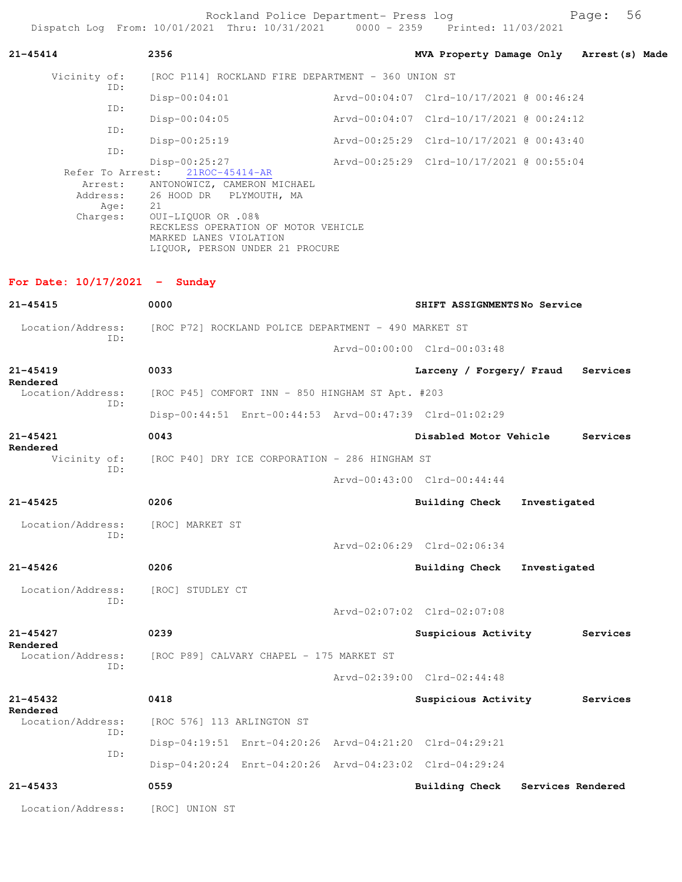Rockland Police Department- Press log entitled and Page: 56 Dispatch Log From: 10/01/2021 Thru: 10/31/2021 0000 - 2359 Printed: 11/03/2021

| 21-45414                                               | 2356                                                                                                                                                                                                                                 | MVA Property Damage Only Arrest (s) Made |              |                   |  |
|--------------------------------------------------------|--------------------------------------------------------------------------------------------------------------------------------------------------------------------------------------------------------------------------------------|------------------------------------------|--------------|-------------------|--|
| Vicinity of:                                           | [ROC P114] ROCKLAND FIRE DEPARTMENT - 360 UNION ST                                                                                                                                                                                   |                                          |              |                   |  |
| ID:                                                    | $Disp-00:04:01$                                                                                                                                                                                                                      | Arvd-00:04:07 Clrd-10/17/2021 @ 00:46:24 |              |                   |  |
| ID:                                                    | $Disp-00:04:05$                                                                                                                                                                                                                      | Arvd-00:04:07 Clrd-10/17/2021 @ 00:24:12 |              |                   |  |
| ID:                                                    | $Disp-00:25:19$                                                                                                                                                                                                                      |                                          |              |                   |  |
| ID:<br>Refer To Arrest:<br>Arrest:<br>Age:<br>Charges: | $Disp-00:25:27$<br>21ROC-45414-AR<br>ANTONOWICZ, CAMERON MICHAEL<br>Address: 26 HOOD DR PLYMOUTH, MA<br>21<br>0UI-LIQUOR OR .08%<br>RECKLESS OPERATION OF MOTOR VEHICLE<br>MARKED LANES VIOLATION<br>LIQUOR, PERSON UNDER 21 PROCURE |                                          |              |                   |  |
| For Date: $10/17/2021$ - Sunday                        |                                                                                                                                                                                                                                      |                                          |              |                   |  |
| $21 - 45415$                                           | 0000                                                                                                                                                                                                                                 | SHIFT ASSIGNMENTSNo Service              |              |                   |  |
|                                                        | Location/Address: [ROC P72] ROCKLAND POLICE DEPARTMENT - 490 MARKET ST                                                                                                                                                               |                                          |              |                   |  |
| ID:                                                    |                                                                                                                                                                                                                                      | Arvd-00:00:00 Clrd-00:03:48              |              |                   |  |
| 21-45419                                               | 0033                                                                                                                                                                                                                                 | Larceny / Forgery/ Fraud Services        |              |                   |  |
| Rendered<br>Location/Address:                          | [ROC P45] COMFORT INN - 850 HINGHAM ST Apt. #203                                                                                                                                                                                     |                                          |              |                   |  |
| ID:                                                    | Disp-00:44:51 Enrt-00:44:53 Arvd-00:47:39 Clrd-01:02:29                                                                                                                                                                              |                                          |              |                   |  |
| $21 - 45421$                                           | 0043                                                                                                                                                                                                                                 | Disabled Motor Vehicle                   |              | Services          |  |
| Rendered                                               | Vicinity of: [ROC P40] DRY ICE CORPORATION - 286 HINGHAM ST                                                                                                                                                                          |                                          |              |                   |  |
| ID:                                                    |                                                                                                                                                                                                                                      | Arvd-00:43:00 Clrd-00:44:44              |              |                   |  |
| $21 - 45425$                                           | 0206                                                                                                                                                                                                                                 | Building Check                           | Investigated |                   |  |
| Location/Address: [ROC] MARKET ST                      |                                                                                                                                                                                                                                      |                                          |              |                   |  |
| ID:                                                    |                                                                                                                                                                                                                                      | Arvd-02:06:29 Clrd-02:06:34              |              |                   |  |
| $21 - 45426$                                           | 0206                                                                                                                                                                                                                                 | Building Check                           | Investigated |                   |  |
| Location/Address:                                      | [ROC] STUDLEY CT                                                                                                                                                                                                                     |                                          |              |                   |  |
| TD:                                                    |                                                                                                                                                                                                                                      | Arvd-02:07:02 Clrd-02:07:08              |              |                   |  |
| $21 - 45427$                                           | 0239                                                                                                                                                                                                                                 | Suspicious Activity                      |              | Services          |  |
| Rendered<br>Location/Address:                          | [ROC P89] CALVARY CHAPEL - 175 MARKET ST                                                                                                                                                                                             |                                          |              |                   |  |
| ID:                                                    |                                                                                                                                                                                                                                      | Arvd-02:39:00 Clrd-02:44:48              |              |                   |  |
| $21 - 45432$                                           | 0418                                                                                                                                                                                                                                 | Suspicious Activity                      |              | Services          |  |
| Rendered<br>Location/Address:                          | [ROC 576] 113 ARLINGTON ST                                                                                                                                                                                                           |                                          |              |                   |  |
| ID:                                                    | Disp-04:19:51 Enrt-04:20:26 Arvd-04:21:20 Clrd-04:29:21                                                                                                                                                                              |                                          |              |                   |  |
| ID:                                                    | Disp-04:20:24 Enrt-04:20:26 Arvd-04:23:02 Clrd-04:29:24                                                                                                                                                                              |                                          |              |                   |  |
| $21 - 45433$                                           | 0559                                                                                                                                                                                                                                 | <b>Building Check</b>                    |              | Services Rendered |  |
| Location/Address:                                      | [ROC] UNION ST                                                                                                                                                                                                                       |                                          |              |                   |  |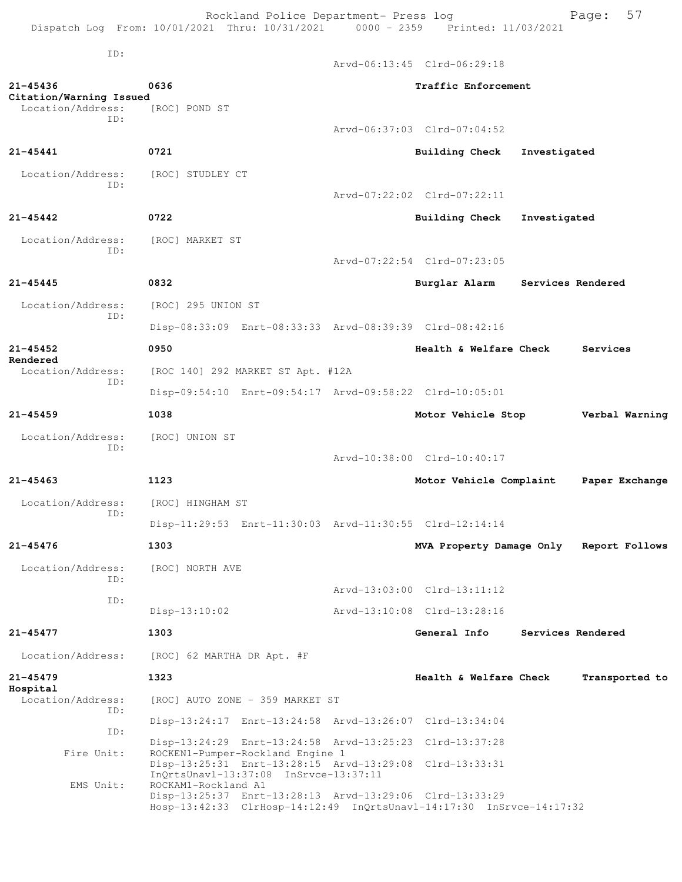Rockland Police Department- Press log Fage: 57 Dispatch Log From: 10/01/2021 Thru: 10/31/2021 0000 - 2359 Printed: 11/03/2021

 ID: Arvd-06:13:45 Clrd-06:29:18 **21-45436 0636 Traffic Enforcement Citation/Warning Issued**  Location/Address: ID: Arvd-06:37:03 Clrd-07:04:52 **21-45441 0721 Building Check Investigated** Location/Address: [ROC] STUDLEY CT ID: Arvd-07:22:02 Clrd-07:22:11 **21-45442 0722 Building Check Investigated** Location/Address: [ROC] MARKET ST ID: Arvd-07:22:54 Clrd-07:23:05 **21-45445 0832 Burglar Alarm Services Rendered** Location/Address: [ROC] 295 UNION ST ID: Disp-08:33:09 Enrt-08:33:33 Arvd-08:39:39 Clrd-08:42:16 **21-45452 0950 Health & Welfare Check Services Rendered**  Location/Address: [ROC 140] 292 MARKET ST Apt. #12A ID: Disp-09:54:10 Enrt-09:54:17 Arvd-09:58:22 Clrd-10:05:01 **21-45459 1038 Motor Vehicle Stop Verbal Warning** Location/Address: [ROC] UNION ST ID: Arvd-10:38:00 Clrd-10:40:17 **21-45463 1123 Motor Vehicle Complaint Paper Exchange** Location/Address: [ROC] HINGHAM ST ID: Disp-11:29:53 Enrt-11:30:03 Arvd-11:30:55 Clrd-12:14:14 **21-45476 1303 MVA Property Damage Only Report Follows** Location/Address: [ROC] NORTH AVE ID: Arvd-13:03:00 Clrd-13:11:12 ID: Disp-13:10:02 Arvd-13:10:08 Clrd-13:28:16 **21-45477 1303 General Info Services Rendered** Location/Address: [ROC] 62 MARTHA DR Apt. #F **21-45479 1323 Health & Welfare Check Transported to Hospital**  [ROC] AUTO ZONE - 359 MARKET ST

 ID: Disp-13:24:17 Enrt-13:24:58 Arvd-13:26:07 Clrd-13:34:04 ID: Disp-13:24:29 Enrt-13:24:58 Arvd-13:25:23 Clrd-13:37:28<br>Fire Unit: ROCKEN1-Pumper-Rockland Engine 1 ROCKEN1-Pumper-Rockland Engine 1 Disp-13:25:31 Enrt-13:28:15 Arvd-13:29:08 Clrd-13:33:31 InQrtsUnavl-13:37:08 InSrvce-13:37:11 EMS Unit: ROCKAM1-Rockland A1 Disp-13:25:37 Enrt-13:28:13 Arvd-13:29:06 Clrd-13:33:29 Hosp-13:42:33 ClrHosp-14:12:49 InQrtsUnavl-14:17:30 InSrvce-14:17:32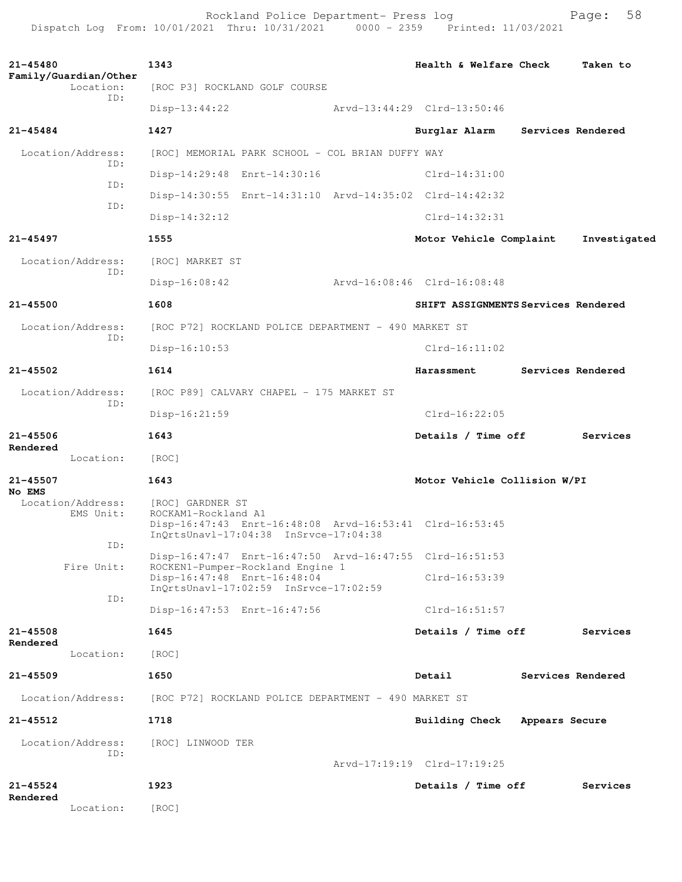Rockland Police Department- Press log entitled and Page: 58 Dispatch Log From: 10/01/2021 Thru: 10/31/2021 0000 - 2359 Printed: 11/03/2021

| $21 - 45480$                       |            | 1343                                                 |                                                                           | Health & Welfare Check                                  |                | Taken to          |
|------------------------------------|------------|------------------------------------------------------|---------------------------------------------------------------------------|---------------------------------------------------------|----------------|-------------------|
| Family/Guardian/Other<br>Location: |            |                                                      | [ROC P3] ROCKLAND GOLF COURSE                                             |                                                         |                |                   |
|                                    | TD:        | Disp-13:44:22                                        |                                                                           | Arvd-13:44:29 Clrd-13:50:46                             |                |                   |
| 21-45484                           |            | 1427                                                 |                                                                           | Burglar Alarm                                           |                | Services Rendered |
| Location/Address:                  |            |                                                      | [ROC] MEMORIAL PARK SCHOOL - COL BRIAN DUFFY WAY                          |                                                         |                |                   |
|                                    | ID:<br>TD: |                                                      | Disp-14:29:48 Enrt-14:30:16                                               | $Clrd-14:31:00$                                         |                |                   |
|                                    | ID:        |                                                      |                                                                           | Disp-14:30:55 Enrt-14:31:10 Arvd-14:35:02 Clrd-14:42:32 |                |                   |
|                                    |            | $Disp-14:32:12$                                      |                                                                           | $Clrd-14:32:31$                                         |                |                   |
| $21 - 45497$                       |            | 1555                                                 |                                                                           | Motor Vehicle Complaint                                 |                | Investigated      |
| Location/Address:                  | TD:        | [ROC] MARKET ST                                      |                                                                           |                                                         |                |                   |
|                                    |            | $Disp-16:08:42$                                      |                                                                           | Arvd-16:08:46 Clrd-16:08:48                             |                |                   |
| $21 - 45500$                       |            | 1608                                                 |                                                                           | SHIFT ASSIGNMENTS Services Rendered                     |                |                   |
| Location/Address:                  | ID:        |                                                      | [ROC P72] ROCKLAND POLICE DEPARTMENT - 490 MARKET ST                      |                                                         |                |                   |
|                                    |            | $Disp-16:10:53$                                      |                                                                           | $Clrd-16:11:02$                                         |                |                   |
| $21 - 45502$                       |            | 1614                                                 |                                                                           | Harassment                                              |                | Services Rendered |
| Location/Address:                  | ID:        |                                                      | [ROC P89] CALVARY CHAPEL - 175 MARKET ST                                  |                                                         |                |                   |
|                                    |            | Disp-16:21:59                                        |                                                                           | $Clrd-16:22:05$                                         |                |                   |
| $21 - 45506$<br>Rendered           |            | 1643                                                 |                                                                           | Details / Time off                                      |                | Services          |
| Location:                          |            | [ROC]                                                |                                                                           |                                                         |                |                   |
| 21-45507<br>No EMS                 |            | 1643                                                 |                                                                           | Motor Vehicle Collision W/PI                            |                |                   |
| Location/Address:<br>EMS Unit:     |            | [ROC] GARDNER ST<br>ROCKAM1-Rockland A1              | $InQrtsUnav1-17:04:38 InSrvce-17:04:38$                                   | Disp-16:47:43 Enrt-16:48:08 Arvd-16:53:41 Clrd-16:53:45 |                |                   |
|                                    | ID:        |                                                      |                                                                           | Disp-16:47:47 Enrt-16:47:50 Arvd-16:47:55 Clrd-16:51:53 |                |                   |
| Fire Unit:                         |            | Disp-16:47:48 Enrt-16:48:04                          | ROCKEN1-Pumper-Rockland Engine 1<br>InQrtsUnav1-17:02:59 InSrvce-17:02:59 | $Clrd-16:53:39$                                         |                |                   |
|                                    | ID:        | Disp-16:47:53 Enrt-16:47:56                          |                                                                           | $Clrd-16:51:57$                                         |                |                   |
| $21 - 45508$                       |            | 1645                                                 |                                                                           | Details / Time off                                      |                | Services          |
| Rendered<br>Location:              |            | [ROC]                                                |                                                                           |                                                         |                |                   |
| 21-45509                           |            | 1650                                                 |                                                                           | Detail                                                  |                | Services Rendered |
| Location/Address:                  |            | [ROC P72] ROCKLAND POLICE DEPARTMENT - 490 MARKET ST |                                                                           |                                                         |                |                   |
| 21-45512                           |            | 1718                                                 |                                                                           | <b>Building Check</b>                                   | Appears Secure |                   |
| Location/Address:                  |            | [ROC] LINWOOD TER                                    |                                                                           |                                                         |                |                   |
|                                    | ID:        |                                                      |                                                                           | Arvd-17:19:19 Clrd-17:19:25                             |                |                   |
| $21 - 45524$                       |            | 1923                                                 |                                                                           | Details / Time off                                      |                | Services          |
| Rendered<br>Location:              |            | [ROC]                                                |                                                                           |                                                         |                |                   |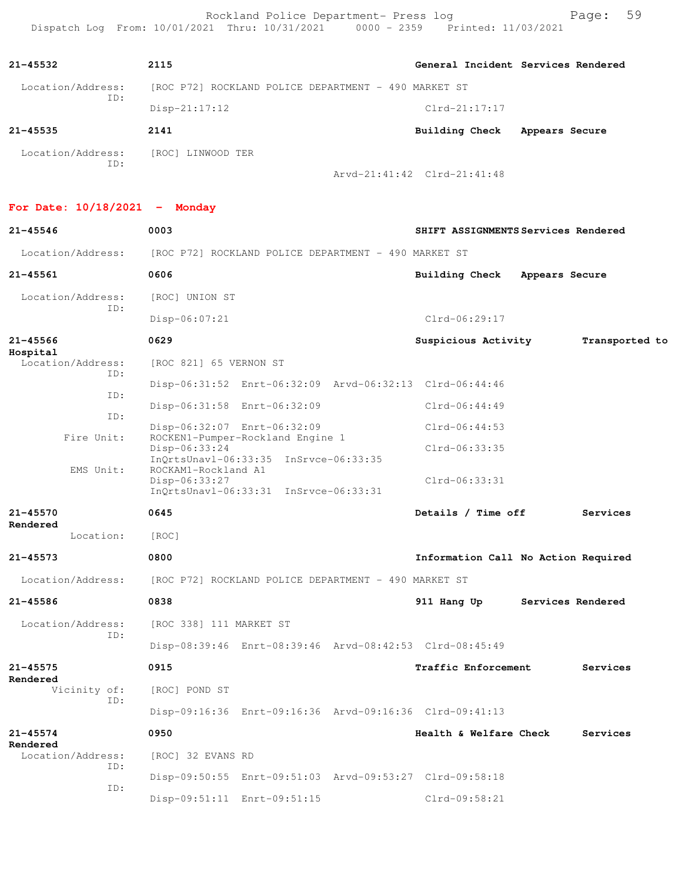Rockland Police Department- Press log entitled and Page: 59 Dispatch Log From: 10/01/2021 Thru: 10/31/2021 0000 - 2359 Printed: 11/03/2021

| $21 - 45532$      | 2115                                                 |                             | General Incident Services Rendered |
|-------------------|------------------------------------------------------|-----------------------------|------------------------------------|
| Location/Address: | [ROC P72] ROCKLAND POLICE DEPARTMENT - 490 MARKET ST |                             |                                    |
| ID:               | $Disp-21:17:12$                                      | $Clrd-21:17:17$             |                                    |
| $21 - 45535$      | 2141                                                 | Building Check              | Appears Secure                     |
| Location/Address: | [ROC] LINWOOD TER                                    |                             |                                    |
| ID:               |                                                      | Arvd-21:41:42 Clrd-21:41:48 |                                    |

**For Date: 10/18/2021 - Monday**

| 21-45546                             | 0003                                                                                                                   | SHIFT ASSIGNMENTS Services Rendered   |
|--------------------------------------|------------------------------------------------------------------------------------------------------------------------|---------------------------------------|
| Location/Address:                    | [ROC P72] ROCKLAND POLICE DEPARTMENT - 490 MARKET ST                                                                   |                                       |
| 21-45561                             | 0606                                                                                                                   | Building Check<br>Appears Secure      |
| Location/Address:                    | [ROC] UNION ST                                                                                                         |                                       |
| ID:                                  | $Disp-06:07:21$                                                                                                        | $Clrd-06:29:17$                       |
| $21 - 45566$                         | 0629                                                                                                                   | Suspicious Activity<br>Transported to |
| Hospital<br>Location/Address:<br>TD: | [ROC 821] 65 VERNON ST                                                                                                 |                                       |
| ID:                                  | Disp-06:31:52 Enrt-06:32:09 Arvd-06:32:13 Clrd-06:44:46                                                                |                                       |
| ID:                                  | Disp-06:31:58 Enrt-06:32:09                                                                                            | $Clrd-06:44:49$                       |
|                                      | Disp-06:32:07 Enrt-06:32:09                                                                                            | $Clrd-06:44:53$                       |
| Fire Unit:                           | ROCKEN1-Pumper-Rockland Engine 1<br>Disp-06:33:24                                                                      | $Clrd-06:33:35$                       |
| EMS Unit:                            | InQrtsUnavl-06:33:35 InSrvce-06:33:35<br>ROCKAM1-Rockland A1<br>Disp-06:33:27<br>InQrtsUnavl-06:33:31 InSrvce-06:33:31 | $Clrd-06:33:31$                       |
| $21 - 45570$                         | 0645                                                                                                                   | Details / Time off<br>Services        |
| Rendered<br>Location:                | [ROC]                                                                                                                  |                                       |
| $21 - 45573$                         | 0800                                                                                                                   | Information Call No Action Required   |
| Location/Address:                    | [ROC P72] ROCKLAND POLICE DEPARTMENT - 490 MARKET ST                                                                   |                                       |
| $21 - 45586$                         | 0838                                                                                                                   | 911 Hang Up<br>Services Rendered      |
| Location/Address:                    | [ROC 338] 111 MARKET ST                                                                                                |                                       |
| ID:                                  | Disp-08:39:46 Enrt-08:39:46 Arvd-08:42:53 Clrd-08:45:49                                                                |                                       |
| $21 - 45575$                         | 0915                                                                                                                   | Traffic Enforcement<br>Services       |
| Rendered<br>Vicinity of:             | [ROC] POND ST                                                                                                          |                                       |
| ID:                                  | Disp-09:16:36 Enrt-09:16:36 Arvd-09:16:36 Clrd-09:41:13                                                                |                                       |
| $21 - 45574$                         | 0950                                                                                                                   | Health & Welfare Check<br>Services    |
| Rendered<br>Location/Address:        | [ROC] 32 EVANS RD                                                                                                      |                                       |
| ID:                                  | Disp-09:50:55 Enrt-09:51:03 Arvd-09:53:27 Clrd-09:58:18                                                                |                                       |
| ID:                                  | Disp-09:51:11 Enrt-09:51:15                                                                                            | $Clrd-09:58:21$                       |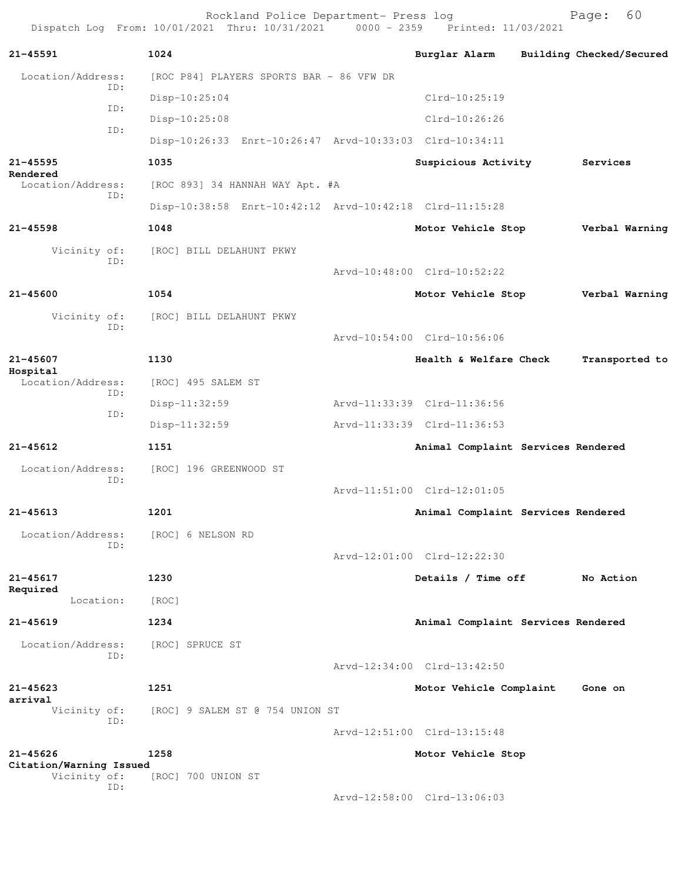Rockland Police Department- Press log Fage: 60<br>21 Thru: 10/31/2021 0000 - 2359 Printed: 11/03/2021 Dispatch Log From: 10/01/2021 Thru: 10/31/2021 **21-45591 1024 Burglar Alarm Building Checked/Secured** Location/Address: [ROC P84] PLAYERS SPORTS BAR - 86 VFW DR ID: Disp-10:25:04 Clrd-10:25:19 ID: Disp-10:25:08 Clrd-10:26:26 ID: Disp-10:26:33 Enrt-10:26:47 Arvd-10:33:03 Clrd-10:34:11 **21-45595 1035 Suspicious Activity Services Rendered**  Location/Address: [ROC 893] 34 HANNAH WAY Apt. #A ID: Disp-10:38:58 Enrt-10:42:12 Arvd-10:42:18 Clrd-11:15:28 **21-45598 1048 Motor Vehicle Stop Verbal Warning** Vicinity of: [ROC] BILL DELAHUNT PKWY ID: Arvd-10:48:00 Clrd-10:52:22 **21-45600 1054 Motor Vehicle Stop Verbal Warning** Vicinity of: [ROC] BILL DELAHUNT PKWY ID: Arvd-10:54:00 Clrd-10:56:06 **21-45607 1130 Health & Welfare Check Transported to Hospital**  Location/Address: [ROC] 495 SALEM ST ID: Disp-11:32:59 Arvd-11:33:39 Clrd-11:36:56 ID: Disp-11:32:59 Arvd-11:33:39 Clrd-11:36:53 **21-45612 1151 Animal Complaint Services Rendered** Location/Address: [ROC] 196 GREENWOOD ST ID: Arvd-11:51:00 Clrd-12:01:05 **21-45613 1201 Animal Complaint Services Rendered** Location/Address: [ROC] 6 NELSON RD ID: Arvd-12:01:00 Clrd-12:22:30 **21-45617 1230 Details / Time off No Action Required**  Location: [ROC] **21-45619 1234 Animal Complaint Services Rendered** Location/Address: [ROC] SPRUCE ST ID: Arvd-12:34:00 Clrd-13:42:50 **21-45623 1251 Motor Vehicle Complaint Gone on arrival**<br>Vicinity of: [ROC] 9 SALEM ST @ 754 UNION ST ID: Arvd-12:51:00 Clrd-13:15:48 **21-45626 1258 Motor Vehicle Stop Citation/Warning Issued**  [ROC] 700 UNION ST ID: Arvd-12:58:00 Clrd-13:06:03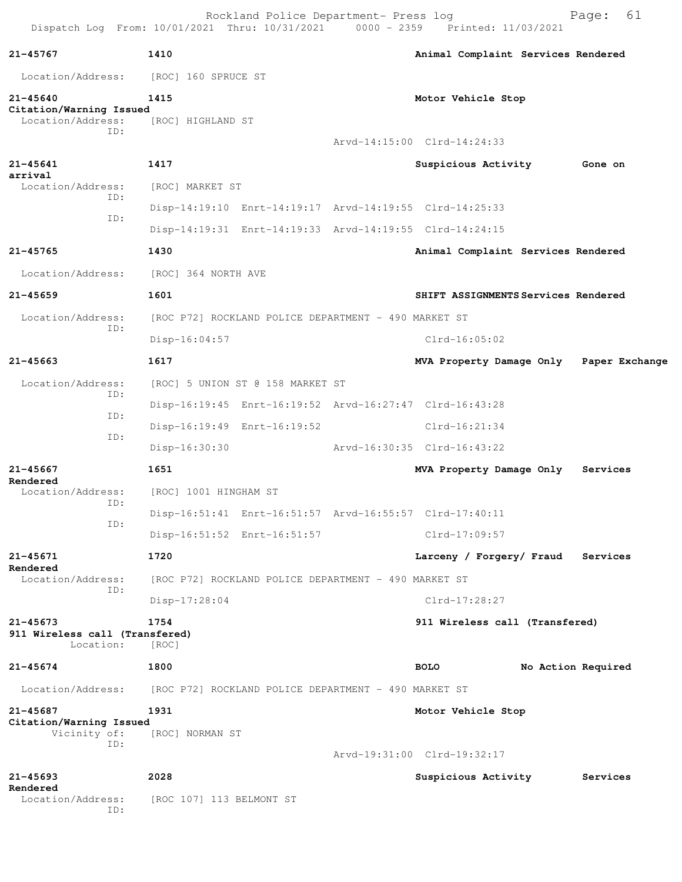| Dispatch Log From: 10/01/2021 Thru: 10/31/2021               |                           | Rockland Police Department- Press log                | 0000 - 2359 Printed: 11/03/2021                         | Page:              | 61 |
|--------------------------------------------------------------|---------------------------|------------------------------------------------------|---------------------------------------------------------|--------------------|----|
| $21 - 45767$                                                 | 1410                      |                                                      | Animal Complaint Services Rendered                      |                    |    |
| Location/Address:                                            | [ROC] 160 SPRUCE ST       |                                                      |                                                         |                    |    |
| $21 - 45640$<br>Citation/Warning Issued<br>Location/Address: | 1415<br>[ROC] HIGHLAND ST |                                                      | Motor Vehicle Stop                                      |                    |    |
| ID:                                                          |                           |                                                      | Arvd-14:15:00 Clrd-14:24:33                             |                    |    |
| $21 - 45641$<br>arrival                                      | 1417                      |                                                      | Suspicious Activity                                     | Gone on            |    |
| Location/Address:<br>ID:                                     | [ROC] MARKET ST           |                                                      |                                                         |                    |    |
| ID:                                                          |                           |                                                      | Disp-14:19:10 Enrt-14:19:17 Arvd-14:19:55 Clrd-14:25:33 |                    |    |
|                                                              |                           |                                                      | Disp-14:19:31 Enrt-14:19:33 Arvd-14:19:55 Clrd-14:24:15 |                    |    |
| 21-45765                                                     | 1430                      |                                                      | Animal Complaint Services Rendered                      |                    |    |
| Location/Address:                                            | [ROC] 364 NORTH AVE       |                                                      |                                                         |                    |    |
| $21 - 45659$                                                 | 1601                      |                                                      | SHIFT ASSIGNMENTS Services Rendered                     |                    |    |
| Location/Address:<br>ID:                                     |                           | [ROC P72] ROCKLAND POLICE DEPARTMENT - 490 MARKET ST |                                                         |                    |    |
|                                                              | $Disp-16:04:57$           |                                                      | Clrd-16:05:02                                           |                    |    |
| $21 - 45663$                                                 | 1617                      |                                                      | MVA Property Damage Only                                | Paper Exchange     |    |
| Location/Address:<br>ID:                                     |                           | [ROC] 5 UNION ST @ 158 MARKET ST                     |                                                         |                    |    |
| ID:                                                          |                           |                                                      | Disp-16:19:45 Enrt-16:19:52 Arvd-16:27:47 Clrd-16:43:28 |                    |    |
| ID:                                                          |                           | Disp-16:19:49 Enrt-16:19:52                          | $Clrd-16:21:34$                                         |                    |    |
|                                                              | Disp-16:30:30             |                                                      | Arvd-16:30:35 Clrd-16:43:22                             |                    |    |
| 21-45667<br>Rendered                                         | 1651                      |                                                      | MVA Property Damage Only                                | Services           |    |
| Location/Address:<br>ID:                                     | [ROC] 1001 HINGHAM ST     |                                                      |                                                         |                    |    |
| ID:                                                          |                           |                                                      | Disp-16:51:41 Enrt-16:51:57 Arvd-16:55:57 Clrd-17:40:11 |                    |    |
|                                                              |                           | Disp-16:51:52 Enrt-16:51:57                          | $Clrd-17:09:57$                                         |                    |    |
| 21-45671<br>Rendered                                         | 1720                      |                                                      | Larceny / Forgery/ Fraud                                | Services           |    |
| Location/Address:<br>ID:                                     |                           | [ROC P72] ROCKLAND POLICE DEPARTMENT - 490 MARKET ST |                                                         |                    |    |
|                                                              | Disp-17:28:04             |                                                      | $Clrd-17:28:27$                                         |                    |    |
| $21 - 45673$<br>911 Wireless call (Transfered)<br>Location:  | 1754<br>[ROC]             |                                                      | 911 Wireless call (Transfered)                          |                    |    |
| $21 - 45674$                                                 | 1800                      |                                                      | <b>BOLO</b>                                             | No Action Required |    |
| Location/Address:                                            |                           | [ROC P72] ROCKLAND POLICE DEPARTMENT - 490 MARKET ST |                                                         |                    |    |
| 21-45687<br>Citation/Warning Issued<br>Vicinity of:          | 1931<br>[ROC] NORMAN ST   |                                                      | Motor Vehicle Stop                                      |                    |    |
| ID:                                                          |                           |                                                      | Arvd-19:31:00 Clrd-19:32:17                             |                    |    |
| $21 - 45693$                                                 | 2028                      |                                                      | Suspicious Activity                                     | Services           |    |
| Rendered<br>Location/Address:<br>ID:                         | [ROC 107] 113 BELMONT ST  |                                                      |                                                         |                    |    |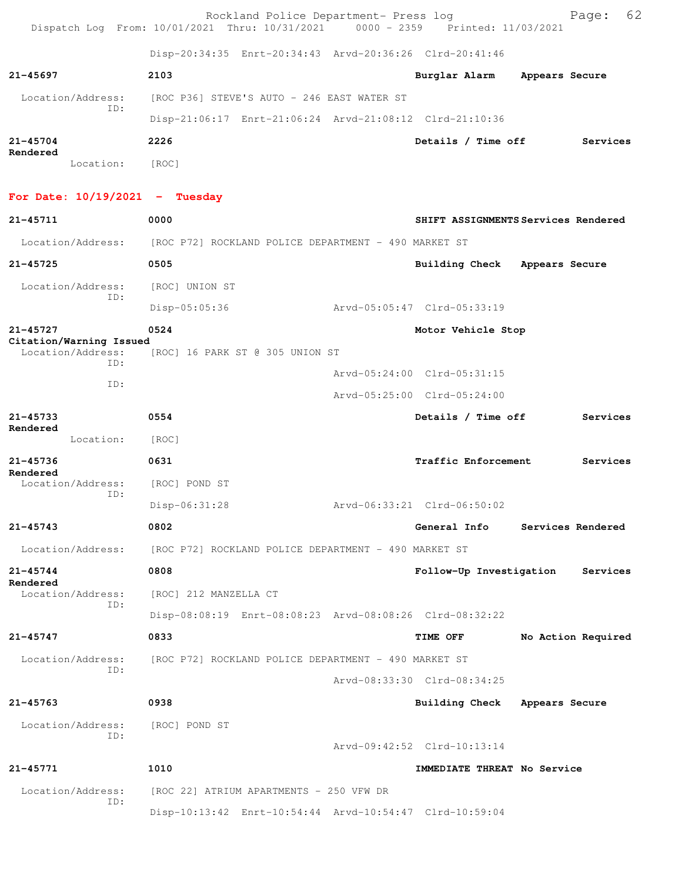|                                              | Rockland Police Department- Press log<br>Dispatch Log From: 10/01/2021 Thru: 10/31/2021 0000 - 2359 Printed: 11/03/2021 |                               | 62<br>Page:                         |
|----------------------------------------------|-------------------------------------------------------------------------------------------------------------------------|-------------------------------|-------------------------------------|
|                                              | Disp-20:34:35 Enrt-20:34:43 Arvd-20:36:26 Clrd-20:41:46                                                                 |                               |                                     |
| 21-45697                                     | 2103                                                                                                                    | Burglar Alarm                 | Appears Secure                      |
| Location/Address:                            | [ROC P36] STEVE'S AUTO - 246 EAST WATER ST                                                                              |                               |                                     |
| ID:                                          | Disp-21:06:17 Enrt-21:06:24 Arvd-21:08:12 Clrd-21:10:36                                                                 |                               |                                     |
| $21 - 45704$                                 | 2226                                                                                                                    | Details / Time off            | Services                            |
| Rendered<br>Location:                        | [ROC]                                                                                                                   |                               |                                     |
| For Date: $10/19/2021$ - Tuesday             |                                                                                                                         |                               |                                     |
| 21-45711                                     | 0000                                                                                                                    |                               | SHIFT ASSIGNMENTS Services Rendered |
| Location/Address:                            | [ROC P72] ROCKLAND POLICE DEPARTMENT - 490 MARKET ST                                                                    |                               |                                     |
| $21 - 45725$                                 | 0505                                                                                                                    | Building Check Appears Secure |                                     |
| Location/Address:                            | [ROC] UNION ST                                                                                                          |                               |                                     |
| ID:                                          | $Disp-05:05:36$                                                                                                         | Arvd-05:05:47 Clrd-05:33:19   |                                     |
| $21 - 45727$                                 | 0524                                                                                                                    | Motor Vehicle Stop            |                                     |
| Citation/Warning Issued<br>Location/Address: | [ROC] 16 PARK ST @ 305 UNION ST                                                                                         |                               |                                     |
| ID:                                          |                                                                                                                         | Arvd-05:24:00 Clrd-05:31:15   |                                     |
| ID:                                          |                                                                                                                         | Arvd-05:25:00 Clrd-05:24:00   |                                     |
| $21 - 45733$<br>Rendered                     | 0554                                                                                                                    | Details / Time off            | Services                            |
| Location:                                    | [ROC]                                                                                                                   |                               |                                     |
| 21-45736<br>Rendered                         | 0631                                                                                                                    | <b>Traffic Enforcement</b>    | Services                            |
| Location/Address:<br>ID:                     | [ROC] POND ST                                                                                                           |                               |                                     |
|                                              | $Disp-06:31:28$                                                                                                         | Arvd-06:33:21 Clrd-06:50:02   |                                     |
| $21 - 45743$                                 | 0802                                                                                                                    | General Info                  | Services Rendered                   |
|                                              | Location/Address: [ROC P72] ROCKLAND POLICE DEPARTMENT - 490 MARKET ST                                                  |                               |                                     |
| $21 - 45744$<br>Rendered                     | 0808                                                                                                                    | Follow-Up Investigation       | Services                            |
| Location/Address:<br>ID:                     | [ROC] 212 MANZELLA CT                                                                                                   |                               |                                     |
|                                              | Disp-08:08:19 Enrt-08:08:23 Arvd-08:08:26 Clrd-08:32:22                                                                 |                               |                                     |
| 21-45747                                     | 0833                                                                                                                    | <b>TIME OFF</b>               | No Action Required                  |
| Location/Address:<br>ID:                     | [ROC P72] ROCKLAND POLICE DEPARTMENT - 490 MARKET ST                                                                    |                               |                                     |
|                                              |                                                                                                                         | Arvd-08:33:30 Clrd-08:34:25   |                                     |
| $21 - 45763$                                 | 0938                                                                                                                    | Building Check Appears Secure |                                     |
| Location/Address:<br>ID:                     | [ROC] POND ST                                                                                                           |                               |                                     |
|                                              |                                                                                                                         | Arvd-09:42:52 Clrd-10:13:14   |                                     |
| 21-45771                                     | 1010                                                                                                                    | IMMEDIATE THREAT No Service   |                                     |
| Location/Address:<br>ID:                     | [ROC 22] ATRIUM APARTMENTS - 250 VFW DR                                                                                 |                               |                                     |
|                                              | Disp-10:13:42 Enrt-10:54:44 Arvd-10:54:47 Clrd-10:59:04                                                                 |                               |                                     |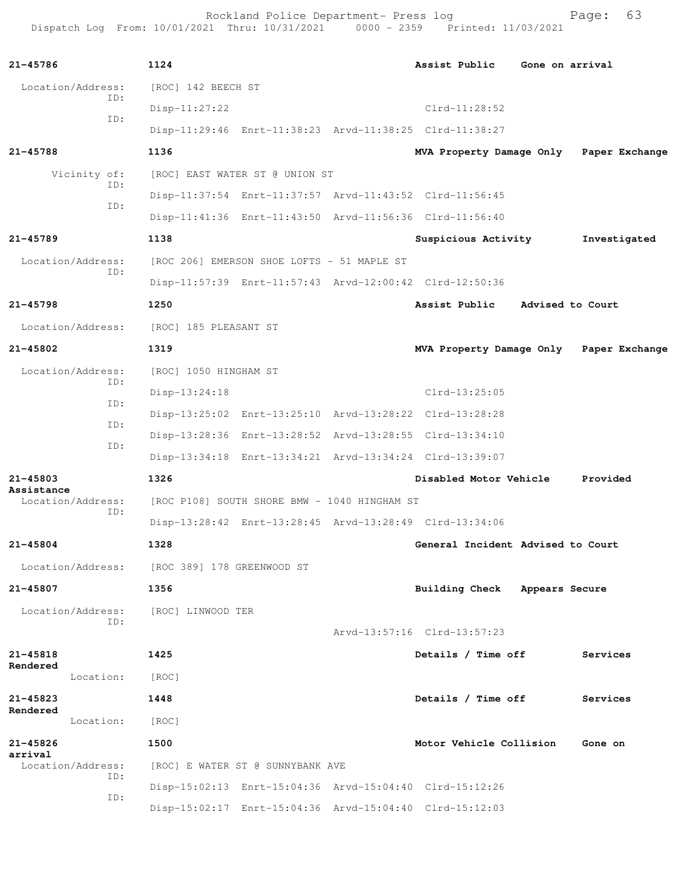Rockland Police Department- Press log entitled and Page: 63 Dispatch Log From: 10/01/2021 Thru: 10/31/2021 0000 - 2359 Printed: 11/03/2021

| 21-45786                                     | 1124                  |                                              | Assist Public                                           | Gone on arrival                         |
|----------------------------------------------|-----------------------|----------------------------------------------|---------------------------------------------------------|-----------------------------------------|
| Location/Address:                            | [ROC] 142 BEECH ST    |                                              |                                                         |                                         |
| ID:                                          | $Disp-11:27:22$       |                                              | $Clrd-11:28:52$                                         |                                         |
| ID:                                          |                       |                                              | Disp-11:29:46 Enrt-11:38:23 Arvd-11:38:25 Clrd-11:38:27 |                                         |
| 21-45788                                     | 1136                  |                                              |                                                         | MVA Property Damage Only Paper Exchange |
| Vicinity of:                                 |                       | [ROC] EAST WATER ST @ UNION ST               |                                                         |                                         |
| ID:                                          |                       |                                              | Disp-11:37:54 Enrt-11:37:57 Arvd-11:43:52 Clrd-11:56:45 |                                         |
| ID:                                          |                       |                                              | Disp-11:41:36 Enrt-11:43:50 Arvd-11:56:36 Clrd-11:56:40 |                                         |
| 21-45789                                     | 1138                  |                                              | Suspicious Activity                                     | Investigated                            |
| Location/Address:                            |                       | [ROC 206] EMERSON SHOE LOFTS - 51 MAPLE ST   |                                                         |                                         |
| ID:                                          |                       |                                              | Disp-11:57:39 Enrt-11:57:43 Arvd-12:00:42 Clrd-12:50:36 |                                         |
| 21-45798                                     | 1250                  |                                              | Assist Public                                           | Advised to Court                        |
| Location/Address:                            | [ROC] 185 PLEASANT ST |                                              |                                                         |                                         |
| 21-45802                                     | 1319                  |                                              |                                                         | MVA Property Damage Only Paper Exchange |
| Location/Address:                            | [ROC] 1050 HINGHAM ST |                                              |                                                         |                                         |
| ID:                                          | $Disp-13:24:18$       |                                              | $Clrd-13:25:05$                                         |                                         |
| ID:                                          |                       |                                              | Disp-13:25:02 Enrt-13:25:10 Arvd-13:28:22 Clrd-13:28:28 |                                         |
| ID:                                          |                       |                                              | Disp-13:28:36 Enrt-13:28:52 Arvd-13:28:55 Clrd-13:34:10 |                                         |
| ID:                                          |                       |                                              | Disp-13:34:18 Enrt-13:34:21 Arvd-13:34:24 Clrd-13:39:07 |                                         |
| 21-45803                                     | 1326                  |                                              | Disabled Motor Vehicle Provided                         |                                         |
| Assistance<br>Location/Address:              |                       | [ROC P108] SOUTH SHORE BMW - 1040 HINGHAM ST |                                                         |                                         |
| ID:                                          |                       |                                              | Disp-13:28:42 Enrt-13:28:45 Arvd-13:28:49 Clrd-13:34:06 |                                         |
| $21 - 45804$                                 | 1328                  |                                              | General Incident Advised to Court                       |                                         |
| Location/Address: [ROC 389] 178 GREENWOOD ST |                       |                                              |                                                         |                                         |
| 21-45807                                     | 1356                  |                                              | Building Check Appears Secure                           |                                         |
| Location/Address:                            | [ROC] LINWOOD TER     |                                              |                                                         |                                         |
| ID:                                          |                       |                                              | Arvd-13:57:16 Clrd-13:57:23                             |                                         |
| $21 - 45818$                                 | 1425                  |                                              | Details / Time off                                      | Services                                |
| Rendered<br>Location:                        | [ROC]                 |                                              |                                                         |                                         |
| 21-45823                                     | 1448                  |                                              | Details / Time off                                      | Services                                |
| Rendered<br>Location:                        | [ROC]                 |                                              |                                                         |                                         |
| 21-45826                                     | 1500                  |                                              | Motor Vehicle Collision                                 | Gone on                                 |
| arrival<br>Location/Address:                 |                       | [ROC] E WATER ST @ SUNNYBANK AVE             |                                                         |                                         |
| ID:                                          |                       |                                              | Disp-15:02:13 Enrt-15:04:36 Arvd-15:04:40 Clrd-15:12:26 |                                         |
| ID:                                          |                       |                                              | Disp-15:02:17 Enrt-15:04:36 Arvd-15:04:40 Clrd-15:12:03 |                                         |
|                                              |                       |                                              |                                                         |                                         |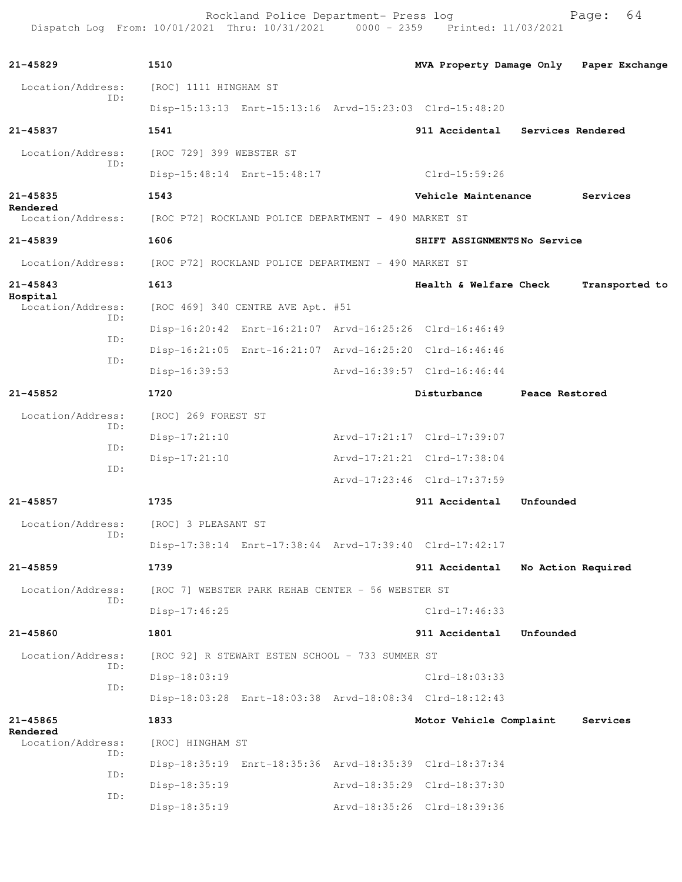Rockland Police Department- Press log entitled and Page: 64 Dispatch Log From: 10/01/2021 Thru: 10/31/2021 0000 - 2359 Printed: 11/03/2021

| $21 - 45829$                  | 1510                     |                                                         | MVA Property Damage Only Paper Exchange                 |                    |                |
|-------------------------------|--------------------------|---------------------------------------------------------|---------------------------------------------------------|--------------------|----------------|
| Location/Address:             | [ROC] 1111 HINGHAM ST    |                                                         |                                                         |                    |                |
| TD:                           |                          | Disp-15:13:13 Enrt-15:13:16 Arvd-15:23:03 Clrd-15:48:20 |                                                         |                    |                |
| 21-45837                      | 1541                     |                                                         | 911 Accidental Services Rendered                        |                    |                |
| Location/Address:             | [ROC 729] 399 WEBSTER ST |                                                         |                                                         |                    |                |
| ID:                           |                          | Disp-15:48:14 Enrt-15:48:17                             | Clrd-15:59:26                                           |                    |                |
| $21 - 45835$                  | 1543                     |                                                         | Vehicle Maintenance                                     |                    | Services       |
| Rendered<br>Location/Address: |                          | [ROC P72] ROCKLAND POLICE DEPARTMENT - 490 MARKET ST    |                                                         |                    |                |
| 21-45839                      | 1606                     |                                                         | SHIFT ASSIGNMENTSNo Service                             |                    |                |
| Location/Address:             |                          |                                                         |                                                         |                    |                |
| $21 - 45843$                  | 1613                     | [ROC P72] ROCKLAND POLICE DEPARTMENT - 490 MARKET ST    |                                                         |                    |                |
| Hospital                      |                          |                                                         | Health & Welfare Check                                  |                    | Transported to |
| Location/Address:<br>ID:      |                          | [ROC 469] 340 CENTRE AVE Apt. #51                       |                                                         |                    |                |
| ID:                           |                          | Disp-16:20:42 Enrt-16:21:07 Arvd-16:25:26 Clrd-16:46:49 |                                                         |                    |                |
| ID:                           |                          | Disp-16:21:05 Enrt-16:21:07 Arvd-16:25:20 Clrd-16:46:46 |                                                         |                    |                |
|                               | Disp-16:39:53            |                                                         | Arvd-16:39:57 Clrd-16:46:44                             |                    |                |
| 21-45852                      | 1720                     |                                                         | Disturbance                                             | Peace Restored     |                |
| Location/Address:<br>ID:      | [ROC] 269 FOREST ST      |                                                         |                                                         |                    |                |
| ID:                           | $Disp-17:21:10$          |                                                         | Arvd-17:21:17 Clrd-17:39:07                             |                    |                |
| ID:                           | $Disp-17:21:10$          |                                                         | Arvd-17:21:21 Clrd-17:38:04                             |                    |                |
|                               |                          |                                                         | Arvd-17:23:46 Clrd-17:37:59                             |                    |                |
| 21-45857                      | 1735                     |                                                         | 911 Accidental                                          | Unfounded          |                |
| Location/Address:<br>ID:      | [ROC] 3 PLEASANT ST      |                                                         |                                                         |                    |                |
|                               |                          |                                                         | Disp-17:38:14 Enrt-17:38:44 Arvd-17:39:40 Clrd-17:42:17 |                    |                |
| 21-45859                      | 1739                     |                                                         | 911 Accidental                                          | No Action Required |                |
| Location/Address:<br>ID:      |                          | [ROC 7] WEBSTER PARK REHAB CENTER - 56 WEBSTER ST       |                                                         |                    |                |
|                               | Disp-17:46:25            |                                                         | $Clrd-17:46:33$                                         |                    |                |
| 21-45860                      | 1801                     |                                                         | 911 Accidental                                          | Unfounded          |                |
| Location/Address:<br>ID:      |                          | [ROC 92] R STEWART ESTEN SCHOOL - 733 SUMMER ST         |                                                         |                    |                |
| ID:                           | Disp-18:03:19            |                                                         | $Clrd-18:03:33$                                         |                    |                |
|                               |                          |                                                         | Disp-18:03:28 Enrt-18:03:38 Arvd-18:08:34 Clrd-18:12:43 |                    |                |
| 21-45865<br>Rendered          | 1833                     |                                                         | Motor Vehicle Complaint                                 |                    | Services       |
| Location/Address:<br>ID:      | [ROC] HINGHAM ST         |                                                         |                                                         |                    |                |
| ID:                           |                          |                                                         | Disp-18:35:19 Enrt-18:35:36 Arvd-18:35:39 Clrd-18:37:34 |                    |                |
| ID:                           | Disp-18:35:19            |                                                         | Arvd-18:35:29 Clrd-18:37:30                             |                    |                |
|                               | Disp-18:35:19            |                                                         | Arvd-18:35:26 Clrd-18:39:36                             |                    |                |
|                               |                          |                                                         |                                                         |                    |                |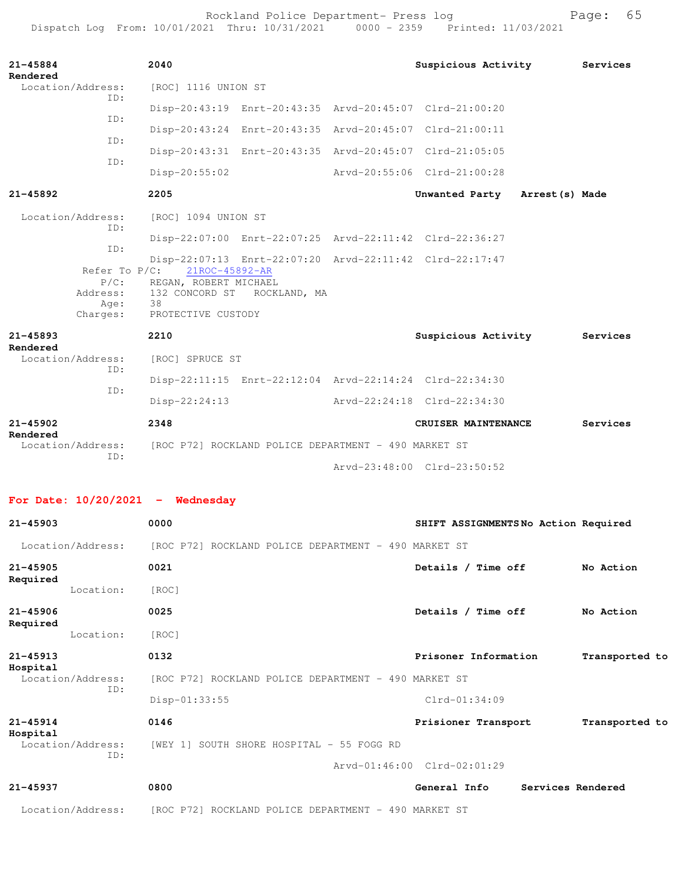Rockland Police Department- Press log entitled and Page: 65 Dispatch Log From: 10/01/2021 Thru: 10/31/2021 0000 - 2359 Printed: 11/03/2021

| $21 - 45884$<br>Rendered                | 2040                                                                                                                                                                        |                             | Suspicious Activity Services   |          |  |  |
|-----------------------------------------|-----------------------------------------------------------------------------------------------------------------------------------------------------------------------------|-----------------------------|--------------------------------|----------|--|--|
| Location/Address:<br>TD:                | [ROC] 1116 UNION ST                                                                                                                                                         |                             |                                |          |  |  |
| TD:                                     | Disp-20:43:19 Enrt-20:43:35 Arvd-20:45:07 Clrd-21:00:20                                                                                                                     |                             |                                |          |  |  |
| TD:                                     | Disp-20:43:24 Enrt-20:43:35 Arvd-20:45:07 Clrd-21:00:11                                                                                                                     |                             |                                |          |  |  |
| TD:                                     | Disp-20:43:31 Enrt-20:43:35 Arvd-20:45:07 Clrd-21:05:05                                                                                                                     |                             |                                |          |  |  |
|                                         | Disp-20:55:02                                                                                                                                                               | Arvd-20:55:06 Clrd-21:00:28 |                                |          |  |  |
| $21 - 45892$                            | 2205                                                                                                                                                                        |                             | Unwanted Party Arrest (s) Made |          |  |  |
| Location/Address:<br>TD:                | [ROC] 1094 UNION ST                                                                                                                                                         |                             |                                |          |  |  |
| ID:                                     | Disp-22:07:00 Enrt-22:07:25 Arvd-22:11:42 Clrd-22:36:27                                                                                                                     |                             |                                |          |  |  |
| $P/C$ :<br>Address:<br>Age:<br>Charges: | Disp-22:07:13 Enrt-22:07:20 Arvd-22:11:42 Clrd-22:17:47<br>Refer To P/C: 21ROC-45892-AR<br>REGAN, ROBERT MICHAEL<br>132 CONCORD ST ROCKLAND, MA<br>38<br>PROTECTIVE CUSTODY |                             |                                |          |  |  |
| $21 - 45893$                            | 2210                                                                                                                                                                        |                             | Suspicious Activity            | Services |  |  |
| Rendered<br>Location/Address:<br>TD:    | [ROC] SPRUCE ST                                                                                                                                                             |                             |                                |          |  |  |
| TD:                                     | Disp-22:11:15 Enrt-22:12:04 Arvd-22:14:24 Clrd-22:34:30                                                                                                                     |                             |                                |          |  |  |
|                                         | $Disp-22:24:13$                                                                                                                                                             | Arvd-22:24:18 Clrd-22:34:30 |                                |          |  |  |
| $21 - 45902$<br>Rendered                | 2348                                                                                                                                                                        |                             | CRUISER MAINTENANCE            | Services |  |  |
| Location/Address:<br>TD:                | [ROC P72] ROCKLAND POLICE DEPARTMENT - 490 MARKET ST                                                                                                                        |                             |                                |          |  |  |
|                                         |                                                                                                                                                                             |                             | Arvd-23:48:00 Clrd-23:50:52    |          |  |  |

**For Date: 10/20/2021 - Wednesday**

| $21 - 45903$                         | 0000                                                 | SHIFT ASSIGNMENTSNo Action Required    |  |
|--------------------------------------|------------------------------------------------------|----------------------------------------|--|
| Location/Address:                    | [ROC P72] ROCKLAND POLICE DEPARTMENT - 490 MARKET ST |                                        |  |
| $21 - 45905$                         | 0021                                                 | Details / Time off<br>No Action        |  |
| Required<br>Location:                | [ROC]                                                |                                        |  |
| $21 - 45906$                         | 0025                                                 | Details / Time off<br>No Action        |  |
| Required<br>Location:                | [ROC]                                                |                                        |  |
| $21 - 45913$                         | 0132                                                 | Prisoner Information<br>Transported to |  |
| Hospital<br>Location/Address:<br>ID: | [ROC P72] ROCKLAND POLICE DEPARTMENT - 490 MARKET ST |                                        |  |
|                                      | $Disp-01:33:55$                                      | $Clrd-01:34:09$                        |  |
| $21 - 45914$                         | 0146                                                 | Prisioner Transport<br>Transported to  |  |
| Hospital<br>Location/Address:<br>ID: | [WEY 1] SOUTH SHORE HOSPITAL - 55 FOGG RD            |                                        |  |
|                                      |                                                      | Arvd-01:46:00 Clrd-02:01:29            |  |
| $21 - 45937$                         | 0800                                                 | General Info<br>Services Rendered      |  |
| Location/Address:                    | [ROC P72] ROCKLAND POLICE DEPARTMENT - 490 MARKET ST |                                        |  |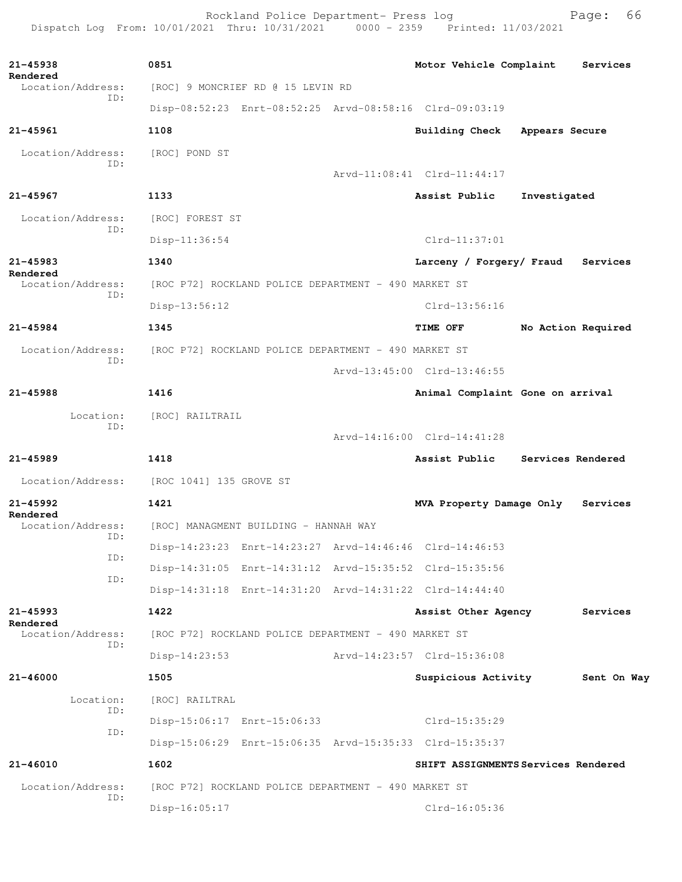Rockland Police Department- Press log Bage: 66<br>21 Thru: 10/31/2021 0000 - 2359 Printed: 11/03/2021 Dispatch Log From: 10/01/2021 Thru: 10/31/2021

**21-45938 0851 Motor Vehicle Complaint Services Rendered**  Location/Address: [ROC] 9 MONCRIEF RD @ 15 LEVIN RD ID: Disp-08:52:23 Enrt-08:52:25 Arvd-08:58:16 Clrd-09:03:19 **21-45961 1108 Building Check Appears Secure** Location/Address: [ROC] POND ST ID: Arvd-11:08:41 Clrd-11:44:17 **21-45967 1133 Assist Public Investigated** Location/Address: [ROC] FOREST ST ID: Disp-11:36:54 Clrd-11:37:01 **21-45983 1340 Larceny / Forgery/ Fraud Services Rendered**  Location/Address: [ROC P72] ROCKLAND POLICE DEPARTMENT - 490 MARKET ST ID: Disp-13:56:12 Clrd-13:56:16 **21-45984 1345 TIME OFF No Action Required** Location/Address: [ROC P72] ROCKLAND POLICE DEPARTMENT - 490 MARKET ST ID: Arvd-13:45:00 Clrd-13:46:55 **21-45988 1416 Animal Complaint Gone on arrival** Location: [ROC] RAILTRAIL ID: Arvd-14:16:00 Clrd-14:41:28 **21-45989 1418 Assist Public Services Rendered** Location/Address: [ROC 1041] 135 GROVE ST **21-45992 1421 MVA Property Damage Only Services Rendered**  Location/Address: [ROC] MANAGMENT BUILDING - HANNAH WAY ID: Disp-14:23:23 Enrt-14:23:27 Arvd-14:46:46 Clrd-14:46:53 ID: Disp-14:31:05 Enrt-14:31:12 Arvd-15:35:52 Clrd-15:35:56 ID: Disp-14:31:18 Enrt-14:31:20 Arvd-14:31:22 Clrd-14:44:40 **21-45993 1422 Assist Other Agency Services Rendered**  Location/Address: [ROC P72] ROCKLAND POLICE DEPARTMENT - 490 MARKET ST ID: Disp-14:23:53 Arvd-14:23:57 Clrd-15:36:08 **21-46000 1505 Suspicious Activity Sent On Way** Location: [ROC] RAILTRAL ID: Disp-15:06:17 Enrt-15:06:33 Clrd-15:35:29 ID: Disp-15:06:29 Enrt-15:06:35 Arvd-15:35:33 Clrd-15:35:37 **21-46010 1602 SHIFT ASSIGNMENTS Services Rendered** Location/Address: [ROC P72] ROCKLAND POLICE DEPARTMENT - 490 MARKET ST ID: Disp-16:05:17 Clrd-16:05:36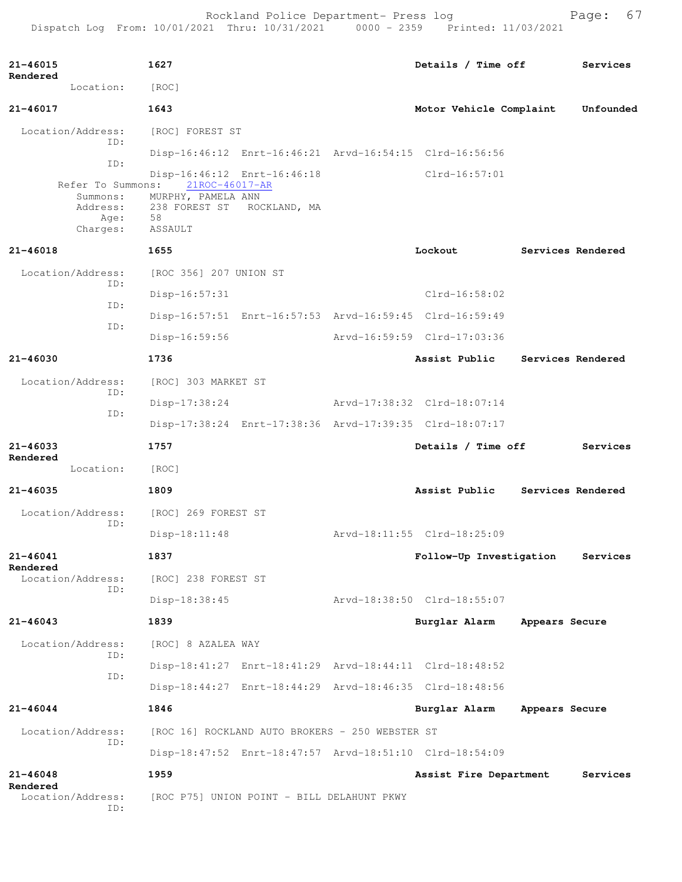Rockland Police Department- Press log entitled and Page: 67 Dispatch Log From: 10/01/2021 Thru: 10/31/2021 0000 - 2359 Printed: 11/03/2021

| $21 - 46015$<br>Rendered      | 1627                                 |                                                 |  | Details / Time off                                      |                | Services          |
|-------------------------------|--------------------------------------|-------------------------------------------------|--|---------------------------------------------------------|----------------|-------------------|
| Location:                     | [ROC]                                |                                                 |  |                                                         |                |                   |
| 21-46017                      | 1643                                 |                                                 |  | Motor Vehicle Complaint                                 |                | Unfounded         |
| Location/Address:             | [ROC] FOREST ST                      |                                                 |  |                                                         |                |                   |
| ID:                           |                                      |                                                 |  | Disp-16:46:12 Enrt-16:46:21 Arvd-16:54:15 Clrd-16:56:56 |                |                   |
| ID:                           | Disp-16:46:12 Enrt-16:46:18          |                                                 |  | $Clrd-16:57:01$                                         |                |                   |
| Refer To Summons:<br>Summons: | 21ROC-46017-AR<br>MURPHY, PAMELA ANN |                                                 |  |                                                         |                |                   |
| Address:<br>Age:              | 238 FOREST ST<br>58                  | ROCKLAND, MA                                    |  |                                                         |                |                   |
| Charges:                      | ASSAULT                              |                                                 |  |                                                         |                |                   |
| 21-46018                      | 1655                                 |                                                 |  | Lockout                                                 |                | Services Rendered |
| Location/Address:<br>TD:      | [ROC 356] 207 UNION ST               |                                                 |  |                                                         |                |                   |
| ID:                           | $Disp-16:57:31$                      |                                                 |  | Clrd-16:58:02                                           |                |                   |
| ID:                           |                                      |                                                 |  | Disp-16:57:51 Enrt-16:57:53 Arvd-16:59:45 Clrd-16:59:49 |                |                   |
|                               | $Disp-16:59:56$                      |                                                 |  | Arvd-16:59:59 Clrd-17:03:36                             |                |                   |
| 21-46030                      | 1736                                 |                                                 |  | Assist Public                                           |                | Services Rendered |
| Location/Address:             | [ROC] 303 MARKET ST                  |                                                 |  |                                                         |                |                   |
| ID:                           | $Disp-17:38:24$                      |                                                 |  | Arvd-17:38:32 Clrd-18:07:14                             |                |                   |
| ID:                           |                                      |                                                 |  | Disp-17:38:24 Enrt-17:38:36 Arvd-17:39:35 Clrd-18:07:17 |                |                   |
| $21 - 46033$                  | 1757                                 | Details / Time off                              |  |                                                         | Services       |                   |
| Rendered<br>Location:         | [ROC]                                |                                                 |  |                                                         |                |                   |
| $21 - 46035$                  | 1809                                 |                                                 |  | Assist Public                                           |                | Services Rendered |
| Location/Address:             | [ROC] 269 FOREST ST                  |                                                 |  |                                                         |                |                   |
| ID:                           | $Disp-18:11:48$                      |                                                 |  | Arvd-18:11:55 Clrd-18:25:09                             |                |                   |
| 21-46041                      | 1837                                 |                                                 |  | Follow-Up Investigation                                 |                | Services          |
| Rendered<br>Location/Address: | [ROC] 238 FOREST ST                  |                                                 |  |                                                         |                |                   |
| TD:                           | Disp-18:38:45                        |                                                 |  | Arvd-18:38:50 Clrd-18:55:07                             |                |                   |
| $21 - 46043$                  | 1839                                 |                                                 |  | Burglar Alarm                                           | Appears Secure |                   |
| Location/Address:             | [ROC] 8 AZALEA WAY                   |                                                 |  |                                                         |                |                   |
| ID:                           |                                      |                                                 |  | Disp-18:41:27 Enrt-18:41:29 Arvd-18:44:11 Clrd-18:48:52 |                |                   |
| ID:                           |                                      |                                                 |  | Disp-18:44:27 Enrt-18:44:29 Arvd-18:46:35 Clrd-18:48:56 |                |                   |
| $21 - 46044$                  | 1846                                 |                                                 |  | Burglar Alarm                                           | Appears Secure |                   |
|                               |                                      |                                                 |  |                                                         |                |                   |
| Location/Address:<br>ID:      |                                      | [ROC 16] ROCKLAND AUTO BROKERS - 250 WEBSTER ST |  |                                                         |                |                   |
|                               |                                      |                                                 |  | Disp-18:47:52 Enrt-18:47:57 Arvd-18:51:10 Clrd-18:54:09 |                |                   |
| $21 - 46048$<br>Rendered      | 1959                                 |                                                 |  | Assist Fire Department                                  |                | Services          |
| Location/Address:<br>ID:      |                                      | [ROC P75] UNION POINT - BILL DELAHUNT PKWY      |  |                                                         |                |                   |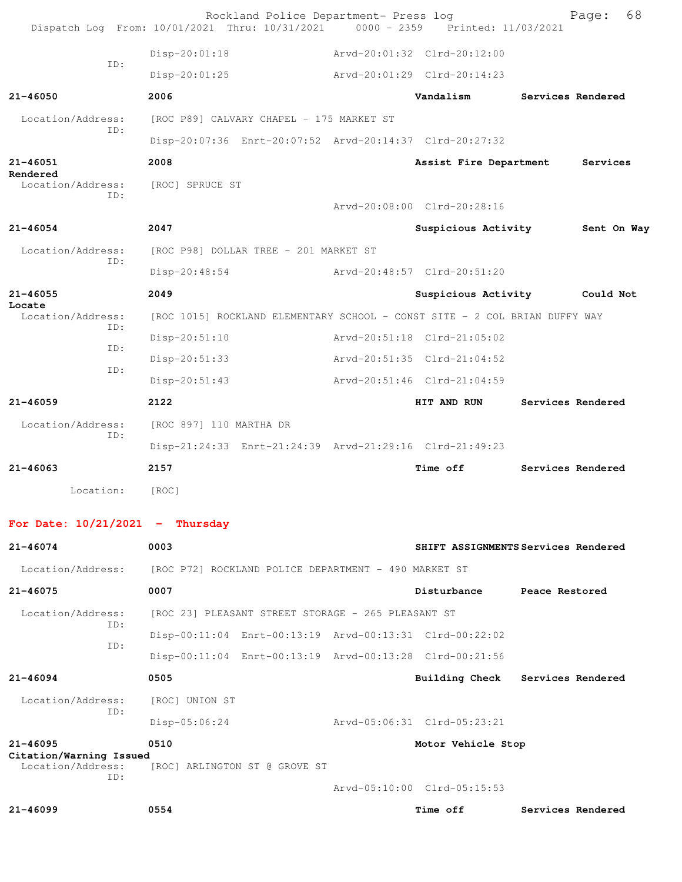| Dispatch Log From: 10/01/2021 Thru: 10/31/2021 0000 - 2359 Printed: 11/03/2021 |                                                                            |  | Rockland Police Department- Press log | Page:                               | 68 |
|--------------------------------------------------------------------------------|----------------------------------------------------------------------------|--|---------------------------------------|-------------------------------------|----|
| ID:                                                                            | $Disp-20:01:18$                                                            |  | Arvd-20:01:32 Clrd-20:12:00           |                                     |    |
|                                                                                | $Disp-20:01:25$                                                            |  | Arvd-20:01:29 Clrd-20:14:23           |                                     |    |
| $21 - 46050$                                                                   | 2006                                                                       |  | Vandalism                             | Services Rendered                   |    |
| Location/Address:                                                              | [ROC P89] CALVARY CHAPEL - 175 MARKET ST                                   |  |                                       |                                     |    |
| TD:                                                                            | Disp-20:07:36 Enrt-20:07:52 Arvd-20:14:37 Clrd-20:27:32                    |  |                                       |                                     |    |
| 21-46051                                                                       | 2008                                                                       |  | Assist Fire Department                | Services                            |    |
| Rendered<br>Location/Address:<br>TD:                                           | [ROC] SPRUCE ST                                                            |  | Arvd-20:08:00 Clrd-20:28:16           |                                     |    |
| 21-46054                                                                       | 2047                                                                       |  | Suspicious Activity                   | Sent On Way                         |    |
| Location/Address:                                                              |                                                                            |  |                                       |                                     |    |
| TD:                                                                            | [ROC P98] DOLLAR TREE - 201 MARKET ST                                      |  | Aryd-20:48:57 Clrd-20:51:20           |                                     |    |
|                                                                                | Disp-20:48:54<br>2049                                                      |  |                                       |                                     |    |
| $21 - 46055$<br>Locate                                                         |                                                                            |  | Suspicious Activity                   | Could Not                           |    |
| Location/Address:<br>TD:                                                       | [ROC 1015] ROCKLAND ELEMENTARY SCHOOL - CONST SITE - 2 COL BRIAN DUFFY WAY |  |                                       |                                     |    |
| TD:                                                                            | $Disp-20:51:10$                                                            |  | Arvd-20:51:18 Clrd-21:05:02           |                                     |    |
| ID:                                                                            | Disp-20:51:33                                                              |  | Arvd-20:51:35 Clrd-21:04:52           |                                     |    |
|                                                                                | Disp-20:51:43                                                              |  | Arvd-20:51:46 Clrd-21:04:59           |                                     |    |
| $21 - 46059$                                                                   | 2122                                                                       |  | HIT AND RUN                           | Services Rendered                   |    |
| Location/Address:<br>TD:                                                       | [ROC 897] 110 MARTHA DR                                                    |  |                                       |                                     |    |
|                                                                                | Disp-21:24:33 Enrt-21:24:39 Arvd-21:29:16 Clrd-21:49:23                    |  |                                       |                                     |    |
| $21 - 46063$                                                                   | 2157                                                                       |  | <b>Time off</b>                       | Services Rendered                   |    |
| Location:                                                                      | [ROC]                                                                      |  |                                       |                                     |    |
| For Date: $10/21/2021$ - Thursday                                              |                                                                            |  |                                       |                                     |    |
| 21-46074                                                                       | 0003                                                                       |  |                                       | SHIFT ASSIGNMENTS Services Rendered |    |
| Location/Address:                                                              | [ROC P72] ROCKLAND POLICE DEPARTMENT - 490 MARKET ST                       |  |                                       |                                     |    |
| 21-46075                                                                       | 0007                                                                       |  | Disturbance                           | Peace Restored                      |    |
| Location/Address:                                                              | [ROC 23] PLEASANT STREET STORAGE - 265 PLEASANT ST                         |  |                                       |                                     |    |
| TD:                                                                            | Disp-00:11:04 Enrt-00:13:19 Arvd-00:13:31 Clrd-00:22:02                    |  |                                       |                                     |    |
| ID:                                                                            | Disp-00:11:04 Enrt-00:13:19 Arvd-00:13:28 Clrd-00:21:56                    |  |                                       |                                     |    |
| $21 - 46094$                                                                   | 0505                                                                       |  | <b>Building Check</b>                 | Services Rendered                   |    |
| Location/Address:                                                              | [ROC] UNION ST                                                             |  |                                       |                                     |    |
| ID:                                                                            | $Disp-05:06:24$                                                            |  | Arvd-05:06:31 Clrd-05:23:21           |                                     |    |
| 21-46095                                                                       | 0510                                                                       |  | Motor Vehicle Stop                    |                                     |    |
| Citation/Warning Issued<br>Location/Address:                                   | [ROC] ARLINGTON ST @ GROVE ST                                              |  |                                       |                                     |    |
| ID:                                                                            |                                                                            |  | Arvd-05:10:00 Clrd-05:15:53           |                                     |    |
| $21 - 46099$                                                                   | 0554                                                                       |  | Time off                              | Services Rendered                   |    |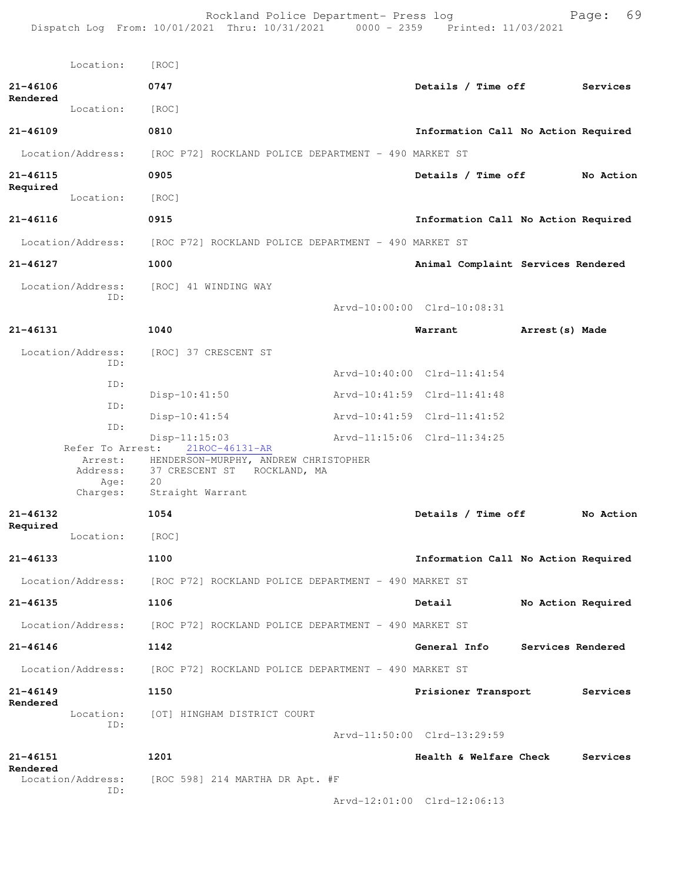Rockland Police Department- Press log entitled and Page: 69 Dispatch Log From: 10/01/2021 Thru: 10/31/2021 0000 - 2359 Printed: 11/03/2021

|                          | Location:                                                   | [ROC]                                                                                                                              |                                     |                    |           |
|--------------------------|-------------------------------------------------------------|------------------------------------------------------------------------------------------------------------------------------------|-------------------------------------|--------------------|-----------|
| 21-46106                 |                                                             | 0747                                                                                                                               | Details / Time off                  |                    | Services  |
| Rendered                 | Location:                                                   | [ROC]                                                                                                                              |                                     |                    |           |
| $21 - 46109$             |                                                             | 0810                                                                                                                               | Information Call No Action Required |                    |           |
|                          | Location/Address:                                           | [ROC P72] ROCKLAND POLICE DEPARTMENT - 490 MARKET ST                                                                               |                                     |                    |           |
| $21 - 46115$             |                                                             | 0905                                                                                                                               | Details / Time off                  |                    | No Action |
| Required                 | Location:                                                   | [ROC]                                                                                                                              |                                     |                    |           |
| $21 - 46116$             |                                                             | 0915                                                                                                                               | Information Call No Action Required |                    |           |
|                          | Location/Address:                                           | [ROC P72] ROCKLAND POLICE DEPARTMENT - 490 MARKET ST                                                                               |                                     |                    |           |
| 21-46127                 |                                                             | 1000                                                                                                                               | Animal Complaint Services Rendered  |                    |           |
|                          | Location/Address:<br>ID:                                    | [ROC] 41 WINDING WAY                                                                                                               |                                     |                    |           |
|                          |                                                             |                                                                                                                                    | Arvd-10:00:00 Clrd-10:08:31         |                    |           |
| 21-46131                 |                                                             | 1040                                                                                                                               | Warrant                             | Arrest (s) Made    |           |
|                          | Location/Address:<br>TD:                                    | [ROC] 37 CRESCENT ST                                                                                                               |                                     |                    |           |
|                          | ID:                                                         |                                                                                                                                    | Arvd-10:40:00 Clrd-11:41:54         |                    |           |
|                          | ID:                                                         | $Disp-10:41:50$                                                                                                                    | Arvd-10:41:59 Clrd-11:41:48         |                    |           |
|                          | ID:                                                         | $Disp-10:41:54$                                                                                                                    | Arvd-10:41:59 Clrd-11:41:52         |                    |           |
|                          | Refer To Arrest:<br>Arrest:<br>Address:<br>Age:<br>Charges: | $Disp-11:15:03$<br>21ROC-46131-AR<br>HENDERSON-MURPHY, ANDREW CHRISTOPHER<br>37 CRESCENT ST ROCKLAND, MA<br>20<br>Straight Warrant | Arvd-11:15:06 Clrd-11:34:25         |                    |           |
| 21-46132                 |                                                             | 1054                                                                                                                               | Details / Time off                  |                    | No Action |
| Required                 | Location:                                                   | [ROC]                                                                                                                              |                                     |                    |           |
| $21 - 46133$             |                                                             | 1100                                                                                                                               | Information Call No Action Required |                    |           |
|                          | Location/Address:                                           | [ROC P72] ROCKLAND POLICE DEPARTMENT - 490 MARKET ST                                                                               |                                     |                    |           |
| $21 - 46135$             |                                                             | 1106                                                                                                                               | Detail                              | No Action Required |           |
|                          | Location/Address:                                           | [ROC P72] ROCKLAND POLICE DEPARTMENT - 490 MARKET ST                                                                               |                                     |                    |           |
| $21 - 46146$             |                                                             | 1142                                                                                                                               | General Info                        | Services Rendered  |           |
|                          | Location/Address:                                           | [ROC P72] ROCKLAND POLICE DEPARTMENT - 490 MARKET ST                                                                               |                                     |                    |           |
| $21 - 46149$<br>Rendered |                                                             | 1150                                                                                                                               | Prisioner Transport                 |                    | Services  |
|                          | Location:<br>ID:                                            | [OT] HINGHAM DISTRICT COURT                                                                                                        |                                     |                    |           |
|                          |                                                             |                                                                                                                                    | Arvd-11:50:00 Clrd-13:29:59         |                    |           |
| 21-46151<br>Rendered     |                                                             | 1201                                                                                                                               | Health & Welfare Check              |                    | Services  |
|                          | Location/Address:<br>ID:                                    | [ROC 598] 214 MARTHA DR Apt. #F                                                                                                    |                                     |                    |           |
|                          |                                                             |                                                                                                                                    | Arvd-12:01:00 Clrd-12:06:13         |                    |           |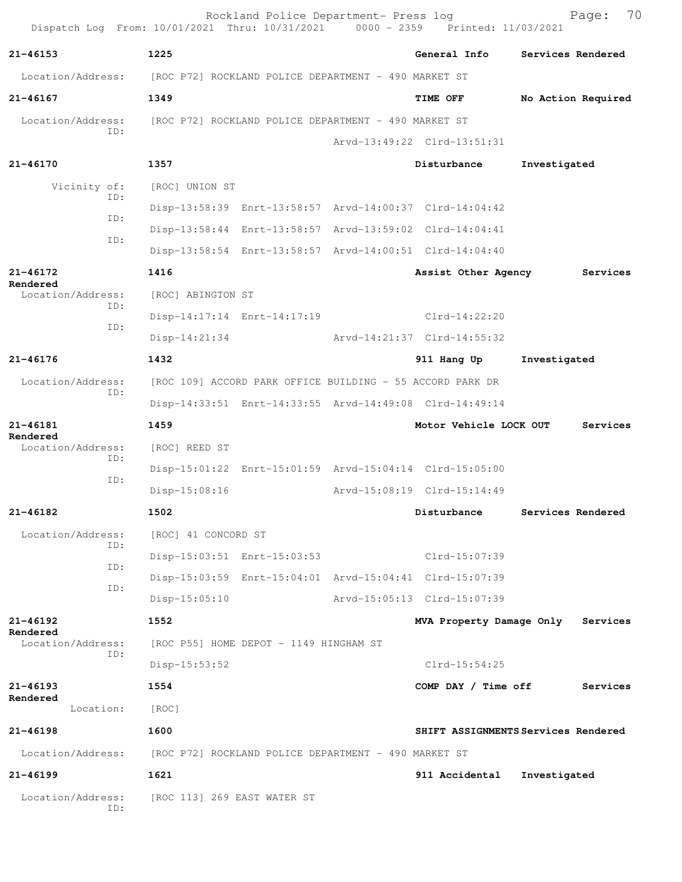| Dispatch Log From: 10/01/2021 Thru: 10/31/2021 0000 - 2359 Printed: 11/03/2021 |                                                      | Rockland Police Department- Press log                     |                                                         | 70<br>Page:                         |
|--------------------------------------------------------------------------------|------------------------------------------------------|-----------------------------------------------------------|---------------------------------------------------------|-------------------------------------|
| $21 - 46153$                                                                   | 1225                                                 |                                                           | General Info                                            | Services Rendered                   |
| Location/Address: [ROC P72] ROCKLAND POLICE DEPARTMENT - 490 MARKET ST         |                                                      |                                                           |                                                         |                                     |
| $21 - 46167$                                                                   | 1349                                                 |                                                           | <b>TIME OFF</b>                                         | No Action Required                  |
| Location/Address:                                                              | [ROC P72] ROCKLAND POLICE DEPARTMENT - 490 MARKET ST |                                                           |                                                         |                                     |
| TD:                                                                            |                                                      |                                                           | Arvd-13:49:22 Clrd-13:51:31                             |                                     |
| $21 - 46170$                                                                   | 1357                                                 |                                                           | Disturbance                                             | Investigated                        |
| Vicinity of:                                                                   | [ROC] UNION ST                                       |                                                           |                                                         |                                     |
| ID:                                                                            |                                                      |                                                           | Disp-13:58:39 Enrt-13:58:57 Arvd-14:00:37 Clrd-14:04:42 |                                     |
| ID:                                                                            |                                                      |                                                           | Disp-13:58:44 Enrt-13:58:57 Arvd-13:59:02 Clrd-14:04:41 |                                     |
| ID:                                                                            |                                                      |                                                           | Disp-13:58:54 Enrt-13:58:57 Arvd-14:00:51 Clrd-14:04:40 |                                     |
| 21-46172                                                                       | 1416                                                 |                                                           | Assist Other Agency                                     | Services                            |
| Rendered<br>Location/Address:                                                  | [ROC] ABINGTON ST                                    |                                                           |                                                         |                                     |
| ID:                                                                            |                                                      |                                                           | Disp-14:17:14 Enrt-14:17:19 Clrd-14:22:20               |                                     |
| ID:                                                                            | $Disp-14:21:34$                                      |                                                           | Arvd-14:21:37 Clrd-14:55:32                             |                                     |
| $21 - 46176$                                                                   | 1432                                                 |                                                           | 911 Hang Up                                             | Investigated                        |
| Location/Address:                                                              |                                                      | [ROC 109] ACCORD PARK OFFICE BUILDING - 55 ACCORD PARK DR |                                                         |                                     |
| ID:                                                                            |                                                      |                                                           | Disp-14:33:51 Enrt-14:33:55 Arvd-14:49:08 Clrd-14:49:14 |                                     |
| $21 - 46181$                                                                   | 1459                                                 |                                                           | Motor Vehicle LOCK OUT                                  | Services                            |
| Rendered<br>Location/Address:                                                  | [ROC] REED ST                                        |                                                           |                                                         |                                     |
| ID:                                                                            |                                                      |                                                           | Disp-15:01:22 Enrt-15:01:59 Arvd-15:04:14 Clrd-15:05:00 |                                     |
| ID:                                                                            | $Disp-15:08:16$                                      |                                                           | Arvd-15:08:19 Clrd-15:14:49                             |                                     |
| 21-46182                                                                       | 1502                                                 |                                                           | Disturbance                                             | Services Rendered                   |
| Location/Address:                                                              | [ROC] 41 CONCORD ST                                  |                                                           |                                                         |                                     |
| ID:                                                                            |                                                      | Disp-15:03:51 Enrt-15:03:53                               | Clrd-15:07:39                                           |                                     |
| ID:                                                                            |                                                      |                                                           | Disp-15:03:59 Enrt-15:04:01 Arvd-15:04:41 Clrd-15:07:39 |                                     |
| ID:                                                                            | $Disp-15:05:10$                                      |                                                           | Arvd-15:05:13 Clrd-15:07:39                             |                                     |
| $21 - 46192$                                                                   | 1552                                                 |                                                           | MVA Property Damage Only                                | Services                            |
| Rendered<br>Location/Address:                                                  |                                                      | [ROC P55] HOME DEPOT - 1149 HINGHAM ST                    |                                                         |                                     |
| ID:                                                                            | $Disp-15:53:52$                                      |                                                           | $Clrd-15:54:25$                                         |                                     |
| $21 - 46193$                                                                   | 1554                                                 |                                                           | COMP DAY / Time off                                     | Services                            |
| Rendered<br>Location:                                                          | [ROC]                                                |                                                           |                                                         |                                     |
| $21 - 46198$                                                                   | 1600                                                 |                                                           |                                                         | SHIFT ASSIGNMENTS Services Rendered |
| Location/Address:                                                              | [ROC P72] ROCKLAND POLICE DEPARTMENT - 490 MARKET ST |                                                           |                                                         |                                     |
| $21 - 46199$                                                                   | 1621                                                 |                                                           | 911 Accidental                                          | Investigated                        |
| Location/Address:<br>ID:                                                       | [ROC 113] 269 EAST WATER ST                          |                                                           |                                                         |                                     |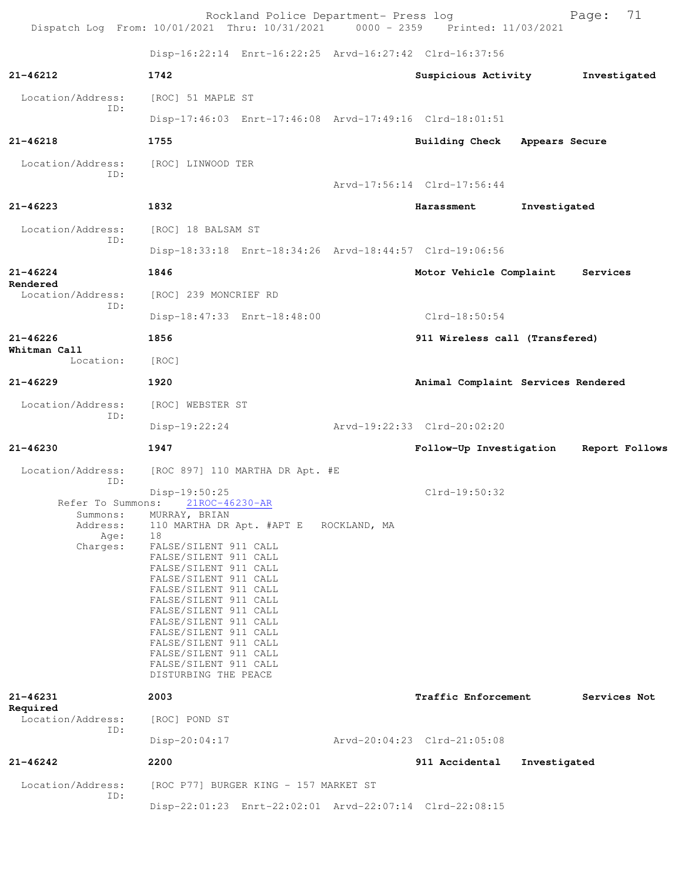| Dispatch Log From: 10/01/2021 Thru: 10/31/2021 0000 - 2359 Printed: 11/03/2021 |                                                                                                                                                                                                                                                                                                                                                                                                              | Rockland Police Department- Press log  |                                                         |                | Page:        | 71             |
|--------------------------------------------------------------------------------|--------------------------------------------------------------------------------------------------------------------------------------------------------------------------------------------------------------------------------------------------------------------------------------------------------------------------------------------------------------------------------------------------------------|----------------------------------------|---------------------------------------------------------|----------------|--------------|----------------|
|                                                                                |                                                                                                                                                                                                                                                                                                                                                                                                              |                                        | Disp-16:22:14 Enrt-16:22:25 Arvd-16:27:42 Clrd-16:37:56 |                |              |                |
| $21 - 46212$                                                                   | 1742                                                                                                                                                                                                                                                                                                                                                                                                         |                                        | Suspicious Activity                                     |                | Investigated |                |
| Location/Address:                                                              | [ROC] 51 MAPLE ST                                                                                                                                                                                                                                                                                                                                                                                            |                                        |                                                         |                |              |                |
| ID:                                                                            |                                                                                                                                                                                                                                                                                                                                                                                                              |                                        | Disp-17:46:03 Enrt-17:46:08 Arvd-17:49:16 Clrd-18:01:51 |                |              |                |
| $21 - 46218$                                                                   | 1755                                                                                                                                                                                                                                                                                                                                                                                                         |                                        | <b>Building Check</b>                                   | Appears Secure |              |                |
| Location/Address:<br>ID:                                                       | [ROC] LINWOOD TER                                                                                                                                                                                                                                                                                                                                                                                            |                                        |                                                         |                |              |                |
|                                                                                |                                                                                                                                                                                                                                                                                                                                                                                                              |                                        | Arvd-17:56:14 Clrd-17:56:44                             |                |              |                |
| 21-46223                                                                       | 1832                                                                                                                                                                                                                                                                                                                                                                                                         |                                        | Harassment                                              | Investigated   |              |                |
| Location/Address:<br>ID:                                                       | [ROC] 18 BALSAM ST                                                                                                                                                                                                                                                                                                                                                                                           |                                        |                                                         |                |              |                |
|                                                                                |                                                                                                                                                                                                                                                                                                                                                                                                              |                                        | Disp-18:33:18 Enrt-18:34:26 Arvd-18:44:57 Clrd-19:06:56 |                |              |                |
| $21 - 46224$<br>Rendered                                                       | 1846                                                                                                                                                                                                                                                                                                                                                                                                         |                                        | Motor Vehicle Complaint                                 |                | Services     |                |
| Location/Address:                                                              | [ROC] 239 MONCRIEF RD                                                                                                                                                                                                                                                                                                                                                                                        |                                        |                                                         |                |              |                |
| ID:                                                                            |                                                                                                                                                                                                                                                                                                                                                                                                              | Disp-18:47:33 Enrt-18:48:00            | $Clrd-18:50:54$                                         |                |              |                |
| $21 - 46226$                                                                   | 1856                                                                                                                                                                                                                                                                                                                                                                                                         |                                        | 911 Wireless call (Transfered)                          |                |              |                |
| Whitman Call<br>Location:                                                      | [ROC]                                                                                                                                                                                                                                                                                                                                                                                                        |                                        |                                                         |                |              |                |
| $21 - 46229$                                                                   | 1920                                                                                                                                                                                                                                                                                                                                                                                                         |                                        | Animal Complaint Services Rendered                      |                |              |                |
| Location/Address:                                                              | [ROC] WEBSTER ST                                                                                                                                                                                                                                                                                                                                                                                             |                                        |                                                         |                |              |                |
| ID:                                                                            | $Disp-19:22:24$                                                                                                                                                                                                                                                                                                                                                                                              |                                        | Arvd-19:22:33 Clrd-20:02:20                             |                |              |                |
| $21 - 46230$                                                                   | 1947                                                                                                                                                                                                                                                                                                                                                                                                         |                                        | Follow-Up Investigation                                 |                |              | Report Follows |
| Location/Address:<br>ID:                                                       |                                                                                                                                                                                                                                                                                                                                                                                                              | [ROC 897] 110 MARTHA DR Apt. #E        |                                                         |                |              |                |
| Summons:<br>Address:<br>Age:<br>Charges:                                       | Disp-19:50:25<br>Refer To Summons: 21ROC-46230-AR<br>MURRAY, BRIAN<br>18<br>FALSE/SILENT 911 CALL<br>FALSE/SILENT 911 CALL<br>FALSE/SILENT 911 CALL<br>FALSE/SILENT 911 CALL<br>FALSE/SILENT 911 CALL<br>FALSE/SILENT 911 CALL<br>FALSE/SILENT 911 CALL<br>FALSE/SILENT 911 CALL<br>FALSE/SILENT 911 CALL<br>FALSE/SILENT 911 CALL<br>FALSE/SILENT 911 CALL<br>FALSE/SILENT 911 CALL<br>DISTURBING THE PEACE | 110 MARTHA DR Apt. #APT E ROCKLAND, MA | Clrd-19:50:32                                           |                |              |                |
| $21 - 46231$<br>Required                                                       | 2003                                                                                                                                                                                                                                                                                                                                                                                                         |                                        | Traffic Enforcement                                     |                | Services Not |                |
| Location/Address:<br>ID:                                                       | [ROC] POND ST<br>$Disp-20:04:17$                                                                                                                                                                                                                                                                                                                                                                             |                                        | Arvd-20:04:23 Clrd-21:05:08                             |                |              |                |
| $21 - 46242$                                                                   | 2200                                                                                                                                                                                                                                                                                                                                                                                                         |                                        | 911 Accidental                                          | Investigated   |              |                |
| Location/Address:                                                              |                                                                                                                                                                                                                                                                                                                                                                                                              | [ROC P77] BURGER KING - 157 MARKET ST  |                                                         |                |              |                |
| ID:                                                                            |                                                                                                                                                                                                                                                                                                                                                                                                              |                                        | Disp-22:01:23 Enrt-22:02:01 Arvd-22:07:14 Clrd-22:08:15 |                |              |                |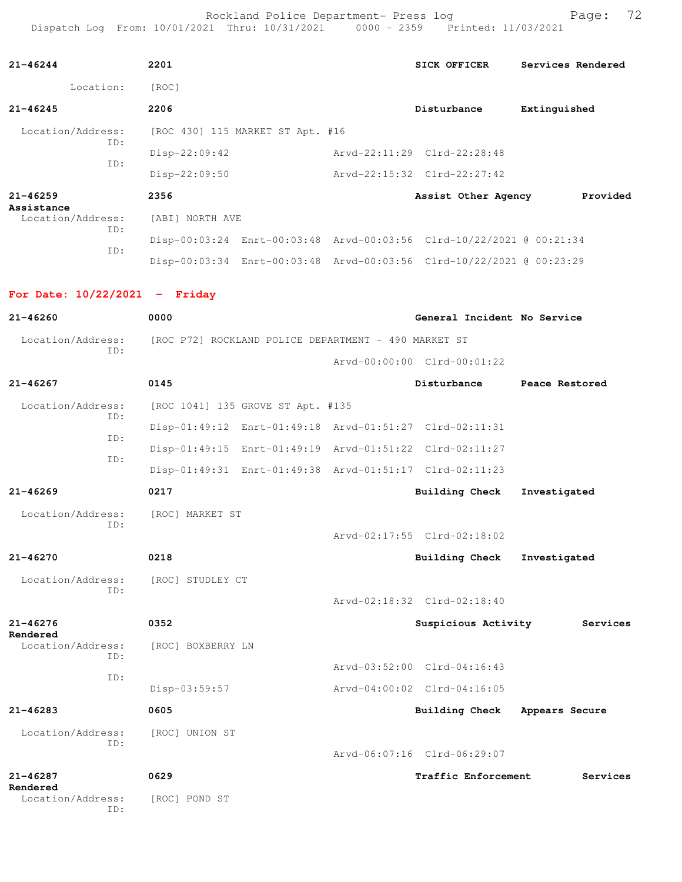Rockland Police Department- Press log entitled and Page: 72 Dispatch Log From: 10/01/2021 Thru: 10/31/2021 0000 - 2359 Printed: 11/03/2021

| $21 - 46244$                    | 2201                                                 |                                   | <b>SICK OFFICER</b>                                                  | Services Rendered |
|---------------------------------|------------------------------------------------------|-----------------------------------|----------------------------------------------------------------------|-------------------|
| Location:                       | [ROC]                                                |                                   |                                                                      |                   |
| $21 - 46245$                    | 2206                                                 |                                   | Disturbance                                                          | Extinguished      |
| Location/Address:               |                                                      | [ROC 430] 115 MARKET ST Apt. #16  |                                                                      |                   |
| ID:                             | Disp-22:09:42                                        |                                   | Arvd-22:11:29 Clrd-22:28:48                                          |                   |
| ID:                             | Disp-22:09:50                                        |                                   | Arvd-22:15:32 Clrd-22:27:42                                          |                   |
| $21 - 46259$                    | 2356                                                 |                                   | Assist Other Agency                                                  | Provided          |
| Assistance<br>Location/Address: | [ABI] NORTH AVE                                      |                                   |                                                                      |                   |
| ID:                             |                                                      |                                   | Disp-00:03:24 Enrt-00:03:48 Arvd-00:03:56 Clrd-10/22/2021 @ 00:21:34 |                   |
| ID:                             |                                                      |                                   | Disp-00:03:34 Enrt-00:03:48 Arvd-00:03:56 Clrd-10/22/2021 @ 00:23:29 |                   |
| For Date: $10/22/2021$ - Friday |                                                      |                                   |                                                                      |                   |
| $21 - 46260$                    | 0000                                                 |                                   | General Incident No Service                                          |                   |
| Location/Address:               | [ROC P72] ROCKLAND POLICE DEPARTMENT - 490 MARKET ST |                                   |                                                                      |                   |
| TD:                             |                                                      |                                   | $Arvd - 00:00:00$ $Clrd - 00:01:22$                                  |                   |
| $21 - 46267$                    | 0145                                                 |                                   | Disturbance                                                          | Peace Restored    |
| Location/Address:               |                                                      | [ROC 1041] 135 GROVE ST Apt. #135 |                                                                      |                   |
| ID:                             |                                                      |                                   | Disp-01:49:12 Enrt-01:49:18 Arvd-01:51:27 Clrd-02:11:31              |                   |
| ID:                             |                                                      |                                   | Disp-01:49:15 Enrt-01:49:19 Arvd-01:51:22 Clrd-02:11:27              |                   |
| TD:                             |                                                      |                                   | Disp-01:49:31 Enrt-01:49:38 Arvd-01:51:17 Clrd-02:11:23              |                   |
| $21 - 46269$                    | 0217                                                 |                                   | <b>Building Check</b>                                                | Investigated      |
| Location/Address:<br>ID:        | [ROC] MARKET ST                                      |                                   |                                                                      |                   |
|                                 |                                                      |                                   | Arvd-02:17:55 Clrd-02:18:02                                          |                   |
| $21 - 46270$                    | 0218                                                 |                                   | <b>Building Check</b>                                                | Investigated      |
| Location/Address:<br>TD:        | [ROC] STUDLEY CT                                     |                                   |                                                                      |                   |
|                                 |                                                      |                                   | Arvd-02:18:32 Clrd-02:18:40                                          |                   |
| $21 - 46276$<br>Rendered        | 0352                                                 |                                   | Suspicious Activity                                                  | Services          |
| Location/Address:<br>ID:        | [ROC] BOXBERRY LN                                    |                                   |                                                                      |                   |
| ID:                             |                                                      |                                   | Arvd-03:52:00 Clrd-04:16:43                                          |                   |
|                                 | Disp-03:59:57                                        |                                   | Arvd-04:00:02 Clrd-04:16:05                                          |                   |
| 21-46283                        | 0605                                                 |                                   | <b>Building Check</b>                                                | Appears Secure    |
| Location/Address:<br>ID:        | [ROC] UNION ST                                       |                                   |                                                                      |                   |
|                                 |                                                      |                                   | Arvd-06:07:16 Clrd-06:29:07                                          |                   |
| $21 - 46287$<br>Rendered        | 0629                                                 |                                   | Traffic Enforcement                                                  | Services          |
| Location/Address:<br>ID:        | [ROC] POND ST                                        |                                   |                                                                      |                   |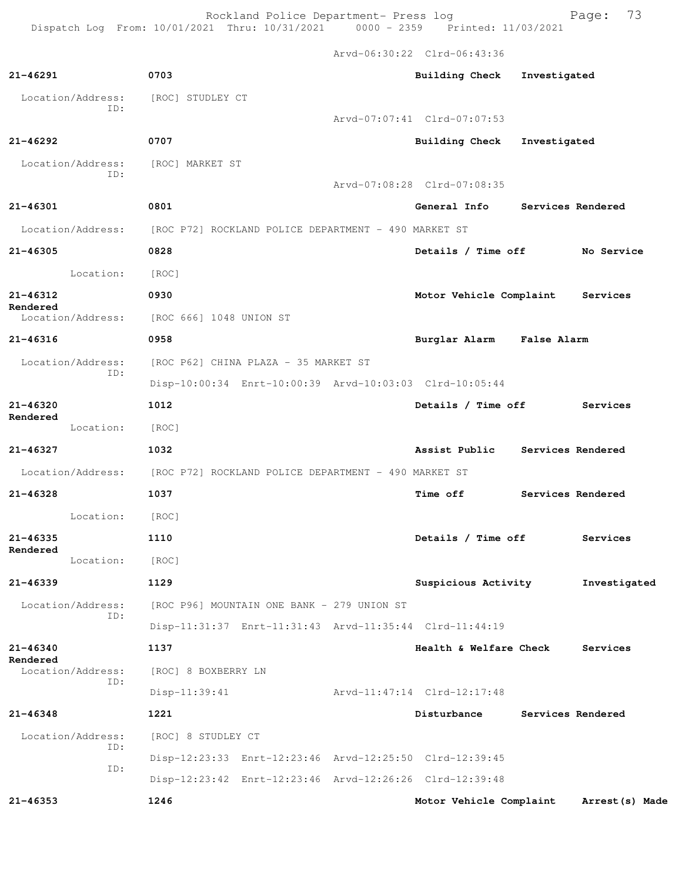Rockland Police Department- Press log Fage: 73 Dispatch Log From: 10/01/2021 Thru: 10/31/2021 0000 - 2359 Printed: 11/03/2021

 Arvd-06:30:22 Clrd-06:43:36 **21-46291 0703 Building Check Investigated** Location/Address: [ROC] STUDLEY CT ID: Arvd-07:07:41 Clrd-07:07:53 **21-46292 0707 Building Check Investigated** Location/Address: [ROC] MARKET ST ID: Arvd-07:08:28 Clrd-07:08:35 **21-46301 0801 General Info Services Rendered** Location/Address: [ROC P72] ROCKLAND POLICE DEPARTMENT - 490 MARKET ST **21-46305 0828 Details / Time off No Service** Location: [ROC] **21-46312 0930 Motor Vehicle Complaint Services Rendered**<br>Location/Address: [ROC 666] 1048 UNION ST **21-46316 0958 Burglar Alarm False Alarm** Location/Address: [ROC P62] CHINA PLAZA - 35 MARKET ST ID: Disp-10:00:34 Enrt-10:00:39 Arvd-10:03:03 Clrd-10:05:44 **21-46320 1012 Details / Time off Services Rendered**  Location: [ROC] **21-46327 1032 Assist Public Services Rendered** Location/Address: [ROC P72] ROCKLAND POLICE DEPARTMENT - 490 MARKET ST **21-46328 1037 Time off Services Rendered** Location: [ROC] **21-46335 1110 Details / Time off Services Rendered**  Location: [ROC] **21-46339 1129 Suspicious Activity Investigated** Location/Address: [ROC P96] MOUNTAIN ONE BANK - 279 UNION ST ID: Disp-11:31:37 Enrt-11:31:43 Arvd-11:35:44 Clrd-11:44:19 **21-46340 1137 Health & Welfare Check Services Rendered**  Location/Address: [ROC] 8 BOXBERRY LN ID: Disp-11:39:41 Arvd-11:47:14 Clrd-12:17:48 **21-46348 1221 Disturbance Services Rendered** Location/Address: [ROC] 8 STUDLEY CT ID: Disp-12:23:33 Enrt-12:23:46 Arvd-12:25:50 Clrd-12:39:45 ID: Disp-12:23:42 Enrt-12:23:46 Arvd-12:26:26 Clrd-12:39:48 **21-46353 1246 Motor Vehicle Complaint Arrest(s) Made**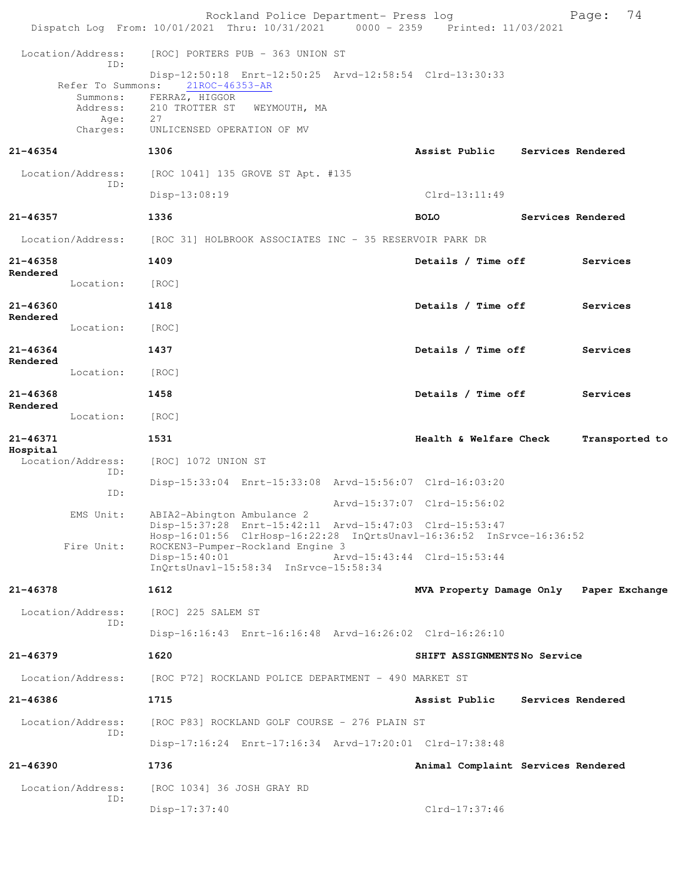|                          |                                                               | Rockland Police Department- Press log<br>Dispatch Log From: 10/01/2021 Thru: 10/31/2021 0000 - 2359 Printed: 11/03/2021                                             | 74<br>Page:                              |
|--------------------------|---------------------------------------------------------------|---------------------------------------------------------------------------------------------------------------------------------------------------------------------|------------------------------------------|
|                          | Location/Address:<br>TD:                                      | [ROC] PORTERS PUB - 363 UNION ST                                                                                                                                    |                                          |
|                          | Refer To Summons:<br>Summons:<br>Address:<br>Age:<br>Charges: | Disp-12:50:18 Enrt-12:50:25 Arvd-12:58:54 Clrd-13:30:33<br>21ROC-46353-AR<br>FERRAZ, HIGGOR<br>210 TROTTER ST<br>WEYMOUTH, MA<br>27<br>UNLICENSED OPERATION OF MV   |                                          |
| 21-46354                 |                                                               | 1306                                                                                                                                                                | Assist Public<br>Services Rendered       |
|                          | Location/Address:                                             | [ROC 1041] 135 GROVE ST Apt. #135                                                                                                                                   |                                          |
|                          | TD:                                                           | Disp-13:08:19                                                                                                                                                       | $Clrd-13:11:49$                          |
| 21-46357                 |                                                               | 1336                                                                                                                                                                | Services Rendered<br><b>BOLO</b>         |
|                          | Location/Address:                                             | [ROC 31] HOLBROOK ASSOCIATES INC - 35 RESERVOIR PARK DR                                                                                                             |                                          |
| 21-46358                 |                                                               | 1409                                                                                                                                                                | Details / Time off<br>Services           |
| Rendered                 | Location:                                                     | [ROC]                                                                                                                                                               |                                          |
| $21 - 46360$             |                                                               | 1418                                                                                                                                                                | Details / Time off<br>Services           |
| Rendered                 | Location:                                                     | [ROC]                                                                                                                                                               |                                          |
| $21 - 46364$<br>Rendered |                                                               | 1437                                                                                                                                                                | Details / Time off<br>Services           |
|                          | Location:                                                     | [ROC]                                                                                                                                                               |                                          |
| 21-46368<br>Rendered     |                                                               | 1458                                                                                                                                                                | Details / Time off<br>Services           |
|                          | Location:                                                     | [ROC]                                                                                                                                                               |                                          |
| 21-46371<br>Hospital     |                                                               | 1531                                                                                                                                                                | Health & Welfare Check<br>Transported to |
|                          | Location/Address:<br>ID:                                      | [ROC] 1072 UNION ST                                                                                                                                                 |                                          |
|                          | ID:                                                           | Disp-15:33:04 Enrt-15:33:08 Arvd-15:56:07 Clrd-16:03:20                                                                                                             |                                          |
|                          | EMS Unit:                                                     | ABIA2-Abington Ambulance 2                                                                                                                                          | Arvd-15:37:07 Clrd-15:56:02              |
|                          | Fire Unit:                                                    | Disp-15:37:28 Enrt-15:42:11 Arvd-15:47:03 Clrd-15:53:47<br>Hosp-16:01:56 ClrHosp-16:22:28 InQrtsUnavl-16:36:52 InSrvce-16:36:52<br>ROCKEN3-Pumper-Rockland Engine 3 |                                          |
|                          |                                                               | $Disp-15:40:01$<br>InQrtsUnavl-15:58:34 InSrvce-15:58:34                                                                                                            | Arvd-15:43:44 Clrd-15:53:44              |
| $21 - 46378$             |                                                               | 1612                                                                                                                                                                | MVA Property Damage Only Paper Exchange  |
|                          | Location/Address:<br>TD:                                      | [ROC] 225 SALEM ST                                                                                                                                                  |                                          |
|                          |                                                               | Disp-16:16:43 Enrt-16:16:48 Arvd-16:26:02 Clrd-16:26:10                                                                                                             |                                          |
| $21 - 46379$             |                                                               | 1620                                                                                                                                                                | SHIFT ASSIGNMENTSNo Service              |
|                          | Location/Address:                                             | [ROC P72] ROCKLAND POLICE DEPARTMENT - 490 MARKET ST                                                                                                                |                                          |
| 21-46386                 |                                                               | 1715                                                                                                                                                                | Assist Public<br>Services Rendered       |
|                          | Location/Address:<br>ID:                                      | [ROC P83] ROCKLAND GOLF COURSE - 276 PLAIN ST                                                                                                                       |                                          |
|                          |                                                               | Disp-17:16:24 Enrt-17:16:34 Arvd-17:20:01 Clrd-17:38:48                                                                                                             |                                          |
| 21-46390                 |                                                               | 1736                                                                                                                                                                | Animal Complaint Services Rendered       |
|                          | Location/Address:<br>ID:                                      | [ROC 1034] 36 JOSH GRAY RD                                                                                                                                          |                                          |
|                          |                                                               | $Disp-17:37:40$                                                                                                                                                     | $Clrd-17:37:46$                          |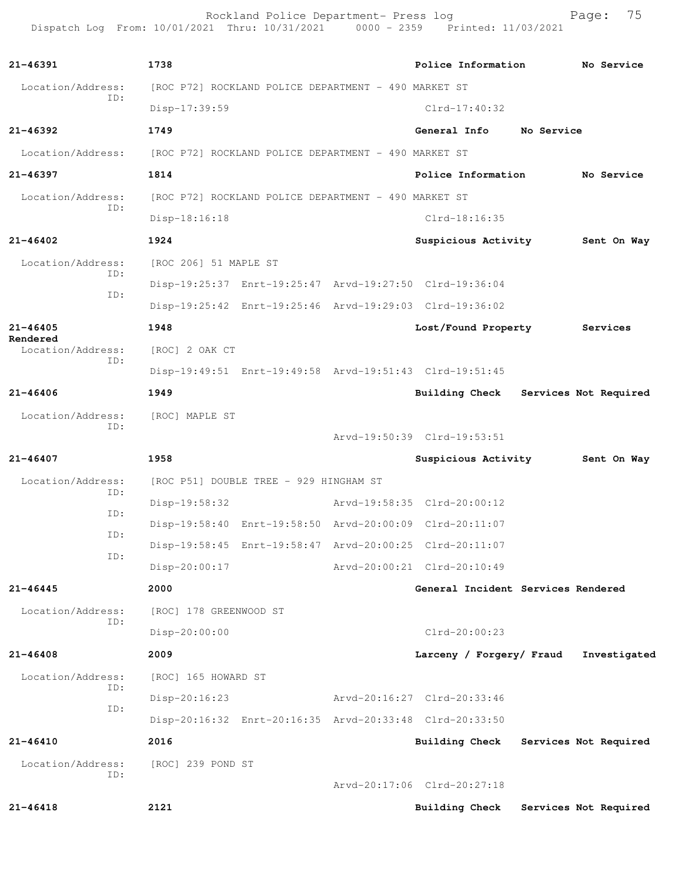Rockland Police Department- Press log entitled and Page: 75 Dispatch Log From: 10/01/2021 Thru: 10/31/2021 0000 - 2359 Printed: 11/03/2021

| $21 - 46391$                  | 1738                                                             | Police Information          | No Service                         |
|-------------------------------|------------------------------------------------------------------|-----------------------------|------------------------------------|
| Location/Address:             | [ROC P72] ROCKLAND POLICE DEPARTMENT - 490 MARKET ST             |                             |                                    |
| ID:                           | Disp-17:39:59                                                    | $Clrd-17:40:32$             |                                    |
| $21 - 46392$                  | 1749                                                             | General Info                | No Service                         |
| Location/Address:             | [ROC P72] ROCKLAND POLICE DEPARTMENT - 490 MARKET ST             |                             |                                    |
| 21-46397                      | 1814                                                             | Police Information          | No Service                         |
| Location/Address:             | [ROC P72] ROCKLAND POLICE DEPARTMENT - 490 MARKET ST             |                             |                                    |
| ID:                           | $Disp-18:16:18$                                                  | Clrd-18:16:35               |                                    |
| $21 - 46402$                  | 1924                                                             | Suspicious Activity         | Sent On Way                        |
| Location/Address:             | [ROC 206] 51 MAPLE ST                                            |                             |                                    |
| ID:                           | Disp-19:25:37 Enrt-19:25:47 Arvd-19:27:50 Clrd-19:36:04          |                             |                                    |
| ID:                           | Disp-19:25:42 Enrt-19:25:46 Arvd-19:29:03 Clrd-19:36:02          |                             |                                    |
| $21 - 46405$                  | 1948                                                             | Lost/Found Property         | Services                           |
| Rendered<br>Location/Address: | [ROC] 2 OAK CT                                                   |                             |                                    |
| ID:                           | Disp-19:49:51 Enrt-19:49:58 Arvd-19:51:43 Clrd-19:51:45          |                             |                                    |
| $21 - 46406$                  | 1949                                                             | <b>Building Check</b>       | Services Not Required              |
| Location/Address:             | [ROC] MAPLE ST                                                   |                             |                                    |
| ID:                           |                                                                  | Arvd-19:50:39 Clrd-19:53:51 |                                    |
| $21 - 46407$                  | 1958                                                             | Suspicious Activity         | Sent On Way                        |
| Location/Address:<br>ID:      | [ROC P51] DOUBLE TREE - 929 HINGHAM ST                           |                             |                                    |
| ID:                           | Disp-19:58:32                                                    | Arvd-19:58:35 Clrd-20:00:12 |                                    |
| ID:                           | Disp-19:58:40 Enrt-19:58:50 Arvd-20:00:09 Clrd-20:11:07          |                             |                                    |
| ID:                           | Disp-19:58:45    Enrt-19:58:47    Arvd-20:00:25    Clrd-20:11:07 |                             |                                    |
|                               | $Disp-20:00:17$                                                  | Arvd-20:00:21 Clrd-20:10:49 |                                    |
| $21 - 46445$                  | 2000                                                             |                             | General Incident Services Rendered |
| Location/Address:<br>ID:      | [ROC] 178 GREENWOOD ST                                           |                             |                                    |
|                               | Disp-20:00:00                                                    | $Clrd-20:00:23$             |                                    |
| $21 - 46408$                  | 2009                                                             | Larceny / Forgery/ Fraud    | Investigated                       |
| Location/Address:<br>ID:      | [ROC] 165 HOWARD ST                                              |                             |                                    |
| ID:                           | $Disp-20:16:23$                                                  | Arvd-20:16:27 Clrd-20:33:46 |                                    |
|                               | Disp-20:16:32 Enrt-20:16:35 Arvd-20:33:48 Clrd-20:33:50          |                             |                                    |
| $21 - 46410$                  | 2016                                                             | <b>Building Check</b>       | Services Not Required              |
| Location/Address:<br>ID:      | [ROC] 239 POND ST                                                |                             |                                    |
|                               |                                                                  | Arvd-20:17:06 Clrd-20:27:18 |                                    |
| 21-46418                      | 2121                                                             | Building Check              | Services Not Required              |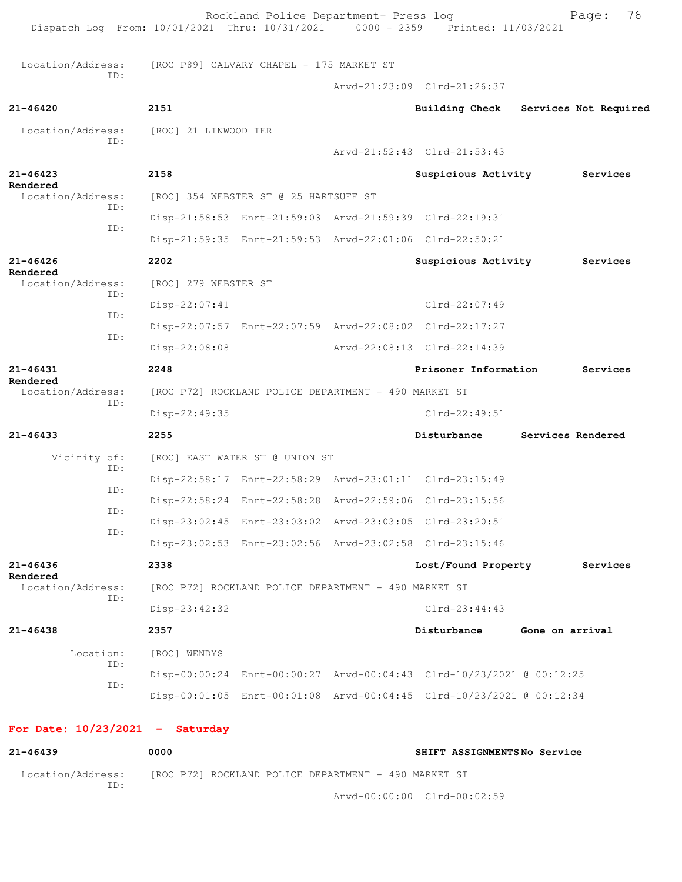Rockland Police Department- Press log Page: 76<br>21 Thru: 10/31/2021 0000 - 2359 Printed: 11/03/2021 Dispatch Log From:  $10/01/2021$  Thru:  $10/31/2021$ Location/Address: [ROC P89] CALVARY CHAPEL - 175 MARKET ST ID: Arvd-21:23:09 Clrd-21:26:37 **21-46420 2151 Building Check Services Not Required** Location/Address: [ROC] 21 LINWOOD TER ID: Arvd-21:52:43 Clrd-21:53:43 **21-46423 2158 Suspicious Activity Services Rendered**  Location/Address: [ROC] 354 WEBSTER ST @ 25 HARTSUFF ST ID: Disp-21:58:53 Enrt-21:59:03 Arvd-21:59:39 Clrd-22:19:31 ID: Disp-21:59:35 Enrt-21:59:53 Arvd-22:01:06 Clrd-22:50:21 **21-46426 2202 Suspicious Activity Services Rendered**<br>Location/Address: [ROC] 279 WEBSTER ST ID: Disp-22:07:41 Clrd-22:07:49 ID: Disp-22:07:57 Enrt-22:07:59 Arvd-22:08:02 Clrd-22:17:27 ID: Disp-22:08:08 Arvd-22:08:13 Clrd-22:14:39 **21-46431 2248 Prisoner Information Services Rendered**<br>Location/Address: [ROC P72] ROCKLAND POLICE DEPARTMENT - 490 MARKET ST ID: Disp-22:49:35 Clrd-22:49:51 **21-46433 2255 Disturbance Services Rendered** Vicinity of: [ROC] EAST WATER ST @ UNION ST ID: Disp-22:58:17 Enrt-22:58:29 Arvd-23:01:11 Clrd-23:15:49 ID: Disp-22:58:24 Enrt-22:58:28 Arvd-22:59:06 Clrd-23:15:56 ID: Disp-23:02:45 Enrt-23:03:02 Arvd-23:03:05 Clrd-23:20:51 ID: Disp-23:02:53 Enrt-23:02:56 Arvd-23:02:58 Clrd-23:15:46 **21-46436 2338 Lost/Found Property Services Rendered**  Location/Address: [ROC P72] ROCKLAND POLICE DEPARTMENT - 490 MARKET ST ID: Disp-23:42:32 Clrd-23:44:43 **21-46438 2357 Disturbance Gone on arrival** Location: [ROC] WENDYS ID: Disp-00:00:24 Enrt-00:00:27 Arvd-00:04:43 Clrd-10/23/2021 @ 00:12:25 ID: Disp-00:01:05 Enrt-00:01:08 Arvd-00:04:45 Clrd-10/23/2021 @ 00:12:34 **For Date: 10/23/2021 - Saturday 21-46439 0000 SHIFT ASSIGNMENTS No Service** Location/Address: [ROC P72] ROCKLAND POLICE DEPARTMENT - 490 MARKET ST ID:

Arvd-00:00:00 Clrd-00:02:59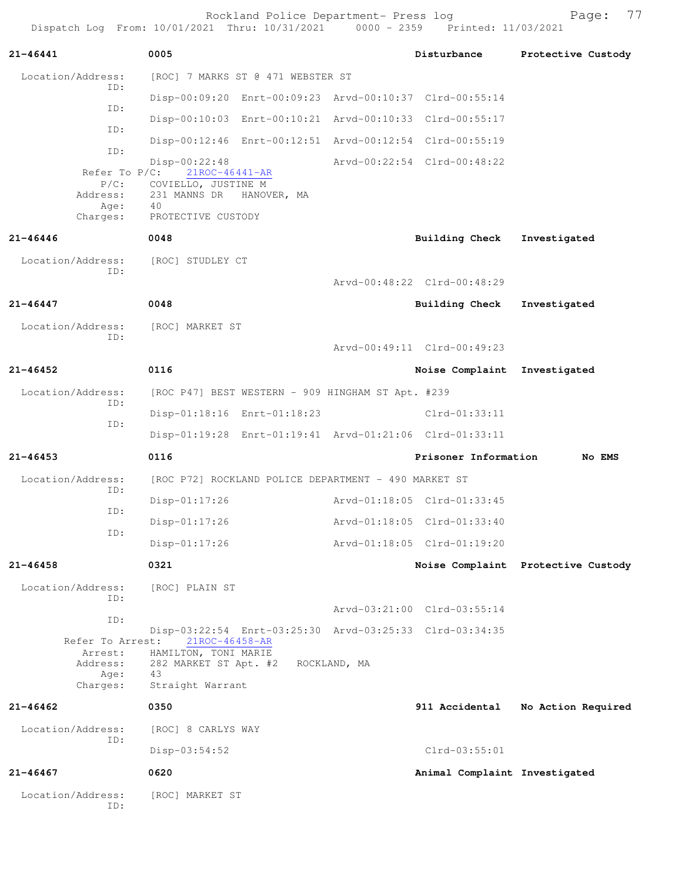Rockland Police Department- Press log entitled and Page: 77 Dispatch Log From: 10/01/2021 Thru: 10/31/2021 0000 - 2359 Printed: 11/03/2021

| $21 - 46441$                | 0005                                                    |              | Disturbance                   | Protective Custody                 |
|-----------------------------|---------------------------------------------------------|--------------|-------------------------------|------------------------------------|
| Location/Address:<br>ID:    | [ROC] 7 MARKS ST @ 471 WEBSTER ST                       |              |                               |                                    |
|                             | Disp-00:09:20 Enrt-00:09:23 Arvd-00:10:37 Clrd-00:55:14 |              |                               |                                    |
| ID:                         | Disp-00:10:03 Enrt-00:10:21 Arvd-00:10:33 Clrd-00:55:17 |              |                               |                                    |
| ID:                         | Disp-00:12:46 Enrt-00:12:51 Arvd-00:12:54 Clrd-00:55:19 |              |                               |                                    |
| ID:                         | Disp-00:22:48                                           |              | Arvd-00:22:54 Clrd-00:48:22   |                                    |
| Refer To $P/C$ :<br>$P/C$ : | $21$ ROC-46441-AR<br>COVIELLO, JUSTINE M                |              |                               |                                    |
| Address:<br>Age:            | 231 MANNS DR<br>HANOVER, MA<br>40                       |              |                               |                                    |
| Charges:                    | PROTECTIVE CUSTODY                                      |              |                               |                                    |
| $21 - 46446$                | 0048                                                    |              | <b>Building Check</b>         | Investigated                       |
| Location/Address:<br>TD:    | [ROC] STUDLEY CT                                        |              |                               |                                    |
|                             |                                                         |              | Arvd-00:48:22 Clrd-00:48:29   |                                    |
| $21 - 46447$                | 0048                                                    |              | Building Check                | Investigated                       |
| Location/Address:<br>ID:    | [ROC] MARKET ST                                         |              |                               |                                    |
|                             |                                                         |              | Arvd-00:49:11 Clrd-00:49:23   |                                    |
| $21 - 46452$                | 0116                                                    |              | Noise Complaint               | Investigated                       |
| Location/Address:           | [ROC P47] BEST WESTERN - 909 HINGHAM ST Apt. #239       |              |                               |                                    |
| ID:                         | Disp-01:18:16 Enrt-01:18:23                             |              | $Clrd-01:33:11$               |                                    |
| ID:                         | Disp-01:19:28 Enrt-01:19:41 Arvd-01:21:06 Clrd-01:33:11 |              |                               |                                    |
| $21 - 46453$                | 0116                                                    |              | Prisoner Information          | No EMS                             |
| Location/Address:           | [ROC P72] ROCKLAND POLICE DEPARTMENT - 490 MARKET ST    |              |                               |                                    |
| ID:                         | $Disp-01:17:26$                                         |              | Arvd-01:18:05 Clrd-01:33:45   |                                    |
| ID:                         | $Disp-01:17:26$                                         |              | Arvd-01:18:05 Clrd-01:33:40   |                                    |
| ID:                         | Disp-01:17:26                                           |              | Arvd-01:18:05 Clrd-01:19:20   |                                    |
| $21 - 46458$                | 0321                                                    |              |                               | Noise Complaint Protective Custody |
| Location/Address:           | [ROC] PLAIN ST                                          |              |                               |                                    |
| TD:                         |                                                         |              | Arvd-03:21:00 Clrd-03:55:14   |                                    |
| ID:                         | Disp-03:22:54 Enrt-03:25:30 Arvd-03:25:33 Clrd-03:34:35 |              |                               |                                    |
| Refer To Arrest:<br>Arrest: | 21ROC-46458-AR<br>HAMILTON, TONI MARIE                  |              |                               |                                    |
| Address:<br>Age:            | 282 MARKET ST Apt. #2<br>43                             | ROCKLAND, MA |                               |                                    |
| Charges:                    | Straight Warrant                                        |              |                               |                                    |
| 21-46462                    | 0350                                                    |              | 911 Accidental                | No Action Required                 |
| Location/Address:<br>ID:    | [ROC] 8 CARLYS WAY                                      |              |                               |                                    |
|                             | $Disp-03:54:52$                                         |              | $Clrd-03:55:01$               |                                    |
| $21 - 46467$                | 0620                                                    |              | Animal Complaint Investigated |                                    |
| Location/Address:<br>ID:    | [ROC] MARKET ST                                         |              |                               |                                    |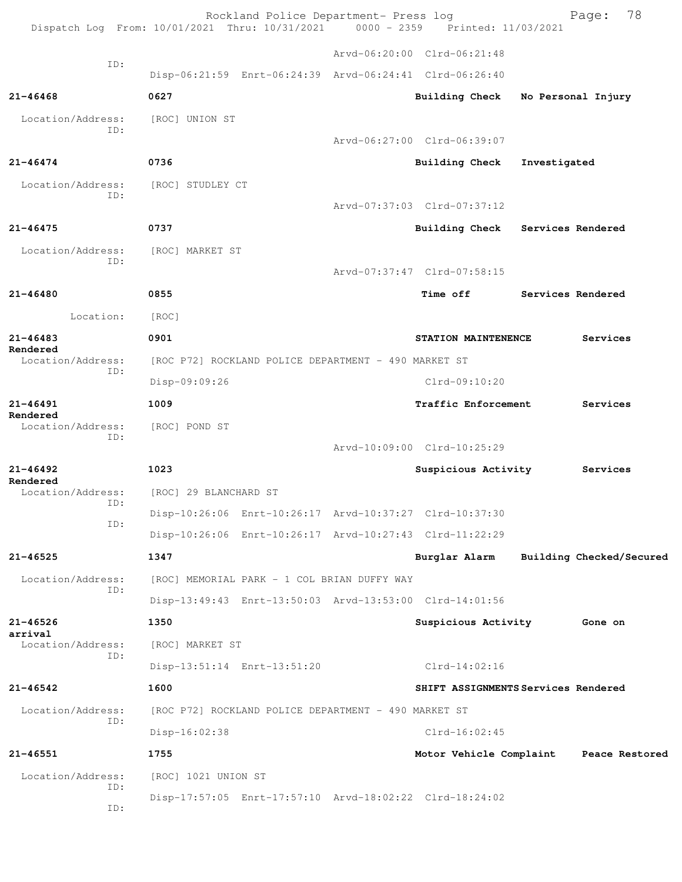|                          | Rockland Police Department- Press log<br>Dispatch Log From: 10/01/2021 Thru: 10/31/2021 0000 - 2359 Printed: 11/03/2021 |                                        |              | 78<br>Page:              |
|--------------------------|-------------------------------------------------------------------------------------------------------------------------|----------------------------------------|--------------|--------------------------|
|                          |                                                                                                                         | Arvd-06:20:00 Clrd-06:21:48            |              |                          |
| ID:                      | Disp-06:21:59 Enrt-06:24:39 Arvd-06:24:41 Clrd-06:26:40                                                                 |                                        |              |                          |
| $21 - 46468$             | 0627                                                                                                                    | <b>Building Check</b>                  |              | No Personal Injury       |
| Location/Address:        | [ROC] UNION ST                                                                                                          |                                        |              |                          |
| ID:                      |                                                                                                                         | Arvd-06:27:00 Clrd-06:39:07            |              |                          |
| $21 - 46474$             | 0736                                                                                                                    | <b>Building Check</b>                  | Investigated |                          |
| Location/Address:        | [ROC] STUDLEY CT                                                                                                        |                                        |              |                          |
| ID:                      |                                                                                                                         | Arvd-07:37:03 Clrd-07:37:12            |              |                          |
| $21 - 46475$             | 0737                                                                                                                    | Building Check Services Rendered       |              |                          |
| Location/Address:<br>ID: | [ROC] MARKET ST                                                                                                         |                                        |              |                          |
|                          |                                                                                                                         | Arvd-07:37:47 Clrd-07:58:15            |              |                          |
| $21 - 46480$             | 0855                                                                                                                    | Time off                               |              | Services Rendered        |
| Location:                | [ROC]                                                                                                                   |                                        |              |                          |
| $21 - 46483$<br>Rendered | 0901                                                                                                                    | STATION MAINTENENCE                    |              | Services                 |
| Location/Address:<br>ID: | [ROC P72] ROCKLAND POLICE DEPARTMENT - 490 MARKET ST                                                                    |                                        |              |                          |
|                          | Disp-09:09:26                                                                                                           | $Clrd-09:10:20$                        |              |                          |
| $21 - 46491$<br>Rendered | 1009                                                                                                                    | Traffic Enforcement                    |              | Services                 |
| Location/Address:<br>ID: | [ROC] POND ST                                                                                                           |                                        |              |                          |
|                          |                                                                                                                         | Arvd-10:09:00 Clrd-10:25:29            |              |                          |
| $21 - 46492$<br>Rendered | 1023                                                                                                                    | Suspicious Activity                    |              | Services                 |
| Location/Address:<br>ID: | [ROC] 29 BLANCHARD ST                                                                                                   |                                        |              |                          |
| ID:                      | Disp-10:26:06 Enrt-10:26:17 Arvd-10:37:27 Clrd-10:37:30                                                                 |                                        |              |                          |
|                          | Disp-10:26:06 Enrt-10:26:17 Arvd-10:27:43 Clrd-11:22:29                                                                 |                                        |              |                          |
| 21-46525                 | 1347                                                                                                                    | Burglar Alarm                          |              | Building Checked/Secured |
| Location/Address:<br>ID: | [ROC] MEMORIAL PARK - 1 COL BRIAN DUFFY WAY                                                                             |                                        |              |                          |
|                          | Disp-13:49:43 Enrt-13:50:03 Arvd-13:53:00 Clrd-14:01:56                                                                 |                                        |              |                          |
| $21 - 46526$<br>arrival  | 1350                                                                                                                    | Suspicious Activity                    |              | Gone on                  |
| Location/Address:<br>ID: | [ROC] MARKET ST                                                                                                         |                                        |              |                          |
|                          | Disp-13:51:14 Enrt-13:51:20                                                                                             | $Clrd-14:02:16$                        |              |                          |
| $21 - 46542$             | 1600                                                                                                                    | SHIFT ASSIGNMENTS Services Rendered    |              |                          |
| Location/Address:<br>ID: | [ROC P72] ROCKLAND POLICE DEPARTMENT - 490 MARKET ST                                                                    | $Clrd-16:02:45$                        |              |                          |
| $21 - 46551$             | Disp-16:02:38<br>1755                                                                                                   | Motor Vehicle Complaint Peace Restored |              |                          |
| Location/Address:        | [ROC] 1021 UNION ST                                                                                                     |                                        |              |                          |
| ID:                      | Disp-17:57:05 Enrt-17:57:10 Arvd-18:02:22 Clrd-18:24:02                                                                 |                                        |              |                          |
| ID:                      |                                                                                                                         |                                        |              |                          |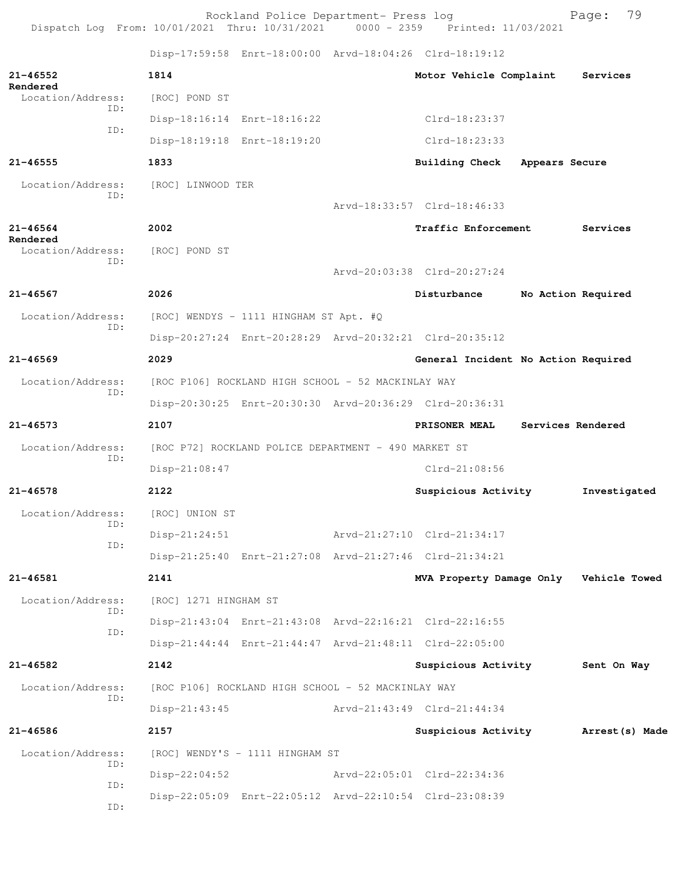|                               |     |                       | Rockland Police Department- Press log                | Dispatch Log From: 10/01/2021 Thru: 10/31/2021 0000 - 2359 Printed: 11/03/2021 |                    | 79<br>Page:  |
|-------------------------------|-----|-----------------------|------------------------------------------------------|--------------------------------------------------------------------------------|--------------------|--------------|
|                               |     |                       |                                                      | Disp-17:59:58 Enrt-18:00:00 Arvd-18:04:26 Clrd-18:19:12                        |                    |              |
| $21 - 46552$                  |     | 1814                  |                                                      | Motor Vehicle Complaint                                                        |                    | Services     |
| Rendered<br>Location/Address: |     | [ROC] POND ST         |                                                      |                                                                                |                    |              |
|                               | ID: |                       | Disp-18:16:14 Enrt-18:16:22                          | $C1rd-18:23:37$                                                                |                    |              |
|                               | ID: |                       | Disp-18:19:18 Enrt-18:19:20                          | $Clrd-18:23:33$                                                                |                    |              |
| $21 - 46555$                  |     | 1833                  |                                                      | Building Check                                                                 | Appears Secure     |              |
| Location/Address:             |     | [ROC] LINWOOD TER     |                                                      |                                                                                |                    |              |
|                               | TD: |                       |                                                      | Arvd-18:33:57 Clrd-18:46:33                                                    |                    |              |
| $21 - 46564$                  |     | 2002                  |                                                      | <b>Traffic Enforcement</b>                                                     |                    | Services     |
| Rendered<br>Location/Address: |     | [ROC] POND ST         |                                                      |                                                                                |                    |              |
|                               | TD: |                       |                                                      | Arvd-20:03:38 Clrd-20:27:24                                                    |                    |              |
| $21 - 46567$                  |     | 2026                  |                                                      | Disturbance                                                                    |                    |              |
| Location/Address:             |     |                       |                                                      |                                                                                | No Action Required |              |
| TD:                           |     |                       | [ROC] WENDYS - 1111 HINGHAM ST Apt. #Q               |                                                                                |                    |              |
|                               |     |                       |                                                      | Disp-20:27:24 Enrt-20:28:29 Arvd-20:32:21 Clrd-20:35:12                        |                    |              |
| $21 - 46569$                  |     | 2029                  |                                                      | General Incident No Action Required                                            |                    |              |
| Location/Address:<br>ID:      |     |                       | [ROC P106] ROCKLAND HIGH SCHOOL - 52 MACKINLAY WAY   |                                                                                |                    |              |
|                               |     |                       |                                                      | Disp-20:30:25 Enrt-20:30:30 Arvd-20:36:29 Clrd-20:36:31                        |                    |              |
| $21 - 46573$                  |     | 2107                  |                                                      | <b>PRISONER MEAL</b>                                                           | Services Rendered  |              |
| Location/Address:             | ID: |                       | [ROC P72] ROCKLAND POLICE DEPARTMENT - 490 MARKET ST |                                                                                |                    |              |
|                               |     | $Disp-21:08:47$       |                                                      | $Clrd-21:08:56$                                                                |                    |              |
| $21 - 46578$                  |     | 2122                  |                                                      | Suspicious Activity                                                            |                    | Investigated |
| Location/Address:             | ID: | [ROC] UNION ST        |                                                      |                                                                                |                    |              |
|                               | ID: | $Disp-21:24:51$       |                                                      | Arvd-21:27:10 Clrd-21:34:17                                                    |                    |              |
|                               |     |                       |                                                      | Disp-21:25:40 Enrt-21:27:08 Arvd-21:27:46 Clrd-21:34:21                        |                    |              |
| 21-46581                      |     | 2141                  |                                                      | MVA Property Damage Only Vehicle Towed                                         |                    |              |
| Location/Address:             | ID: | [ROC] 1271 HINGHAM ST |                                                      |                                                                                |                    |              |
|                               | ID: |                       |                                                      | Disp-21:43:04 Enrt-21:43:08 Arvd-22:16:21 Clrd-22:16:55                        |                    |              |
|                               |     |                       |                                                      | Disp-21:44:44 Enrt-21:44:47 Arvd-21:48:11 Clrd-22:05:00                        |                    |              |
| $21 - 46582$                  |     | 2142                  |                                                      | Suspicious Activity 5ent On Way                                                |                    |              |
| Location/Address:             |     |                       | [ROC P106] ROCKLAND HIGH SCHOOL - 52 MACKINLAY WAY   |                                                                                |                    |              |
|                               | ID: | $Disp-21:43:45$       |                                                      | Arvd-21:43:49 Clrd-21:44:34                                                    |                    |              |
| 21-46586                      |     | 2157                  |                                                      | Suspicious Activity Marrest (s) Made                                           |                    |              |
| Location/Address:             |     |                       | [ROC] WENDY'S - 1111 HINGHAM ST                      |                                                                                |                    |              |
|                               | ID: | Disp-22:04:52         |                                                      | Arvd-22:05:01 Clrd-22:34:36                                                    |                    |              |
|                               | ID: |                       |                                                      | Disp-22:05:09 Enrt-22:05:12 Arvd-22:10:54 Clrd-23:08:39                        |                    |              |
|                               | ID: |                       |                                                      |                                                                                |                    |              |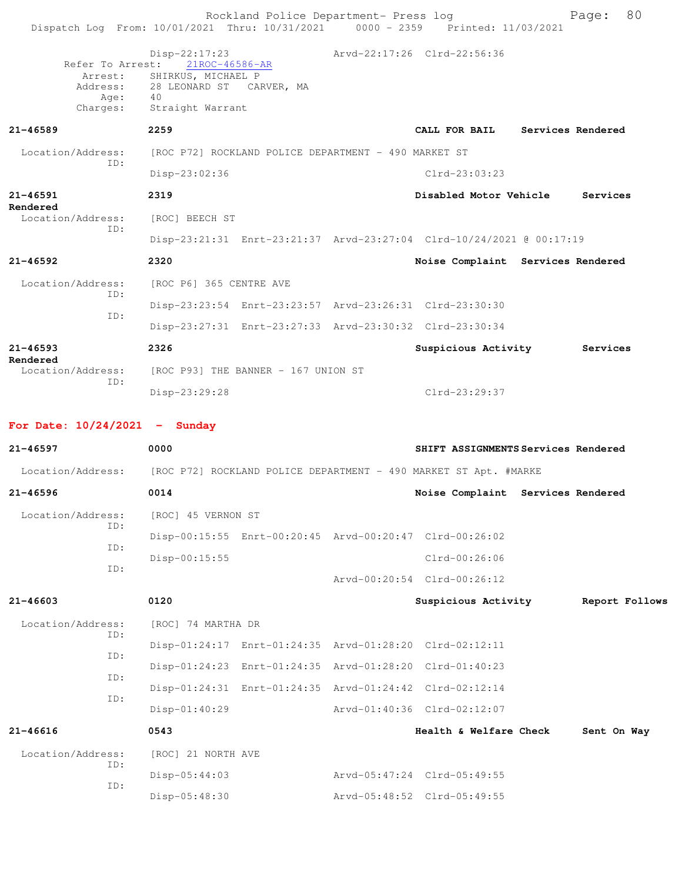Rockland Police Department- Press log Fage: 80 Dispatch Log From: 10/01/2021 Thru: 10/31/2021 0000 - 2359 Printed: 11/03/2021 Disp-22:17:23 Arvd-22:17:26 Clrd-22:56:36 Refer To Arrest: Arrest: SHIRKUS, MICHAEL P<br>Address: 28 LEONARD ST CARVER, MA Address: 28 LEONARD ST Age: 40 Charges: Straight Warrant **21-46589 2259 CALL FOR BAIL Services Rendered** Location/Address: [ROC P72] ROCKLAND POLICE DEPARTMENT - 490 MARKET ST ID: Disp-23:02:36 Clrd-23:03:23 **21-46591 2319 Disabled Motor Vehicle Services Rendered**  Location/Address: [ROC] BEECH ST ID: Disp-23:21:31 Enrt-23:21:37 Arvd-23:27:04 Clrd-10/24/2021 @ 00:17:19 **21-46592 2320 Noise Complaint Services Rendered** Location/Address: [ROC P6] 365 CENTRE AVE ID: Disp-23:23:54 Enrt-23:23:57 Arvd-23:26:31 Clrd-23:30:30 ID: Disp-23:27:31 Enrt-23:27:33 Arvd-23:30:32 Clrd-23:30:34 **21-46593 2326 Suspicious Activity Services Rendered**  Location/Address: [ROC P93] THE BANNER - 167 UNION ST ID: Disp-23:29:28 Clrd-23:29:37 **For Date: 10/24/2021 - Sunday 21-46597 0000 SHIFT ASSIGNMENTS Services Rendered** Location/Address: [ROC P72] ROCKLAND POLICE DEPARTMENT - 490 MARKET ST Apt. #MARKE **21-46596 0014 Noise Complaint Services Rendered** Location/Address: [ROC] 45 VERNON ST ID: Disp-00:15:55 Enrt-00:20:45 Arvd-00:20:47 Clrd-00:26:02 ID: Disp-00:15:55 Clrd-00:26:06 ID: Arvd-00:20:54 Clrd-00:26:12 **21-46603 0120 Suspicious Activity Report Follows** Location/Address: [ROC] 74 MARTHA DR ID: Disp-01:24:17 Enrt-01:24:35 Arvd-01:28:20 Clrd-02:12:11 ID: Disp-01:24:23 Enrt-01:24:35 Arvd-01:28:20 Clrd-01:40:23 ID: Disp-01:24:31 Enrt-01:24:35 Arvd-01:24:42 Clrd-02:12:14 ID: Disp-01:40:29 Arvd-01:40:36 Clrd-02:12:07 **21-46616 0543 Health & Welfare Check Sent On Way** Location/Address: [ROC] 21 NORTH AVE ID: Disp-05:44:03 Arvd-05:47:24 Clrd-05:49:55 ID: Disp-05:48:30 Arvd-05:48:52 Clrd-05:49:55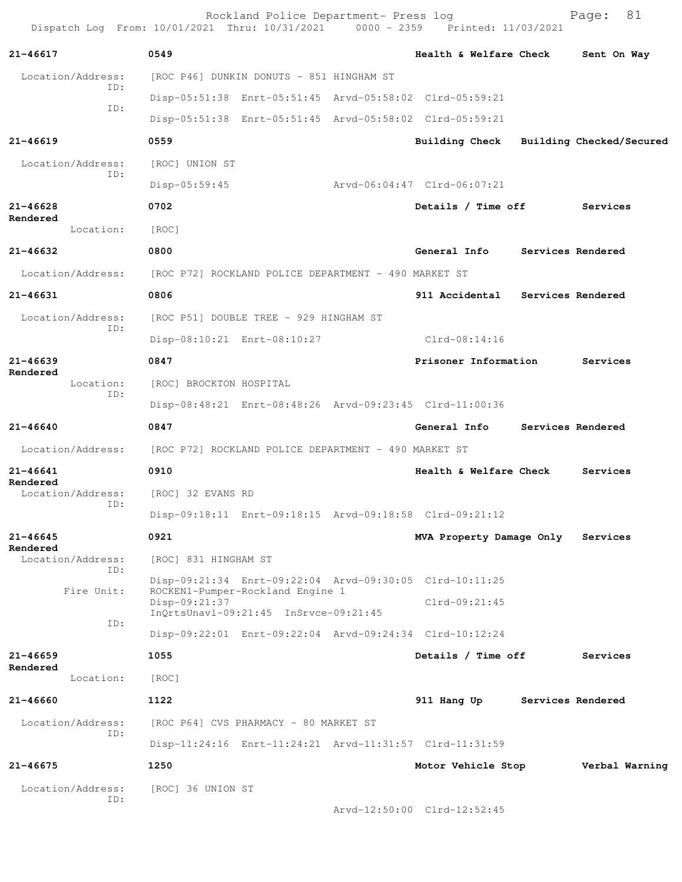| Dispatch Log From: 10/01/2021 Thru: 10/31/2021 0000 - 2359 Printed: 11/03/2021 |                         | Rockland Police Department- Press log                                     |                                                         |                   | Page:    | 81             |
|--------------------------------------------------------------------------------|-------------------------|---------------------------------------------------------------------------|---------------------------------------------------------|-------------------|----------|----------------|
| 21-46617                                                                       | 0549                    |                                                                           | Health & Welfare Check                                  |                   |          | Sent On Way    |
| Location/Address:                                                              |                         | [ROC P46] DUNKIN DONUTS - 851 HINGHAM ST                                  |                                                         |                   |          |                |
| ID:                                                                            |                         |                                                                           | Disp-05:51:38 Enrt-05:51:45 Arvd-05:58:02 Clrd-05:59:21 |                   |          |                |
| ID:                                                                            |                         |                                                                           | Disp-05:51:38 Enrt-05:51:45 Arvd-05:58:02 Clrd-05:59:21 |                   |          |                |
| $21 - 46619$                                                                   | 0559                    |                                                                           | Building Check Building Checked/Secured                 |                   |          |                |
| Location/Address:                                                              | [ROC] UNION ST          |                                                                           |                                                         |                   |          |                |
| ID:                                                                            | $Disp-05:59:45$         |                                                                           | Arvd-06:04:47 Clrd-06:07:21                             |                   |          |                |
| $21 - 46628$                                                                   | 0702                    |                                                                           | Details / Time off                                      |                   | Services |                |
| Rendered<br>Location:                                                          | [ROC]                   |                                                                           |                                                         |                   |          |                |
| 21-46632                                                                       | 0800                    |                                                                           | General Info                                            | Services Rendered |          |                |
| Location/Address:                                                              |                         | [ROC P72] ROCKLAND POLICE DEPARTMENT - 490 MARKET ST                      |                                                         |                   |          |                |
| 21-46631                                                                       | 0806                    |                                                                           | 911 Accidental                                          | Services Rendered |          |                |
| Location/Address:                                                              |                         | [ROC P51] DOUBLE TREE - 929 HINGHAM ST                                    |                                                         |                   |          |                |
| ID:                                                                            |                         | Disp-08:10:21 Enrt-08:10:27                                               | $Clrd-08:14:16$                                         |                   |          |                |
| $21 - 46639$                                                                   | 0847                    |                                                                           | Prisoner Information                                    |                   | Services |                |
| Rendered<br>Location:<br>ID:                                                   | [ROC] BROCKTON HOSPITAL |                                                                           |                                                         |                   |          |                |
|                                                                                |                         |                                                                           | Disp-08:48:21 Enrt-08:48:26 Arvd-09:23:45 Clrd-11:00:36 |                   |          |                |
| 21-46640                                                                       | 0847                    |                                                                           | General Info                                            | Services Rendered |          |                |
| Location/Address:                                                              |                         | [ROC P72] ROCKLAND POLICE DEPARTMENT - 490 MARKET ST                      |                                                         |                   |          |                |
| $21 - 46641$                                                                   | 0910                    |                                                                           | Health & Welfare Check                                  |                   | Services |                |
| Rendered<br>Location/Address:                                                  | [ROC] 32 EVANS RD       |                                                                           |                                                         |                   |          |                |
| ID:                                                                            |                         |                                                                           | Disp-09:18:11 Enrt-09:18:15 Arvd-09:18:58 Clrd-09:21:12 |                   |          |                |
| $21 - 46645$<br>Rendered                                                       | 0921                    |                                                                           | MVA Property Damage Only                                |                   | Services |                |
| Location/Address:<br>ID:                                                       | [ROC] 831 HINGHAM ST    |                                                                           |                                                         |                   |          |                |
| Fire Unit:                                                                     |                         |                                                                           | Disp-09:21:34 Enrt-09:22:04 Arvd-09:30:05 Clrd-10:11:25 |                   |          |                |
|                                                                                | Disp-09:21:37           | ROCKEN1-Pumper-Rockland Engine 1<br>InQrtsUnavl-09:21:45 InSrvce-09:21:45 | $Clrd-09:21:45$                                         |                   |          |                |
| ID:                                                                            |                         |                                                                           | Disp-09:22:01 Enrt-09:22:04 Arvd-09:24:34 Clrd-10:12:24 |                   |          |                |
| $21 - 46659$                                                                   | 1055                    |                                                                           | Details / Time off                                      |                   | Services |                |
| Rendered<br>Location:                                                          | [ROC]                   |                                                                           |                                                         |                   |          |                |
| 21-46660                                                                       | 1122                    |                                                                           | 911 Hang Up                                             | Services Rendered |          |                |
| Location/Address:                                                              |                         | [ROC P64] CVS PHARMACY - 80 MARKET ST                                     |                                                         |                   |          |                |
| ID:                                                                            |                         |                                                                           | Disp-11:24:16 Enrt-11:24:21 Arvd-11:31:57 Clrd-11:31:59 |                   |          |                |
| $21 - 46675$                                                                   | 1250                    |                                                                           | Motor Vehicle Stop                                      |                   |          | Verbal Warning |
| Location/Address:                                                              | [ROC] 36 UNION ST       |                                                                           |                                                         |                   |          |                |
| ID:                                                                            |                         |                                                                           | Arvd-12:50:00 Clrd-12:52:45                             |                   |          |                |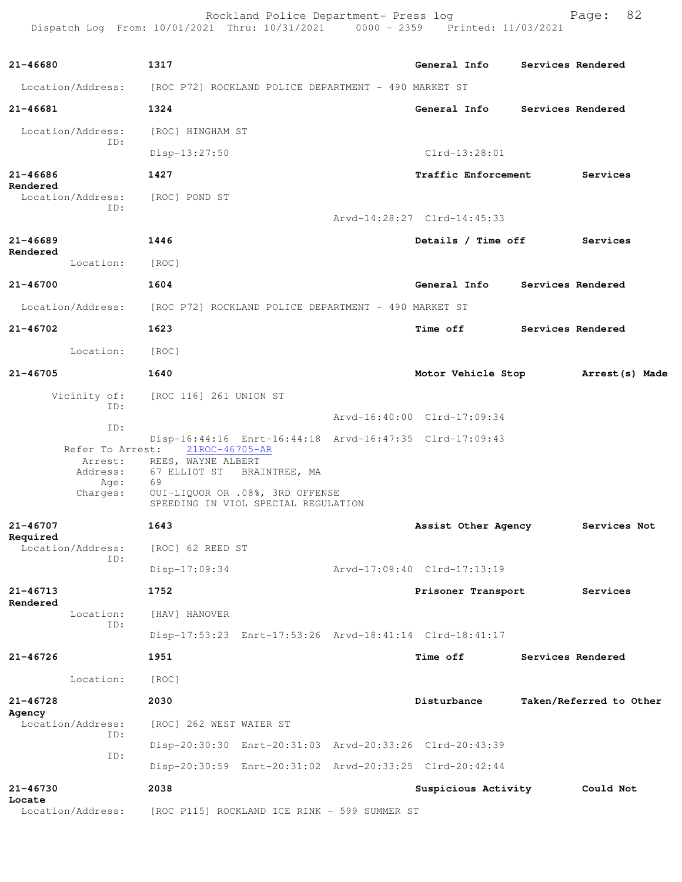Rockland Police Department- Press log entitled and Page: 82 Dispatch Log From: 10/01/2021 Thru: 10/31/2021 0000 - 2359 Printed: 11/03/2021

| 21-46680                 |                             | 1317                                                                   |                             |                 | General Info               | Services Rendered  |                         |  |
|--------------------------|-----------------------------|------------------------------------------------------------------------|-----------------------------|-----------------|----------------------------|--------------------|-------------------------|--|
|                          |                             | Location/Address: [ROC P72] ROCKLAND POLICE DEPARTMENT - 490 MARKET ST |                             |                 |                            |                    |                         |  |
| $21 - 46681$             |                             | 1324                                                                   |                             |                 | General Info               |                    | Services Rendered       |  |
|                          | Location/Address:           | [ROC] HINGHAM ST                                                       |                             |                 |                            |                    |                         |  |
|                          | TD:                         | $Disp-13:27:50$                                                        |                             |                 | $Clrd-13:28:01$            |                    |                         |  |
| 21-46686                 |                             | 1427                                                                   |                             |                 | <b>Traffic Enforcement</b> |                    | Services                |  |
| Rendered                 | Location/Address:<br>ID:    | [ROC] POND ST                                                          |                             |                 |                            |                    |                         |  |
|                          |                             |                                                                        | Arvd-14:28:27 Clrd-14:45:33 |                 |                            |                    |                         |  |
| $21 - 46689$             |                             | 1446                                                                   |                             |                 |                            | Details / Time off | Services                |  |
| Rendered                 | Location:                   | [ROC]                                                                  |                             |                 |                            |                    |                         |  |
| 21-46700                 |                             | 1604                                                                   |                             |                 | General Info               | Services Rendered  |                         |  |
|                          | Location/Address:           | [ROC P72] ROCKLAND POLICE DEPARTMENT - 490 MARKET ST                   |                             |                 |                            |                    |                         |  |
| $21 - 46702$             |                             | 1623                                                                   |                             | <b>Time off</b> |                            |                    | Services Rendered       |  |
|                          | Location:                   | [ROC]                                                                  |                             |                 |                            |                    |                         |  |
| 21-46705                 |                             | 1640                                                                   |                             |                 | Motor Vehicle Stop         |                    | Arrest(s) Made          |  |
|                          | Vicinity of:                | [ROC 116] 261 UNION ST                                                 |                             |                 |                            |                    |                         |  |
|                          | ID:                         |                                                                        | Arvd-16:40:00 Clrd-17:09:34 |                 |                            |                    |                         |  |
|                          | ID:                         | Disp-16:44:16 Enrt-16:44:18 Arvd-16:47:35 Clrd-17:09:43                |                             |                 |                            |                    |                         |  |
|                          | Refer To Arrest:<br>Arrest: | 21ROC-46705-AR<br>REES, WAYNE ALBERT                                   |                             |                 |                            |                    |                         |  |
|                          | Address:<br>Age:            | 67 ELLIOT ST BRAINTREE, MA<br>69                                       |                             |                 |                            |                    |                         |  |
|                          | Charges:                    | OUI-LIQUOR OR .08%, 3RD OFFENSE<br>SPEEDING IN VIOL SPECIAL REGULATION |                             |                 |                            |                    |                         |  |
| $21 - 46707$             |                             | 1643                                                                   |                             |                 | Assist Other Agency        |                    | Services Not            |  |
| Required                 | Location/Address:<br>ID:    | [ROC] 62 REED ST                                                       |                             |                 |                            |                    |                         |  |
|                          |                             | $Disp-17:09:34$                                                        | Arvd-17:09:40 Clrd-17:13:19 |                 |                            |                    |                         |  |
| $21 - 46713$<br>Rendered |                             | 1752                                                                   |                             |                 | Prisoner Transport         |                    | Services                |  |
|                          | Location:<br>TD:            | [HAV] HANOVER                                                          |                             |                 |                            |                    |                         |  |
|                          |                             | Disp-17:53:23 Enrt-17:53:26 Arvd-18:41:14 Clrd-18:41:17                |                             |                 |                            |                    |                         |  |
| 21-46726                 |                             | 1951                                                                   |                             | <b>Time off</b> |                            |                    | Services Rendered       |  |
|                          | Location:                   | [ROC]                                                                  |                             |                 |                            |                    |                         |  |
| $21 - 46728$             |                             | 2030                                                                   |                             | Disturbance     |                            |                    | Taken/Referred to Other |  |
| Agency                   | Location/Address:<br>ID:    | [ROC] 262 WEST WATER ST                                                |                             |                 |                            |                    |                         |  |
|                          | ID:                         | Disp-20:30:30 Enrt-20:31:03 Arvd-20:33:26 Clrd-20:43:39                |                             |                 |                            |                    |                         |  |
|                          |                             | Disp-20:30:59 Enrt-20:31:02 Arvd-20:33:25 Clrd-20:42:44                |                             |                 |                            |                    |                         |  |
| $21 - 46730$<br>Locate   |                             | 2038                                                                   |                             |                 | Suspicious Activity        |                    | Could Not               |  |
|                          | Location/Address:           | [ROC P115] ROCKLAND ICE RINK - 599 SUMMER ST                           |                             |                 |                            |                    |                         |  |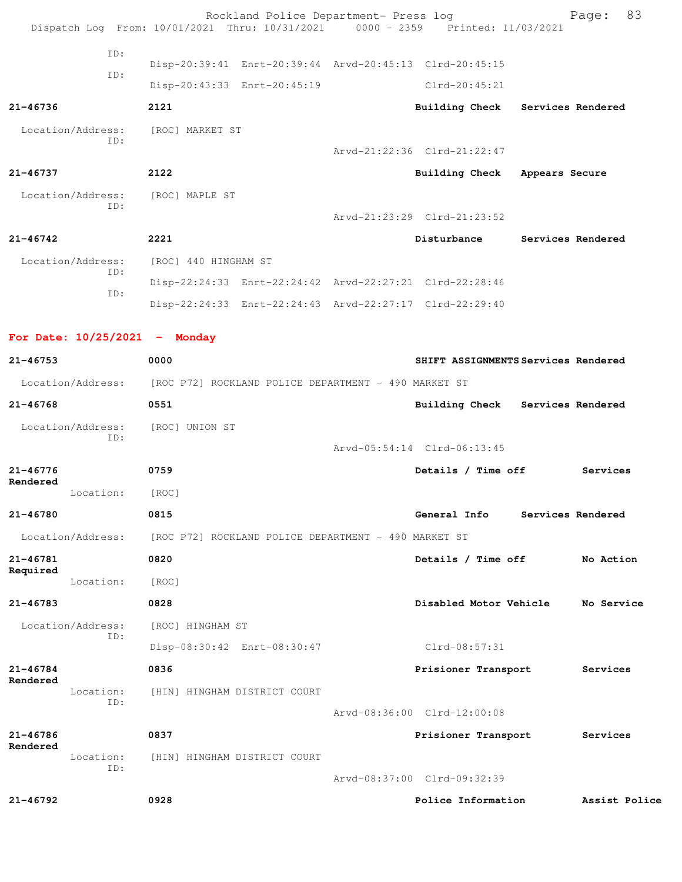|                          |                          |                                                                        | Rockland Police Department- Press log                   | Dispatch Log From: 10/01/2021 Thru: 10/31/2021 0000 - 2359 Printed: 11/03/2021 |                   | Page: 83      |
|--------------------------|--------------------------|------------------------------------------------------------------------|---------------------------------------------------------|--------------------------------------------------------------------------------|-------------------|---------------|
|                          | ID:                      |                                                                        |                                                         | Disp-20:39:41 Enrt-20:39:44 Arvd-20:45:13 Clrd-20:45:15                        |                   |               |
|                          | ID:                      |                                                                        | Disp-20:43:33 Enrt-20:45:19                             | $Clrd-20:45:21$                                                                |                   |               |
| $21 - 46736$             |                          | 2121                                                                   |                                                         | Building Check Services Rendered                                               |                   |               |
|                          | Location/Address:        | [ROC] MARKET ST                                                        |                                                         |                                                                                |                   |               |
|                          | ID:                      |                                                                        |                                                         | Arvd-21:22:36 Clrd-21:22:47                                                    |                   |               |
| 21-46737                 |                          | 2122                                                                   |                                                         | Building Check Appears Secure                                                  |                   |               |
|                          | Location/Address:        | [ROC] MAPLE ST                                                         |                                                         |                                                                                |                   |               |
|                          | ID:                      |                                                                        |                                                         | Arvd-21:23:29 Clrd-21:23:52                                                    |                   |               |
| $21 - 46742$             |                          | 2221                                                                   |                                                         | Disturbance                                                                    | Services Rendered |               |
|                          | Location/Address:        | [ROC] 440 HINGHAM ST                                                   |                                                         |                                                                                |                   |               |
|                          | ID:                      |                                                                        |                                                         | Disp-22:24:33 Enrt-22:24:42 Arvd-22:27:21 Clrd-22:28:46                        |                   |               |
|                          | ID:                      |                                                                        | Disp-22:24:33 Enrt-22:24:43 Arvd-22:27:17 Clrd-22:29:40 |                                                                                |                   |               |
|                          |                          |                                                                        |                                                         |                                                                                |                   |               |
|                          |                          | For Date: $10/25/2021$ - Monday                                        |                                                         |                                                                                |                   |               |
| $21 - 46753$             |                          | 0000                                                                   |                                                         | SHIFT ASSIGNMENTS Services Rendered                                            |                   |               |
|                          |                          | Location/Address: [ROC P72] ROCKLAND POLICE DEPARTMENT - 490 MARKET ST |                                                         |                                                                                |                   |               |
| $21 - 46768$             |                          | 0551                                                                   |                                                         | Building Check Services Rendered                                               |                   |               |
|                          | Location/Address:<br>ID: | [ROC] UNION ST                                                         |                                                         |                                                                                |                   |               |
|                          |                          |                                                                        |                                                         | Arvd-05:54:14 Clrd-06:13:45                                                    |                   |               |
| $21 - 46776$<br>Rendered |                          | 0759                                                                   |                                                         | Details / Time off                                                             |                   | Services      |
|                          | Location: [ROC]          |                                                                        |                                                         |                                                                                |                   |               |
| $21 - 46780$             |                          | 0815                                                                   |                                                         | General Info Services Rendered                                                 |                   |               |
|                          | Location/Address:        |                                                                        | [ROC P72] ROCKLAND POLICE DEPARTMENT - 490 MARKET ST    |                                                                                |                   |               |
| 21-46781<br>Required     |                          | 0820                                                                   |                                                         | Details / Time off                                                             |                   | No Action     |
|                          | Location:                | [ROC]                                                                  |                                                         |                                                                                |                   |               |
| $21 - 46783$             |                          | 0828                                                                   |                                                         | Disabled Motor Vehicle                                                         |                   | No Service    |
|                          | Location/Address:<br>ID: | [ROC] HINGHAM ST                                                       |                                                         |                                                                                |                   |               |
|                          |                          |                                                                        | Disp-08:30:42 Enrt-08:30:47                             | $Clrd-08:57:31$                                                                |                   |               |
| $21 - 46784$<br>Rendered |                          | 0836                                                                   |                                                         | Prisioner Transport                                                            |                   | Services      |
|                          | Location:<br>ID:         | [HIN] HINGHAM DISTRICT COURT                                           |                                                         |                                                                                |                   |               |
|                          |                          |                                                                        |                                                         | Arvd-08:36:00 Clrd-12:00:08                                                    |                   |               |
| 21-46786<br>Rendered     |                          | 0837                                                                   |                                                         | Prisioner Transport                                                            |                   | Services      |
|                          | Location:<br>ID:         | [HIN] HINGHAM DISTRICT COURT                                           |                                                         |                                                                                |                   |               |
|                          |                          |                                                                        |                                                         | Arvd-08:37:00 Clrd-09:32:39                                                    |                   |               |
| 21-46792                 |                          | 0928                                                                   |                                                         | Police Information                                                             |                   | Assist Police |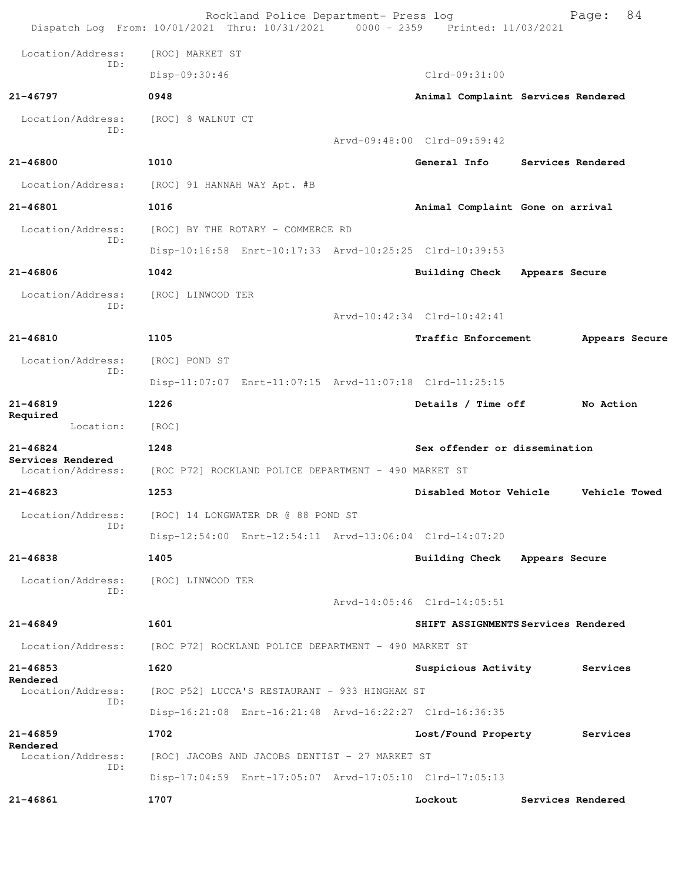| Location/Address:<br>[ROC] MARKET ST<br>ID:<br>Disp-09:30:46<br>$Clrd-09:31:00$<br>21-46797<br>0948<br>Animal Complaint Services Rendered<br>Location/Address:<br>[ROC] 8 WALNUT CT<br>ID:<br>Arvd-09:48:00 Clrd-09:59:42<br>1010<br>21-46800<br>General Info<br>Services Rendered<br>Location/Address:<br>[ROC] 91 HANNAH WAY Apt. #B<br>21-46801<br>1016<br>Animal Complaint Gone on arrival<br>Location/Address:<br>[ROC] BY THE ROTARY - COMMERCE RD<br>ID:<br>Disp-10:16:58 Enrt-10:17:33 Arvd-10:25:25 Clrd-10:39:53<br>$21 - 46806$<br>1042<br>Building Check<br>Appears Secure<br>Location/Address:<br>[ROC] LINWOOD TER<br>ID:<br>Arvd-10:42:34 Clrd-10:42:41<br>21-46810<br>1105<br>Traffic Enforcement<br>Appears Secure<br>Location/Address:<br>[ROC] POND ST<br>ID:<br>Disp-11:07:07 Enrt-11:07:15 Arvd-11:07:18 Clrd-11:25:15<br>21-46819<br>1226<br>Details / Time off<br>No Action<br>Required<br>Location:<br>[ROC]<br>$21 - 46824$<br>1248<br>Sex offender or dissemination<br>Services Rendered<br>Location/Address:<br>[ROC P72] ROCKLAND POLICE DEPARTMENT - 490 MARKET ST<br>21-46823<br>1253<br>Disabled Motor Vehicle<br>Vehicle Towed<br>Location/Address:<br>[ROC] 14 LONGWATER DR @ 88 POND ST<br>ID:<br>Disp-12:54:00 Enrt-12:54:11 Arvd-13:06:04 Clrd-14:07:20<br>$21 - 46838$<br>1405<br>Building Check Appears Secure<br>Location/Address:<br>[ROC] LINWOOD TER<br>ID:<br>Arvd-14:05:46 Clrd-14:05:51<br>1601<br>21-46849<br>SHIFT ASSIGNMENTS Services Rendered<br>Location/Address:<br>[ROC P72] ROCKLAND POLICE DEPARTMENT - 490 MARKET ST<br>1620<br>$21 - 46853$<br>Suspicious Activity<br>Services<br>Rendered<br>Location/Address:<br>[ROC P52] LUCCA'S RESTAURANT - 933 HINGHAM ST<br>ID:<br>Disp-16:21:08 Enrt-16:21:48 Arvd-16:22:27 Clrd-16:36:35<br>$21 - 46859$<br>1702<br>Lost/Found Property<br>Services<br>Rendered<br>Location/Address:<br>[ROC] JACOBS AND JACOBS DENTIST - 27 MARKET ST<br>ID:<br>Disp-17:04:59 Enrt-17:05:07 Arvd-17:05:10 Clrd-17:05:13<br>1707<br>21-46861<br>Lockout<br>Services Rendered | Rockland Police Department- Press log<br>Dispatch Log From: 10/01/2021 Thru: 10/31/2021 0000 - 2359 Printed: 11/03/2021 |  |  |  | 84<br>Page: |  |  |
|-----------------------------------------------------------------------------------------------------------------------------------------------------------------------------------------------------------------------------------------------------------------------------------------------------------------------------------------------------------------------------------------------------------------------------------------------------------------------------------------------------------------------------------------------------------------------------------------------------------------------------------------------------------------------------------------------------------------------------------------------------------------------------------------------------------------------------------------------------------------------------------------------------------------------------------------------------------------------------------------------------------------------------------------------------------------------------------------------------------------------------------------------------------------------------------------------------------------------------------------------------------------------------------------------------------------------------------------------------------------------------------------------------------------------------------------------------------------------------------------------------------------------------------------------------------------------------------------------------------------------------------------------------------------------------------------------------------------------------------------------------------------------------------------------------------------------------------------------------------------------------------------------------------------------------------------------------------------------------------------------------------------------------------------------------------------|-------------------------------------------------------------------------------------------------------------------------|--|--|--|-------------|--|--|
|                                                                                                                                                                                                                                                                                                                                                                                                                                                                                                                                                                                                                                                                                                                                                                                                                                                                                                                                                                                                                                                                                                                                                                                                                                                                                                                                                                                                                                                                                                                                                                                                                                                                                                                                                                                                                                                                                                                                                                                                                                                                 |                                                                                                                         |  |  |  |             |  |  |
|                                                                                                                                                                                                                                                                                                                                                                                                                                                                                                                                                                                                                                                                                                                                                                                                                                                                                                                                                                                                                                                                                                                                                                                                                                                                                                                                                                                                                                                                                                                                                                                                                                                                                                                                                                                                                                                                                                                                                                                                                                                                 |                                                                                                                         |  |  |  |             |  |  |
|                                                                                                                                                                                                                                                                                                                                                                                                                                                                                                                                                                                                                                                                                                                                                                                                                                                                                                                                                                                                                                                                                                                                                                                                                                                                                                                                                                                                                                                                                                                                                                                                                                                                                                                                                                                                                                                                                                                                                                                                                                                                 |                                                                                                                         |  |  |  |             |  |  |
|                                                                                                                                                                                                                                                                                                                                                                                                                                                                                                                                                                                                                                                                                                                                                                                                                                                                                                                                                                                                                                                                                                                                                                                                                                                                                                                                                                                                                                                                                                                                                                                                                                                                                                                                                                                                                                                                                                                                                                                                                                                                 |                                                                                                                         |  |  |  |             |  |  |
|                                                                                                                                                                                                                                                                                                                                                                                                                                                                                                                                                                                                                                                                                                                                                                                                                                                                                                                                                                                                                                                                                                                                                                                                                                                                                                                                                                                                                                                                                                                                                                                                                                                                                                                                                                                                                                                                                                                                                                                                                                                                 |                                                                                                                         |  |  |  |             |  |  |
|                                                                                                                                                                                                                                                                                                                                                                                                                                                                                                                                                                                                                                                                                                                                                                                                                                                                                                                                                                                                                                                                                                                                                                                                                                                                                                                                                                                                                                                                                                                                                                                                                                                                                                                                                                                                                                                                                                                                                                                                                                                                 |                                                                                                                         |  |  |  |             |  |  |
|                                                                                                                                                                                                                                                                                                                                                                                                                                                                                                                                                                                                                                                                                                                                                                                                                                                                                                                                                                                                                                                                                                                                                                                                                                                                                                                                                                                                                                                                                                                                                                                                                                                                                                                                                                                                                                                                                                                                                                                                                                                                 |                                                                                                                         |  |  |  |             |  |  |
|                                                                                                                                                                                                                                                                                                                                                                                                                                                                                                                                                                                                                                                                                                                                                                                                                                                                                                                                                                                                                                                                                                                                                                                                                                                                                                                                                                                                                                                                                                                                                                                                                                                                                                                                                                                                                                                                                                                                                                                                                                                                 |                                                                                                                         |  |  |  |             |  |  |
|                                                                                                                                                                                                                                                                                                                                                                                                                                                                                                                                                                                                                                                                                                                                                                                                                                                                                                                                                                                                                                                                                                                                                                                                                                                                                                                                                                                                                                                                                                                                                                                                                                                                                                                                                                                                                                                                                                                                                                                                                                                                 |                                                                                                                         |  |  |  |             |  |  |
|                                                                                                                                                                                                                                                                                                                                                                                                                                                                                                                                                                                                                                                                                                                                                                                                                                                                                                                                                                                                                                                                                                                                                                                                                                                                                                                                                                                                                                                                                                                                                                                                                                                                                                                                                                                                                                                                                                                                                                                                                                                                 |                                                                                                                         |  |  |  |             |  |  |
|                                                                                                                                                                                                                                                                                                                                                                                                                                                                                                                                                                                                                                                                                                                                                                                                                                                                                                                                                                                                                                                                                                                                                                                                                                                                                                                                                                                                                                                                                                                                                                                                                                                                                                                                                                                                                                                                                                                                                                                                                                                                 |                                                                                                                         |  |  |  |             |  |  |
|                                                                                                                                                                                                                                                                                                                                                                                                                                                                                                                                                                                                                                                                                                                                                                                                                                                                                                                                                                                                                                                                                                                                                                                                                                                                                                                                                                                                                                                                                                                                                                                                                                                                                                                                                                                                                                                                                                                                                                                                                                                                 |                                                                                                                         |  |  |  |             |  |  |
|                                                                                                                                                                                                                                                                                                                                                                                                                                                                                                                                                                                                                                                                                                                                                                                                                                                                                                                                                                                                                                                                                                                                                                                                                                                                                                                                                                                                                                                                                                                                                                                                                                                                                                                                                                                                                                                                                                                                                                                                                                                                 |                                                                                                                         |  |  |  |             |  |  |
|                                                                                                                                                                                                                                                                                                                                                                                                                                                                                                                                                                                                                                                                                                                                                                                                                                                                                                                                                                                                                                                                                                                                                                                                                                                                                                                                                                                                                                                                                                                                                                                                                                                                                                                                                                                                                                                                                                                                                                                                                                                                 |                                                                                                                         |  |  |  |             |  |  |
|                                                                                                                                                                                                                                                                                                                                                                                                                                                                                                                                                                                                                                                                                                                                                                                                                                                                                                                                                                                                                                                                                                                                                                                                                                                                                                                                                                                                                                                                                                                                                                                                                                                                                                                                                                                                                                                                                                                                                                                                                                                                 |                                                                                                                         |  |  |  |             |  |  |
|                                                                                                                                                                                                                                                                                                                                                                                                                                                                                                                                                                                                                                                                                                                                                                                                                                                                                                                                                                                                                                                                                                                                                                                                                                                                                                                                                                                                                                                                                                                                                                                                                                                                                                                                                                                                                                                                                                                                                                                                                                                                 |                                                                                                                         |  |  |  |             |  |  |
|                                                                                                                                                                                                                                                                                                                                                                                                                                                                                                                                                                                                                                                                                                                                                                                                                                                                                                                                                                                                                                                                                                                                                                                                                                                                                                                                                                                                                                                                                                                                                                                                                                                                                                                                                                                                                                                                                                                                                                                                                                                                 |                                                                                                                         |  |  |  |             |  |  |
|                                                                                                                                                                                                                                                                                                                                                                                                                                                                                                                                                                                                                                                                                                                                                                                                                                                                                                                                                                                                                                                                                                                                                                                                                                                                                                                                                                                                                                                                                                                                                                                                                                                                                                                                                                                                                                                                                                                                                                                                                                                                 |                                                                                                                         |  |  |  |             |  |  |
|                                                                                                                                                                                                                                                                                                                                                                                                                                                                                                                                                                                                                                                                                                                                                                                                                                                                                                                                                                                                                                                                                                                                                                                                                                                                                                                                                                                                                                                                                                                                                                                                                                                                                                                                                                                                                                                                                                                                                                                                                                                                 |                                                                                                                         |  |  |  |             |  |  |
|                                                                                                                                                                                                                                                                                                                                                                                                                                                                                                                                                                                                                                                                                                                                                                                                                                                                                                                                                                                                                                                                                                                                                                                                                                                                                                                                                                                                                                                                                                                                                                                                                                                                                                                                                                                                                                                                                                                                                                                                                                                                 |                                                                                                                         |  |  |  |             |  |  |
|                                                                                                                                                                                                                                                                                                                                                                                                                                                                                                                                                                                                                                                                                                                                                                                                                                                                                                                                                                                                                                                                                                                                                                                                                                                                                                                                                                                                                                                                                                                                                                                                                                                                                                                                                                                                                                                                                                                                                                                                                                                                 |                                                                                                                         |  |  |  |             |  |  |
|                                                                                                                                                                                                                                                                                                                                                                                                                                                                                                                                                                                                                                                                                                                                                                                                                                                                                                                                                                                                                                                                                                                                                                                                                                                                                                                                                                                                                                                                                                                                                                                                                                                                                                                                                                                                                                                                                                                                                                                                                                                                 |                                                                                                                         |  |  |  |             |  |  |
|                                                                                                                                                                                                                                                                                                                                                                                                                                                                                                                                                                                                                                                                                                                                                                                                                                                                                                                                                                                                                                                                                                                                                                                                                                                                                                                                                                                                                                                                                                                                                                                                                                                                                                                                                                                                                                                                                                                                                                                                                                                                 |                                                                                                                         |  |  |  |             |  |  |
|                                                                                                                                                                                                                                                                                                                                                                                                                                                                                                                                                                                                                                                                                                                                                                                                                                                                                                                                                                                                                                                                                                                                                                                                                                                                                                                                                                                                                                                                                                                                                                                                                                                                                                                                                                                                                                                                                                                                                                                                                                                                 |                                                                                                                         |  |  |  |             |  |  |
|                                                                                                                                                                                                                                                                                                                                                                                                                                                                                                                                                                                                                                                                                                                                                                                                                                                                                                                                                                                                                                                                                                                                                                                                                                                                                                                                                                                                                                                                                                                                                                                                                                                                                                                                                                                                                                                                                                                                                                                                                                                                 |                                                                                                                         |  |  |  |             |  |  |
|                                                                                                                                                                                                                                                                                                                                                                                                                                                                                                                                                                                                                                                                                                                                                                                                                                                                                                                                                                                                                                                                                                                                                                                                                                                                                                                                                                                                                                                                                                                                                                                                                                                                                                                                                                                                                                                                                                                                                                                                                                                                 |                                                                                                                         |  |  |  |             |  |  |
|                                                                                                                                                                                                                                                                                                                                                                                                                                                                                                                                                                                                                                                                                                                                                                                                                                                                                                                                                                                                                                                                                                                                                                                                                                                                                                                                                                                                                                                                                                                                                                                                                                                                                                                                                                                                                                                                                                                                                                                                                                                                 |                                                                                                                         |  |  |  |             |  |  |
|                                                                                                                                                                                                                                                                                                                                                                                                                                                                                                                                                                                                                                                                                                                                                                                                                                                                                                                                                                                                                                                                                                                                                                                                                                                                                                                                                                                                                                                                                                                                                                                                                                                                                                                                                                                                                                                                                                                                                                                                                                                                 |                                                                                                                         |  |  |  |             |  |  |
|                                                                                                                                                                                                                                                                                                                                                                                                                                                                                                                                                                                                                                                                                                                                                                                                                                                                                                                                                                                                                                                                                                                                                                                                                                                                                                                                                                                                                                                                                                                                                                                                                                                                                                                                                                                                                                                                                                                                                                                                                                                                 |                                                                                                                         |  |  |  |             |  |  |
|                                                                                                                                                                                                                                                                                                                                                                                                                                                                                                                                                                                                                                                                                                                                                                                                                                                                                                                                                                                                                                                                                                                                                                                                                                                                                                                                                                                                                                                                                                                                                                                                                                                                                                                                                                                                                                                                                                                                                                                                                                                                 |                                                                                                                         |  |  |  |             |  |  |
|                                                                                                                                                                                                                                                                                                                                                                                                                                                                                                                                                                                                                                                                                                                                                                                                                                                                                                                                                                                                                                                                                                                                                                                                                                                                                                                                                                                                                                                                                                                                                                                                                                                                                                                                                                                                                                                                                                                                                                                                                                                                 |                                                                                                                         |  |  |  |             |  |  |
|                                                                                                                                                                                                                                                                                                                                                                                                                                                                                                                                                                                                                                                                                                                                                                                                                                                                                                                                                                                                                                                                                                                                                                                                                                                                                                                                                                                                                                                                                                                                                                                                                                                                                                                                                                                                                                                                                                                                                                                                                                                                 |                                                                                                                         |  |  |  |             |  |  |
|                                                                                                                                                                                                                                                                                                                                                                                                                                                                                                                                                                                                                                                                                                                                                                                                                                                                                                                                                                                                                                                                                                                                                                                                                                                                                                                                                                                                                                                                                                                                                                                                                                                                                                                                                                                                                                                                                                                                                                                                                                                                 |                                                                                                                         |  |  |  |             |  |  |
|                                                                                                                                                                                                                                                                                                                                                                                                                                                                                                                                                                                                                                                                                                                                                                                                                                                                                                                                                                                                                                                                                                                                                                                                                                                                                                                                                                                                                                                                                                                                                                                                                                                                                                                                                                                                                                                                                                                                                                                                                                                                 |                                                                                                                         |  |  |  |             |  |  |
|                                                                                                                                                                                                                                                                                                                                                                                                                                                                                                                                                                                                                                                                                                                                                                                                                                                                                                                                                                                                                                                                                                                                                                                                                                                                                                                                                                                                                                                                                                                                                                                                                                                                                                                                                                                                                                                                                                                                                                                                                                                                 |                                                                                                                         |  |  |  |             |  |  |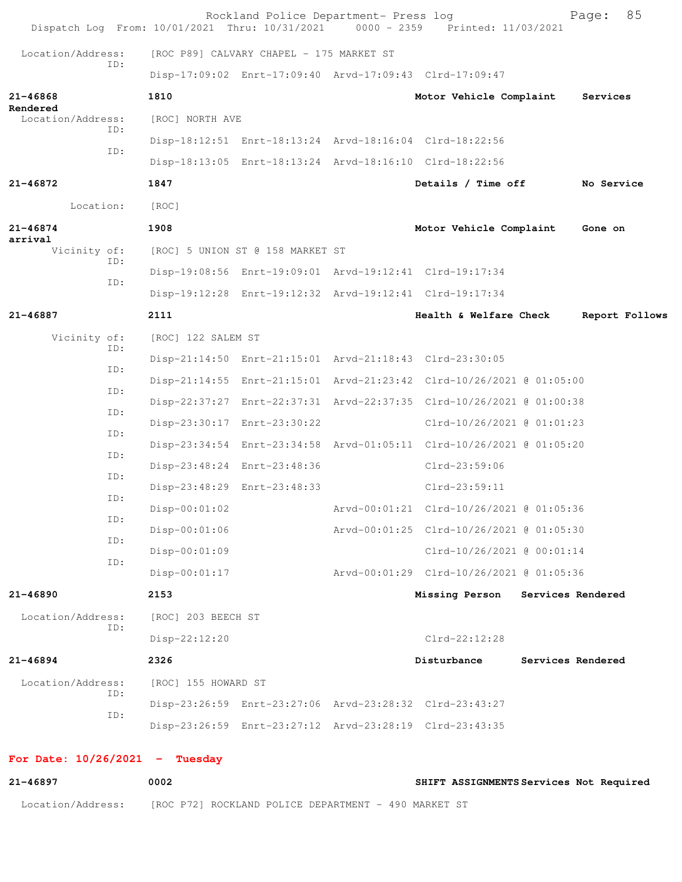|                                      | Dispatch Log From: 10/01/2021 Thru: 10/31/2021 0000 - 2359 Printed: 11/03/2021 | Rockland Police Department- Press log    |                                                                      |                   | Page:          | 85 |
|--------------------------------------|--------------------------------------------------------------------------------|------------------------------------------|----------------------------------------------------------------------|-------------------|----------------|----|
| Location/Address:                    |                                                                                | [ROC P89] CALVARY CHAPEL - 175 MARKET ST |                                                                      |                   |                |    |
| ID:                                  |                                                                                |                                          | Disp-17:09:02 Enrt-17:09:40 Arvd-17:09:43 Clrd-17:09:47              |                   |                |    |
| $21 - 46868$                         | 1810                                                                           |                                          | Motor Vehicle Complaint                                              |                   | Services       |    |
| Rendered<br>Location/Address:<br>ID: | [ROC] NORTH AVE                                                                |                                          |                                                                      |                   |                |    |
|                                      |                                                                                |                                          | Disp-18:12:51 Enrt-18:13:24 Arvd-18:16:04 Clrd-18:22:56              |                   |                |    |
| ID:                                  |                                                                                |                                          | Disp-18:13:05 Enrt-18:13:24 Arvd-18:16:10 Clrd-18:22:56              |                   |                |    |
| 21-46872                             | 1847                                                                           |                                          | Details / Time off                                                   |                   | No Service     |    |
| Location:                            | [ROC]                                                                          |                                          |                                                                      |                   |                |    |
| $21 - 46874$                         | 1908                                                                           |                                          | Motor Vehicle Complaint                                              |                   | Gone on        |    |
| arrival<br>Vicinity of:              |                                                                                | [ROC] 5 UNION ST @ 158 MARKET ST         |                                                                      |                   |                |    |
| ID:<br>ID:                           |                                                                                |                                          | Disp-19:08:56 Enrt-19:09:01 Arvd-19:12:41 Clrd-19:17:34              |                   |                |    |
|                                      |                                                                                |                                          | Disp-19:12:28 Enrt-19:12:32 Arvd-19:12:41 Clrd-19:17:34              |                   |                |    |
| 21-46887                             | 2111                                                                           |                                          | Health & Welfare Check                                               |                   | Report Follows |    |
| Vicinity of:<br>ID:                  | [ROC] 122 SALEM ST                                                             |                                          |                                                                      |                   |                |    |
| ID:                                  |                                                                                |                                          | Disp-21:14:50 Enrt-21:15:01 Arvd-21:18:43 Clrd-23:30:05              |                   |                |    |
| ID:                                  |                                                                                |                                          | Disp-21:14:55 Enrt-21:15:01 Arvd-21:23:42 Clrd-10/26/2021 @ 01:05:00 |                   |                |    |
| ID:                                  |                                                                                |                                          | Disp-22:37:27 Enrt-22:37:31 Arvd-22:37:35 Clrd-10/26/2021 @ 01:00:38 |                   |                |    |
| ID:                                  |                                                                                | Disp-23:30:17 Enrt-23:30:22              | $Clrd-10/26/2021$ @ $01:01:23$                                       |                   |                |    |
| ID:                                  |                                                                                |                                          | Disp-23:34:54 Enrt-23:34:58 Arvd-01:05:11 Clrd-10/26/2021 @ 01:05:20 |                   |                |    |
| ID:                                  |                                                                                | Disp-23:48:24 Enrt-23:48:36              | $Clrd-23:59:06$                                                      |                   |                |    |
| ID:                                  |                                                                                | Disp-23:48:29 Enrt-23:48:33              | $Clrd-23:59:11$                                                      |                   |                |    |
| ID:                                  | $Disp-00:01:02$                                                                |                                          | Arvd-00:01:21 Clrd-10/26/2021 @ 01:05:36                             |                   |                |    |
| ID:                                  | Disp-00:01:06                                                                  |                                          | Arvd-00:01:25 Clrd-10/26/2021 @ 01:05:30                             |                   |                |    |
| ID:                                  | Disp-00:01:09                                                                  |                                          | Clrd-10/26/2021 @ 00:01:14                                           |                   |                |    |
|                                      | $Disp-00:01:17$                                                                |                                          | Arvd-00:01:29 Clrd-10/26/2021 @ 01:05:36                             |                   |                |    |
| $21 - 46890$                         | 2153                                                                           |                                          | Missing Person Services Rendered                                     |                   |                |    |
| Location/Address:<br>ID:             | [ROC] 203 BEECH ST                                                             |                                          |                                                                      |                   |                |    |
|                                      | Disp-22:12:20                                                                  |                                          | $Clrd-22:12:28$                                                      |                   |                |    |
| $21 - 46894$                         | 2326                                                                           |                                          | Disturbance                                                          | Services Rendered |                |    |
| Location/Address:<br>ID:             | [ROC] 155 HOWARD ST                                                            |                                          |                                                                      |                   |                |    |
| ID:                                  |                                                                                |                                          | Disp-23:26:59 Enrt-23:27:06 Arvd-23:28:32 Clrd-23:43:27              |                   |                |    |
|                                      |                                                                                |                                          | Disp-23:26:59 Enrt-23:27:12 Arvd-23:28:19 Clrd-23:43:35              |                   |                |    |
| For Date: $10/26/2021$ - Tuesday     |                                                                                |                                          |                                                                      |                   |                |    |

| 21-46897          | 0002                                                 | SHIFT ASSIGNMENTS Services Not Required |
|-------------------|------------------------------------------------------|-----------------------------------------|
| Location/Address: | [ROC P72] ROCKLAND POLICE DEPARTMENT - 490 MARKET ST |                                         |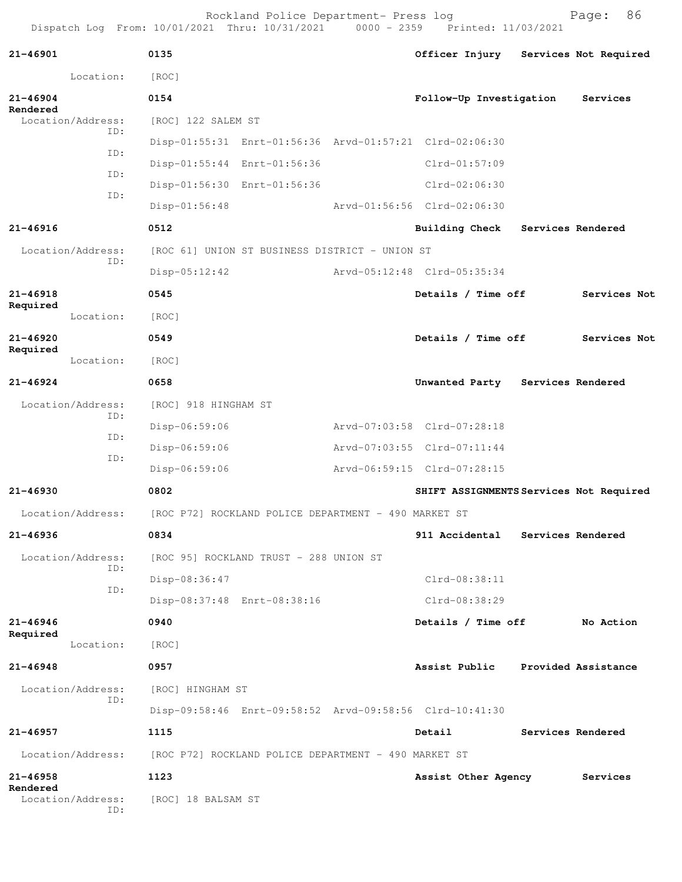Rockland Police Department- Press log entitled and Page: 86 Dispatch Log From: 10/01/2021 Thru: 10/31/2021 0000 - 2359 Printed: 11/03/2021

| 21-46901     |                          | 0135                                                 |                                                      | Officer Injury                                          | Services Not Required |
|--------------|--------------------------|------------------------------------------------------|------------------------------------------------------|---------------------------------------------------------|-----------------------|
|              | Location:                | [ROC]                                                |                                                      |                                                         |                       |
| $21 - 46904$ |                          | 0154                                                 |                                                      | Follow-Up Investigation                                 | Services              |
| Rendered     | Location/Address:<br>ID: | [ROC] 122 SALEM ST                                   |                                                      |                                                         |                       |
|              | ID:                      |                                                      |                                                      | Disp-01:55:31 Enrt-01:56:36 Arvd-01:57:21 Clrd-02:06:30 |                       |
|              | ID:                      |                                                      | Disp-01:55:44 Enrt-01:56:36                          | $Clrd-01:57:09$                                         |                       |
|              |                          |                                                      | Disp-01:56:30 Enrt-01:56:36                          | $Clrd-02:06:30$                                         |                       |
|              | ID:                      | $Disp-01:56:48$                                      |                                                      | Arvd-01:56:56 Clrd-02:06:30                             |                       |
| $21 - 46916$ |                          | 0512                                                 |                                                      | <b>Building Check</b>                                   | Services Rendered     |
|              | Location/Address:<br>ID: |                                                      | [ROC 61] UNION ST BUSINESS DISTRICT - UNION ST       |                                                         |                       |
|              |                          | $Disp-05:12:42$                                      |                                                      | Arvd-05:12:48 Clrd-05:35:34                             |                       |
| 21-46918     |                          | 0545                                                 |                                                      | Details / Time off                                      | Services Not          |
| Required     | Location:                | [ROC]                                                |                                                      |                                                         |                       |
| $21 - 46920$ |                          | 0549                                                 |                                                      | Details / Time off                                      | Services Not          |
| Required     | Location:                | [ROC]                                                |                                                      |                                                         |                       |
| $21 - 46924$ |                          | 0658                                                 |                                                      | Unwanted Party                                          | Services Rendered     |
|              | Location/Address:        | [ROC] 918 HINGHAM ST                                 |                                                      |                                                         |                       |
|              | ID:                      | Disp-06:59:06                                        |                                                      | Arvd-07:03:58 Clrd-07:28:18                             |                       |
|              | ID:                      | Disp-06:59:06                                        |                                                      | Arvd-07:03:55 Clrd-07:11:44                             |                       |
|              | ID:                      | Disp-06:59:06                                        |                                                      | Arvd-06:59:15 Clrd-07:28:15                             |                       |
| $21 - 46930$ |                          | 0802                                                 |                                                      | SHIFT ASSIGNMENTS Services Not Required                 |                       |
|              | Location/Address:        |                                                      | [ROC P72] ROCKLAND POLICE DEPARTMENT - 490 MARKET ST |                                                         |                       |
| 21-46936     |                          | 0834                                                 |                                                      | 911 Accidental                                          | Services Rendered     |
|              | Location/Address:        |                                                      | [ROC 95] ROCKLAND TRUST - 288 UNION ST               |                                                         |                       |
|              | ID:                      | Disp-08:36:47                                        |                                                      | Clrd-08:38:11                                           |                       |
|              | ID:                      | Disp-08:37:48 Enrt-08:38:16                          |                                                      | $Clrd-08:38:29$                                         |                       |
| $21 - 46946$ |                          | 0940                                                 |                                                      | Details / Time off                                      | No Action             |
| Required     | Location:                | [ROC]                                                |                                                      |                                                         |                       |
| $21 - 46948$ |                          | 0957                                                 |                                                      | Assist Public Provided Assistance                       |                       |
|              | Location/Address:        | [ROC] HINGHAM ST                                     |                                                      |                                                         |                       |
|              | ID:                      |                                                      |                                                      | Disp-09:58:46 Enrt-09:58:52 Arvd-09:58:56 Clrd-10:41:30 |                       |
| 21-46957     |                          | 1115                                                 |                                                      | Detail                                                  | Services Rendered     |
|              | Location/Address:        | [ROC P72] ROCKLAND POLICE DEPARTMENT - 490 MARKET ST |                                                      |                                                         |                       |
| 21-46958     |                          | 1123                                                 |                                                      | Assist Other Agency                                     | Services              |
| Rendered     | Location/Address:<br>ID: | [ROC] 18 BALSAM ST                                   |                                                      |                                                         |                       |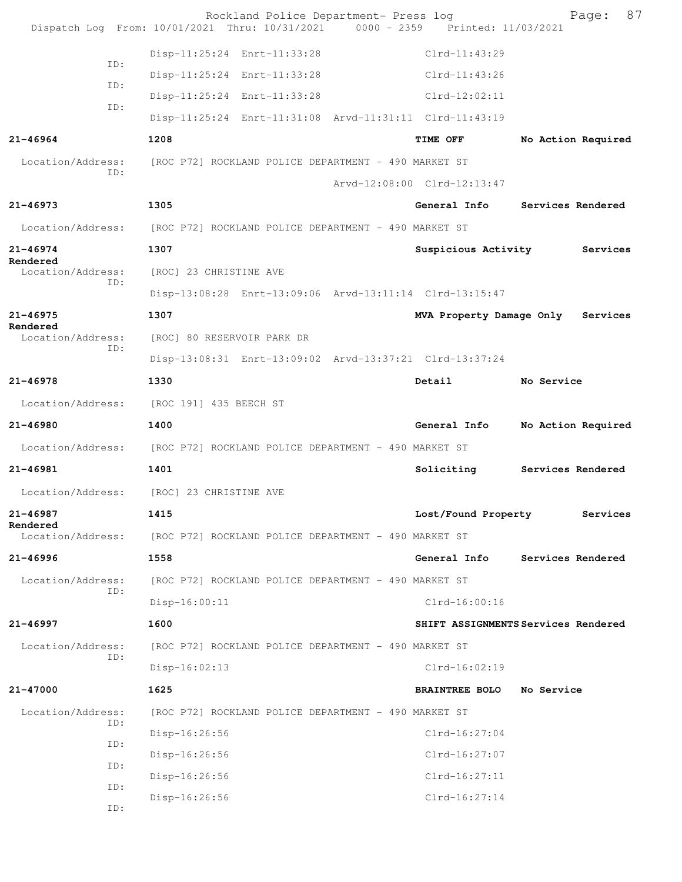|                               | Rockland Police Department- Press log<br>Dispatch Log From: 10/01/2021 Thru: 10/31/2021 0000 - 2359 Printed: 11/03/2021 |                             | 87<br>Page:                         |
|-------------------------------|-------------------------------------------------------------------------------------------------------------------------|-----------------------------|-------------------------------------|
|                               | Disp-11:25:24 Enrt-11:33:28                                                                                             | $Clrd-11:43:29$             |                                     |
| ID:                           | Disp-11:25:24 Enrt-11:33:28                                                                                             | $Clrd-11:43:26$             |                                     |
| ID:                           | Disp-11:25:24 Enrt-11:33:28                                                                                             | $Clrd-12:02:11$             |                                     |
| ID:                           | Disp-11:25:24 Enrt-11:31:08 Arvd-11:31:11 Clrd-11:43:19                                                                 |                             |                                     |
| 21-46964                      | 1208                                                                                                                    | <b>TIME OFF</b>             | No Action Required                  |
|                               | Location/Address: [ROC P72] ROCKLAND POLICE DEPARTMENT - 490 MARKET ST                                                  |                             |                                     |
| ID:                           |                                                                                                                         | Arvd-12:08:00 Clrd-12:13:47 |                                     |
| $21 - 46973$                  | 1305                                                                                                                    | General Info                | Services Rendered                   |
|                               | Location/Address: [ROC P72] ROCKLAND POLICE DEPARTMENT - 490 MARKET ST                                                  |                             |                                     |
| $21 - 46974$                  | 1307                                                                                                                    | Suspicious Activity         | Services                            |
| Rendered<br>Location/Address: | [ROC] 23 CHRISTINE AVE                                                                                                  |                             |                                     |
| ID:                           | Disp-13:08:28 Enrt-13:09:06 Arvd-13:11:14 Clrd-13:15:47                                                                 |                             |                                     |
| $21 - 46975$                  | 1307                                                                                                                    | MVA Property Damage Only    | Services                            |
| Rendered<br>Location/Address: | [ROC] 80 RESERVOIR PARK DR                                                                                              |                             |                                     |
| ID:                           | Disp-13:08:31 Enrt-13:09:02 Arvd-13:37:21 Clrd-13:37:24                                                                 |                             |                                     |
| $21 - 46978$                  | 1330                                                                                                                    | Detail                      | No Service                          |
| Location/Address:             | [ROC 191] 435 BEECH ST                                                                                                  |                             |                                     |
| 21-46980                      | 1400                                                                                                                    | General Info                | No Action Required                  |
|                               | Location/Address: [ROC P72] ROCKLAND POLICE DEPARTMENT - 490 MARKET ST                                                  |                             |                                     |
| 21-46981                      | 1401                                                                                                                    | Soliciting                  | Services Rendered                   |
|                               | Location/Address: [ROC] 23 CHRISTINE AVE                                                                                |                             |                                     |
| 21-46987                      | 1415                                                                                                                    | Lost/Found Property         | Services                            |
| Rendered<br>Location/Address: | [ROC P72] ROCKLAND POLICE DEPARTMENT - 490 MARKET ST                                                                    |                             |                                     |
| $21 - 46996$                  | 1558                                                                                                                    | General Info                | Services Rendered                   |
| Location/Address:             | [ROC P72] ROCKLAND POLICE DEPARTMENT - 490 MARKET ST                                                                    |                             |                                     |
| ID:                           | $Disp-16:00:11$                                                                                                         | $Clrd-16:00:16$             |                                     |
| 21-46997                      | 1600                                                                                                                    |                             | SHIFT ASSIGNMENTS Services Rendered |
| Location/Address:             | [ROC P72] ROCKLAND POLICE DEPARTMENT - 490 MARKET ST                                                                    |                             |                                     |
| ID:                           | $Disp-16:02:13$                                                                                                         | $Clrd-16:02:19$             |                                     |
| 21-47000                      | 1625                                                                                                                    | <b>BRAINTREE BOLO</b>       | No Service                          |
| Location/Address:             | [ROC P72] ROCKLAND POLICE DEPARTMENT - 490 MARKET ST                                                                    |                             |                                     |
| ID:                           | $Disp-16:26:56$                                                                                                         | $Clrd-16:27:04$             |                                     |
| ID:                           | $Disp-16:26:56$                                                                                                         | $Clrd-16:27:07$             |                                     |
| ID:                           | Disp-16:26:56                                                                                                           | $Clrd-16:27:11$             |                                     |
| ID:<br>ID:                    | $Disp-16:26:56$                                                                                                         | $Clrd-16:27:14$             |                                     |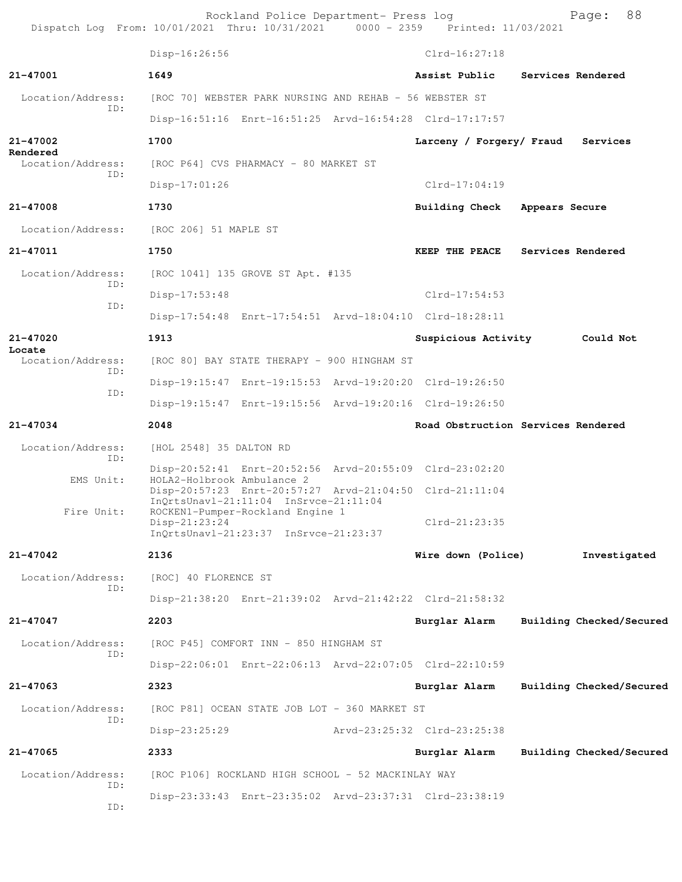Rockland Police Department- Press log Page: 88<br>21 Thru: 10/31/2021 0000 - 2359 Printed: 11/03/2021 Dispatch Log From: 10/01/2021 Thru: 10/31/2021 0000 - 2359 Printed: 11/03/2021 Disp-16:26:56 Clrd-16:27:18 **21-47001 1649 Assist Public Services Rendered** Location/Address: [ROC 70] WEBSTER PARK NURSING AND REHAB - 56 WEBSTER ST ID: Disp-16:51:16 Enrt-16:51:25 Arvd-16:54:28 Clrd-17:17:57 **21-47002 1700 Larceny / Forgery/ Fraud Services Rendered**  Location/Address: [ROC P64] CVS PHARMACY - 80 MARKET ST ID: Disp-17:01:26 Clrd-17:04:19 **21-47008 1730 Building Check Appears Secure** Location/Address: [ROC 206] 51 MAPLE ST **21-47011 1750 KEEP THE PEACE Services Rendered** Location/Address: [ROC 1041] 135 GROVE ST Apt. #135 ID: Disp-17:53:48 Clrd-17:54:53 ID: Disp-17:54:48 Enrt-17:54:51 Arvd-18:04:10 Clrd-18:28:11 **21-47020 1913 Suspicious Activity Could Not Locate**  Location/Address: [ROC 80] BAY STATE THERAPY - 900 HINGHAM ST ID: Disp-19:15:47 Enrt-19:15:53 Arvd-19:20:20 Clrd-19:26:50 ID: Disp-19:15:47 Enrt-19:15:56 Arvd-19:20:16 Clrd-19:26:50 **21-47034 2048 Road Obstruction Services Rendered** Location/Address: [HOL 2548] 35 DALTON RD ID: Disp-20:52:41 Enrt-20:52:56 Arvd-20:55:09 Clrd-23:02:20 EMS Unit: HOLA2-Holbrook Ambulance 2 Disp-20:57:23 Enrt-20:57:27 Arvd-21:04:50 Clrd-21:11:04 InQrtsUnavl-21:11:04 InSrvce-21:11:04<br>Fire Unit: ROCKEN1-Pumper-Rockland Engine 1 ROCKEN1-Pumper-Rockland Engine 1<br>Disp-21:23:24 Clrd-21:23:35 InQrtsUnavl-21:23:37 InSrvce-21:23:37 **21-47042 2136 Wire down (Police) Investigated** Location/Address: [ROC] 40 FLORENCE ST ID: Disp-21:38:20 Enrt-21:39:02 Arvd-21:42:22 Clrd-21:58:32 **21-47047 2203 Burglar Alarm Building Checked/Secured** Location/Address: [ROC P45] COMFORT INN - 850 HINGHAM ST ID: Disp-22:06:01 Enrt-22:06:13 Arvd-22:07:05 Clrd-22:10:59 **21-47063 2323 Burglar Alarm Building Checked/Secured** Location/Address: [ROC P81] OCEAN STATE JOB LOT - 360 MARKET ST ID: Disp-23:25:29 Arvd-23:25:32 Clrd-23:25:38 **21-47065 2333 Burglar Alarm Building Checked/Secured** Location/Address: [ROC P106] ROCKLAND HIGH SCHOOL - 52 MACKINLAY WAY ID: Disp-23:33:43 Enrt-23:35:02 Arvd-23:37:31 Clrd-23:38:19 ID: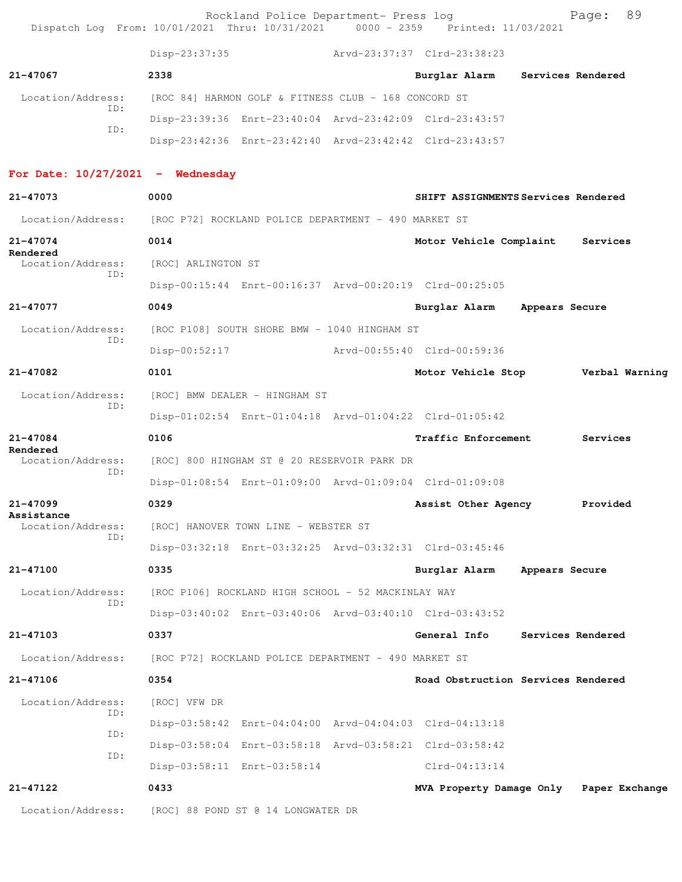| Dispatch Log From: 10/01/2021 Thru: 10/31/2021 0000 - 2359 Printed: 11/03/2021 |                                                      | Rockland Police Department- Press log              |                                                         |                | 89<br>Page:       |  |
|--------------------------------------------------------------------------------|------------------------------------------------------|----------------------------------------------------|---------------------------------------------------------|----------------|-------------------|--|
|                                                                                | Disp-23:37:35                                        |                                                    | Arvd-23:37:37 Clrd-23:38:23                             |                |                   |  |
| 21-47067                                                                       | 2338                                                 |                                                    | Burglar Alarm                                           |                | Services Rendered |  |
| Location/Address:                                                              | [ROC 84] HARMON GOLF & FITNESS CLUB - 168 CONCORD ST |                                                    |                                                         |                |                   |  |
| ID:<br>ID:                                                                     |                                                      |                                                    | Disp-23:39:36 Enrt-23:40:04 Arvd-23:42:09 Clrd-23:43:57 |                |                   |  |
|                                                                                |                                                      |                                                    | Disp-23:42:36 Enrt-23:42:40 Arvd-23:42:42 Clrd-23:43:57 |                |                   |  |
| For Date: $10/27/2021$ - Wednesday                                             |                                                      |                                                    |                                                         |                |                   |  |
| 21-47073                                                                       | 0000                                                 |                                                    | SHIFT ASSIGNMENTS Services Rendered                     |                |                   |  |
| Location/Address:                                                              | [ROC P72] ROCKLAND POLICE DEPARTMENT - 490 MARKET ST |                                                    |                                                         |                |                   |  |
| 21-47074<br>Rendered                                                           | 0014                                                 |                                                    | Motor Vehicle Complaint Services                        |                |                   |  |
| Location/Address:<br>ID:                                                       | [ROC] ARLINGTON ST                                   |                                                    |                                                         |                |                   |  |
|                                                                                |                                                      |                                                    | Disp-00:15:44 Enrt-00:16:37 Arvd-00:20:19 Clrd-00:25:05 |                |                   |  |
| 21-47077                                                                       | 0049                                                 |                                                    | Burglar Alarm                                           | Appears Secure |                   |  |
| Location/Address:<br>ID:                                                       |                                                      | [ROC P108] SOUTH SHORE BMW - 1040 HINGHAM ST       |                                                         |                |                   |  |
|                                                                                | $Disp-00:52:17$                                      |                                                    | Arvd-00:55:40 Clrd-00:59:36                             |                |                   |  |
| 21-47082                                                                       | 0101                                                 |                                                    | Motor Vehicle Stop Verbal Warning                       |                |                   |  |
| Location/Address:<br>ID:                                                       |                                                      | [ROC] BMW DEALER - HINGHAM ST                      |                                                         |                |                   |  |
|                                                                                |                                                      |                                                    | Disp-01:02:54 Enrt-01:04:18 Arvd-01:04:22 Clrd-01:05:42 |                |                   |  |
| 21-47084<br>Rendered                                                           | 0106                                                 |                                                    | <b>Traffic Enforcement</b>                              |                | Services          |  |
| Location/Address:<br>ID:                                                       |                                                      | [ROC] 800 HINGHAM ST @ 20 RESERVOIR PARK DR        |                                                         |                |                   |  |
|                                                                                |                                                      |                                                    | Disp-01:08:54 Enrt-01:09:00 Arvd-01:09:04 Clrd-01:09:08 |                |                   |  |
| 21-47099<br>Assistance                                                         | 0329                                                 |                                                    | Assist Other Agency                                     |                | Provided          |  |
| Location/Address:<br>ID:                                                       |                                                      | [ROC] HANOVER TOWN LINE - WEBSTER ST               |                                                         |                |                   |  |
|                                                                                |                                                      |                                                    | Disp-03:32:18 Enrt-03:32:25 Arvd-03:32:31 Clrd-03:45:46 |                |                   |  |
| 21-47100                                                                       | 0335                                                 |                                                    | Burglar Alarm                                           | Appears Secure |                   |  |
| Location/Address:<br>ID:                                                       |                                                      | [ROC P106] ROCKLAND HIGH SCHOOL - 52 MACKINLAY WAY |                                                         |                |                   |  |
|                                                                                |                                                      |                                                    | Disp-03:40:02 Enrt-03:40:06 Arvd-03:40:10 Clrd-03:43:52 |                |                   |  |
| 21-47103                                                                       | 0337                                                 |                                                    | General Info                                            |                | Services Rendered |  |
| Location/Address:                                                              | [ROC P72] ROCKLAND POLICE DEPARTMENT - 490 MARKET ST |                                                    |                                                         |                |                   |  |
| 21-47106                                                                       | 0354                                                 |                                                    | Road Obstruction Services Rendered                      |                |                   |  |
| Location/Address:<br>ID:                                                       | [ROC] VFW DR                                         |                                                    |                                                         |                |                   |  |
| ID:                                                                            |                                                      |                                                    | Disp-03:58:42 Enrt-04:04:00 Arvd-04:04:03 Clrd-04:13:18 |                |                   |  |
| ID:                                                                            |                                                      |                                                    | Disp-03:58:04 Enrt-03:58:18 Arvd-03:58:21 Clrd-03:58:42 |                |                   |  |
|                                                                                | Disp-03:58:11 Enrt-03:58:14                          |                                                    | $Clrd-04:13:14$                                         |                |                   |  |
| 21-47122                                                                       | 0433                                                 |                                                    | MVA Property Damage Only Paper Exchange                 |                |                   |  |
| Location/Address:                                                              | [ROC] 88 POND ST @ 14 LONGWATER DR                   |                                                    |                                                         |                |                   |  |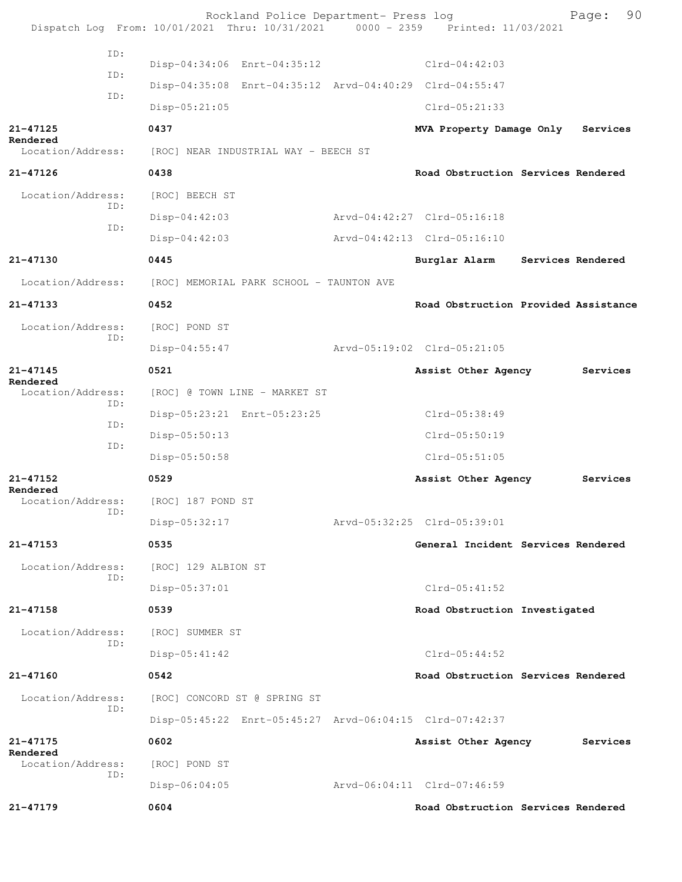Rockland Police Department- Press log Fage: 90<br>21 Thru: 10/31/2021 0000 - 2359 Printed: 11/03/2021 Dispatch Log From: 10/01/2021 Thru: 10/31/2021 ID: Disp-04:34:06 Enrt-04:35:12 Clrd-04:42:03 ID: Disp-04:35:08 Enrt-04:35:12 Arvd-04:40:29 Clrd-04:55:47 ID: Disp-05:21:05 Clrd-05:21:33 **21-47125 0437 MVA Property Damage Only Services Rendered**  Location/Address: [ROC] NEAR INDUSTRIAL WAY - BEECH ST **21-47126 0438 Road Obstruction Services Rendered** Location/Address: [ROC] BEECH ST ID: Disp-04:42:03 Arvd-04:42:27 Clrd-05:16:18 ID: Disp-04:42:03 Arvd-04:42:13 Clrd-05:16:10 **21-47130 0445 Burglar Alarm Services Rendered** Location/Address: [ROC] MEMORIAL PARK SCHOOL - TAUNTON AVE **21-47133 0452 Road Obstruction Provided Assistance** Location/Address: [ROC] POND ST ID: Disp-04:55:47 Arvd-05:19:02 Clrd-05:21:05 **21-47145 0521 Assist Other Agency Services Rendered**<br>Location/Address: [ROC] @ TOWN LINE - MARKET ST ID: Disp-05:23:21 Enrt-05:23:25 Clrd-05:38:49 ID: Disp-05:50:13 Clrd-05:50:19 ID: Disp-05:50:58 Clrd-05:51:05 **21-47152 0529 Assist Other Agency Services Rendered**  Location/Address: [ROC] 187 POND ST ID: Disp-05:32:17 Arvd-05:32:25 Clrd-05:39:01 **21-47153 0535 General Incident Services Rendered** Location/Address: [ROC] 129 ALBION ST ID: Disp-05:37:01 Clrd-05:41:52 **21-47158 0539 Road Obstruction Investigated** Location/Address: [ROC] SUMMER ST ID: Disp-05:41:42 Clrd-05:44:52 **21-47160 0542 Road Obstruction Services Rendered** Location/Address: [ROC] CONCORD ST @ SPRING ST ID: Disp-05:45:22 Enrt-05:45:27 Arvd-06:04:15 Clrd-07:42:37 **21-47175 0602 Assist Other Agency Services Rendered**  Location/Address: [ROC] POND ST ID: Disp-06:04:05 Arvd-06:04:11 Clrd-07:46:59 **21-47179 0604 Road Obstruction Services Rendered**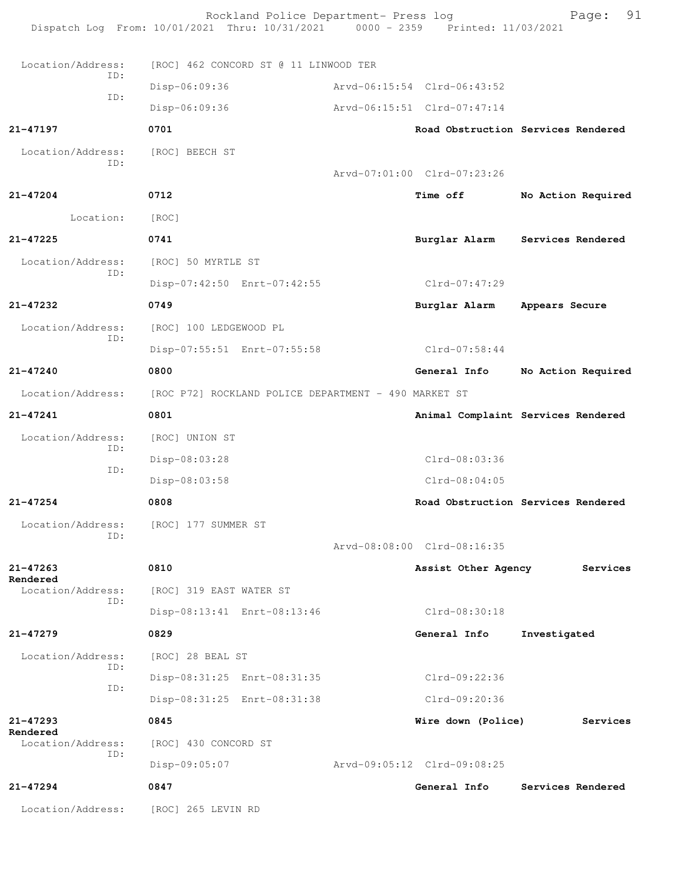|                          | Rockland Police Department- Press log<br>Dispatch Log From: 10/01/2021 Thru: 10/31/2021 0000 - 2359 Printed: 11/03/2021 |                             | 91<br>Page:                        |
|--------------------------|-------------------------------------------------------------------------------------------------------------------------|-----------------------------|------------------------------------|
| Location/Address:        | [ROC] 462 CONCORD ST @ 11 LINWOOD TER                                                                                   |                             |                                    |
| TD:                      | Disp-06:09:36                                                                                                           | Arvd-06:15:54 Clrd-06:43:52 |                                    |
| ID:                      | Disp-06:09:36                                                                                                           | Arvd-06:15:51 Clrd-07:47:14 |                                    |
| 21-47197                 | 0701                                                                                                                    |                             | Road Obstruction Services Rendered |
| Location/Address:        | [ROC] BEECH ST                                                                                                          |                             |                                    |
| ID:                      |                                                                                                                         | Arvd-07:01:00 Clrd-07:23:26 |                                    |
| 21-47204                 | 0712                                                                                                                    | <b>Time off</b>             | No Action Required                 |
| Location:                | [ROC]                                                                                                                   |                             |                                    |
| $21 - 47225$             | 0741                                                                                                                    |                             | Burglar Alarm Services Rendered    |
| Location/Address:        | [ROC] 50 MYRTLE ST                                                                                                      |                             |                                    |
| ID:                      | Disp-07:42:50 Enrt-07:42:55                                                                                             | Clrd-07:47:29               |                                    |
| 21-47232                 | 0749                                                                                                                    | Burglar Alarm               | Appears Secure                     |
| Location/Address:<br>ID: | [ROC] 100 LEDGEWOOD PL                                                                                                  |                             |                                    |
|                          | Disp-07:55:51 Enrt-07:55:58                                                                                             | Clrd-07:58:44               |                                    |
| 21-47240                 | 0800                                                                                                                    | General Info                | No Action Required                 |
| Location/Address:        | [ROC P72] ROCKLAND POLICE DEPARTMENT - 490 MARKET ST                                                                    |                             |                                    |
| 21-47241                 | 0801                                                                                                                    |                             | Animal Complaint Services Rendered |
| Location/Address:        | [ROC] UNION ST                                                                                                          |                             |                                    |
| ID:<br>ID:               | Disp-08:03:28                                                                                                           | $Clrd-08:03:36$             |                                    |
|                          | Disp-08:03:58                                                                                                           | $Clrd-08:04:05$             |                                    |
| $21 - 47254$             | 0808                                                                                                                    |                             | Road Obstruction Services Rendered |
| Location/Address:<br>ID: | [ROC] 177 SUMMER ST                                                                                                     |                             |                                    |
|                          |                                                                                                                         | Arvd-08:08:00 Clrd-08:16:35 |                                    |
| $21 - 47263$<br>Rendered | 0810                                                                                                                    | Assist Other Agency         | Services                           |
| Location/Address:<br>ID: | [ROC] 319 EAST WATER ST                                                                                                 |                             |                                    |
|                          | Disp-08:13:41 Enrt-08:13:46                                                                                             | $Clrd-08:30:18$             |                                    |
| 21-47279                 | 0829                                                                                                                    | General Info                | Investigated                       |
| Location/Address:<br>TD: | [ROC] 28 BEAL ST                                                                                                        |                             |                                    |
| ID:                      | Disp-08:31:25 Enrt-08:31:35                                                                                             | Clrd-09:22:36               |                                    |
|                          | Disp-08:31:25 Enrt-08:31:38                                                                                             | Clrd-09:20:36               |                                    |
| 21-47293<br>Rendered     | 0845                                                                                                                    | Wire down (Police)          | Services                           |
| Location/Address:<br>ID: | [ROC] 430 CONCORD ST                                                                                                    |                             |                                    |
|                          | Disp-09:05:07                                                                                                           | Arvd-09:05:12 Clrd-09:08:25 |                                    |
| 21-47294                 | 0847                                                                                                                    | General Info                | Services Rendered                  |
| Location/Address:        | [ROC] 265 LEVIN RD                                                                                                      |                             |                                    |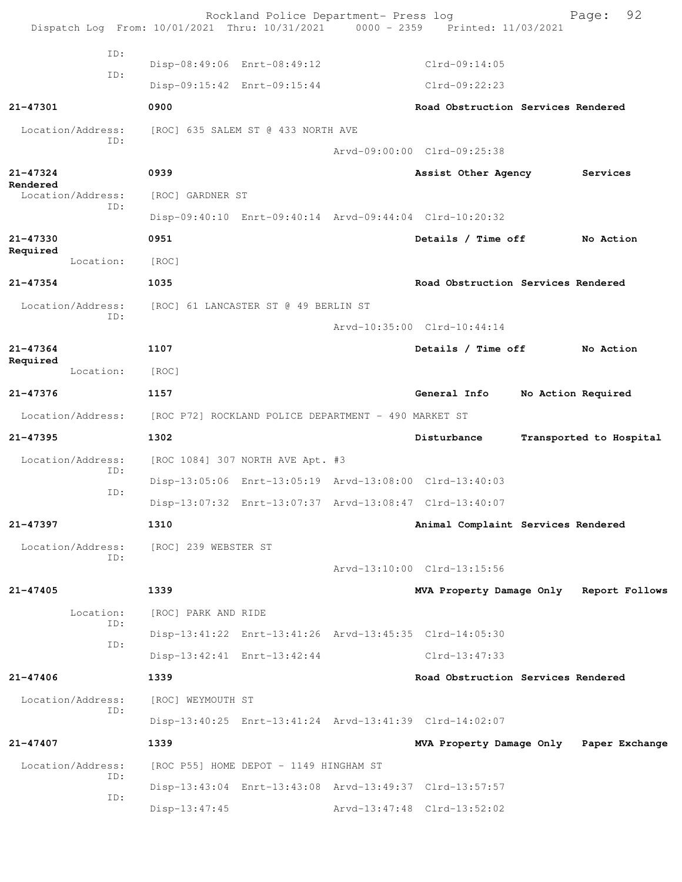|                          |     |                             | Rockland Police Department- Press log                | Dispatch Log From: 10/01/2021 Thru: 10/31/2021 0000 - 2359 Printed: 11/03/2021 | 92<br>Page:             |
|--------------------------|-----|-----------------------------|------------------------------------------------------|--------------------------------------------------------------------------------|-------------------------|
|                          | ID: |                             |                                                      |                                                                                |                         |
|                          | ID: | Disp-08:49:06 Enrt-08:49:12 |                                                      | $Clrd-09:14:05$                                                                |                         |
|                          |     |                             | Disp-09:15:42 Enrt-09:15:44                          | $Clrd-09:22:23$                                                                |                         |
| 21-47301                 |     | 0900                        |                                                      | Road Obstruction Services Rendered                                             |                         |
| Location/Address:        | ID: |                             | [ROC] 635 SALEM ST @ 433 NORTH AVE                   |                                                                                |                         |
|                          |     |                             |                                                      | Arvd-09:00:00 Clrd-09:25:38                                                    |                         |
| $21 - 47324$<br>Rendered |     | 0939                        |                                                      | Assist Other Agency                                                            | Services                |
| Location/Address:        | TD: | [ROC] GARDNER ST            |                                                      |                                                                                |                         |
|                          |     |                             |                                                      | Disp-09:40:10 Enrt-09:40:14 Arvd-09:44:04 Clrd-10:20:32                        |                         |
| 21-47330                 |     | 0951                        |                                                      | Details / Time off                                                             | No Action               |
| Required<br>Location:    |     | [ROC]                       |                                                      |                                                                                |                         |
| $21 - 47354$             |     | 1035                        |                                                      | Road Obstruction Services Rendered                                             |                         |
| Location/Address:        |     |                             | [ROC] 61 LANCASTER ST @ 49 BERLIN ST                 |                                                                                |                         |
|                          | ID: |                             |                                                      | Arvd-10:35:00 Clrd-10:44:14                                                    |                         |
| 21-47364                 |     | 1107                        |                                                      | Details / Time off                                                             | No Action               |
| Required<br>Location:    |     | [ROC]                       |                                                      |                                                                                |                         |
| 21-47376                 |     | 1157                        |                                                      | General Info                                                                   | No Action Required      |
| Location/Address:        |     |                             | [ROC P72] ROCKLAND POLICE DEPARTMENT - 490 MARKET ST |                                                                                |                         |
| 21-47395                 |     | 1302                        |                                                      | Disturbance                                                                    | Transported to Hospital |
| Location/Address:        |     |                             | [ROC 1084] 307 NORTH AVE Apt. #3                     |                                                                                |                         |
|                          | ID: |                             |                                                      | Disp-13:05:06 Enrt-13:05:19 Arvd-13:08:00 Clrd-13:40:03                        |                         |
|                          | ID: |                             |                                                      | Disp-13:07:32 Enrt-13:07:37 Arvd-13:08:47 Clrd-13:40:07                        |                         |
| $21 - 47397$             |     | 1310                        |                                                      | Animal Complaint Services Rendered                                             |                         |
| Location/Address:        |     | [ROC] 239 WEBSTER ST        |                                                      |                                                                                |                         |
|                          | ID: |                             |                                                      | Arvd-13:10:00 Clrd-13:15:56                                                    |                         |
| $21 - 47405$             |     | 1339                        |                                                      | MVA Property Damage Only Report Follows                                        |                         |
| Location:                |     | [ROC] PARK AND RIDE         |                                                      |                                                                                |                         |
|                          | ID: |                             |                                                      | Disp-13:41:22 Enrt-13:41:26 Arvd-13:45:35 Clrd-14:05:30                        |                         |
|                          | ID: |                             | Disp-13:42:41 Enrt-13:42:44                          | $Clrd-13:47:33$                                                                |                         |
| 21-47406                 |     | 1339                        |                                                      | Road Obstruction Services Rendered                                             |                         |
| Location/Address:        |     | [ROC] WEYMOUTH ST           |                                                      |                                                                                |                         |
|                          | ID: |                             |                                                      | Disp-13:40:25 Enrt-13:41:24 Arvd-13:41:39 Clrd-14:02:07                        |                         |
| 21-47407                 |     | 1339                        |                                                      | MVA Property Damage Only Paper Exchange                                        |                         |
| Location/Address:        |     |                             | [ROC P55] HOME DEPOT - 1149 HINGHAM ST               |                                                                                |                         |
|                          | ID: |                             |                                                      | Disp-13:43:04 Enrt-13:43:08 Arvd-13:49:37 Clrd-13:57:57                        |                         |
|                          | ID: | Disp-13:47:45               |                                                      | Arvd-13:47:48 Clrd-13:52:02                                                    |                         |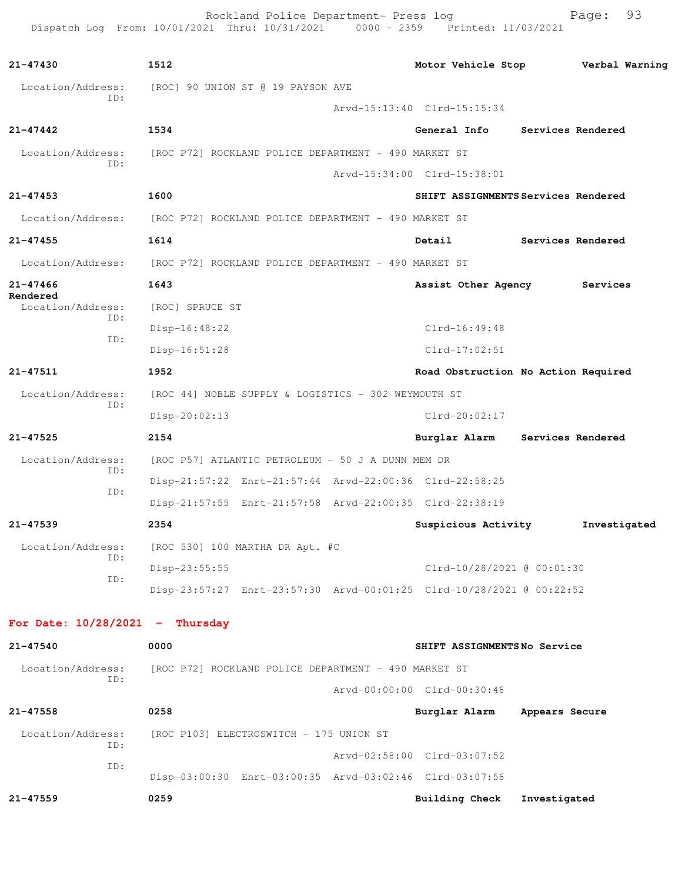Rockland Police Department- Press log entitled and Page: 93 Dispatch Log From: 10/01/2021 Thru: 10/31/2021 0000 - 2359 Printed: 11/03/2021

| 21-47430                          | 1512                                                                 |                             | Motor Vehicle Stop <b>Werbal Warning</b> |
|-----------------------------------|----------------------------------------------------------------------|-----------------------------|------------------------------------------|
| Location/Address:                 | [ROC] 90 UNION ST @ 19 PAYSON AVE                                    |                             |                                          |
| TD:                               |                                                                      | Arvd-15:13:40 Clrd-15:15:34 |                                          |
| $21 - 47442$                      | 1534                                                                 | General Info                | Services Rendered                        |
| Location/Address:                 | [ROC P72] ROCKLAND POLICE DEPARTMENT - 490 MARKET ST                 |                             |                                          |
| ID:                               |                                                                      | Arvd-15:34:00 Clrd-15:38:01 |                                          |
| $21 - 47453$                      | 1600                                                                 |                             | SHIFT ASSIGNMENTS Services Rendered      |
| Location/Address:                 | [ROC P72] ROCKLAND POLICE DEPARTMENT - 490 MARKET ST                 |                             |                                          |
| $21 - 47455$                      | 1614                                                                 | Detail                      | Services Rendered                        |
| Location/Address:                 | [ROC P72] ROCKLAND POLICE DEPARTMENT - 490 MARKET ST                 |                             |                                          |
| $21 - 47466$                      | 1643                                                                 | Assist Other Agency         | Services                                 |
| Rendered<br>Location/Address:     | [ROC] SPRUCE ST                                                      |                             |                                          |
| ID:                               | Disp-16:48:22                                                        | $Clrd-16:49:48$             |                                          |
| ID:                               | $Disp-16:51:28$                                                      | $Clrd-17:02:51$             |                                          |
| $21 - 47511$                      | 1952                                                                 |                             | Road Obstruction No Action Required      |
| Location/Address:                 | [ROC 44] NOBLE SUPPLY & LOGISTICS - 302 WEYMOUTH ST                  |                             |                                          |
| ID:                               | $Disp-20:02:13$                                                      | $Clrd-20:02:17$             |                                          |
| 21-47525                          | 2154                                                                 |                             | Burglar Alarm Services Rendered          |
| Location/Address:                 | [ROC P57] ATLANTIC PETROLEUM - 50 J A DUNN MEM DR                    |                             |                                          |
| ID:                               | Disp-21:57:22 Enrt-21:57:44 Arvd-22:00:36 Clrd-22:58:25              |                             |                                          |
| ID:                               | Disp-21:57:55 Enrt-21:57:58 Arvd-22:00:35 Clrd-22:38:19              |                             |                                          |
| $21 - 47539$                      | 2354                                                                 | Suspicious Activity         | Investigated                             |
|                                   | Location/Address: [ROC 530] 100 MARTHA DR Apt. #C                    |                             |                                          |
| ID:                               | Disp-23:55:55                                                        | Clrd-10/28/2021 @ 00:01:30  |                                          |
| ID:                               | Disp-23:57:27 Enrt-23:57:30 Arvd-00:01:25 Clrd-10/28/2021 @ 00:22:52 |                             |                                          |
| For Date: $10/28/2021$ - Thursday |                                                                      |                             |                                          |
| 21-47540                          | 0000                                                                 | SHIFT ASSIGNMENTSNo Service |                                          |
| Location/Address:                 | [ROC P72] ROCKLAND POLICE DEPARTMENT - 490 MARKET ST                 |                             |                                          |
| ID:                               |                                                                      | Arvd-00:00:00 Clrd-00:30:46 |                                          |
| $21 - 47558$                      | 0258                                                                 | Burglar Alarm               | Appears Secure                           |
| Location/Address:                 | [ROC P103] ELECTROSWITCH - 175 UNION ST                              |                             |                                          |
| ID:                               |                                                                      | Arvd-02:58:00 Clrd-03:07:52 |                                          |
| ID:                               | Disp-03:00:30 Enrt-03:00:35 Arvd-03:02:46 Clrd-03:07:56              |                             |                                          |
| $21 - 47559$                      | 0259                                                                 | <b>Building Check</b>       | Investigated                             |
|                                   |                                                                      |                             |                                          |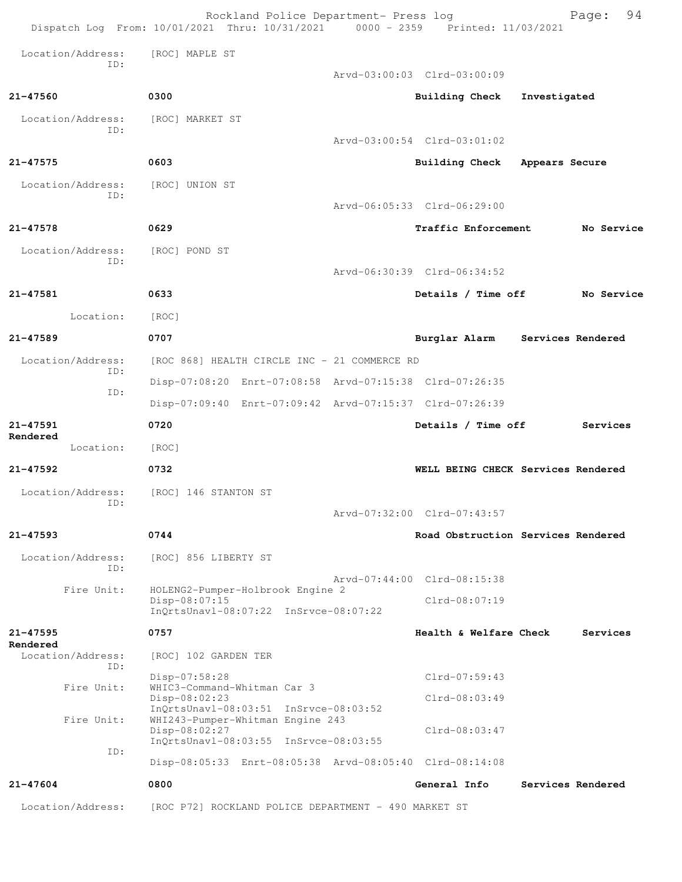|                                      | Rockland Police Department- Press log<br>Dispatch Log From: 10/01/2021 Thru: 10/31/2021 0000 - 2359 Printed: 11/03/2021 |                                    | 94<br>Page:       |
|--------------------------------------|-------------------------------------------------------------------------------------------------------------------------|------------------------------------|-------------------|
| Location/Address:                    | [ROC] MAPLE ST                                                                                                          |                                    |                   |
| ID:                                  |                                                                                                                         | Arvd-03:00:03 Clrd-03:00:09        |                   |
| 21-47560                             | 0300                                                                                                                    | Building Check                     | Investigated      |
| Location/Address:<br>ID:             | [ROC] MARKET ST                                                                                                         |                                    |                   |
|                                      |                                                                                                                         | Arvd-03:00:54 Clrd-03:01:02        |                   |
| $21 - 47575$                         | 0603                                                                                                                    | Building Check Appears Secure      |                   |
| Location/Address:<br>ID:             | [ROC] UNION ST                                                                                                          |                                    |                   |
|                                      |                                                                                                                         | Arvd-06:05:33 Clrd-06:29:00        |                   |
| 21-47578                             | 0629                                                                                                                    | Traffic Enforcement                | No Service        |
| Location/Address:<br>ID:             | [ROC] POND ST                                                                                                           |                                    |                   |
|                                      |                                                                                                                         | Arvd-06:30:39 Clrd-06:34:52        |                   |
| 21-47581                             | 0633                                                                                                                    | Details / Time off                 | No Service        |
| Location:                            | [ROC]                                                                                                                   |                                    |                   |
| $21 - 47589$                         | 0707                                                                                                                    | Burglar Alarm                      | Services Rendered |
| Location/Address:<br>ID:             | [ROC 868] HEALTH CIRCLE INC - 21 COMMERCE RD                                                                            |                                    |                   |
| ID:                                  | Disp-07:08:20 Enrt-07:08:58 Arvd-07:15:38 Clrd-07:26:35                                                                 |                                    |                   |
|                                      | Disp-07:09:40 Enrt-07:09:42 Arvd-07:15:37 Clrd-07:26:39                                                                 |                                    |                   |
| 21-47591<br>Rendered                 | 0720                                                                                                                    | Details / Time off                 | Services          |
| Location:                            | [ROC]                                                                                                                   |                                    |                   |
| 21-47592                             | 0732                                                                                                                    | WELL BEING CHECK Services Rendered |                   |
| Location/Address:<br>ID:             | [ROC] 146 STANTON ST                                                                                                    | Arvd-07:32:00 Clrd-07:43:57        |                   |
| 21-47593                             | 0744                                                                                                                    | Road Obstruction Services Rendered |                   |
| Location/Address:<br>ID:             | [ROC] 856 LIBERTY ST                                                                                                    |                                    |                   |
| Fire Unit:                           | HOLENG2-Pumper-Holbrook Engine 2                                                                                        | Arvd-07:44:00 Clrd-08:15:38        |                   |
|                                      | $Disp-08:07:15$<br>InQrtsUnavl-08:07:22 InSrvce-08:07:22                                                                | $Clrd-08:07:19$                    |                   |
| $21 - 47595$                         | 0757                                                                                                                    | Health & Welfare Check             | Services          |
| Rendered<br>Location/Address:<br>ID: | [ROC] 102 GARDEN TER                                                                                                    |                                    |                   |
| Fire Unit:                           | Disp-07:58:28<br>WHIC3-Command-Whitman Car 3                                                                            | $Clrd-07:59:43$                    |                   |
|                                      | Disp-08:02:23<br>$InQrtsUnav1-08:03:51 InSrvce-08:03:52$                                                                | Clrd-08:03:49                      |                   |
| Fire Unit:                           | WHI243-Pumper-Whitman Engine 243<br>Disp-08:02:27<br>InQrtsUnavl-08:03:55 InSrvce-08:03:55                              | $Clrd-08:03:47$                    |                   |
| ID:                                  | Disp-08:05:33 Enrt-08:05:38 Arvd-08:05:40 Clrd-08:14:08                                                                 |                                    |                   |
| $21 - 47604$                         | 0800                                                                                                                    | General Info                       | Services Rendered |
| Location/Address:                    | [ROC P72] ROCKLAND POLICE DEPARTMENT - 490 MARKET ST                                                                    |                                    |                   |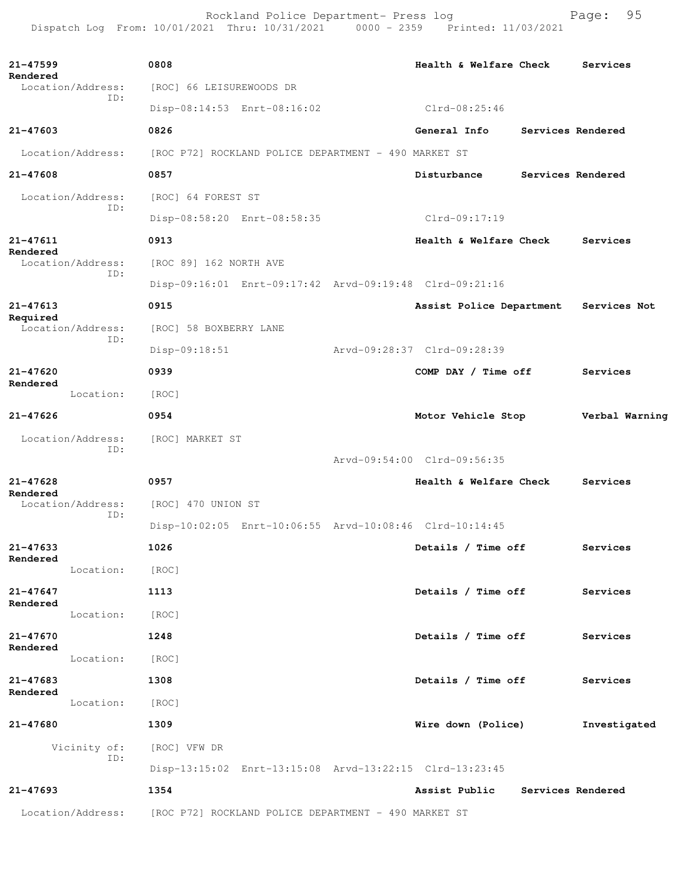Rockland Police Department- Press log entitled and Page: 95 Dispatch Log From: 10/01/2021 Thru: 10/31/2021 0000 - 2359 Printed: 11/03/2021

| $21 - 47599$ |                   | 0808                                                 |                                                      | Health & Welfare Check                                  |                   | Services       |
|--------------|-------------------|------------------------------------------------------|------------------------------------------------------|---------------------------------------------------------|-------------------|----------------|
| Rendered     | Location/Address: | [ROC] 66 LEISUREWOODS DR                             |                                                      |                                                         |                   |                |
|              | ID:               |                                                      | Disp-08:14:53 Enrt-08:16:02                          | Clrd-08:25:46                                           |                   |                |
| $21 - 47603$ |                   | 0826                                                 |                                                      | General Info                                            | Services Rendered |                |
|              | Location/Address: |                                                      | [ROC P72] ROCKLAND POLICE DEPARTMENT - 490 MARKET ST |                                                         |                   |                |
| 21-47608     |                   | 0857                                                 |                                                      | Disturbance                                             | Services Rendered |                |
|              | Location/Address: | [ROC] 64 FOREST ST                                   |                                                      |                                                         |                   |                |
|              | ID:               |                                                      | Disp-08:58:20 Enrt-08:58:35                          | Clrd-09:17:19                                           |                   |                |
| 21-47611     |                   | 0913                                                 |                                                      | Health & Welfare Check                                  |                   | Services       |
| Rendered     | Location/Address: | [ROC 89] 162 NORTH AVE                               |                                                      |                                                         |                   |                |
|              | ID:               |                                                      |                                                      | Disp-09:16:01 Enrt-09:17:42 Arvd-09:19:48 Clrd-09:21:16 |                   |                |
| 21-47613     |                   | 0915                                                 |                                                      | Assist Police Department Services Not                   |                   |                |
| Required     | Location/Address: | [ROC] 58 BOXBERRY LANE                               |                                                      |                                                         |                   |                |
|              | ID:               | Disp-09:18:51                                        |                                                      | Arvd-09:28:37 Clrd-09:28:39                             |                   |                |
| $21 - 47620$ |                   | 0939                                                 |                                                      | COMP DAY / Time off                                     |                   | Services       |
| Rendered     | Location:         | [ROC]                                                |                                                      |                                                         |                   |                |
| $21 - 47626$ |                   | 0954                                                 |                                                      | Motor Vehicle Stop                                      |                   | Verbal Warning |
|              | Location/Address: | [ROC] MARKET ST                                      |                                                      |                                                         |                   |                |
|              | ID:               |                                                      |                                                      | Arvd-09:54:00 Clrd-09:56:35                             |                   |                |
| $21 - 47628$ |                   | 0957                                                 |                                                      | Health & Welfare Check                                  |                   | Services       |
| Rendered     | Location/Address: | [ROC] 470 UNION ST                                   |                                                      |                                                         |                   |                |
|              | ID:               |                                                      |                                                      | Disp-10:02:05 Enrt-10:06:55 Arvd-10:08:46 Clrd-10:14:45 |                   |                |
| 21-47633     |                   | 1026                                                 |                                                      | Details / Time off                                      |                   | Services       |
| Rendered     | Location:         | [ROC]                                                |                                                      |                                                         |                   |                |
| $21 - 47647$ |                   | 1113                                                 |                                                      | Details / Time off                                      |                   | Services       |
| Rendered     | Location:         | [ROC]                                                |                                                      |                                                         |                   |                |
| 21-47670     |                   | 1248                                                 |                                                      | Details / Time off                                      |                   | Services       |
| Rendered     | Location:         | [ROC]                                                |                                                      |                                                         |                   |                |
| 21-47683     |                   | 1308                                                 |                                                      | Details / Time off                                      |                   | Services       |
| Rendered     | Location:         | [ROC]                                                |                                                      |                                                         |                   |                |
| 21-47680     |                   | 1309                                                 |                                                      | Wire down (Police)                                      |                   | Investigated   |
|              | Vicinity of:      | [ROC] VFW DR                                         |                                                      |                                                         |                   |                |
|              | ID:               |                                                      |                                                      | Disp-13:15:02 Enrt-13:15:08 Arvd-13:22:15 Clrd-13:23:45 |                   |                |
| $21 - 47693$ |                   | 1354                                                 |                                                      | Assist Public                                           | Services Rendered |                |
|              | Location/Address: | [ROC P72] ROCKLAND POLICE DEPARTMENT - 490 MARKET ST |                                                      |                                                         |                   |                |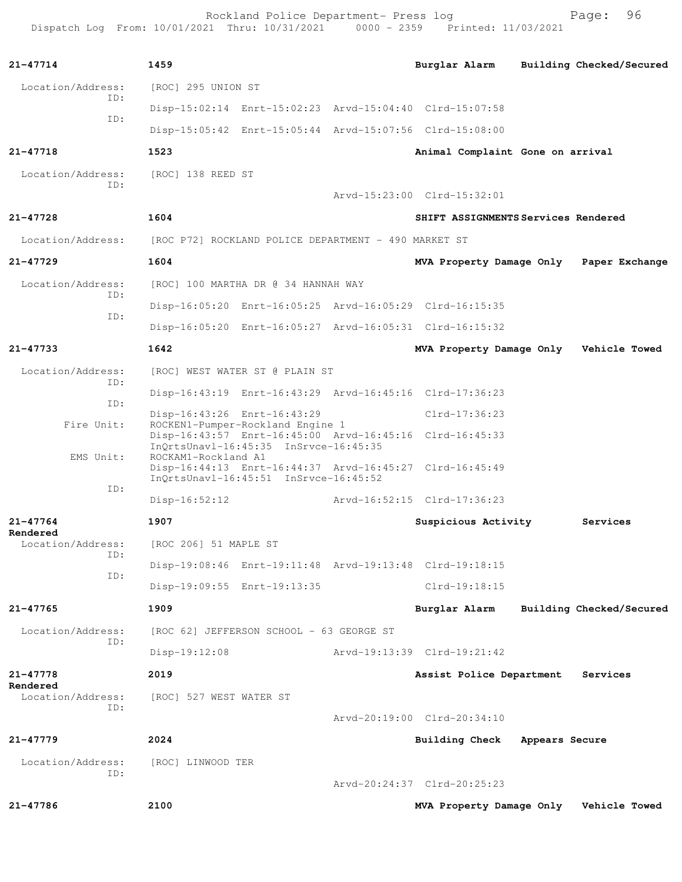Rockland Police Department- Press log entitled and Page: 96 Dispatch Log From: 10/01/2021 Thru: 10/31/2021 0000 - 2359 Printed: 11/03/2021

| $21 - 47714$             | 1459                                                                                                                                 | Burglar Alarm<br>Building Checked/Secured |          |
|--------------------------|--------------------------------------------------------------------------------------------------------------------------------------|-------------------------------------------|----------|
| Location/Address:        | [ROC] 295 UNION ST                                                                                                                   |                                           |          |
| TD:                      | Disp-15:02:14 Enrt-15:02:23 Arvd-15:04:40 Clrd-15:07:58                                                                              |                                           |          |
| TD:                      | Disp-15:05:42 Enrt-15:05:44 Arvd-15:07:56 Clrd-15:08:00                                                                              |                                           |          |
| 21-47718                 | 1523                                                                                                                                 | Animal Complaint Gone on arrival          |          |
| Location/Address:        | [ROC] 138 REED ST                                                                                                                    |                                           |          |
| TD:                      |                                                                                                                                      | Arvd-15:23:00 Clrd-15:32:01               |          |
| 21-47728                 | 1604                                                                                                                                 | SHIFT ASSIGNMENTS Services Rendered       |          |
| Location/Address:        | [ROC P72] ROCKLAND POLICE DEPARTMENT - 490 MARKET ST                                                                                 |                                           |          |
| $21 - 47729$             | 1604                                                                                                                                 | MVA Property Damage Only Paper Exchange   |          |
| Location/Address:        | [ROC] 100 MARTHA DR @ 34 HANNAH WAY                                                                                                  |                                           |          |
| TD:                      | Disp-16:05:20 Enrt-16:05:25 Arvd-16:05:29 Clrd-16:15:35                                                                              |                                           |          |
| TD:                      | Disp-16:05:20 Enrt-16:05:27 Arvd-16:05:31 Clrd-16:15:32                                                                              |                                           |          |
| $21 - 47733$             | 1642                                                                                                                                 | MVA Property Damage Only Vehicle Towed    |          |
| Location/Address:        | [ROC] WEST WATER ST @ PLAIN ST                                                                                                       |                                           |          |
| TD:                      | Disp-16:43:19 Enrt-16:43:29 Arvd-16:45:16 Clrd-17:36:23                                                                              |                                           |          |
| ID:                      | Disp-16:43:26 Enrt-16:43:29                                                                                                          | $Clrd-17:36:23$                           |          |
| Fire Unit:               | ROCKEN1-Pumper-Rockland Engine 1<br>Disp-16:43:57 Enrt-16:45:00 Arvd-16:45:16 Clrd-16:45:33<br>InOrtsUnavl-16:45:35 InSrvce-16:45:35 |                                           |          |
| EMS Unit:                | ROCKAM1-Rockland A1<br>Disp-16:44:13 Enrt-16:44:37 Arvd-16:45:27 Clrd-16:45:49                                                       |                                           |          |
| ID:                      | $InOrtsUnav1-16:45:51$ $InStvee-16:45:52$                                                                                            |                                           |          |
|                          | $Disp-16:52:12$                                                                                                                      | Arvd-16:52:15 Clrd-17:36:23               |          |
| 21-47764<br>Rendered     | 1907                                                                                                                                 | Suspicious Activity                       | Services |
| Location/Address:<br>ID: | [ROC 206] 51 MAPLE ST                                                                                                                |                                           |          |
| ID:                      | Disp-19:08:46 Enrt-19:11:48 Arvd-19:13:48 Clrd-19:18:15                                                                              |                                           |          |
|                          | Disp-19:09:55 Enrt-19:13:35                                                                                                          | $Clrd-19:18:15$                           |          |
| $21 - 47765$             | 1909                                                                                                                                 | Building Checked/Secured<br>Burglar Alarm |          |
| Location/Address:<br>ID: | [ROC 62] JEFFERSON SCHOOL - 63 GEORGE ST                                                                                             |                                           |          |
|                          | Disp-19:12:08                                                                                                                        | Arvd-19:13:39 Clrd-19:21:42               |          |
| 21-47778<br>Rendered     | 2019                                                                                                                                 | Assist Police Department                  | Services |
| Location/Address:<br>ID: | [ROC] 527 WEST WATER ST                                                                                                              |                                           |          |
|                          |                                                                                                                                      | Arvd-20:19:00 Clrd-20:34:10               |          |
| 21-47779                 | 2024                                                                                                                                 | Building Check<br>Appears Secure          |          |
| Location/Address:<br>ID: | [ROC] LINWOOD TER                                                                                                                    |                                           |          |
|                          |                                                                                                                                      | Arvd-20:24:37 Clrd-20:25:23               |          |
| 21-47786                 | 2100                                                                                                                                 | MVA Property Damage Only Vehicle Towed    |          |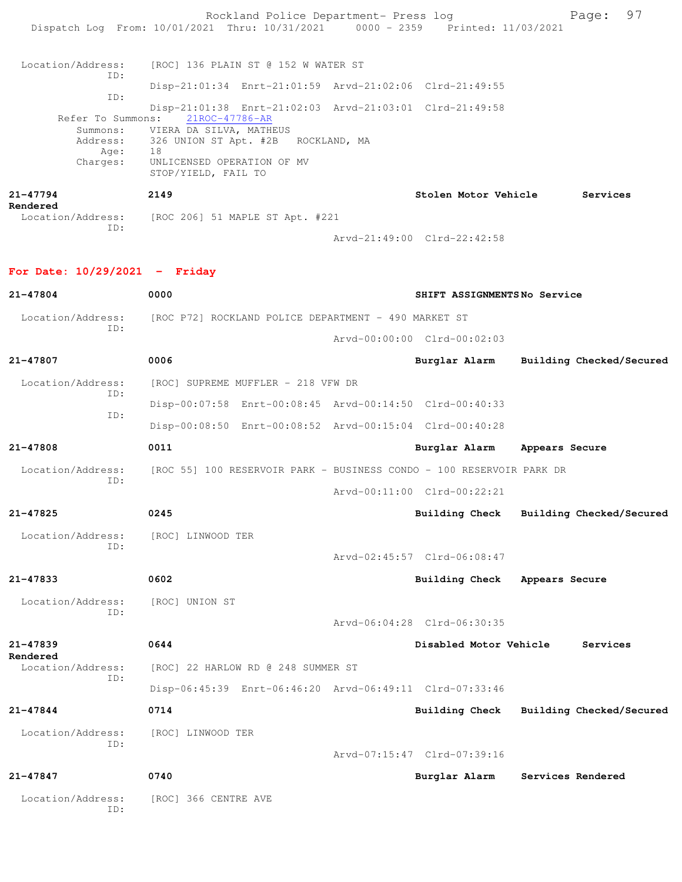Rockland Police Department- Press log Fage: 97 Dispatch Log From: 10/01/2021 Thru: 10/31/2021 0000 - 2359 Printed: 11/03/2021 Location/Address: [ROC] 136 PLAIN ST @ 152 W WATER ST ID: Disp-21:01:34 Enrt-21:01:59 Arvd-21:02:06 Clrd-21:49:55 ID: Disp-21:01:38 Enrt-21:02:03 Arvd-21:03:01 Clrd-21:49:58 Refer To Summons: Summons: VIERA DA SILVA, MATHEUS Address: 326 UNION ST Apt. #2B ROCKLAND, MA Age: 18 Charges: UNLICENSED OPERATION OF MV STOP/YIELD, FAIL TO **21-47794 2149 Stolen Motor Vehicle Services Rendered**  Location/Address: [ROC 206] 51 MAPLE ST Apt. #221 ID: Arvd-21:49:00 Clrd-22:42:58 **For Date: 10/29/2021 - Friday 21-47804 0000 SHIFT ASSIGNMENTS No Service** Location/Address: [ROC P72] ROCKLAND POLICE DEPARTMENT - 490 MARKET ST ID: Arvd-00:00:00 Clrd-00:02:03 **21-47807 0006 Burglar Alarm Building Checked/Secured** Location/Address: [ROC] SUPREME MUFFLER - 218 VFW DR ID: Disp-00:07:58 Enrt-00:08:45 Arvd-00:14:50 Clrd-00:40:33 ID: Disp-00:08:50 Enrt-00:08:52 Arvd-00:15:04 Clrd-00:40:28 **21-47808 0011 Burglar Alarm Appears Secure** Location/Address: [ROC 55] 100 RESERVOIR PARK - BUSINESS CONDO - 100 RESERVOIR PARK DR ID: Arvd-00:11:00 Clrd-00:22:21 **21-47825 0245 Building Check Building Checked/Secured** Location/Address: [ROC] LINWOOD TER ID: Arvd-02:45:57 Clrd-06:08:47 **21-47833 0602 Building Check Appears Secure** Location/Address: [ROC] UNION ST ID: Arvd-06:04:28 Clrd-06:30:35 **21-47839 0644 Disabled Motor Vehicle Services Rendered**  Location/Address: [ROC] 22 HARLOW RD @ 248 SUMMER ST ID: Disp-06:45:39 Enrt-06:46:20 Arvd-06:49:11 Clrd-07:33:46 **21-47844 0714 Building Check Building Checked/Secured** Location/Address: [ROC] LINWOOD TER ID:

Arvd-07:15:47 Clrd-07:39:16

## **21-47847 0740 Burglar Alarm Services Rendered**

 Location/Address: [ROC] 366 CENTRE AVE ID: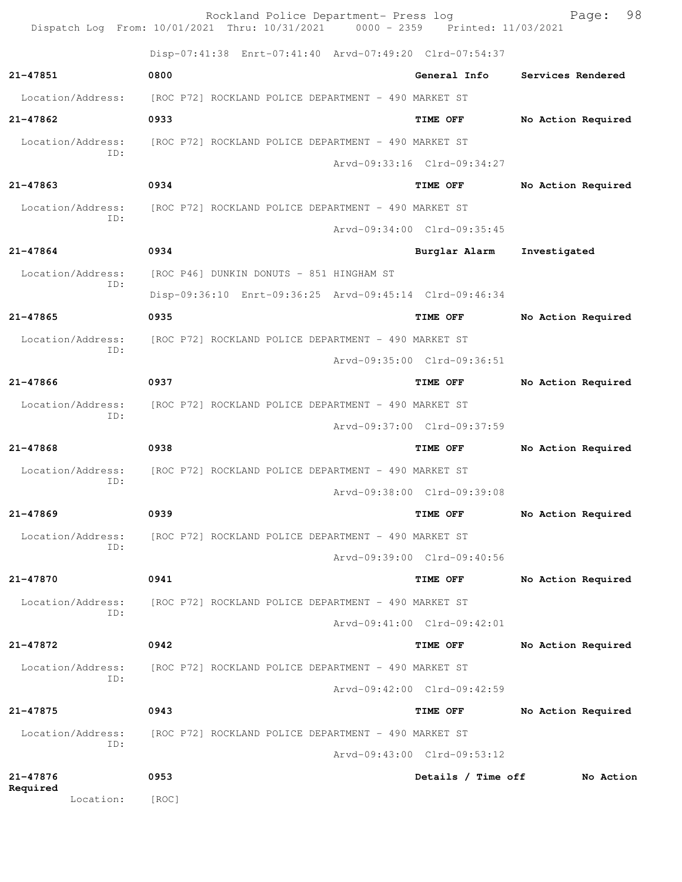|                          | Rockland Police Department- Press log<br>Dispatch Log From: 10/01/2021 Thru: 10/31/2021 0000 - 2359 Printed: 11/03/2021 |                             | 98<br>Page:        |
|--------------------------|-------------------------------------------------------------------------------------------------------------------------|-----------------------------|--------------------|
|                          | Disp-07:41:38 Enrt-07:41:40 Arvd-07:49:20 Clrd-07:54:37                                                                 |                             |                    |
| $21 - 47851$             | 0800                                                                                                                    | General Info                | Services Rendered  |
| Location/Address:        | [ROC P72] ROCKLAND POLICE DEPARTMENT - 490 MARKET ST                                                                    |                             |                    |
| 21-47862                 | 0933                                                                                                                    | TIME OFF                    | No Action Required |
| Location/Address:        | [ROC P72] ROCKLAND POLICE DEPARTMENT - 490 MARKET ST                                                                    |                             |                    |
| ID:                      |                                                                                                                         | Arvd-09:33:16 Clrd-09:34:27 |                    |
| $21 - 47863$             | 0934                                                                                                                    | TIME OFF                    | No Action Required |
| Location/Address:        | [ROC P72] ROCKLAND POLICE DEPARTMENT - 490 MARKET ST                                                                    |                             |                    |
| TD:                      |                                                                                                                         | Arvd-09:34:00 Clrd-09:35:45 |                    |
| 21-47864                 | 0934                                                                                                                    | Burglar Alarm               | Investigated       |
| Location/Address:        | [ROC P46] DUNKIN DONUTS - 851 HINGHAM ST                                                                                |                             |                    |
| ID:                      | Disp-09:36:10 Enrt-09:36:25 Arvd-09:45:14 Clrd-09:46:34                                                                 |                             |                    |
| 21-47865                 | 0935                                                                                                                    | TIME OFF                    | No Action Required |
| Location/Address:        | [ROC P72] ROCKLAND POLICE DEPARTMENT - 490 MARKET ST                                                                    |                             |                    |
| ID:                      |                                                                                                                         | Arvd-09:35:00 Clrd-09:36:51 |                    |
| $21 - 47866$             | 0937                                                                                                                    | TIME OFF                    | No Action Required |
| Location/Address:        | [ROC P72] ROCKLAND POLICE DEPARTMENT - 490 MARKET ST                                                                    |                             |                    |
| ID:                      |                                                                                                                         | Arvd-09:37:00 Clrd-09:37:59 |                    |
| $21 - 47868$             | 0938                                                                                                                    | TIME OFF                    | No Action Required |
| Location/Address:<br>ID: | [ROC P72] ROCKLAND POLICE DEPARTMENT - 490 MARKET ST                                                                    |                             |                    |
|                          |                                                                                                                         | Arvd-09:38:00 Clrd-09:39:08 |                    |
| $21 - 47869$             | 0939                                                                                                                    | TIME OFF                    | No Action Required |
| Location/Address:<br>ID: | [ROC P72] ROCKLAND POLICE DEPARTMENT - 490 MARKET ST                                                                    |                             |                    |
|                          |                                                                                                                         | Arvd-09:39:00 Clrd-09:40:56 |                    |
| 21-47870                 | 0941                                                                                                                    | TIME OFF                    | No Action Required |
| Location/Address:<br>ID: | [ROC P72] ROCKLAND POLICE DEPARTMENT - 490 MARKET ST                                                                    |                             |                    |
|                          |                                                                                                                         | Arvd-09:41:00 Clrd-09:42:01 |                    |
| 21-47872                 | 0942                                                                                                                    | TIME OFF                    | No Action Required |
| Location/Address:<br>ID: | [ROC P72] ROCKLAND POLICE DEPARTMENT - 490 MARKET ST                                                                    |                             |                    |
|                          |                                                                                                                         | Arvd-09:42:00 Clrd-09:42:59 |                    |
| 21-47875                 | 0943                                                                                                                    | TIME OFF                    | No Action Required |
| Location/Address:<br>ID: | [ROC P72] ROCKLAND POLICE DEPARTMENT - 490 MARKET ST                                                                    |                             |                    |
|                          |                                                                                                                         | Arvd-09:43:00 Clrd-09:53:12 |                    |
| $21 - 47876$<br>Required | 0953                                                                                                                    | Details / Time off          | No Action          |
| Location:                | [ROC]                                                                                                                   |                             |                    |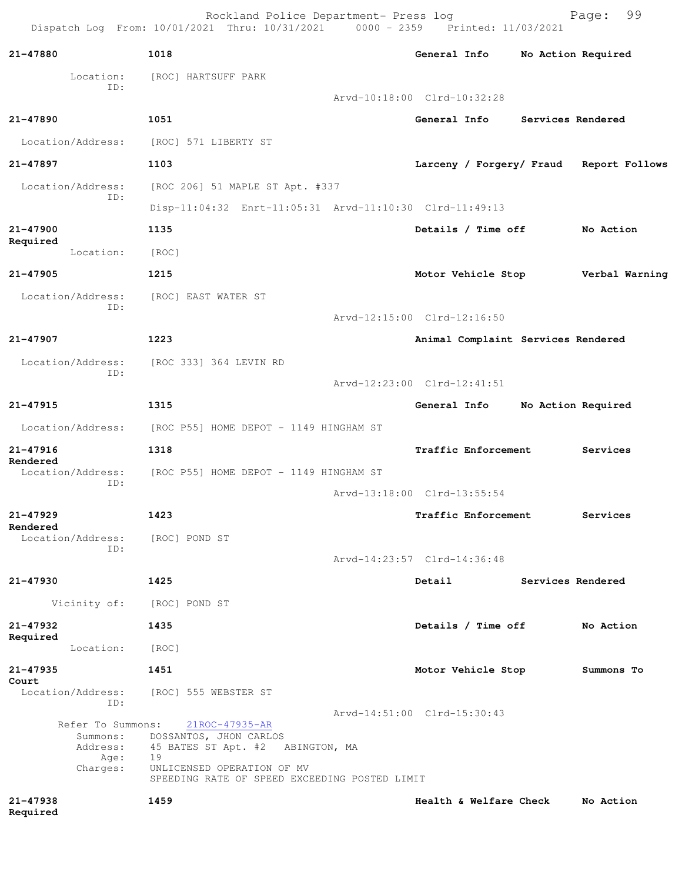|                               | Rockland Police Department- Press log<br>Dispatch Log From: 10/01/2021 Thru: 10/31/2021 0000 - 2359 Printed: 11/03/2021 |                                    |                   | 99<br>Page:        |
|-------------------------------|-------------------------------------------------------------------------------------------------------------------------|------------------------------------|-------------------|--------------------|
| 21-47880                      | 1018                                                                                                                    | General Info                       |                   | No Action Required |
| Location:                     | [ROC] HARTSUFF PARK                                                                                                     |                                    |                   |                    |
| ID:                           |                                                                                                                         | Arvd-10:18:00 Clrd-10:32:28        |                   |                    |
| 21-47890                      | 1051                                                                                                                    | General Info                       | Services Rendered |                    |
| Location/Address:             | [ROC] 571 LIBERTY ST                                                                                                    |                                    |                   |                    |
| 21-47897                      | 1103                                                                                                                    | Larceny / Forgery/ Fraud           |                   | Report Follows     |
| Location/Address:             | [ROC 206] 51 MAPLE ST Apt. #337                                                                                         |                                    |                   |                    |
| ID:                           | Disp-11:04:32 Enrt-11:05:31 Arvd-11:10:30 Clrd-11:49:13                                                                 |                                    |                   |                    |
| 21-47900                      | 1135                                                                                                                    | Details / Time off                 |                   | No Action          |
| Required<br>Location:         | [ROC]                                                                                                                   |                                    |                   |                    |
| $21 - 47905$                  | 1215                                                                                                                    | Motor Vehicle Stop                 |                   | Verbal Warning     |
| Location/Address:             | [ROC] EAST WATER ST                                                                                                     |                                    |                   |                    |
| ID:                           |                                                                                                                         | Arvd-12:15:00 Clrd-12:16:50        |                   |                    |
| 21-47907                      | 1223                                                                                                                    | Animal Complaint Services Rendered |                   |                    |
| Location/Address:             | [ROC 333] 364 LEVIN RD                                                                                                  |                                    |                   |                    |
| ID:                           |                                                                                                                         | Arvd-12:23:00 Clrd-12:41:51        |                   |                    |
| 21-47915                      | 1315                                                                                                                    | General Info                       |                   | No Action Required |
| Location/Address:             | [ROC P55] HOME DEPOT - 1149 HINGHAM ST                                                                                  |                                    |                   |                    |
| 21-47916                      | 1318                                                                                                                    | Traffic Enforcement                |                   | Services           |
| Rendered<br>Location/Address: | [ROC P55] HOME DEPOT - 1149 HINGHAM ST                                                                                  |                                    |                   |                    |
| ID:                           |                                                                                                                         | Arvd-13:18:00 Clrd-13:55:54        |                   |                    |
| 21-47929                      | 1423                                                                                                                    | Traffic Enforcement                |                   | Services           |
| Rendered<br>Location/Address: | [ROC] POND ST                                                                                                           |                                    |                   |                    |
| ID:                           |                                                                                                                         | Arvd-14:23:57 Clrd-14:36:48        |                   |                    |
| 21-47930                      | 1425                                                                                                                    | Detail                             | Services Rendered |                    |
| Vicinity of:                  | [ROC] POND ST                                                                                                           |                                    |                   |                    |
| 21-47932                      | 1435                                                                                                                    | Details / Time off                 |                   | No Action          |
| Required<br>Location:         | [ROC]                                                                                                                   |                                    |                   |                    |
| 21-47935                      | 1451                                                                                                                    | Motor Vehicle Stop                 |                   | Summons To         |
| Court<br>Location/Address:    | [ROC] 555 WEBSTER ST                                                                                                    |                                    |                   |                    |
| ID:                           |                                                                                                                         | Arvd-14:51:00 Clrd-15:30:43        |                   |                    |
| Refer To Summons:<br>Summons: | $21ROC - 47935 - AR$<br>DOSSANTOS, JHON CARLOS                                                                          |                                    |                   |                    |
| Address:<br>Age:              | 45 BATES ST Apt. #2 ABINGTON, MA<br>19                                                                                  |                                    |                   |                    |
| Charges:                      | UNLICENSED OPERATION OF MV<br>SPEEDING RATE OF SPEED EXCEEDING POSTED LIMIT                                             |                                    |                   |                    |
| 21-47938<br>Required          | 1459                                                                                                                    | Health & Welfare Check             |                   | No Action          |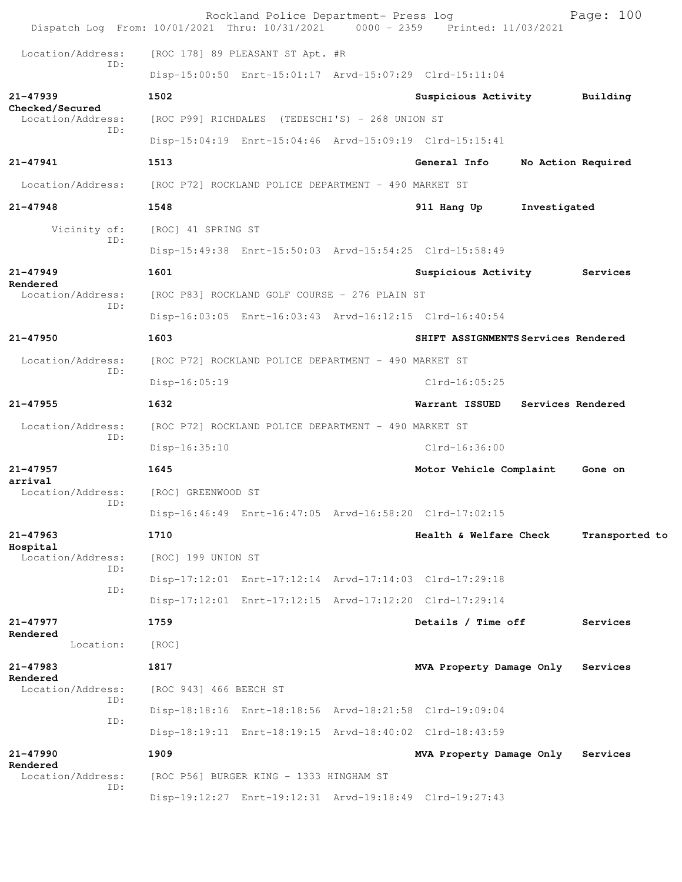| Dispatch Log From: 10/01/2021 Thru: 10/31/2021 0000 - 2359 Printed: 11/03/2021 |                        | Rockland Police Department- Press log                   |                                                         |                   | Page: 100          |
|--------------------------------------------------------------------------------|------------------------|---------------------------------------------------------|---------------------------------------------------------|-------------------|--------------------|
| Location/Address:                                                              |                        | [ROC 178] 89 PLEASANT ST Apt. #R                        |                                                         |                   |                    |
| TD:                                                                            |                        |                                                         | Disp-15:00:50 Enrt-15:01:17 Arvd-15:07:29 Clrd-15:11:04 |                   |                    |
| 21-47939<br>Checked/Secured                                                    | 1502                   |                                                         | Suspicious Activity                                     |                   | Building           |
| Location/Address:                                                              |                        | [ROC P99] RICHDALES (TEDESCHI'S) - 268 UNION ST         |                                                         |                   |                    |
| ID:                                                                            |                        |                                                         | Disp-15:04:19 Enrt-15:04:46 Arvd-15:09:19 Clrd-15:15:41 |                   |                    |
| $21 - 47941$                                                                   | 1513                   |                                                         | General Info                                            |                   | No Action Required |
| Location/Address:                                                              |                        | [ROC P72] ROCKLAND POLICE DEPARTMENT - 490 MARKET ST    |                                                         |                   |                    |
| $21 - 47948$                                                                   | 1548                   |                                                         | 911 Hang Up                                             | Investigated      |                    |
| Vicinity of:                                                                   | [ROC] 41 SPRING ST     |                                                         |                                                         |                   |                    |
| ID:                                                                            |                        |                                                         | Disp-15:49:38 Enrt-15:50:03 Arvd-15:54:25 Clrd-15:58:49 |                   |                    |
| $21 - 47949$                                                                   | 1601                   |                                                         | Suspicious Activity                                     |                   | Services           |
| Rendered<br>Location/Address:                                                  |                        | [ROC P83] ROCKLAND GOLF COURSE - 276 PLAIN ST           |                                                         |                   |                    |
| ID:                                                                            |                        |                                                         | Disp-16:03:05 Enrt-16:03:43 Arvd-16:12:15 Clrd-16:40:54 |                   |                    |
| 21-47950                                                                       | 1603                   |                                                         | SHIFT ASSIGNMENTS Services Rendered                     |                   |                    |
| Location/Address:<br>ID:                                                       |                        | [ROC P72] ROCKLAND POLICE DEPARTMENT - 490 MARKET ST    |                                                         |                   |                    |
|                                                                                | Disp-16:05:19          |                                                         | $Clrd-16:05:25$                                         |                   |                    |
| $21 - 47955$                                                                   | 1632                   |                                                         | Warrant ISSUED                                          | Services Rendered |                    |
| Location/Address:                                                              |                        | [ROC P72] ROCKLAND POLICE DEPARTMENT - 490 MARKET ST    |                                                         |                   |                    |
| ID:                                                                            | Disp-16:35:10          |                                                         | $Clrd-16:36:00$                                         |                   |                    |
| 21-47957                                                                       | 1645                   |                                                         | Motor Vehicle Complaint                                 |                   | Gone on            |
| arrival<br>Location/Address:                                                   | [ROC] GREENWOOD ST     |                                                         |                                                         |                   |                    |
| ID:                                                                            |                        | Disp-16:46:49 Enrt-16:47:05 Arvd-16:58:20 Clrd-17:02:15 |                                                         |                   |                    |
| 21-47963                                                                       | 1710                   |                                                         | Health & Welfare Check                                  |                   | Transported to     |
| Hospital<br>Location/Address:                                                  | [ROC] 199 UNION ST     |                                                         |                                                         |                   |                    |
| TD:                                                                            |                        | Disp-17:12:01 Enrt-17:12:14 Arvd-17:14:03 Clrd-17:29:18 |                                                         |                   |                    |
| ID:                                                                            |                        |                                                         | Disp-17:12:01 Enrt-17:12:15 Arvd-17:12:20 Clrd-17:29:14 |                   |                    |
| 21-47977                                                                       | 1759                   |                                                         | Details / Time off                                      |                   | Services           |
| Rendered<br>Location:                                                          | [ROC]                  |                                                         |                                                         |                   |                    |
| 21-47983                                                                       | 1817                   |                                                         | MVA Property Damage Only                                |                   | Services           |
| Rendered<br>Location/Address:                                                  | [ROC 943] 466 BEECH ST |                                                         |                                                         |                   |                    |
| ID:                                                                            |                        |                                                         | Disp-18:18:16 Enrt-18:18:56 Arvd-18:21:58 Clrd-19:09:04 |                   |                    |
| ID:                                                                            |                        | Disp-18:19:11 Enrt-18:19:15 Arvd-18:40:02 Clrd-18:43:59 |                                                         |                   |                    |
| $21 - 47990$                                                                   | 1909                   |                                                         | MVA Property Damage Only                                |                   | Services           |
| Rendered<br>Location/Address:                                                  |                        | [ROC P56] BURGER KING - 1333 HINGHAM ST                 |                                                         |                   |                    |
| ID:                                                                            |                        |                                                         | Disp-19:12:27 Enrt-19:12:31 Arvd-19:18:49 Clrd-19:27:43 |                   |                    |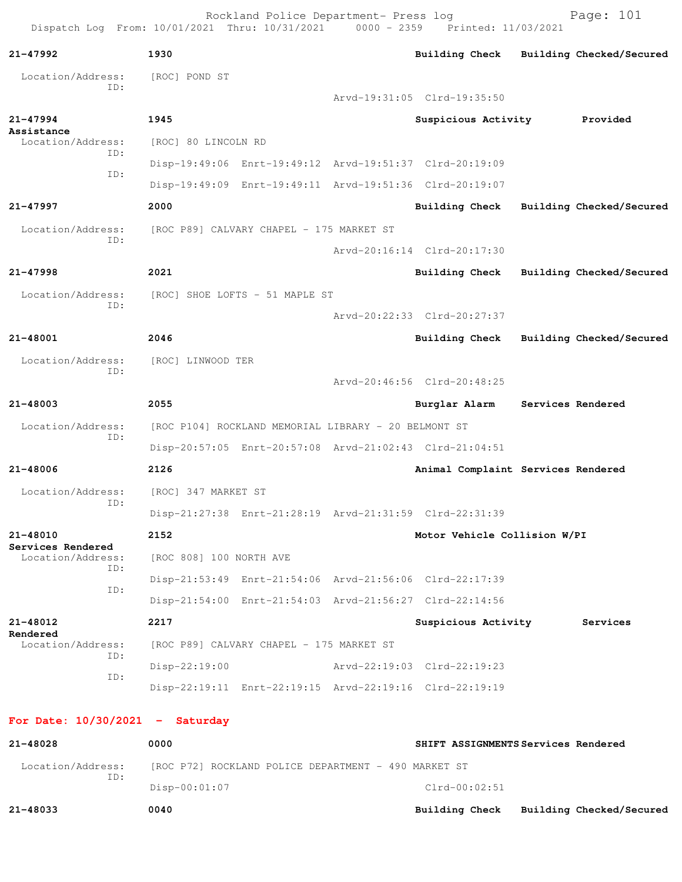Rockland Police Department- Press log entitled and Page: 101 Dispatch Log From: 10/01/2021 Thru: 10/31/2021 0000 - 2359 Printed: 11/03/2021

| 21-47992                               | 1930                                                 |                                                         |  | <b>Building Check</b>                                   |  | Building Checked/Secured |  |
|----------------------------------------|------------------------------------------------------|---------------------------------------------------------|--|---------------------------------------------------------|--|--------------------------|--|
| Location/Address:<br>ID:               | [ROC] POND ST                                        |                                                         |  |                                                         |  |                          |  |
|                                        |                                                      |                                                         |  | Arvd-19:31:05 Clrd-19:35:50                             |  |                          |  |
| $21 - 47994$<br>Assistance             | 1945                                                 |                                                         |  | Suspicious Activity Provided                            |  |                          |  |
| Location/Address:                      | [ROC] 80 LINCOLN RD                                  |                                                         |  |                                                         |  |                          |  |
| ID:                                    |                                                      | Disp-19:49:06 Enrt-19:49:12 Arvd-19:51:37 Clrd-20:19:09 |  |                                                         |  |                          |  |
| ID:                                    |                                                      | Disp-19:49:09 Enrt-19:49:11 Arvd-19:51:36 Clrd-20:19:07 |  |                                                         |  |                          |  |
| 21-47997                               | 2000                                                 |                                                         |  | <b>Building Check</b>                                   |  | Building Checked/Secured |  |
| Location/Address:                      |                                                      | [ROC P89] CALVARY CHAPEL - 175 MARKET ST                |  |                                                         |  |                          |  |
| TD:                                    |                                                      |                                                         |  | Arvd-20:16:14 Clrd-20:17:30                             |  |                          |  |
| $21 - 47998$                           | 2021                                                 |                                                         |  | <b>Building Check</b>                                   |  | Building Checked/Secured |  |
| Location/Address:                      |                                                      | [ROC] SHOE LOFTS - 51 MAPLE ST                          |  |                                                         |  |                          |  |
| ID:                                    |                                                      |                                                         |  | Arvd-20:22:33 Clrd-20:27:37                             |  |                          |  |
| 21-48001                               | 2046                                                 |                                                         |  | Building Check                                          |  | Building Checked/Secured |  |
| Location/Address:                      | [ROC] LINWOOD TER                                    |                                                         |  |                                                         |  |                          |  |
| ID:                                    |                                                      |                                                         |  | Arvd-20:46:56 Clrd-20:48:25                             |  |                          |  |
| $21 - 48003$                           | 2055                                                 |                                                         |  | Burglar Alarm                                           |  | Services Rendered        |  |
| Location/Address:                      | [ROC P104] ROCKLAND MEMORIAL LIBRARY - 20 BELMONT ST |                                                         |  |                                                         |  |                          |  |
| ID:                                    |                                                      |                                                         |  | Disp-20:57:05 Enrt-20:57:08 Arvd-21:02:43 Clrd-21:04:51 |  |                          |  |
| 21-48006                               | 2126                                                 |                                                         |  | Animal Complaint Services Rendered                      |  |                          |  |
| Location/Address:                      | [ROC] 347 MARKET ST                                  |                                                         |  |                                                         |  |                          |  |
| ID:                                    |                                                      | Disp-21:27:38 Enrt-21:28:19 Arvd-21:31:59 Clrd-22:31:39 |  |                                                         |  |                          |  |
| 21-48010                               | 2152                                                 |                                                         |  | Motor Vehicle Collision W/PI                            |  |                          |  |
| Services Rendered<br>Location/Address: | [ROC 808] 100 NORTH AVE                              |                                                         |  |                                                         |  |                          |  |
| ID:                                    |                                                      | Disp-21:53:49 Enrt-21:54:06 Arvd-21:56:06 Clrd-22:17:39 |  |                                                         |  |                          |  |
| ID:                                    |                                                      |                                                         |  | Disp-21:54:00 Enrt-21:54:03 Arvd-21:56:27 Clrd-22:14:56 |  |                          |  |
| 21-48012                               | 2217                                                 |                                                         |  | Suspicious Activity                                     |  | Services                 |  |
| Rendered<br>Location/Address:          |                                                      | [ROC P89] CALVARY CHAPEL - 175 MARKET ST                |  |                                                         |  |                          |  |
| ID:                                    | $Disp-22:19:00$                                      |                                                         |  | Arvd-22:19:03 Clrd-22:19:23                             |  |                          |  |
| ID:                                    |                                                      | Disp-22:19:11 Enrt-22:19:15 Arvd-22:19:16 Clrd-22:19:19 |  |                                                         |  |                          |  |
|                                        |                                                      |                                                         |  |                                                         |  |                          |  |
| For Date: $10/30/2021$ - Saturday      |                                                      |                                                         |  |                                                         |  |                          |  |
| 21-48028                               | 0000                                                 |                                                         |  | SHIFT ASSIGNMENTS Services Rendered                     |  |                          |  |
| Location/Address:<br>ID:               |                                                      | [ROC P72] ROCKLAND POLICE DEPARTMENT - 490 MARKET ST    |  |                                                         |  |                          |  |

Disp-00:01:07 Clrd-00:02:51

**21-48033 0040 Building Check Building Checked/Secured**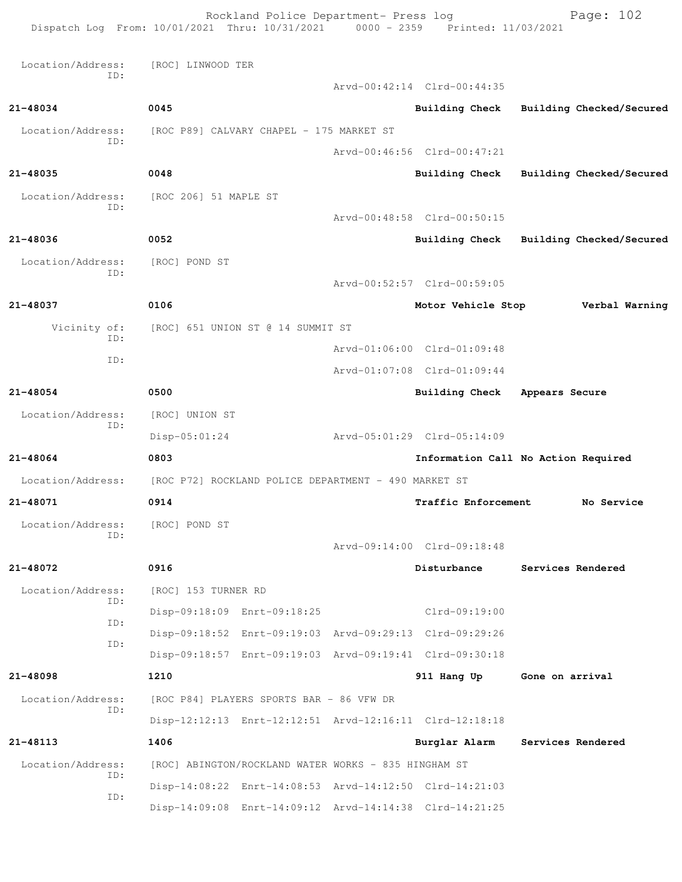|                          | Dispatch Log From: 10/01/2021 Thru: 10/31/2021 0000 - 2359 Printed: 11/03/2021 |  | Rockland Police Department- Press log |                                         |                   | Page: 102                |
|--------------------------|--------------------------------------------------------------------------------|--|---------------------------------------|-----------------------------------------|-------------------|--------------------------|
| Location/Address:        | [ROC] LINWOOD TER                                                              |  |                                       |                                         |                   |                          |
| ID:                      |                                                                                |  |                                       | Arvd-00:42:14 Clrd-00:44:35             |                   |                          |
| 21-48034                 | 0045                                                                           |  |                                       | Building Check Building Checked/Secured |                   |                          |
| Location/Address:        | [ROC P89] CALVARY CHAPEL - 175 MARKET ST                                       |  |                                       |                                         |                   |                          |
| ID:                      |                                                                                |  |                                       | Arvd-00:46:56 Clrd-00:47:21             |                   |                          |
| 21-48035                 | 0048                                                                           |  |                                       | Building Check                          |                   | Building Checked/Secured |
| Location/Address:        | [ROC 206] 51 MAPLE ST                                                          |  |                                       |                                         |                   |                          |
| ID:                      |                                                                                |  |                                       | Arvd-00:48:58 Clrd-00:50:15             |                   |                          |
| 21-48036                 | 0052                                                                           |  |                                       | Building Check                          |                   | Building Checked/Secured |
| Location/Address:        | [ROC] POND ST                                                                  |  |                                       |                                         |                   |                          |
| ID:                      |                                                                                |  |                                       | Arvd-00:52:57 Clrd-00:59:05             |                   |                          |
| 21-48037                 | 0106                                                                           |  |                                       | Motor Vehicle Stop                      |                   | Verbal Warning           |
| Vicinity of:             | [ROC] 651 UNION ST @ 14 SUMMIT ST                                              |  |                                       |                                         |                   |                          |
| ID:                      |                                                                                |  |                                       | Arvd-01:06:00 Clrd-01:09:48             |                   |                          |
| ID:                      |                                                                                |  |                                       | Arvd-01:07:08 Clrd-01:09:44             |                   |                          |
| 21-48054                 | 0500                                                                           |  |                                       | Building Check                          | Appears Secure    |                          |
| Location/Address:<br>ID: | [ROC] UNION ST                                                                 |  |                                       |                                         |                   |                          |
|                          | $Disp-05:01:24$                                                                |  |                                       | Arvd-05:01:29 Clrd-05:14:09             |                   |                          |
| 21-48064                 | 0803                                                                           |  |                                       | Information Call No Action Required     |                   |                          |
| Location/Address:        | [ROC P72] ROCKLAND POLICE DEPARTMENT - 490 MARKET ST                           |  |                                       |                                         |                   |                          |
| 21-48071                 | 0914<br>Traffic Enforcement<br>No Service                                      |  |                                       |                                         |                   |                          |
| Location/Address:<br>ID: | [ROC] POND ST                                                                  |  |                                       |                                         |                   |                          |
|                          |                                                                                |  |                                       | Arvd-09:14:00 Clrd-09:18:48             |                   |                          |
| 21-48072                 | 0916                                                                           |  |                                       | Disturbance                             | Services Rendered |                          |
| Location/Address:<br>ID: | [ROC] 153 TURNER RD                                                            |  |                                       |                                         |                   |                          |
| ID:                      | Disp-09:18:09 Enrt-09:18:25                                                    |  |                                       | $Clrd-09:19:00$                         |                   |                          |
| ID:                      | Disp-09:18:52 Enrt-09:19:03 Arvd-09:29:13 Clrd-09:29:26                        |  |                                       |                                         |                   |                          |
|                          | Disp-09:18:57 Enrt-09:19:03 Arvd-09:19:41 Clrd-09:30:18                        |  |                                       |                                         |                   |                          |
| 21-48098                 | 1210                                                                           |  |                                       | 911 Hang Up                             | Gone on arrival   |                          |
| Location/Address:<br>ID: | [ROC P84] PLAYERS SPORTS BAR - 86 VFW DR                                       |  |                                       |                                         |                   |                          |
|                          | Disp-12:12:13 Enrt-12:12:51 Arvd-12:16:11 Clrd-12:18:18                        |  |                                       |                                         |                   |                          |
| 21-48113                 | 1406                                                                           |  |                                       | Burglar Alarm                           | Services Rendered |                          |
| Location/Address:<br>ID: | [ROC] ABINGTON/ROCKLAND WATER WORKS - 835 HINGHAM ST                           |  |                                       |                                         |                   |                          |
| ID:                      | Disp-14:08:22 Enrt-14:08:53 Arvd-14:12:50 Clrd-14:21:03                        |  |                                       |                                         |                   |                          |
|                          | Disp-14:09:08 Enrt-14:09:12 Arvd-14:14:38 Clrd-14:21:25                        |  |                                       |                                         |                   |                          |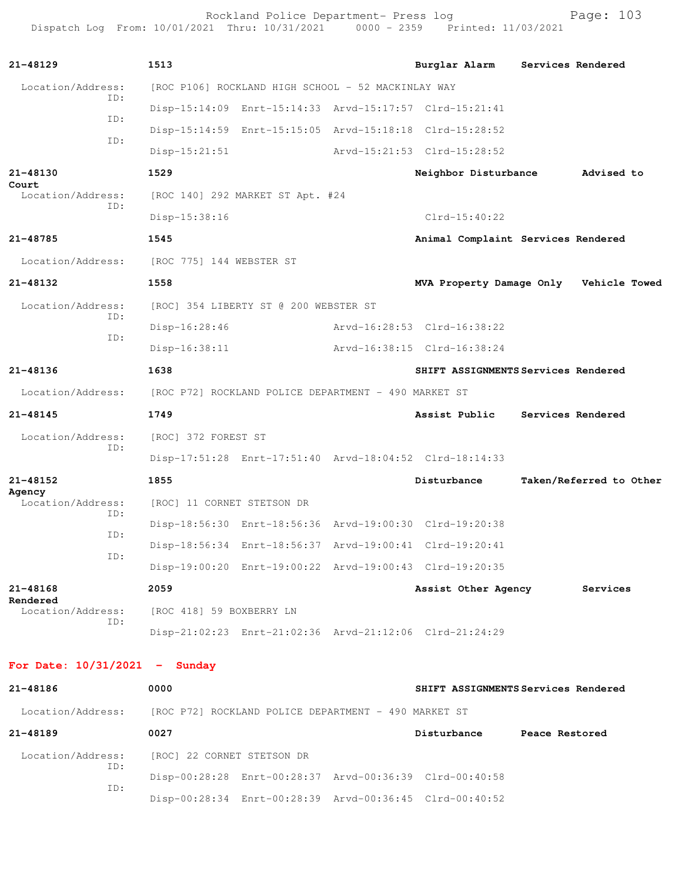Rockland Police Department- Press log entitled and Page: 103 Dispatch Log From: 10/01/2021 Thru: 10/31/2021 0000 - 2359 Printed: 11/03/2021

| $21 - 48129$                    |  | 1513                                                 |                                                         |  | Burglar Alarm                                           | Services Rendered |                         |  |
|---------------------------------|--|------------------------------------------------------|---------------------------------------------------------|--|---------------------------------------------------------|-------------------|-------------------------|--|
| Location/Address:<br>ID:        |  | [ROC P106] ROCKLAND HIGH SCHOOL - 52 MACKINLAY WAY   |                                                         |  |                                                         |                   |                         |  |
| ID:                             |  |                                                      | Disp-15:14:09 Enrt-15:14:33 Arvd-15:17:57 Clrd-15:21:41 |  |                                                         |                   |                         |  |
| ID:                             |  |                                                      |                                                         |  | Disp-15:14:59 Enrt-15:15:05 Arvd-15:18:18 Clrd-15:28:52 |                   |                         |  |
|                                 |  | $Disp-15:21:51$                                      |                                                         |  | Arvd-15:21:53 Clrd-15:28:52                             |                   |                         |  |
| 21-48130<br>Court               |  | 1529                                                 |                                                         |  | Neighbor Disturbance                                    |                   | Advised to              |  |
| Location/Address:<br>ID:        |  | [ROC 140] 292 MARKET ST Apt. #24                     |                                                         |  |                                                         |                   |                         |  |
|                                 |  | Disp-15:38:16                                        |                                                         |  | $Clrd-15:40:22$                                         |                   |                         |  |
| 21-48785                        |  | 1545                                                 |                                                         |  | Animal Complaint Services Rendered                      |                   |                         |  |
| Location/Address:               |  | [ROC 775] 144 WEBSTER ST                             |                                                         |  |                                                         |                   |                         |  |
| 21-48132                        |  | 1558                                                 |                                                         |  | MVA Property Damage Only Vehicle Towed                  |                   |                         |  |
| Location/Address:               |  |                                                      | [ROC] 354 LIBERTY ST @ 200 WEBSTER ST                   |  |                                                         |                   |                         |  |
| ID:                             |  | Disp-16:28:46                                        |                                                         |  | Arvd-16:28:53 Clrd-16:38:22                             |                   |                         |  |
| ID:                             |  | Disp-16:38:11                                        |                                                         |  | Arvd-16:38:15 Clrd-16:38:24                             |                   |                         |  |
| $21 - 48136$                    |  | 1638                                                 |                                                         |  | SHIFT ASSIGNMENTS Services Rendered                     |                   |                         |  |
| Location/Address:               |  |                                                      | [ROC P72] ROCKLAND POLICE DEPARTMENT - 490 MARKET ST    |  |                                                         |                   |                         |  |
| 21-48145                        |  | 1749                                                 |                                                         |  | Assist Public                                           | Services Rendered |                         |  |
| Location/Address:               |  | [ROC] 372 FOREST ST                                  |                                                         |  |                                                         |                   |                         |  |
| ID:                             |  |                                                      |                                                         |  | Disp-17:51:28 Enrt-17:51:40 Arvd-18:04:52 Clrd-18:14:33 |                   |                         |  |
| 21-48152                        |  | 1855                                                 |                                                         |  | Disturbance                                             |                   | Taken/Referred to Other |  |
| Agency<br>Location/Address:     |  | [ROC] 11 CORNET STETSON DR                           |                                                         |  |                                                         |                   |                         |  |
| ID:                             |  |                                                      | Disp-18:56:30 Enrt-18:56:36 Arvd-19:00:30 Clrd-19:20:38 |  |                                                         |                   |                         |  |
| ID:                             |  |                                                      |                                                         |  | Disp-18:56:34 Enrt-18:56:37 Arvd-19:00:41 Clrd-19:20:41 |                   |                         |  |
| ID:                             |  |                                                      |                                                         |  | Disp-19:00:20 Enrt-19:00:22 Arvd-19:00:43 Clrd-19:20:35 |                   |                         |  |
| 21-48168                        |  | 2059                                                 |                                                         |  | Assist Other Agency                                     |                   | Services                |  |
| Rendered<br>Location/Address:   |  | [ROC 418] 59 BOXBERRY LN                             |                                                         |  |                                                         |                   |                         |  |
| ID:                             |  |                                                      |                                                         |  | Disp-21:02:23 Enrt-21:02:36 Arvd-21:12:06 Clrd-21:24:29 |                   |                         |  |
|                                 |  |                                                      |                                                         |  |                                                         |                   |                         |  |
| For Date: $10/31/2021$ - Sunday |  |                                                      |                                                         |  |                                                         |                   |                         |  |
| 21-48186                        |  | 0000                                                 |                                                         |  | SHIFT ASSIGNMENTS Services Rendered                     |                   |                         |  |
| Location/Address:               |  | [ROC P72] ROCKLAND POLICE DEPARTMENT - 490 MARKET ST |                                                         |  |                                                         |                   |                         |  |
| 21-48189                        |  | 0027                                                 |                                                         |  | Disturbance                                             | Peace Restored    |                         |  |
|                                 |  |                                                      |                                                         |  |                                                         |                   |                         |  |

 Location/Address: [ROC] 22 CORNET STETSON DR ID: Disp-00:28:28 Enrt-00:28:37 Arvd-00:36:39 Clrd-00:40:58 ID: Disp-00:28:34 Enrt-00:28:39 Arvd-00:36:45 Clrd-00:40:52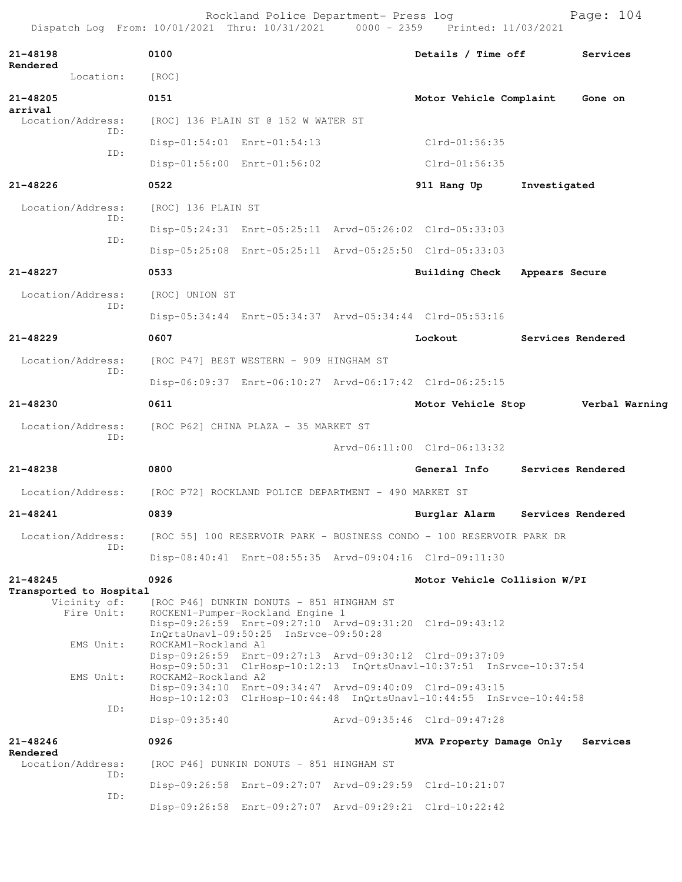Rockland Police Department- Press log entitled and Page: 104 Dispatch Log From: 10/01/2021 Thru: 10/31/2021 0000 - 2359 Printed: 11/03/2021

| 21-48198                                                                               | 0100                                                 |                                                                                                                       | Details / Time off                                                                                                              | Services          |
|----------------------------------------------------------------------------------------|------------------------------------------------------|-----------------------------------------------------------------------------------------------------------------------|---------------------------------------------------------------------------------------------------------------------------------|-------------------|
| Rendered<br>Location:                                                                  | [ROC]                                                |                                                                                                                       |                                                                                                                                 |                   |
| 21-48205                                                                               | 0151                                                 |                                                                                                                       | Motor Vehicle Complaint                                                                                                         | Gone on           |
| arrival<br>Location/Address:                                                           |                                                      | [ROC] 136 PLAIN ST @ 152 W WATER ST                                                                                   |                                                                                                                                 |                   |
| ID:<br>ID:                                                                             |                                                      | Disp-01:54:01 Enrt-01:54:13                                                                                           | $Clrd-01:56:35$                                                                                                                 |                   |
|                                                                                        |                                                      | Disp-01:56:00 Enrt-01:56:02                                                                                           | $Clrd-01:56:35$                                                                                                                 |                   |
| 21-48226                                                                               | 0522                                                 |                                                                                                                       | 911 Hang Up                                                                                                                     | Investigated      |
| Location/Address:                                                                      | [ROC] 136 PLAIN ST                                   |                                                                                                                       |                                                                                                                                 |                   |
| ID:                                                                                    |                                                      |                                                                                                                       | Disp-05:24:31 Enrt-05:25:11 Arvd-05:26:02 Clrd-05:33:03                                                                         |                   |
| ID:                                                                                    |                                                      |                                                                                                                       | Disp-05:25:08 Enrt-05:25:11 Arvd-05:25:50 Clrd-05:33:03                                                                         |                   |
| 21-48227                                                                               | 0533                                                 |                                                                                                                       | Building Check                                                                                                                  | Appears Secure    |
| Location/Address:                                                                      | [ROC] UNION ST                                       |                                                                                                                       |                                                                                                                                 |                   |
| ID:                                                                                    |                                                      |                                                                                                                       | Disp-05:34:44 Enrt-05:34:37 Arvd-05:34:44 Clrd-05:53:16                                                                         |                   |
| 21-48229                                                                               | 0607                                                 |                                                                                                                       | Lockout                                                                                                                         | Services Rendered |
| Location/Address:                                                                      |                                                      | [ROC P47] BEST WESTERN - 909 HINGHAM ST                                                                               |                                                                                                                                 |                   |
| ID:                                                                                    |                                                      |                                                                                                                       | Disp-06:09:37 Enrt-06:10:27 Arvd-06:17:42 Clrd-06:25:15                                                                         |                   |
| 21-48230                                                                               | 0611                                                 |                                                                                                                       | Motor Vehicle Stop                                                                                                              | Verbal Warning    |
| Location/Address:                                                                      | [ROC P62] CHINA PLAZA - 35 MARKET ST                 |                                                                                                                       |                                                                                                                                 |                   |
| ID:                                                                                    |                                                      |                                                                                                                       | Arvd-06:11:00 Clrd-06:13:32                                                                                                     |                   |
| 21-48238                                                                               | 0800                                                 |                                                                                                                       | General Info                                                                                                                    | Services Rendered |
| Location/Address:                                                                      | [ROC P72] ROCKLAND POLICE DEPARTMENT - 490 MARKET ST |                                                                                                                       |                                                                                                                                 |                   |
| 21-48241                                                                               | 0839                                                 |                                                                                                                       | Burglar Alarm                                                                                                                   | Services Rendered |
| Location/Address: [ROC 55] 100 RESERVOIR PARK - BUSINESS CONDO - 100 RESERVOIR PARK DR |                                                      |                                                                                                                       |                                                                                                                                 |                   |
| ID:                                                                                    |                                                      |                                                                                                                       | Disp-08:40:41 Enrt-08:55:35 Arvd-09:04:16 Clrd-09:11:30                                                                         |                   |
| 21-48245                                                                               | 0926                                                 |                                                                                                                       | Motor Vehicle Collision W/PI                                                                                                    |                   |
| Transported to Hospital<br>Vicinity of:<br>Fire Unit:                                  |                                                      | [ROC P46] DUNKIN DONUTS - 851 HINGHAM ST<br>ROCKEN1-Pumper-Rockland Engine 1<br>InQrtsUnavl-09:50:25 InSrvce-09:50:28 | Disp-09:26:59 Enrt-09:27:10 Arvd-09:31:20 Clrd-09:43:12                                                                         |                   |
| EMS Unit:<br>EMS Unit:                                                                 | ROCKAM1-Rockland A1<br>ROCKAM2-Rockland A2           |                                                                                                                       | Disp-09:26:59 Enrt-09:27:13 Arvd-09:30:12 Clrd-09:37:09<br>Hosp-09:50:31 ClrHosp-10:12:13 InQrtsUnavl-10:37:51 InSrvce-10:37:54 |                   |
| ID:                                                                                    |                                                      |                                                                                                                       | Disp-09:34:10 Enrt-09:34:47 Arvd-09:40:09 Clrd-09:43:15<br>Hosp-10:12:03 ClrHosp-10:44:48 InQrtsUnavl-10:44:55 InSrvce-10:44:58 |                   |
|                                                                                        | $Disp-09:35:40$                                      |                                                                                                                       | Arvd-09:35:46 Clrd-09:47:28                                                                                                     |                   |
| 21-48246<br>Rendered                                                                   | 0926                                                 |                                                                                                                       | MVA Property Damage Only                                                                                                        | Services          |
| Location/Address:<br>ID:                                                               |                                                      | [ROC P46] DUNKIN DONUTS - 851 HINGHAM ST                                                                              |                                                                                                                                 |                   |
| ID:                                                                                    |                                                      |                                                                                                                       | Disp-09:26:58 Enrt-09:27:07 Arvd-09:29:59 Clrd-10:21:07                                                                         |                   |
|                                                                                        |                                                      |                                                                                                                       | Disp-09:26:58 Enrt-09:27:07 Arvd-09:29:21 Clrd-10:22:42                                                                         |                   |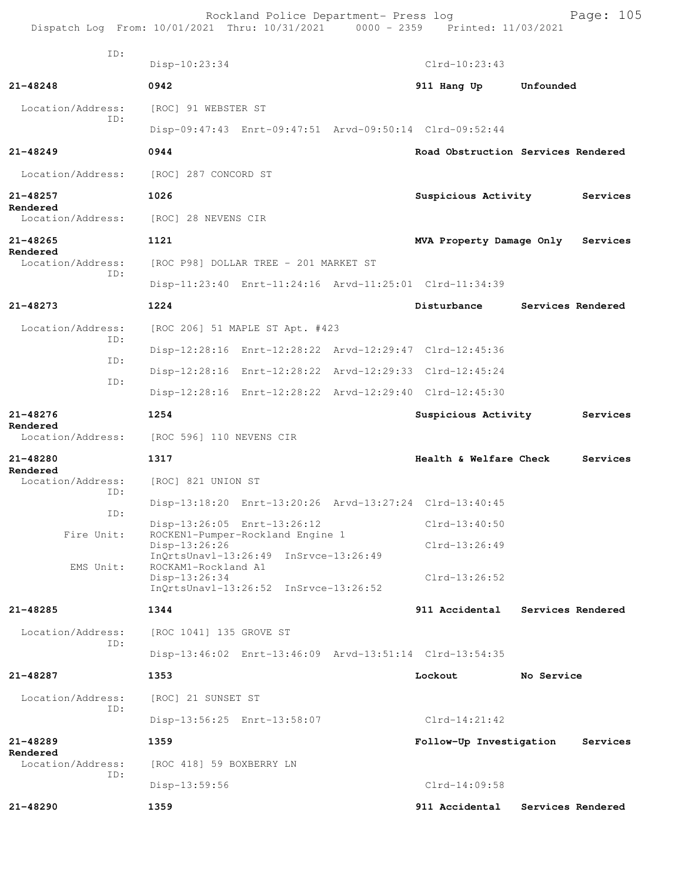Rockland Police Department- Press log entitled and Page: 105 Dispatch Log From: 10/01/2021 Thru: 10/31/2021 0000 - 2359 Printed: 11/03/2021

| ID:                           | Disp-10:23:34            |                                                         |                 | $Clrd-10:23:43$                 |                                    |  |  |  |
|-------------------------------|--------------------------|---------------------------------------------------------|-----------------|---------------------------------|------------------------------------|--|--|--|
| 21-48248                      | 0942                     |                                                         |                 | 911 Hang Up                     | Unfounded                          |  |  |  |
| Location/Address:             | [ROC] 91 WEBSTER ST      |                                                         |                 |                                 |                                    |  |  |  |
| ID:                           |                          | Disp-09:47:43 Enrt-09:47:51 Arvd-09:50:14 Clrd-09:52:44 |                 |                                 |                                    |  |  |  |
| $21 - 48249$                  | 0944                     |                                                         |                 |                                 | Road Obstruction Services Rendered |  |  |  |
| Location/Address:             | [ROC] 287 CONCORD ST     |                                                         |                 |                                 |                                    |  |  |  |
| 21-48257                      | 1026                     |                                                         |                 | Suspicious Activity             | Services                           |  |  |  |
| Rendered<br>Location/Address: |                          | [ROC] 28 NEVENS CIR                                     |                 |                                 |                                    |  |  |  |
| $21 - 48265$                  | 1121                     |                                                         |                 | MVA Property Damage Only        | Services                           |  |  |  |
| Rendered<br>Location/Address: |                          | [ROC P98] DOLLAR TREE - 201 MARKET ST                   |                 |                                 |                                    |  |  |  |
| ID:                           |                          | Disp-11:23:40 Enrt-11:24:16 Arvd-11:25:01 Clrd-11:34:39 |                 |                                 |                                    |  |  |  |
| 21-48273                      | 1224                     |                                                         |                 | Disturbance                     | Services Rendered                  |  |  |  |
| Location/Address:             |                          | [ROC 206] 51 MAPLE ST Apt. #423                         |                 |                                 |                                    |  |  |  |
| ID:                           |                          | Disp-12:28:16 Enrt-12:28:22 Arvd-12:29:47 Clrd-12:45:36 |                 |                                 |                                    |  |  |  |
| ID:                           |                          | Disp-12:28:16 Enrt-12:28:22 Arvd-12:29:33 Clrd-12:45:24 |                 |                                 |                                    |  |  |  |
| ID:                           |                          | Disp-12:28:16 Enrt-12:28:22 Arvd-12:29:40 Clrd-12:45:30 |                 |                                 |                                    |  |  |  |
| 21-48276                      | 1254                     |                                                         |                 | Suspicious Activity<br>Services |                                    |  |  |  |
| Rendered<br>Location/Address: |                          | [ROC 596] 110 NEVENS CIR                                |                 |                                 |                                    |  |  |  |
| 21-48280                      | 1317                     |                                                         |                 | Health & Welfare Check          | Services                           |  |  |  |
| Rendered<br>Location/Address: | [ROC] 821 UNION ST       |                                                         |                 |                                 |                                    |  |  |  |
| ID:                           |                          | Disp-13:18:20 Enrt-13:20:26 Arvd-13:27:24 Clrd-13:40:45 |                 |                                 |                                    |  |  |  |
| ID:                           |                          | Disp-13:26:05 Enrt-13:26:12                             |                 | $Clrd-13:40:50$                 |                                    |  |  |  |
| Fire Unit:                    |                          | ROCKEN1-Pumper-Rockland Engine 1<br>Disp-13:26:26       |                 |                                 |                                    |  |  |  |
| EMS Unit:                     | ROCKAM1-Rockland A1      | InOrtsUnav1-13:26:49 InSrvce-13:26:49                   | $Clrd-13:26:52$ |                                 |                                    |  |  |  |
|                               | Disp-13:26:34            | InQrtsUnavl-13:26:52 InSrvce-13:26:52                   |                 |                                 |                                    |  |  |  |
| $21 - 48285$                  | 1344                     |                                                         |                 | 911 Accidental                  | Services Rendered                  |  |  |  |
| Location/Address:             | [ROC 1041] 135 GROVE ST  |                                                         |                 |                                 |                                    |  |  |  |
| ID:                           |                          | Disp-13:46:02 Enrt-13:46:09 Arvd-13:51:14 Clrd-13:54:35 |                 |                                 |                                    |  |  |  |
| 21-48287                      | 1353                     |                                                         |                 | Lockout                         | No Service                         |  |  |  |
| Location/Address:             | [ROC] 21 SUNSET ST       |                                                         |                 |                                 |                                    |  |  |  |
| ID:                           |                          | Disp-13:56:25 Enrt-13:58:07                             |                 | $Clrd-14:21:42$                 |                                    |  |  |  |
| 21-48289                      | 1359                     |                                                         |                 | Follow-Up Investigation         | Services                           |  |  |  |
| Rendered<br>Location/Address: | [ROC 418] 59 BOXBERRY LN |                                                         |                 |                                 |                                    |  |  |  |
| ID:                           | $Disp-13:59:56$          |                                                         |                 | $Clrd-14:09:58$                 |                                    |  |  |  |
| 21-48290                      | 1359                     |                                                         |                 | 911 Accidental                  | Services Rendered                  |  |  |  |
|                               |                          |                                                         |                 |                                 |                                    |  |  |  |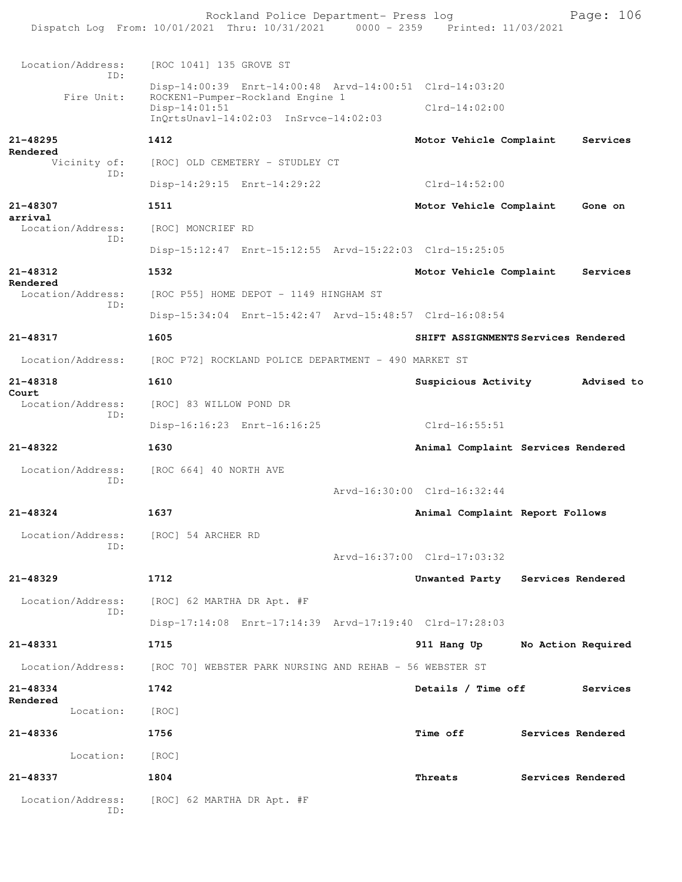Rockland Police Department- Press log Page: 106 Dispatch Log From: 10/01/2021 Thru: 10/31/2021 0000 - 2359 Printed: 11/03/2021 Location/Address: [ROC 1041] 135 GROVE ST ID: Disp-14:00:39 Enrt-14:00:48 Arvd-14:00:51 Clrd-14:03:20 Fire Unit: ROCKEN1-Pumper-Rockland Engine 1 Disp-14:01:51 Clrd-14:02:00 InQrtsUnavl-14:02:03 InSrvce-14:02:03 **21-48295 1412 Motor Vehicle Complaint Services Rendered** Vicinity of: [ROC] OLD CEMETERY - STUDLEY CT ID: Disp-14:29:15 Enrt-14:29:22 Clrd-14:52:00 **21-48307 1511 Motor Vehicle Complaint Gone on arrival**  Location/Address: [ROC] MONCRIEF RD ID: Disp-15:12:47 Enrt-15:12:55 Arvd-15:22:03 Clrd-15:25:05 **21-48312 1532 Motor Vehicle Complaint Services Rendered**  Location/Address: [ROC P55] HOME DEPOT - 1149 HINGHAM ST ID: Disp-15:34:04 Enrt-15:42:47 Arvd-15:48:57 Clrd-16:08:54 **21-48317 1605 SHIFT ASSIGNMENTS Services Rendered** Location/Address: [ROC P72] ROCKLAND POLICE DEPARTMENT - 490 MARKET ST **21-48318 1610 Suspicious Activity Advised to Court**  Location/Address: [ROC] 83 WILLOW POND DR ID: Disp-16:16:23 Enrt-16:16:25 Clrd-16:55:51 **21-48322 1630 Animal Complaint Services Rendered** Location/Address: [ROC 664] 40 NORTH AVE ID: Arvd-16:30:00 Clrd-16:32:44 **21-48324 1637 Animal Complaint Report Follows** Location/Address: [ROC] 54 ARCHER RD ID: Arvd-16:37:00 Clrd-17:03:32 **21-48329 1712 Unwanted Party Services Rendered** Location/Address: [ROC] 62 MARTHA DR Apt. #F ID: Disp-17:14:08 Enrt-17:14:39 Arvd-17:19:40 Clrd-17:28:03 **21-48331 1715 911 Hang Up No Action Required** Location/Address: [ROC 70] WEBSTER PARK NURSING AND REHAB - 56 WEBSTER ST **21-48334 1742 Details / Time off Services Rendered**  Location: [ROC] **21-48336 1756 Time off Services Rendered** Location: [ROC] **21-48337 1804 Threats Services Rendered** Location/Address: [ROC] 62 MARTHA DR Apt. #F ID: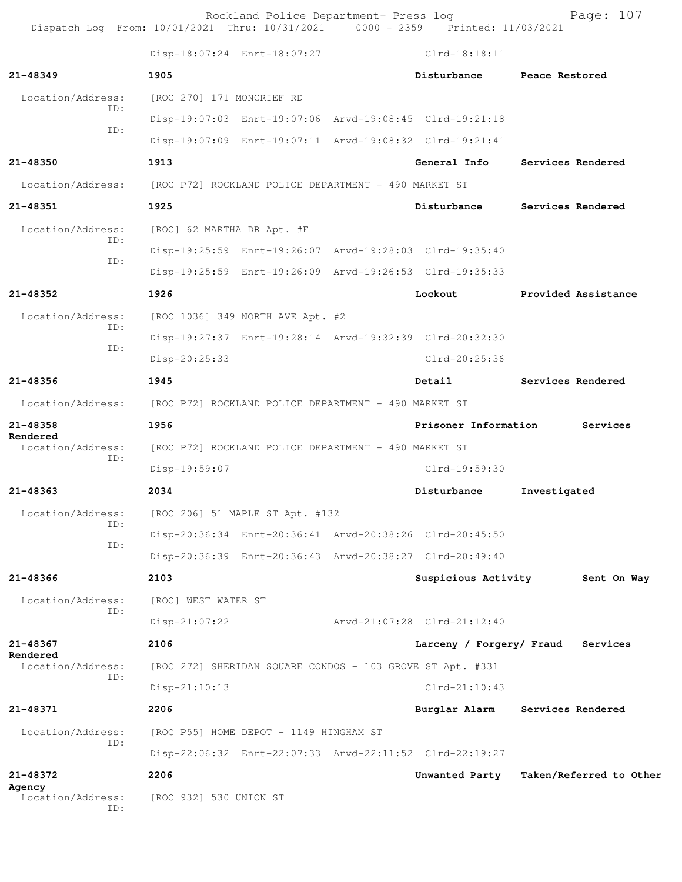Rockland Police Department- Press log Fage: 107<br>21 Thru: 10/31/2021 0000 - 2359 Printed: 11/03/2021 Dispatch Log From: 10/01/2021 Thru: 10/31/2021 0000 - 2359 Printed: 11/03/2021 Disp-18:07:24 Enrt-18:07:27 Clrd-18:18:11 **21-48349 1905 Disturbance Peace Restored** Location/Address: [ROC 270] 171 MONCRIEF RD ID: Disp-19:07:03 Enrt-19:07:06 Arvd-19:08:45 Clrd-19:21:18 ID: Disp-19:07:09 Enrt-19:07:11 Arvd-19:08:32 Clrd-19:21:41 **21-48350 1913 General Info Services Rendered** Location/Address: [ROC P72] ROCKLAND POLICE DEPARTMENT - 490 MARKET ST **21-48351 1925 Disturbance Services Rendered** Location/Address: [ROC] 62 MARTHA DR Apt. #F ID: Disp-19:25:59 Enrt-19:26:07 Arvd-19:28:03 Clrd-19:35:40 ID: Disp-19:25:59 Enrt-19:26:09 Arvd-19:26:53 Clrd-19:35:33 **21-48352 1926 Lockout Provided Assistance** Location/Address: [ROC 1036] 349 NORTH AVE Apt. #2 ID: Disp-19:27:37 Enrt-19:28:14 Arvd-19:32:39 Clrd-20:32:30 ID: Disp-20:25:33 Clrd-20:25:36 **21-48356 1945 Detail Services Rendered** Location/Address: [ROC P72] ROCKLAND POLICE DEPARTMENT - 490 MARKET ST **21-48358 1956 Prisoner Information Services Rendered**  Location/Address: [ROC P72] ROCKLAND POLICE DEPARTMENT - 490 MARKET ST ID: Disp-19:59:07 Clrd-19:59:30 **21-48363 2034 Disturbance Investigated** Location/Address: [ROC 206] 51 MAPLE ST Apt. #132 ID: Disp-20:36:34 Enrt-20:36:41 Arvd-20:38:26 Clrd-20:45:50 ID: Disp-20:36:39 Enrt-20:36:43 Arvd-20:38:27 Clrd-20:49:40 **21-48366 2103 Suspicious Activity Sent On Way** Location/Address: [ROC] WEST WATER ST ID: Disp-21:07:22 Arvd-21:07:28 Clrd-21:12:40 **21-48367 2106 Larceny / Forgery/ Fraud Services Rendered**  Location/Address: [ROC 272] SHERIDAN SQUARE CONDOS - 103 GROVE ST Apt. #331 ID: Disp-21:10:13 Clrd-21:10:43 **21-48371 2206 Burglar Alarm Services Rendered** Location/Address: [ROC P55] HOME DEPOT - 1149 HINGHAM ST ID: Disp-22:06:32 Enrt-22:07:33 Arvd-22:11:52 Clrd-22:19:27 **21-48372 2206 Unwanted Party Taken/Referred to Other Agency**  Location/Address: [ROC 932] 530 UNION ST ID: